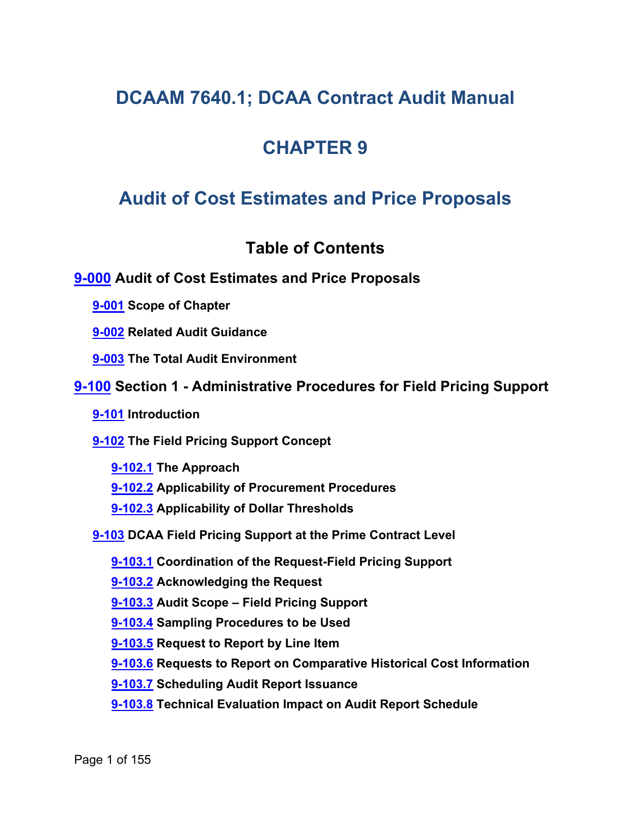# **DCAAM 7640.1; DCAA Contract Audit Manual**

# **CHAPTER 9**

# **Audit of Cost Estimates and Price Proposals**

## <span id="page-0-8"></span><span id="page-0-6"></span><span id="page-0-4"></span><span id="page-0-3"></span><span id="page-0-2"></span><span id="page-0-1"></span><span id="page-0-0"></span>**Table of Contents**

## **[9-000](#page-10-0) Audit of Cost Estimates and Price Proposals**

**[9-001](#page-10-1) Scope of Chapter**

**[9-002](#page-11-0) Related Audit Guidance**

**[9-003](#page-12-0) The Total Audit Environment**

- **[9-100](#page-13-0) Section 1 - Administrative Procedures for Field Pricing Support**
	- **[9-101](#page-13-1) Introduction**

**[9-102](#page-13-2) The Field Pricing Support Concept**

<span id="page-0-7"></span><span id="page-0-5"></span>**[9-102.1](#page-13-3) The Approach**

- **[9-102.2](#page-16-0) Applicability of Procurement Procedures**
- <span id="page-0-10"></span><span id="page-0-9"></span>**[9-102.3](#page-16-1) Applicability of Dollar Thresholds**

**[9-103](#page-17-0) DCAA Field Pricing Support at the Prime Contract Level**

<span id="page-0-11"></span>**[9-103.1](#page-17-1) Coordination of the Request-Field Pricing Support**

<span id="page-0-12"></span>**[9-103.2](#page-20-0) Acknowledging the Request**

<span id="page-0-13"></span>**[9-103.3](#page-20-1) Audit Scope – Field Pricing Support**

<span id="page-0-14"></span>**[9-103.4](#page-21-0) Sampling Procedures to be Used**

<span id="page-0-15"></span>**[9-103.5](#page-22-0) Request to Report by Line Item**

<span id="page-0-16"></span>**[9-103.6](#page-22-1) Requests to Report on Comparative Historical Cost Information**

<span id="page-0-17"></span>**[9-103.7](#page-23-0) Scheduling Audit Report Issuance**

<span id="page-0-18"></span>**[9-103.8](#page-24-0) Technical Evaluation Impact on Audit Report Schedule**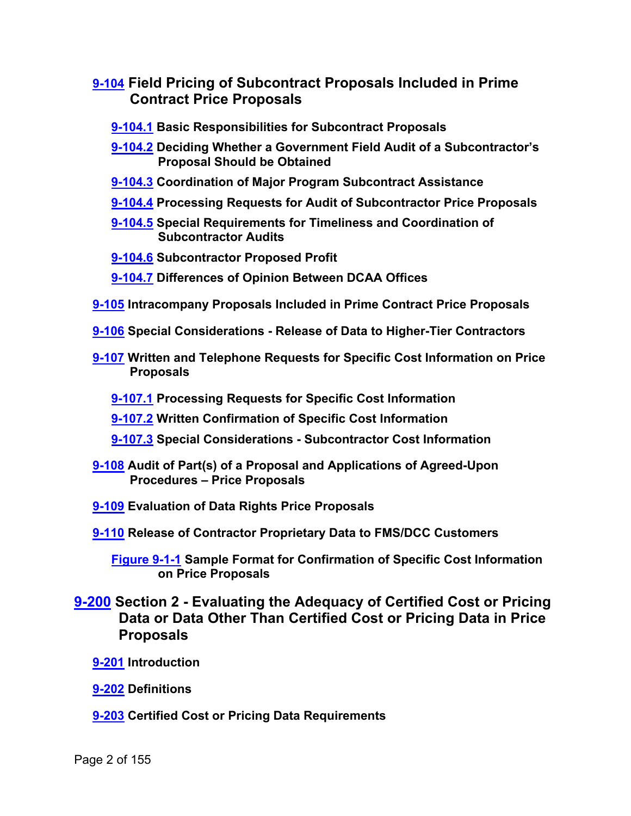- <span id="page-1-3"></span><span id="page-1-2"></span><span id="page-1-1"></span><span id="page-1-0"></span>**[9-104](#page-24-1) Field Pricing of Subcontract Proposals Included in Prime Contract Price Proposals**
	- **[9-104.1](#page-24-2) Basic Responsibilities for Subcontract Proposals**
	- **[9-104.2](#page-26-0) Deciding Whether a Government Field Audit of a Subcontractor's Proposal Should be Obtained**
	- **[9-104.3](#page-28-0) Coordination of Major Program Subcontract Assistance**
	- **[9-104.4](#page-29-0) Processing Requests for Audit of Subcontractor Price Proposals**
	- **[9-104.5](#page-29-1) Special Requirements for Timeliness and Coordination of Subcontractor Audits**
	- **[9-104.6](#page-30-0) Subcontractor Proposed Profit**
	- **[9-104.7](#page-30-1) Differences of Opinion Between DCAA Offices**
- <span id="page-1-8"></span><span id="page-1-7"></span><span id="page-1-6"></span><span id="page-1-5"></span><span id="page-1-4"></span>**[9-105](#page-30-2) Intracompany Proposals Included in Prime Contract Price Proposals**
- <span id="page-1-9"></span>**[9-106](#page-31-0) Special Considerations - Release of Data to Higher-Tier Contractors**
- <span id="page-1-11"></span><span id="page-1-10"></span>**[9-107](#page-32-0) Written and Telephone Requests for Specific Cost Information on Price Proposals**
	- **[9-107.1](#page-32-1) Processing Requests for Specific Cost Information**
	- **[9-107.2](#page-32-2) Written Confirmation of Specific Cost Information**
	- **[9-107.3](#page-33-0) Special Considerations - Subcontractor Cost Information**
- <span id="page-1-14"></span><span id="page-1-13"></span><span id="page-1-12"></span>**[9-108](#page-34-0) Audit of Part(s) of a Proposal and Applications of Agreed-Upon Procedures – Price Proposals**
- <span id="page-1-15"></span>**[9-109](#page-35-0) Evaluation of Data Rights Price Proposals**
- **[9-110](#page-36-0) Release of Contractor Proprietary Data to FMS/DCC Customers**
	- **[Figure 9-1-1](#page-37-0) Sample Format for Confirmation of Specific Cost Information on Price Proposals**
- **[9-200](#page-37-1) Section 2 - Evaluating the Adequacy of Certified Cost or Pricing Data or Data Other Than Certified Cost or Pricing Data in Price Proposals**
	- **[9-201](#page-37-2) Introduction**
	- **[9-202](#page-37-3) Definitions**
	- **[9-203](#page-38-0) Certified Cost or Pricing Data Requirements**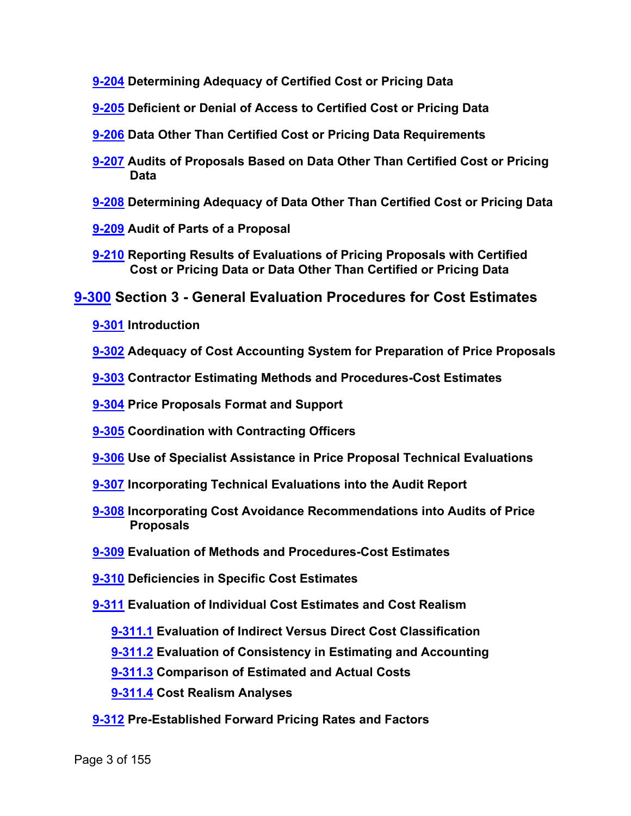- **[9-204](#page-38-1) Determining Adequacy of Certified Cost or Pricing Data**
- **[9-205](#page-39-0) Deficient or Denial of Access to Certified Cost or Pricing Data**
- **[9-206](#page-40-0) Data Other Than Certified Cost or Pricing Data Requirements**
- **[9-207](#page-41-0) Audits of Proposals Based on Data Other Than Certified Cost or Pricing Data**
- **[9-208](#page-43-0) Determining Adequacy of Data Other Than Certified Cost or Pricing Data**
- **[9-209](#page-43-1) Audit of Parts of a Proposal**
- **[9-210](#page-44-0) Reporting Results of Evaluations of Pricing Proposals with Certified Cost or Pricing Data or Data Other Than Certified or Pricing Data**

### **[9-300](#page-44-1) Section 3 - General Evaluation Procedures for Cost Estimates**

- **[9-301](#page-44-2) Introduction**
- **[9-302](#page-44-3) Adequacy of Cost Accounting System for Preparation of Price Proposals**
- **[9-303](#page-45-0) Contractor Estimating Methods and Procedures-Cost Estimates**
- **[9-304](#page-47-0) Price Proposals Format and Support**
- **[9-305](#page-47-1) Coordination with Contracting Officers**
- **[9-306](#page-48-0) Use of Specialist Assistance in Price Proposal Technical Evaluations**
- **[9-307](#page-49-0) Incorporating Technical Evaluations into the Audit Report**
- **[9-308](#page-49-1) Incorporating Cost Avoidance Recommendations into Audits of Price Proposals**
- **[9-309](#page-51-0) Evaluation of Methods and Procedures-Cost Estimates**
- **[9-310](#page-51-1) Deficiencies in Specific Cost Estimates**
- **[9-311](#page-55-0) Evaluation of Individual Cost Estimates and Cost Realism**
	- **[9-311.1](#page-56-0) Evaluation of Indirect Versus Direct Cost Classification**
	- **[9-311.2](#page-57-0) Evaluation of Consistency in Estimating and Accounting**
	- **[9-311.3](#page-57-1) Comparison of Estimated and Actual Costs**
	- **[9-311.4](#page-57-2) Cost Realism Analyses**
- **[9-312](#page-59-0) Pre-Established Forward Pricing Rates and Factors**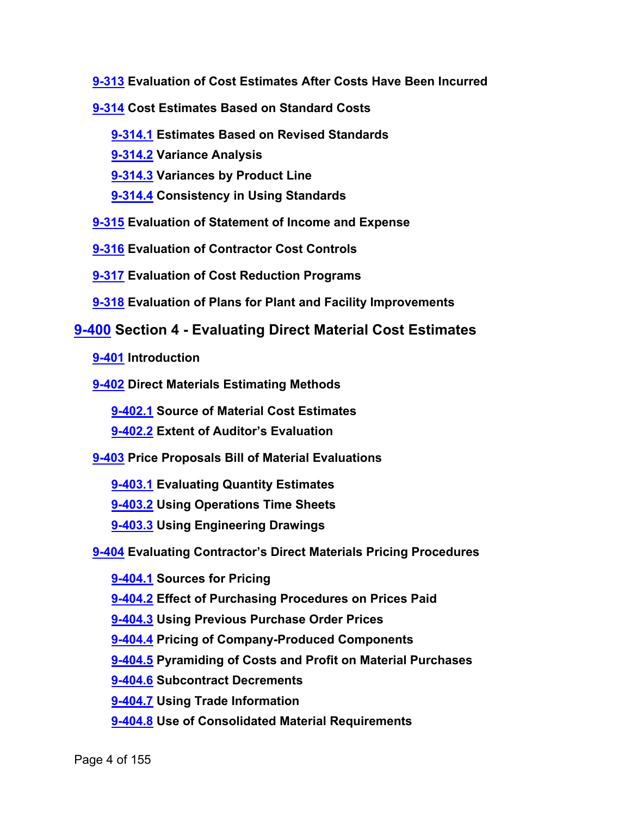- **[9-313](#page-59-1) Evaluation of Cost Estimates After Costs Have Been Incurred**
- **[9-314](#page-59-2) Cost Estimates Based on Standard Costs**
	- **[9-314.1](#page-59-3) Estimates Based on Revised Standards**
	- **[9-314.2](#page-60-0) Variance Analysis**
	- **[9-314.3](#page-60-1) Variances by Product Line**
	- **[9-314.4](#page-61-0) Consistency in Using Standards**
- **[9-315](#page-61-1) Evaluation of Statement of Income and Expense**
- **[9-316](#page-62-0) Evaluation of Contractor Cost Controls**
- **[9-317](#page-62-1) Evaluation of Cost Reduction Programs**
- **[9-318](#page-63-0) Evaluation of Plans for Plant and Facility Improvements**

## **[9-400](#page-63-1) Section 4 - Evaluating Direct Material Cost Estimates**

**[9-401](#page-63-2) Introduction**

**[9-402](#page-64-0) Direct Materials Estimating Methods**

**[9-402.1](#page-64-1) Source of Material Cost Estimates**

**[9-402.2](#page-65-0) Extent of Auditor's Evaluation**

**[9-403](#page-66-0) Price Proposals Bill of Material Evaluations**

- **[9-403.1](#page-67-0) Evaluating Quantity Estimates**
- **[9-403.2](#page-68-0) Using Operations Time Sheets**
- **[9-403.3](#page-68-1) Using Engineering Drawings**

**[9-404](#page-68-2) Evaluating Contractor's Direct Materials Pricing Procedures**

**[9-404.1](#page-68-3) Sources for Pricing [9-404.2](#page-70-0) Effect of Purchasing Procedures on Prices Paid [9-404.3](#page-70-1) Using Previous Purchase Order Prices [9-404.4](#page-70-2) Pricing of Company-Produced Components [9-404.5](#page-70-3) Pyramiding of Costs and Profit on Material Purchases [9-404.6](#page-72-0) Subcontract Decrements [9-404.7](#page-73-0) Using Trade Information [9-404.8](#page-73-1) Use of Consolidated Material Requirements**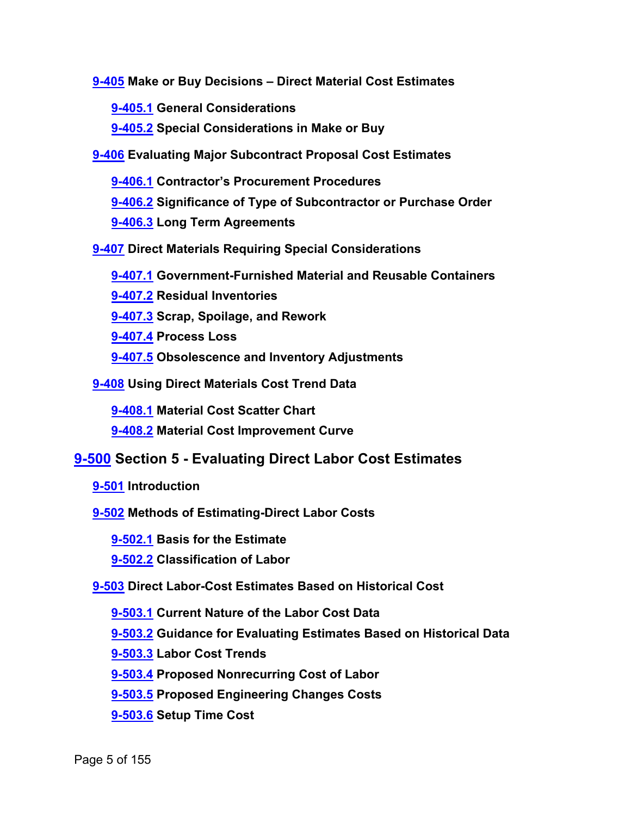**[9-405](#page-73-2) Make or Buy Decisions – Direct Material Cost Estimates**

**[9-405.1](#page-74-0) General Considerations**

**[9-405.2](#page-74-1) Special Considerations in Make or Buy**

**[9-406](#page-76-0) Evaluating Major Subcontract Proposal Cost Estimates**

**[9-406.1](#page-76-1) Contractor's Procurement Procedures [9-406.2](#page-78-0) Significance of Type of Subcontractor or Purchase Order [9-406.3](#page-78-1) Long Term Agreements**

**[9-407](#page-80-0) Direct Materials Requiring Special Considerations**

**[9-407.1](#page-80-1) Government-Furnished Material and Reusable Containers**

**[9-407.2](#page-80-2) Residual Inventories**

**[9-407.3](#page-81-0) Scrap, Spoilage, and Rework**

**[9-407.4](#page-82-0) Process Loss**

**[9-407.5](#page-82-1) Obsolescence and Inventory Adjustments**

**[9-408](#page-83-0) Using Direct Materials Cost Trend Data**

**[9-408.1](#page-83-1) Material Cost Scatter Chart**

**[9-408.2](#page-84-0) Material Cost Improvement Curve**

## **[9-500](#page-84-1) Section 5 - Evaluating Direct Labor Cost Estimates**

**[9-501](#page-84-2) Introduction**

**[9-502](#page-85-0) Methods of Estimating-Direct Labor Costs**

**[9-502.1](#page-85-1) Basis for the Estimate**

**[9-502.2](#page-87-0) Classification of Labor**

**[9-503](#page-87-1) Direct Labor-Cost Estimates Based on Historical Cost**

**[9-503.1](#page-87-2) Current Nature of the Labor Cost Data**

**[9-503.2](#page-88-0) Guidance for Evaluating Estimates Based on Historical Data**

**[9-503.3](#page-89-0) Labor Cost Trends**

**[9-503.4](#page-89-1) Proposed Nonrecurring Cost of Labor**

**[9-503.5](#page-90-0) Proposed Engineering Changes Costs**

**[9-503.6](#page-90-1) Setup Time Cost**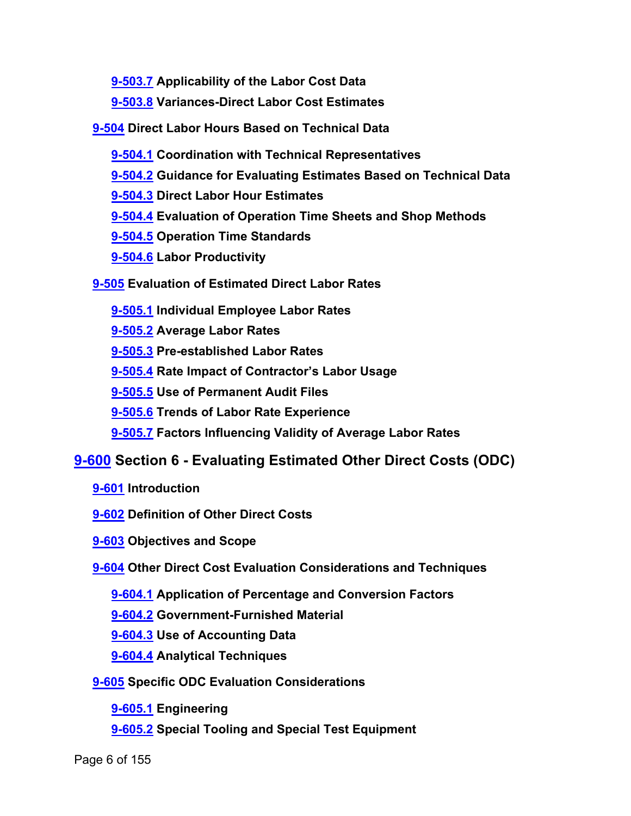**[9-503.7](#page-91-0) Applicability of the Labor Cost Data**

**[9-503.8](#page-91-1) Variances-Direct Labor Cost Estimates**

**[9-504](#page-92-0) Direct Labor Hours Based on Technical Data**

**[9-504.1](#page-92-1) Coordination with Technical Representatives**

**[9-504.2](#page-92-2) Guidance for Evaluating Estimates Based on Technical Data**

**[9-504.3](#page-93-0) Direct Labor Hour Estimates**

**[9-504.4](#page-94-0) Evaluation of Operation Time Sheets and Shop Methods**

**[9-504.5](#page-94-1) Operation Time Standards**

**[9-504.6](#page-95-0) Labor Productivity**

**[9-505](#page-96-0) Evaluation of Estimated Direct Labor Rates**

**[9-505.1](#page-97-0) Individual Employee Labor Rates**

**[9-505.2](#page-97-1) Average Labor Rates**

**[9-505.3](#page-98-0) Pre-established Labor Rates**

**[9-505.4](#page-99-0) Rate Impact of Contractor's Labor Usage**

**[9-505.5](#page-100-0) Use of Permanent Audit Files**

**[9-505.6](#page-100-1) Trends of Labor Rate Experience**

**[9-505.7](#page-101-0) Factors Influencing Validity of Average Labor Rates**

## **[9-600](#page-102-0) Section 6 - Evaluating Estimated Other Direct Costs (ODC)**

**[9-601](#page-102-1) Introduction**

**[9-602](#page-102-2) Definition of Other Direct Costs**

**[9-603](#page-102-3) Objectives and Scope**

**[9-604](#page-103-0) Other Direct Cost Evaluation Considerations and Techniques**

**[9-604.1](#page-103-1) Application of Percentage and Conversion Factors**

**[9-604.2](#page-104-0) Government-Furnished Material**

**[9-604.3](#page-104-1) Use of Accounting Data**

**[9-604.4](#page-104-2) Analytical Techniques**

**[9-605](#page-104-3) Specific ODC Evaluation Considerations**

**[9-605.1](#page-105-0) Engineering**

**[9-605.2](#page-106-0) Special Tooling and Special Test Equipment**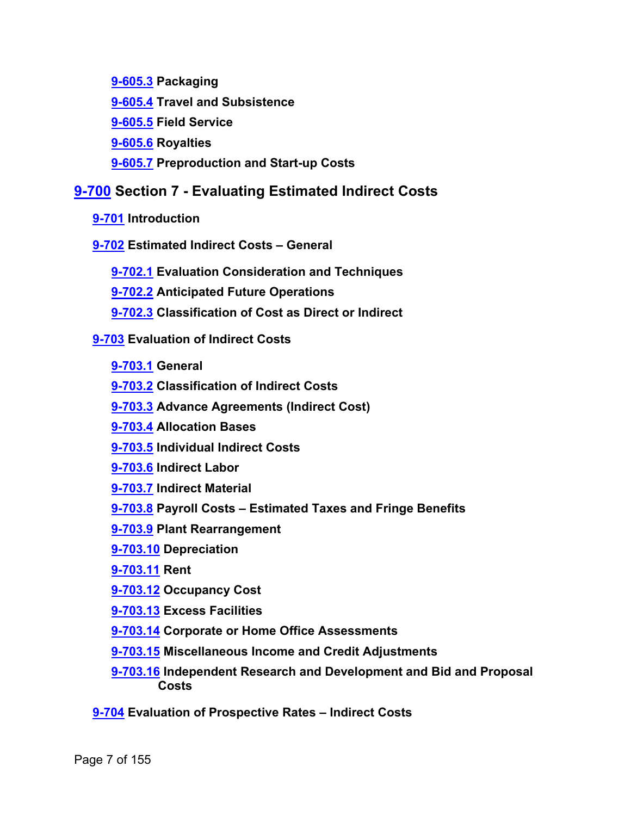**[9-605.3](#page-108-0) Packaging**

**[9-605.4](#page-109-0) Travel and Subsistence**

**[9-605.5](#page-110-0) Field Service**

**[9-605.6](#page-110-1) Royalties**

**[9-605.7](#page-110-2) Preproduction and Start-up Costs**

## **[9-700](#page-111-0) Section 7 - Evaluating Estimated Indirect Costs**

- **[9-701](#page-111-1) Introduction**
- **[9-702](#page-111-2) Estimated Indirect Costs – General**
	- **[9-702.1](#page-111-3) Evaluation Consideration and Techniques**
	- **[9-702.2](#page-112-0) Anticipated Future Operations**
	- **[9-702.3](#page-113-0) Classification of Cost as Direct or Indirect**

**[9-703](#page-113-1) Evaluation of Indirect Costs**

- **[9-703.1](#page-113-2) General**
- **[9-703.2](#page-113-3) Classification of Indirect Costs**
- **[9-703.3](#page-114-0) Advance Agreements (Indirect Cost)**
- **[9-703.4](#page-114-1) Allocation Bases**
- **[9-703.5](#page-115-0) Individual Indirect Costs**
- **[9-703.6](#page-116-0) Indirect Labor**
- **[9-703.7](#page-116-1) Indirect Material**
- **[9-703.8](#page-116-2) Payroll Costs – Estimated Taxes and Fringe Benefits**
- **[9-703.9](#page-118-0) Plant Rearrangement**
- **[9-703.10](#page-118-1) Depreciation**
- **[9-703.11](#page-119-0) Rent**
- **[9-703.12](#page-119-1) Occupancy Cost**
- **[9-703.13](#page-119-2) Excess Facilities**
- **[9-703.14](#page-120-0) Corporate or Home Office Assessments**
- **[9-703.15](#page-120-1) Miscellaneous Income and Credit Adjustments**
- **[9-703.16](#page-121-0) Independent Research and Development and Bid and Proposal Costs**
- **[9-704](#page-121-1) Evaluation of Prospective Rates – Indirect Costs**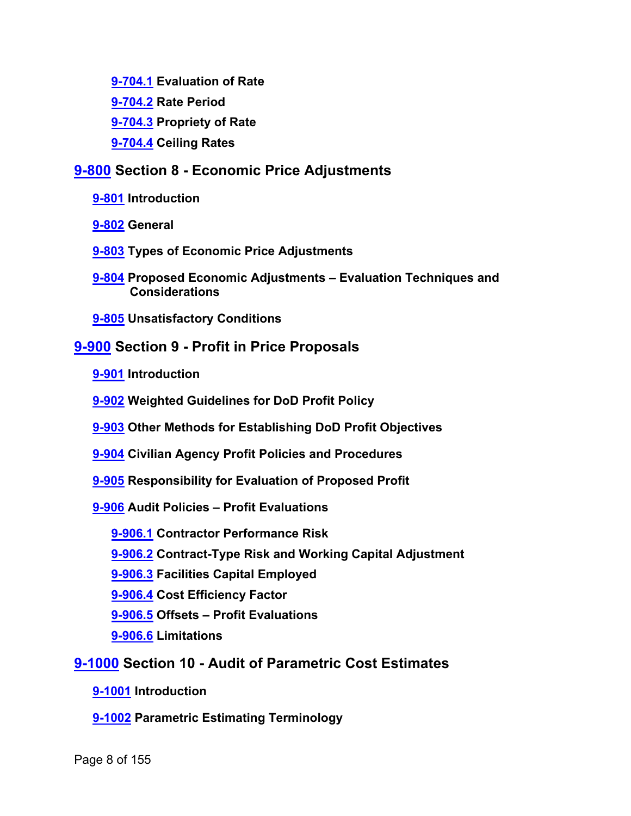- **[9-704.1](#page-121-2) Evaluation of Rate**
- **[9-704.2](#page-121-3) Rate Period**
- **[9-704.3](#page-122-0) Propriety of Rate**
- **[9-704.4](#page-123-0) Ceiling Rates**

## **[9-800](#page-123-1) Section 8 - Economic Price Adjustments**

- **[9-801](#page-123-2) Introduction**
- **[9-802](#page-123-3) General**
- **[9-803](#page-124-0) Types of Economic Price Adjustments**
- **[9-804](#page-124-1) Proposed Economic Adjustments – Evaluation Techniques and Considerations**
- **[9-805](#page-125-0) Unsatisfactory Conditions**

### **[9-900](#page-125-1) Section 9 - Profit in Price Proposals**

- **[9-901](#page-125-2) Introduction**
- **[9-902](#page-126-0) Weighted Guidelines for DoD Profit Policy**
- **[9-903](#page-126-1) Other Methods for Establishing DoD Profit Objectives**
- **[9-904](#page-127-0) Civilian Agency Profit Policies and Procedures**
- **[9-905](#page-127-1) Responsibility for Evaluation of Proposed Profit**
- **[9-906](#page-127-2) Audit Policies – Profit Evaluations**
	- **[9-906.1](#page-128-0) Contractor Performance Risk**
	- **[9-906.2](#page-128-1) Contract-Type Risk and Working Capital Adjustment**
	- **[9-906.3](#page-128-2) Facilities Capital Employed**
	- **[9-906.4](#page-129-0) Cost Efficiency Factor**
	- **[9-906.5](#page-129-1) Offsets – Profit Evaluations**
	- **[9-906.6](#page-129-2) Limitations**

#### **[9-1000](#page-129-3) Section 10 - Audit of Parametric Cost Estimates**

- **[9-1001](#page-129-4) Introduction**
- **[9-1002](#page-130-0) Parametric Estimating Terminology**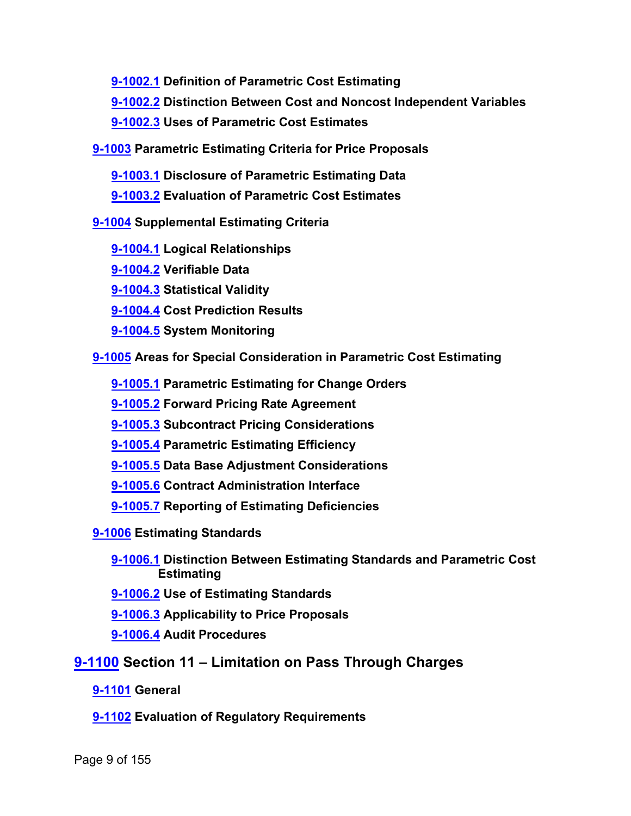**[9-1002.1](#page-130-1) Definition of Parametric Cost Estimating**

**[9-1002.2](#page-130-2) Distinction Between Cost and Noncost Independent Variables**

**[9-1002.3](#page-131-0) Uses of Parametric Cost Estimates**

**[9-1003](#page-131-1) Parametric Estimating Criteria for Price Proposals**

**[9-1003.1](#page-132-0) Disclosure of Parametric Estimating Data**

**[9-1003.2](#page-132-1) Evaluation of Parametric Cost Estimates**

**[9-1004](#page-133-0) Supplemental Estimating Criteria**

**[9-1004.1](#page-133-1) Logical Relationships**

**[9-1004.2](#page-133-2) Verifiable Data**

**[9-1004.3](#page-133-3) Statistical Validity**

**[9-1004.4](#page-133-4) Cost Prediction Results**

**[9-1004.5](#page-134-0) System Monitoring**

**[9-1005](#page-134-1) Areas for Special Consideration in Parametric Cost Estimating**

**[9-1005.1](#page-134-2) Parametric Estimating for Change Orders**

**[9-1005.2](#page-134-3) Forward Pricing Rate Agreement**

**[9-1005.3](#page-135-0) Subcontract Pricing Considerations**

**[9-1005.4](#page-136-0) Parametric Estimating Efficiency**

**[9-1005.5](#page-136-1) Data Base Adjustment Considerations**

**[9-1005.6](#page-136-2) Contract Administration Interface**

**[9-1005.7](#page-137-0) Reporting of Estimating Deficiencies**

**[9-1006](#page-137-1) Estimating Standards**

**[9-1006.1](#page-137-2) Distinction Between Estimating Standards and Parametric Cost Estimating**

**[9-1006.2](#page-138-0) Use of Estimating Standards**

**[9-1006.3](#page-138-1) Applicability to Price Proposals**

**[9-1006.4](#page-138-2) Audit Procedures**

**[9-1100](#page-139-0) Section 11 – Limitation on Pass Through Charges**

**[9-1101](#page-139-1) General**

**[9-1102](#page-140-0) Evaluation of Regulatory Requirements**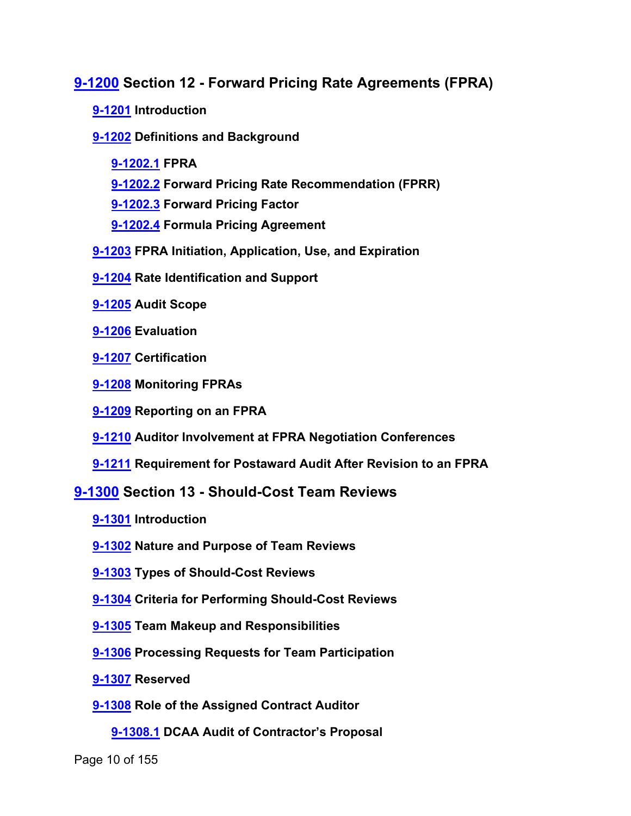## **[9-1200](#page-140-1) Section 12 - Forward Pricing Rate Agreements (FPRA)**

- **[9-1201](#page-140-2) Introduction**
- **[9-1202](#page-140-3) Definitions and Background**
	- **[9-1202.1](#page-140-4) FPRA**
	- **[9-1202.2](#page-141-0) Forward Pricing Rate Recommendation (FPRR)**
	- **[9-1202.3](#page-141-1) Forward Pricing Factor**
	- **[9-1202.4](#page-141-2) Formula Pricing Agreement**
- **[9-1203](#page-141-3) FPRA Initiation, Application, Use, and Expiration**
- **[9-1204](#page-142-0) Rate Identification and Support**
- **[9-1205](#page-142-1) Audit Scope**
- **[9-1206](#page-143-0) Evaluation**
- **[9-1207](#page-147-0) Certification**
- **[9-1208](#page-147-1) Monitoring FPRAs**
- **[9-1209](#page-148-0) Reporting on an FPRA**
- **[9-1210](#page-148-1) Auditor Involvement at FPRA Negotiation Conferences**
- **[9-1211](#page-149-0) Requirement for Postaward Audit After Revision to an FPRA**

#### **[9-1300](#page-149-1) Section 13 - Should-Cost Team Reviews**

- **[9-1301](#page-149-2) Introduction**
- **[9-1302](#page-149-3) Nature and Purpose of Team Reviews**
- **[9-1303](#page-149-4) Types of Should-Cost Reviews**
- **[9-1304](#page-150-0) Criteria for Performing Should-Cost Reviews**
- **[9-1305](#page-150-1) Team Makeup and Responsibilities**
- **[9-1306](#page-151-0) Processing Requests for Team Participation**
- **[9-1307](#page-151-1) Reserved**
- **[9-1308](#page-151-2) Role of the Assigned Contract Auditor**
	- **[9-1308.1](#page-151-3) DCAA Audit of Contractor's Proposal**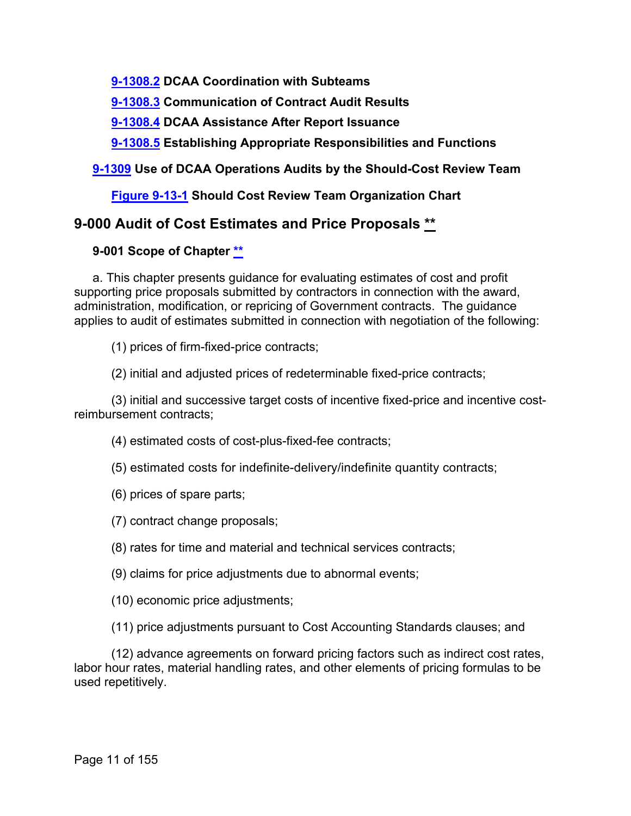**[9-1308.2](#page-152-0) DCAA Coordination with Subteams**

**[9-1308.3](#page-152-1) Communication of Contract Audit Results**

**[9-1308.4](#page-152-2) DCAA Assistance After Report Issuance**

**[9-1308.5](#page-153-0) Establishing Appropriate Responsibilities and Functions**

#### **[9-1309](#page-153-1) Use of DCAA Operations Audits by the Should-Cost Review Team**

#### **[Figure 9-13-1](#page-154-0) Should Cost Review Team Organization Chart**

## <span id="page-10-0"></span>**9-000 Audit of Cost Estimates and Price Proposals [\\*\\*](#page-0-0)**

#### <span id="page-10-1"></span>**9-001 Scope of Chapter [\\*\\*](#page-0-1)**

a. This chapter presents guidance for evaluating estimates of cost and profit supporting price proposals submitted by contractors in connection with the award, administration, modification, or repricing of Government contracts. The guidance applies to audit of estimates submitted in connection with negotiation of the following:

(1) prices of firm-fixed-price contracts;

(2) initial and adjusted prices of redeterminable fixed-price contracts;

(3) initial and successive target costs of incentive fixed-price and incentive costreimbursement contracts;

(4) estimated costs of cost-plus-fixed-fee contracts;

- (5) estimated costs for indefinite-delivery/indefinite quantity contracts;
- (6) prices of spare parts;
- (7) contract change proposals;
- (8) rates for time and material and technical services contracts;
- (9) claims for price adjustments due to abnormal events;
- (10) economic price adjustments;
- (11) price adjustments pursuant to Cost Accounting Standards clauses; and

(12) advance agreements on forward pricing factors such as indirect cost rates, labor hour rates, material handling rates, and other elements of pricing formulas to be used repetitively.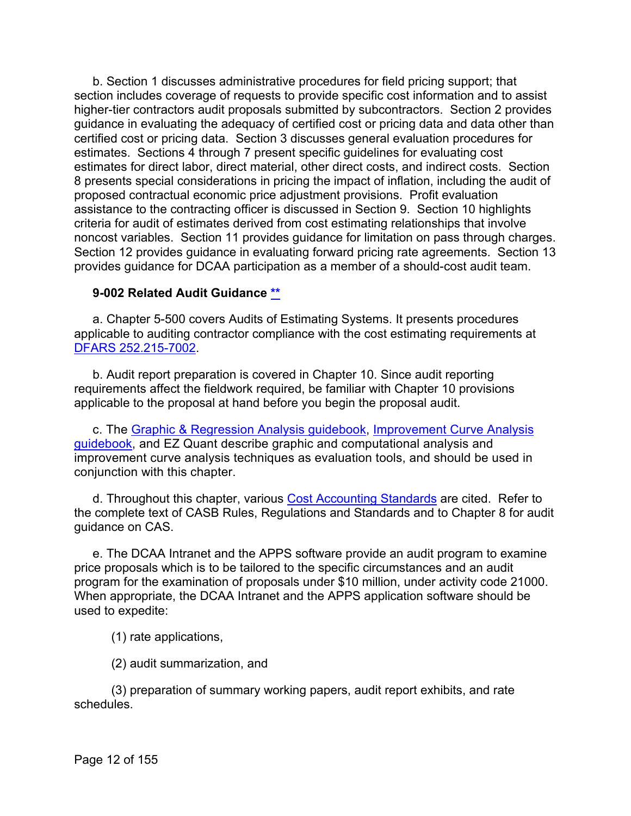b. Section 1 discusses administrative procedures for field pricing support; that section includes coverage of requests to provide specific cost information and to assist higher-tier contractors audit proposals submitted by subcontractors. Section 2 provides guidance in evaluating the adequacy of certified cost or pricing data and data other than certified cost or pricing data. Section 3 discusses general evaluation procedures for estimates. Sections 4 through 7 present specific guidelines for evaluating cost estimates for direct labor, direct material, other direct costs, and indirect costs. Section 8 presents special considerations in pricing the impact of inflation, including the audit of proposed contractual economic price adjustment provisions. Profit evaluation assistance to the contracting officer is discussed in Section 9. Section 10 highlights criteria for audit of estimates derived from cost estimating relationships that involve noncost variables. Section 11 provides guidance for limitation on pass through charges. Section 12 provides guidance in evaluating forward pricing rate agreements. Section 13 provides guidance for DCAA participation as a member of a should-cost audit team.

#### <span id="page-11-0"></span>**9-002 Related Audit Guidance [\\*\\*](#page-0-2)**

a. Chapter 5-500 covers Audits of Estimating Systems. It presents procedures applicable to auditing contractor compliance with the cost estimating requirements at [DFARS 252.215-7002.](http://www.ecfr.gov/cgi-bin/text-idx?SID=8b5956aade3aaa07dc476655e561e332&mc=true&node=se48.3.252_1215_67002&rgn=div8)

b. Audit report preparation is covered in Chapter 10. Since audit reporting requirements affect the fieldwork required, be familiar with Chapter 10 provisions applicable to the proposal at hand before you begin the proposal audit.

c. The [Graphic & Regression Analysis guidebook,](https://viper.dcaa.mil/guidance/guidebooks/graphic-and-regression-analysis) [Improvement Curve Analysis](https://viper.dcaa.mil/guidance/guidebooks/improvement-curve-analysis/4287/improvement-curve-basics)  [guidebook,](https://viper.dcaa.mil/guidance/guidebooks/improvement-curve-analysis/4287/improvement-curve-basics) and EZ Quant describe graphic and computational analysis and improvement curve analysis techniques as evaluation tools, and should be used in conjunction with this chapter.

d. Throughout this chapter, various [Cost Accounting Standards](http://www.ecfr.gov/cgi-bin/text-idx?SID=ed7e4ca3b5e9fd2e939034c4e756777c&mc=true&tpl=/ecfrbrowse/Title48/48C99subchapB.tpl) are cited. Refer to the complete text of CASB Rules, Regulations and Standards and to Chapter 8 for audit guidance on CAS.

e. The DCAA Intranet and the APPS software provide an audit program to examine price proposals which is to be tailored to the specific circumstances and an audit program for the examination of proposals under \$10 million, under activity code 21000. When appropriate, the DCAA Intranet and the APPS application software should be used to expedite:

(1) rate applications,

(2) audit summarization, and

(3) preparation of summary working papers, audit report exhibits, and rate schedules.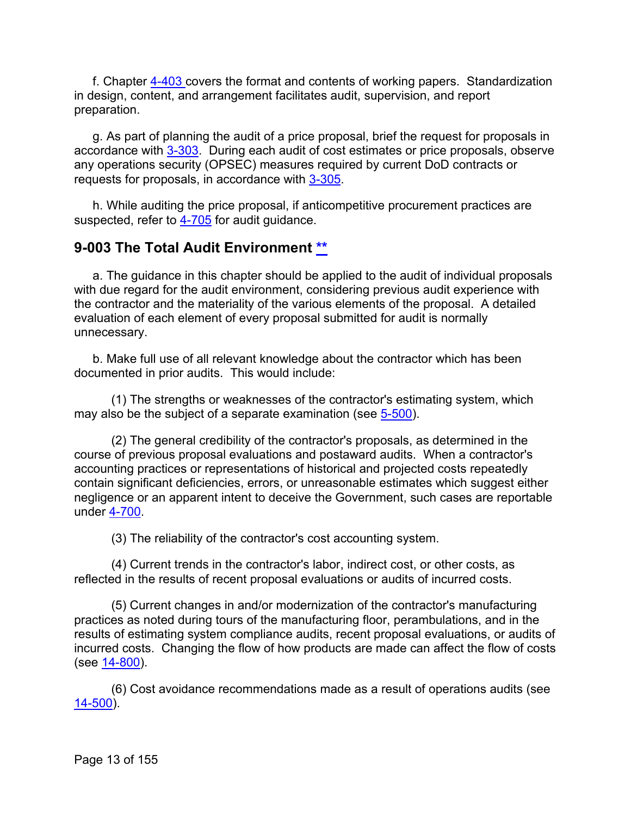f. Chapter [4-403 c](https://viper.dcaa.mil/guidance/cam/3130/general-audit-requirements#Sec4403)overs the format and contents of working papers. Standardization in design, content, and arrangement facilitates audit, supervision, and report preparation.

g. As part of planning the audit of a price proposal, brief the request for proposals in accordance with [3-303.](https://viper.dcaa.mil/guidance/cam/3129/audit-planning#Sec3303) During each audit of cost estimates or price proposals, observe any operations security (OPSEC) measures required by current DoD contracts or requests for proposals, in accordance with [3-305.](https://viper.dcaa.mil/guidance/cam/3129/audit-planning#Sec3305)

h. While auditing the price proposal, if anticompetitive procurement practices are suspected, refer to  $4-705$  for audit guidance.

## <span id="page-12-0"></span>**9-003 The Total Audit Environment [\\*\\*](#page-0-3)**

a. The guidance in this chapter should be applied to the audit of individual proposals with due regard for the audit environment, considering previous audit experience with the contractor and the materiality of the various elements of the proposal. A detailed evaluation of each element of every proposal submitted for audit is normally unnecessary.

b. Make full use of all relevant knowledge about the contractor which has been documented in prior audits. This would include:

(1) The strengths or weaknesses of the contractor's estimating system, which may also be the subject of a separate examination (see [5-500\)](https://viper.dcaa.mil/guidance/cam/3135/audit-of-contractor-compliance-with-defense-federal-acquisition-regulation-supplement-for-contractor-business-systems-and-subsystems#Sec5500).

(2) The general credibility of the contractor's proposals, as determined in the course of previous proposal evaluations and postaward audits. When a contractor's accounting practices or representations of historical and projected costs repeatedly contain significant deficiencies, errors, or unreasonable estimates which suggest either negligence or an apparent intent to deceive the Government, such cases are reportable under [4-700.](https://viper.dcaa.mil/guidance/cam/3130/general-audit-requirements#Sec4700)

(3) The reliability of the contractor's cost accounting system.

(4) Current trends in the contractor's labor, indirect cost, or other costs, as reflected in the results of recent proposal evaluations or audits of incurred costs.

(5) Current changes in and/or modernization of the contractor's manufacturing practices as noted during tours of the manufacturing floor, perambulations, and in the results of estimating system compliance audits, recent proposal evaluations, or audits of incurred costs. Changing the flow of how products are made can affect the flow of costs (see [14-800\)](https://viper.dcaa.mil/guidance/cam/3158/other-contract-audit-assignments#Sec14800).

(6) Cost avoidance recommendations made as a result of operations audits (see [14-500\)](https://viper.dcaa.mil/guidance/cam/3158/other-contract-audit-assignments#Sec14500).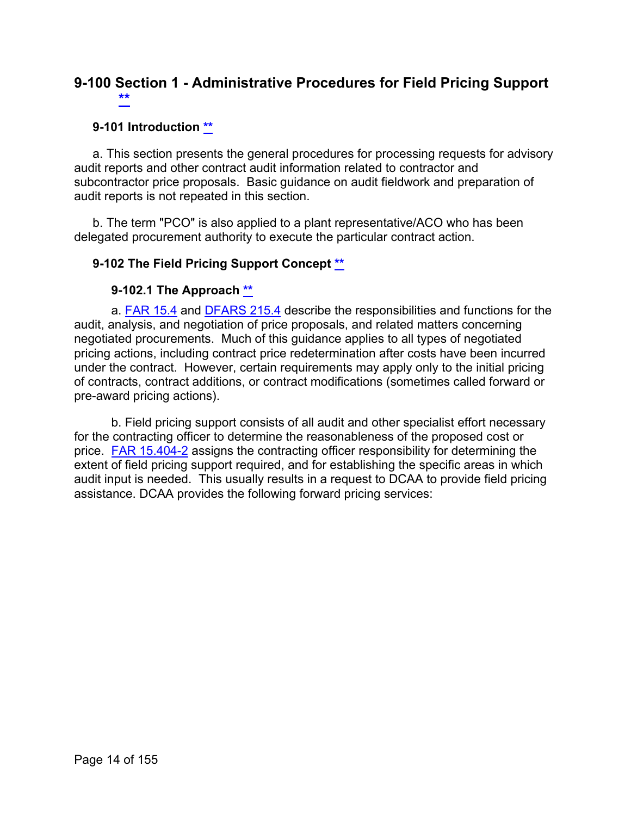## <span id="page-13-0"></span>**9-100 Section 1 - Administrative Procedures for Field Pricing Support [\\*\\*](#page-0-4)**

#### <span id="page-13-1"></span>**9-101 Introduction [\\*\\*](#page-0-5)**

a. This section presents the general procedures for processing requests for advisory audit reports and other contract audit information related to contractor and subcontractor price proposals. Basic guidance on audit fieldwork and preparation of audit reports is not repeated in this section.

b. The term "PCO" is also applied to a plant representative/ACO who has been delegated procurement authority to execute the particular contract action.

#### <span id="page-13-2"></span>**9-102 The Field Pricing Support Concept [\\*\\*](#page-0-6)**

#### **9-102.1 The Approach [\\*\\*](#page-0-7)**

<span id="page-13-3"></span>a. [FAR 15.4](http://www.ecfr.gov/cgi-bin/text-idx?SID=8b5956aade3aaa07dc476655e561e332&mc=true&node=sp48.1.15.15_14&rgn=div6) and [DFARS 215.4](http://www.ecfr.gov/cgi-bin/text-idx?SID=8b5956aade3aaa07dc476655e561e332&mc=true&node=sp48.3.215.215_14&rgn=div6) describe the responsibilities and functions for the audit, analysis, and negotiation of price proposals, and related matters concerning negotiated procurements. Much of this guidance applies to all types of negotiated pricing actions, including contract price redetermination after costs have been incurred under the contract. However, certain requirements may apply only to the initial pricing of contracts, contract additions, or contract modifications (sometimes called forward or pre-award pricing actions).

b. Field pricing support consists of all audit and other specialist effort necessary for the contracting officer to determine the reasonableness of the proposed cost or price. [FAR 15.404-2](http://www.ecfr.gov/cgi-bin/text-idx?SID=8b5956aade3aaa07dc476655e561e332&mc=true&node=se48.1.15_1404_62&rgn=div8) assigns the contracting officer responsibility for determining the extent of field pricing support required, and for establishing the specific areas in which audit input is needed. This usually results in a request to DCAA to provide field pricing assistance. DCAA provides the following forward pricing services: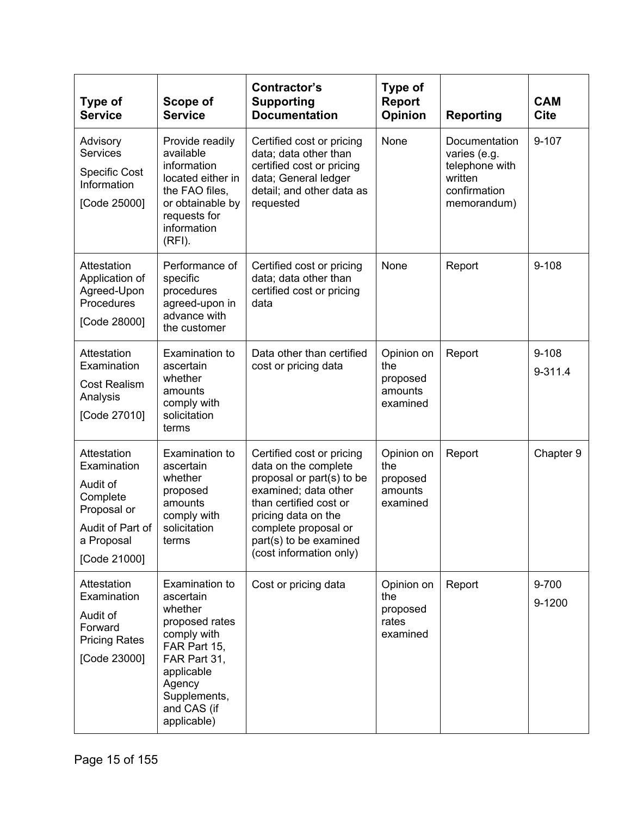| <b>Type of</b><br><b>Service</b>                                                                                    | Scope of<br><b>Service</b>                                                                                                                                                    | Contractor's<br><b>Supporting</b><br><b>Documentation</b>                                                                                                                                                                            | <b>Type of</b><br><b>Report</b><br><b>Opinion</b>    | <b>Reporting</b>                                                                          | <b>CAM</b><br><b>Cite</b> |
|---------------------------------------------------------------------------------------------------------------------|-------------------------------------------------------------------------------------------------------------------------------------------------------------------------------|--------------------------------------------------------------------------------------------------------------------------------------------------------------------------------------------------------------------------------------|------------------------------------------------------|-------------------------------------------------------------------------------------------|---------------------------|
| Advisory<br>Services<br><b>Specific Cost</b><br>Information<br>[Code 25000]                                         | Provide readily<br>available<br>information<br>located either in<br>the FAO files,<br>or obtainable by<br>requests for<br>information<br>$(RFI)$ .                            | Certified cost or pricing<br>data; data other than<br>certified cost or pricing<br>data; General ledger<br>detail; and other data as<br>requested                                                                                    | None                                                 | Documentation<br>varies (e.g.<br>telephone with<br>written<br>confirmation<br>memorandum) | $9 - 107$                 |
| Attestation<br>Application of<br>Agreed-Upon<br>Procedures<br>[Code 28000]                                          | Performance of<br>specific<br>procedures<br>agreed-upon in<br>advance with<br>the customer                                                                                    | Certified cost or pricing<br>data; data other than<br>certified cost or pricing<br>data                                                                                                                                              | None                                                 | Report                                                                                    | $9 - 108$                 |
| Attestation<br>Examination<br><b>Cost Realism</b><br>Analysis<br>[Code 27010]                                       | Examination to<br>ascertain<br>whether<br>amounts<br>comply with<br>solicitation<br>terms                                                                                     | Data other than certified<br>cost or pricing data                                                                                                                                                                                    | Opinion on<br>the<br>proposed<br>amounts<br>examined | Report                                                                                    | $9 - 108$<br>9-311.4      |
| Attestation<br>Examination<br>Audit of<br>Complete<br>Proposal or<br>Audit of Part of<br>a Proposal<br>[Code 21000] | Examination to<br>ascertain<br>whether<br>proposed<br>amounts<br>comply with<br>solicitation<br>terms                                                                         | Certified cost or pricing<br>data on the complete<br>proposal or part(s) to be<br>examined; data other<br>than certified cost or<br>pricing data on the<br>complete proposal or<br>part(s) to be examined<br>(cost information only) | Opinion on<br>the<br>proposed<br>amounts<br>examined | Report                                                                                    | Chapter 9                 |
| Attestation<br>Examination<br>Audit of<br>Forward<br><b>Pricing Rates</b><br>[Code 23000]                           | Examination to<br>ascertain<br>whether<br>proposed rates<br>comply with<br>FAR Part 15,<br>FAR Part 31,<br>applicable<br>Agency<br>Supplements,<br>and CAS (if<br>applicable) | Cost or pricing data                                                                                                                                                                                                                 | Opinion on<br>the<br>proposed<br>rates<br>examined   | Report                                                                                    | 9-700<br>9-1200           |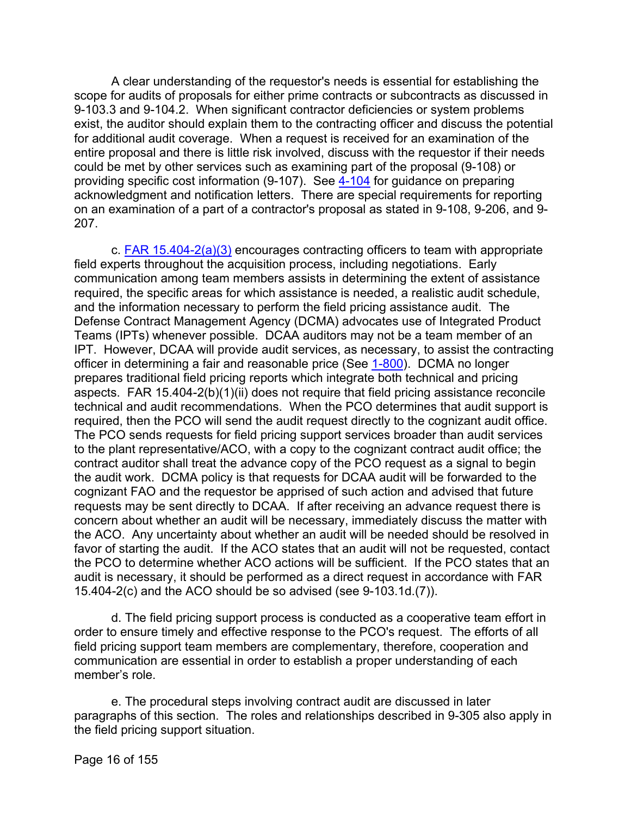A clear understanding of the requestor's needs is essential for establishing the scope for audits of proposals for either prime contracts or subcontracts as discussed in 9-103.3 and 9-104.2. When significant contractor deficiencies or system problems exist, the auditor should explain them to the contracting officer and discuss the potential for additional audit coverage. When a request is received for an examination of the entire proposal and there is little risk involved, discuss with the requestor if their needs could be met by other services such as examining part of the proposal (9-108) or providing specific cost information (9-107). See [4-104](https://viper.dcaa.mil/guidance/cam/3130/general-audit-requirements#Sec4104) for guidance on preparing acknowledgment and notification letters. There are special requirements for reporting on an examination of a part of a contractor's proposal as stated in 9-108, 9-206, and 9- 207.

c. [FAR 15.404-2\(a\)\(3\)](http://www.ecfr.gov/cgi-bin/text-idx?SID=8b5956aade3aaa07dc476655e561e332&mc=true&node=se48.1.15_1404_62&rgn=div8) encourages contracting officers to team with appropriate field experts throughout the acquisition process, including negotiations. Early communication among team members assists in determining the extent of assistance required, the specific areas for which assistance is needed, a realistic audit schedule, and the information necessary to perform the field pricing assistance audit. The Defense Contract Management Agency (DCMA) advocates use of Integrated Product Teams (IPTs) whenever possible. DCAA auditors may not be a team member of an IPT. However, DCAA will provide audit services, as necessary, to assist the contracting officer in determining a fair and reasonable price (See [1-800\)](https://viper.dcaa.mil/guidance/cam/3127/introduction-to-contract-audit#Sec1800). DCMA no longer prepares traditional field pricing reports which integrate both technical and pricing aspects. FAR 15.404-2(b)(1)(ii) does not require that field pricing assistance reconcile technical and audit recommendations. When the PCO determines that audit support is required, then the PCO will send the audit request directly to the cognizant audit office. The PCO sends requests for field pricing support services broader than audit services to the plant representative/ACO, with a copy to the cognizant contract audit office; the contract auditor shall treat the advance copy of the PCO request as a signal to begin the audit work. DCMA policy is that requests for DCAA audit will be forwarded to the cognizant FAO and the requestor be apprised of such action and advised that future requests may be sent directly to DCAA. If after receiving an advance request there is concern about whether an audit will be necessary, immediately discuss the matter with the ACO. Any uncertainty about whether an audit will be needed should be resolved in favor of starting the audit. If the ACO states that an audit will not be requested, contact the PCO to determine whether ACO actions will be sufficient. If the PCO states that an audit is necessary, it should be performed as a direct request in accordance with FAR 15.404-2(c) and the ACO should be so advised (see 9-103.1d.(7)).

d. The field pricing support process is conducted as a cooperative team effort in order to ensure timely and effective response to the PCO's request. The efforts of all field pricing support team members are complementary, therefore, cooperation and communication are essential in order to establish a proper understanding of each member's role.

e. The procedural steps involving contract audit are discussed in later paragraphs of this section. The roles and relationships described in 9-305 also apply in the field pricing support situation.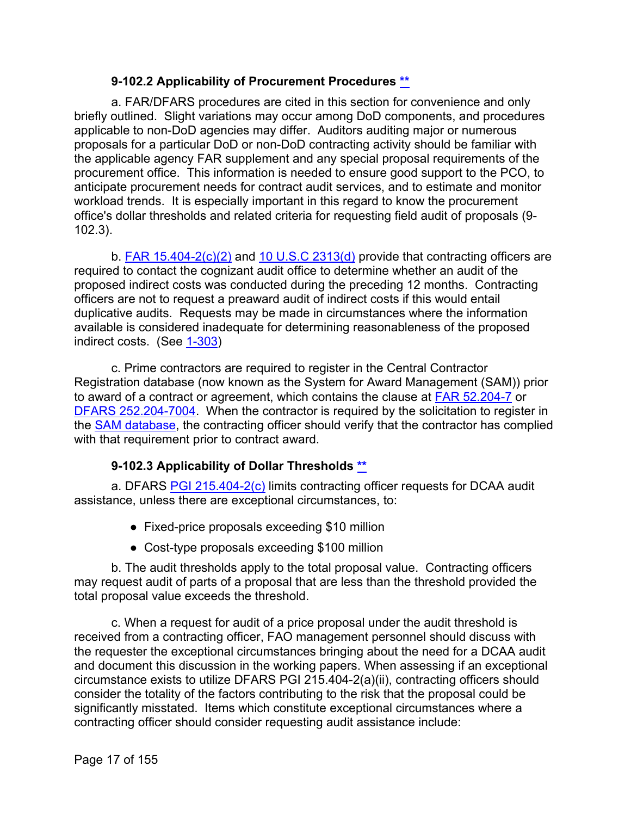#### **9-102.2 Applicability of Procurement Procedures [\\*\\*](#page-0-8)**

<span id="page-16-0"></span>a. FAR/DFARS procedures are cited in this section for convenience and only briefly outlined. Slight variations may occur among DoD components, and procedures applicable to non-DoD agencies may differ. Auditors auditing major or numerous proposals for a particular DoD or non-DoD contracting activity should be familiar with the applicable agency FAR supplement and any special proposal requirements of the procurement office. This information is needed to ensure good support to the PCO, to anticipate procurement needs for contract audit services, and to estimate and monitor workload trends. It is especially important in this regard to know the procurement office's dollar thresholds and related criteria for requesting field audit of proposals (9- 102.3).

b. [FAR 15.404-2\(c\)\(2\)](http://www.ecfr.gov/cgi-bin/text-idx?SID=8b5956aade3aaa07dc476655e561e332&mc=true&node=se48.1.15_1404_62&rgn=div8) and [10 U.S.C 2313\(d\)](http://uscode.house.gov/view.xhtml?req=granuleid:USC-prelim-title10-section2313&num=0&edition=prelim) provide that contracting officers are required to contact the cognizant audit office to determine whether an audit of the proposed indirect costs was conducted during the preceding 12 months. Contracting officers are not to request a preaward audit of indirect costs if this would entail duplicative audits. Requests may be made in circumstances where the information available is considered inadequate for determining reasonableness of the proposed indirect costs. (See [1-303\)](https://viper.dcaa.mil/guidance/cam/3127/introduction-to-contract-audit#Sec1303)

c. Prime contractors are required to register in the Central Contractor Registration database (now known as the System for Award Management (SAM)) prior to award of a contract or agreement, which contains the clause at [FAR 52.204-7](http://www.ecfr.gov/cgi-bin/text-idx?SID=9e501f6ee223e366308c43c391bbe6e9&mc=true&node=se48.2.52_1204_67&rgn=div8) or [DFARS 252.204-7004.](http://www.ecfr.gov/cgi-bin/text-idx?SID=9e501f6ee223e366308c43c391bbe6e9&mc=true&node=se48.3.252_1204_67004&rgn=div8) When the contractor is required by the solicitation to register in the [SAM database,](https://www.sam.gov/SAM/) the contracting officer should verify that the contractor has complied with that requirement prior to contract award.

#### **9-102.3 Applicability of Dollar Thresholds [\\*\\*](#page-0-9)**

<span id="page-16-1"></span>a. DFARS [PGI 215.404-2\(c\)](http://www.acq.osd.mil/dpap/dars/pgi/pgi_htm/current/PGI215_4.htm) limits contracting officer requests for DCAA audit assistance, unless there are exceptional circumstances, to:

- Fixed-price proposals exceeding \$10 million
- Cost-type proposals exceeding \$100 million

b. The audit thresholds apply to the total proposal value. Contracting officers may request audit of parts of a proposal that are less than the threshold provided the total proposal value exceeds the threshold.

c. When a request for audit of a price proposal under the audit threshold is received from a contracting officer, FAO management personnel should discuss with the requester the exceptional circumstances bringing about the need for a DCAA audit and document this discussion in the working papers. When assessing if an exceptional circumstance exists to utilize DFARS PGI 215.404-2(a)(ii), contracting officers should consider the totality of the factors contributing to the risk that the proposal could be significantly misstated. Items which constitute exceptional circumstances where a contracting officer should consider requesting audit assistance include: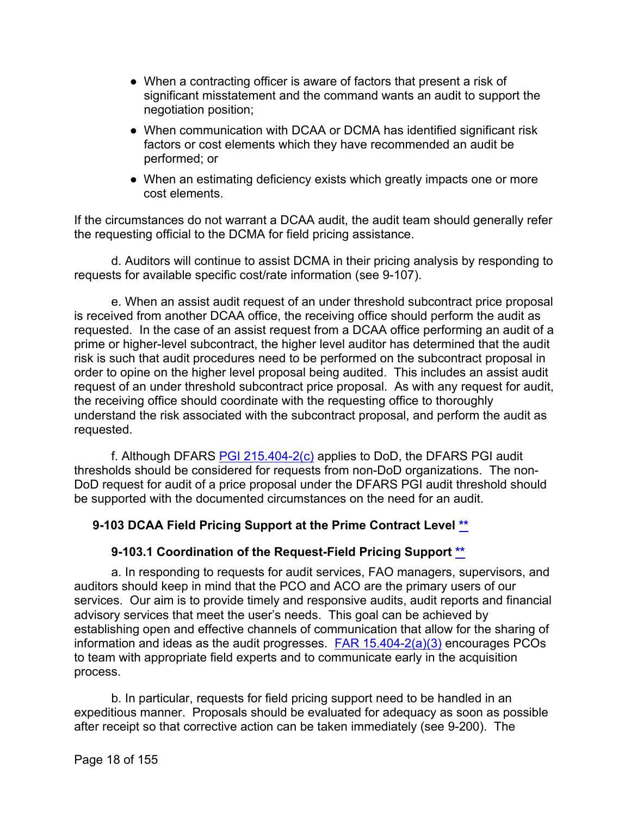- When a contracting officer is aware of factors that present a risk of significant misstatement and the command wants an audit to support the negotiation position;
- When communication with DCAA or DCMA has identified significant risk factors or cost elements which they have recommended an audit be performed; or
- When an estimating deficiency exists which greatly impacts one or more cost elements.

If the circumstances do not warrant a DCAA audit, the audit team should generally refer the requesting official to the DCMA for field pricing assistance.

d. Auditors will continue to assist DCMA in their pricing analysis by responding to requests for available specific cost/rate information (see 9-107).

e. When an assist audit request of an under threshold subcontract price proposal is received from another DCAA office, the receiving office should perform the audit as requested. In the case of an assist request from a DCAA office performing an audit of a prime or higher-level subcontract, the higher level auditor has determined that the audit risk is such that audit procedures need to be performed on the subcontract proposal in order to opine on the higher level proposal being audited. This includes an assist audit request of an under threshold subcontract price proposal. As with any request for audit, the receiving office should coordinate with the requesting office to thoroughly understand the risk associated with the subcontract proposal, and perform the audit as requested.

f. Although DFARS [PGI 215.404-2\(c\)](http://www.acq.osd.mil/dpap/dars/pgi/pgi_htm/current/PGI215_4.htm) applies to DoD, the DFARS PGI audit thresholds should be considered for requests from non-DoD organizations. The non-DoD request for audit of a price proposal under the DFARS PGI audit threshold should be supported with the documented circumstances on the need for an audit.

#### <span id="page-17-0"></span>**9-103 DCAA Field Pricing Support at the Prime Contract Level [\\*\\*](#page-0-10)**

#### **9-103.1 Coordination of the Request-Field Pricing Support [\\*\\*](#page-0-11)**

<span id="page-17-1"></span>a. In responding to requests for audit services, FAO managers, supervisors, and auditors should keep in mind that the PCO and ACO are the primary users of our services. Our aim is to provide timely and responsive audits, audit reports and financial advisory services that meet the user's needs. This goal can be achieved by establishing open and effective channels of communication that allow for the sharing of information and ideas as the audit progresses.  $FAR 15.404-2(a)(3)$  encourages PCOs to team with appropriate field experts and to communicate early in the acquisition process.

b. In particular, requests for field pricing support need to be handled in an expeditious manner. Proposals should be evaluated for adequacy as soon as possible after receipt so that corrective action can be taken immediately (see 9-200). The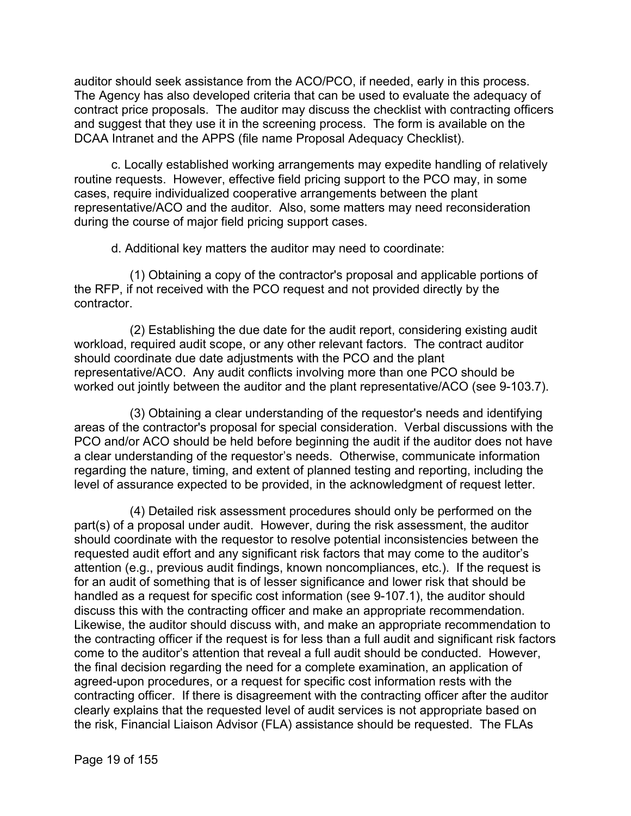auditor should seek assistance from the ACO/PCO, if needed, early in this process. The Agency has also developed criteria that can be used to evaluate the adequacy of contract price proposals. The auditor may discuss the checklist with contracting officers and suggest that they use it in the screening process. The form is available on the DCAA Intranet and the APPS (file name Proposal Adequacy Checklist).

c. Locally established working arrangements may expedite handling of relatively routine requests. However, effective field pricing support to the PCO may, in some cases, require individualized cooperative arrangements between the plant representative/ACO and the auditor. Also, some matters may need reconsideration during the course of major field pricing support cases.

d. Additional key matters the auditor may need to coordinate:

(1) Obtaining a copy of the contractor's proposal and applicable portions of the RFP, if not received with the PCO request and not provided directly by the contractor.

(2) Establishing the due date for the audit report, considering existing audit workload, required audit scope, or any other relevant factors. The contract auditor should coordinate due date adjustments with the PCO and the plant representative/ACO. Any audit conflicts involving more than one PCO should be worked out jointly between the auditor and the plant representative/ACO (see 9-103.7).

(3) Obtaining a clear understanding of the requestor's needs and identifying areas of the contractor's proposal for special consideration. Verbal discussions with the PCO and/or ACO should be held before beginning the audit if the auditor does not have a clear understanding of the requestor's needs. Otherwise, communicate information regarding the nature, timing, and extent of planned testing and reporting, including the level of assurance expected to be provided, in the acknowledgment of request letter.

(4) Detailed risk assessment procedures should only be performed on the part(s) of a proposal under audit. However, during the risk assessment, the auditor should coordinate with the requestor to resolve potential inconsistencies between the requested audit effort and any significant risk factors that may come to the auditor's attention (e.g., previous audit findings, known noncompliances, etc.). If the request is for an audit of something that is of lesser significance and lower risk that should be handled as a request for specific cost information (see 9-107.1), the auditor should discuss this with the contracting officer and make an appropriate recommendation. Likewise, the auditor should discuss with, and make an appropriate recommendation to the contracting officer if the request is for less than a full audit and significant risk factors come to the auditor's attention that reveal a full audit should be conducted. However, the final decision regarding the need for a complete examination, an application of agreed-upon procedures, or a request for specific cost information rests with the contracting officer. If there is disagreement with the contracting officer after the auditor clearly explains that the requested level of audit services is not appropriate based on the risk, Financial Liaison Advisor (FLA) assistance should be requested. The FLAs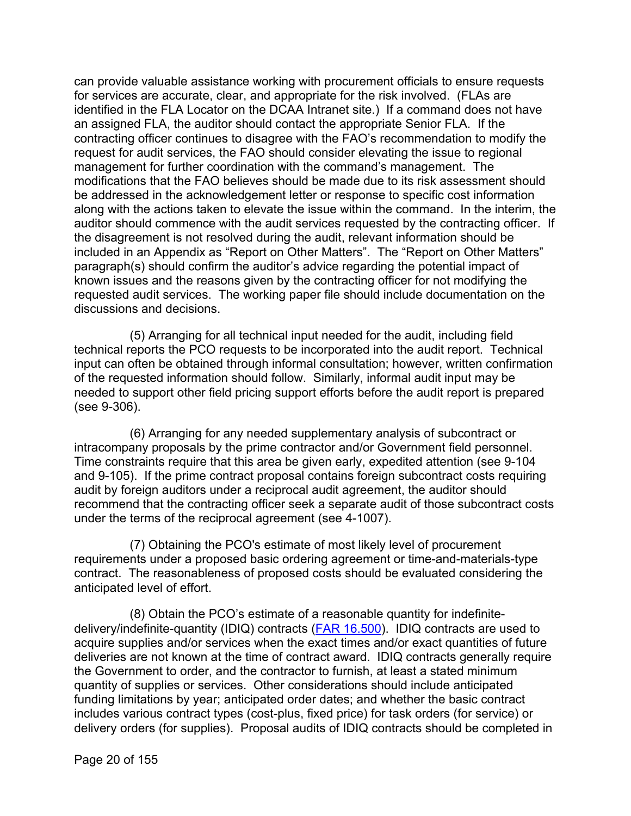can provide valuable assistance working with procurement officials to ensure requests for services are accurate, clear, and appropriate for the risk involved. (FLAs are identified in the FLA Locator on the DCAA Intranet site.) If a command does not have an assigned FLA, the auditor should contact the appropriate Senior FLA. If the contracting officer continues to disagree with the FAO's recommendation to modify the request for audit services, the FAO should consider elevating the issue to regional management for further coordination with the command's management. The modifications that the FAO believes should be made due to its risk assessment should be addressed in the acknowledgement letter or response to specific cost information along with the actions taken to elevate the issue within the command. In the interim, the auditor should commence with the audit services requested by the contracting officer. If the disagreement is not resolved during the audit, relevant information should be included in an Appendix as "Report on Other Matters". The "Report on Other Matters" paragraph(s) should confirm the auditor's advice regarding the potential impact of known issues and the reasons given by the contracting officer for not modifying the requested audit services. The working paper file should include documentation on the discussions and decisions.

(5) Arranging for all technical input needed for the audit, including field technical reports the PCO requests to be incorporated into the audit report. Technical input can often be obtained through informal consultation; however, written confirmation of the requested information should follow. Similarly, informal audit input may be needed to support other field pricing support efforts before the audit report is prepared (see 9-306).

(6) Arranging for any needed supplementary analysis of subcontract or intracompany proposals by the prime contractor and/or Government field personnel. Time constraints require that this area be given early, expedited attention (see 9-104 and 9-105). If the prime contract proposal contains foreign subcontract costs requiring audit by foreign auditors under a reciprocal audit agreement, the auditor should recommend that the contracting officer seek a separate audit of those subcontract costs under the terms of the reciprocal agreement (see 4-1007).

(7) Obtaining the PCO's estimate of most likely level of procurement requirements under a proposed basic ordering agreement or time-and-materials-type contract. The reasonableness of proposed costs should be evaluated considering the anticipated level of effort.

(8) Obtain the PCO's estimate of a reasonable quantity for indefinitedelivery/indefinite-quantity (IDIQ) contracts [\(FAR 16.500\)](http://www.ecfr.gov/cgi-bin/text-idx?SID=ea777dad9b1ff894f17bc622de30bb19&mc=true&node=se48.1.16_1500&rgn=div8). IDIQ contracts are used to acquire supplies and/or services when the exact times and/or exact quantities of future deliveries are not known at the time of contract award. IDIQ contracts generally require the Government to order, and the contractor to furnish, at least a stated minimum quantity of supplies or services. Other considerations should include anticipated funding limitations by year; anticipated order dates; and whether the basic contract includes various contract types (cost-plus, fixed price) for task orders (for service) or delivery orders (for supplies). Proposal audits of IDIQ contracts should be completed in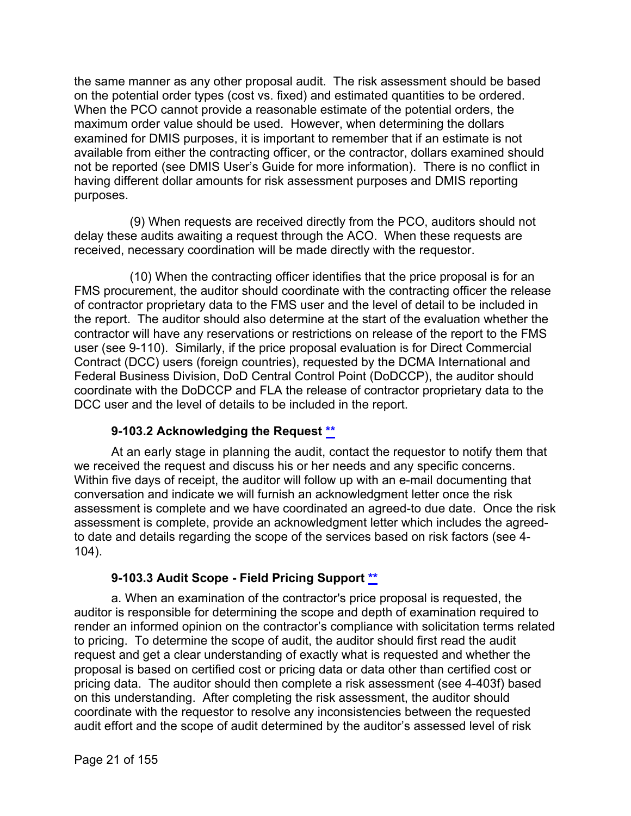the same manner as any other proposal audit. The risk assessment should be based on the potential order types (cost vs. fixed) and estimated quantities to be ordered. When the PCO cannot provide a reasonable estimate of the potential orders, the maximum order value should be used. However, when determining the dollars examined for DMIS purposes, it is important to remember that if an estimate is not available from either the contracting officer, or the contractor, dollars examined should not be reported (see DMIS User's Guide for more information). There is no conflict in having different dollar amounts for risk assessment purposes and DMIS reporting purposes.

(9) When requests are received directly from the PCO, auditors should not delay these audits awaiting a request through the ACO. When these requests are received, necessary coordination will be made directly with the requestor.

(10) When the contracting officer identifies that the price proposal is for an FMS procurement, the auditor should coordinate with the contracting officer the release of contractor proprietary data to the FMS user and the level of detail to be included in the report. The auditor should also determine at the start of the evaluation whether the contractor will have any reservations or restrictions on release of the report to the FMS user (see 9-110). Similarly, if the price proposal evaluation is for Direct Commercial Contract (DCC) users (foreign countries), requested by the DCMA International and Federal Business Division, DoD Central Control Point (DoDCCP), the auditor should coordinate with the DoDCCP and FLA the release of contractor proprietary data to the DCC user and the level of details to be included in the report.

#### **9-103.2 Acknowledging the Request [\\*\\*](#page-0-12)**

<span id="page-20-0"></span>At an early stage in planning the audit, contact the requestor to notify them that we received the request and discuss his or her needs and any specific concerns. Within five days of receipt, the auditor will follow up with an e-mail documenting that conversation and indicate we will furnish an acknowledgment letter once the risk assessment is complete and we have coordinated an agreed-to due date. Once the risk assessment is complete, provide an acknowledgment letter which includes the agreedto date and details regarding the scope of the services based on risk factors (see 4- 104).

#### **9-103.3 Audit Scope - Field Pricing Support [\\*\\*](#page-0-13)**

<span id="page-20-1"></span>a. When an examination of the contractor's price proposal is requested, the auditor is responsible for determining the scope and depth of examination required to render an informed opinion on the contractor's compliance with solicitation terms related to pricing. To determine the scope of audit, the auditor should first read the audit request and get a clear understanding of exactly what is requested and whether the proposal is based on certified cost or pricing data or data other than certified cost or pricing data. The auditor should then complete a risk assessment (see 4-403f) based on this understanding. After completing the risk assessment, the auditor should coordinate with the requestor to resolve any inconsistencies between the requested audit effort and the scope of audit determined by the auditor's assessed level of risk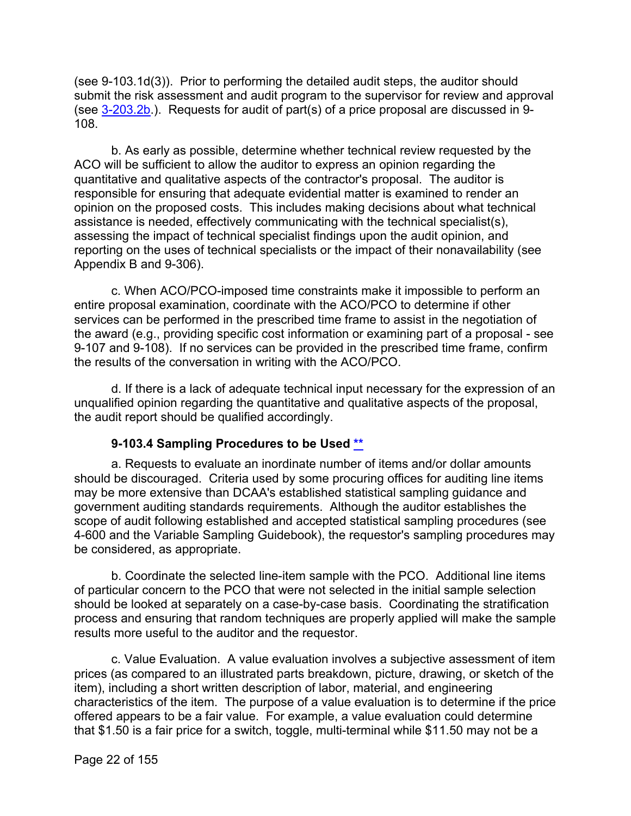(see 9-103.1d(3)). Prior to performing the detailed audit steps, the auditor should submit the risk assessment and audit program to the supervisor for review and approval (see [3-203.2b.](https://viper.dcaa.mil/guidance/cam/3129/audit-planning#Sec32032)). Requests for audit of part(s) of a price proposal are discussed in 9- 108.

b. As early as possible, determine whether technical review requested by the ACO will be sufficient to allow the auditor to express an opinion regarding the quantitative and qualitative aspects of the contractor's proposal. The auditor is responsible for ensuring that adequate evidential matter is examined to render an opinion on the proposed costs. This includes making decisions about what technical assistance is needed, effectively communicating with the technical specialist(s), assessing the impact of technical specialist findings upon the audit opinion, and reporting on the uses of technical specialists or the impact of their nonavailability (see Appendix B and 9-306).

c. When ACO/PCO-imposed time constraints make it impossible to perform an entire proposal examination, coordinate with the ACO/PCO to determine if other services can be performed in the prescribed time frame to assist in the negotiation of the award (e.g., providing specific cost information or examining part of a proposal - see 9-107 and 9-108). If no services can be provided in the prescribed time frame, confirm the results of the conversation in writing with the ACO/PCO.

d. If there is a lack of adequate technical input necessary for the expression of an unqualified opinion regarding the quantitative and qualitative aspects of the proposal, the audit report should be qualified accordingly.

#### **9-103.4 Sampling Procedures to be Used [\\*\\*](#page-0-14)**

<span id="page-21-0"></span>a. Requests to evaluate an inordinate number of items and/or dollar amounts should be discouraged. Criteria used by some procuring offices for auditing line items may be more extensive than DCAA's established statistical sampling guidance and government auditing standards requirements. Although the auditor establishes the scope of audit following established and accepted statistical sampling procedures (see 4-600 and the Variable Sampling Guidebook), the requestor's sampling procedures may be considered, as appropriate.

b. Coordinate the selected line-item sample with the PCO. Additional line items of particular concern to the PCO that were not selected in the initial sample selection should be looked at separately on a case-by-case basis. Coordinating the stratification process and ensuring that random techniques are properly applied will make the sample results more useful to the auditor and the requestor.

c. Value Evaluation. A value evaluation involves a subjective assessment of item prices (as compared to an illustrated parts breakdown, picture, drawing, or sketch of the item), including a short written description of labor, material, and engineering characteristics of the item. The purpose of a value evaluation is to determine if the price offered appears to be a fair value. For example, a value evaluation could determine that \$1.50 is a fair price for a switch, toggle, multi-terminal while \$11.50 may not be a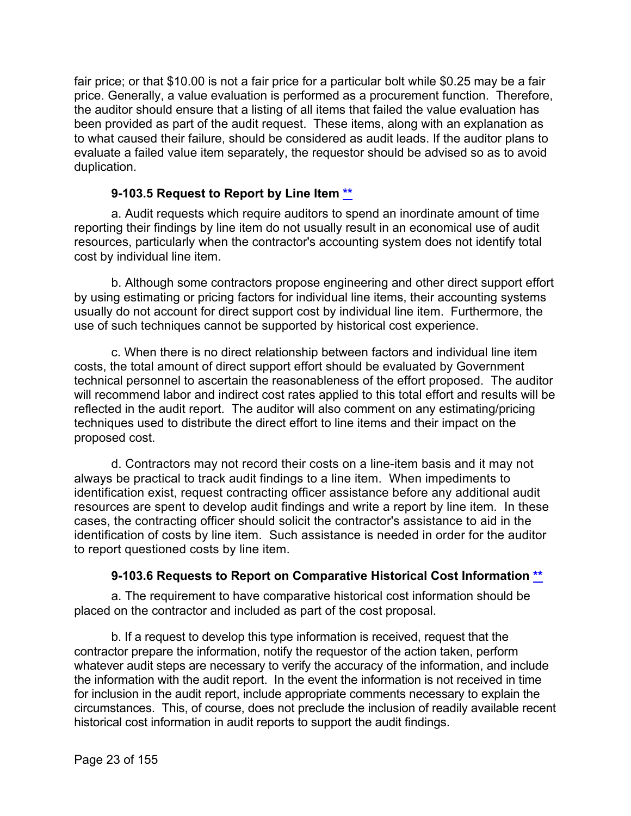fair price; or that \$10.00 is not a fair price for a particular bolt while \$0.25 may be a fair price. Generally, a value evaluation is performed as a procurement function. Therefore, the auditor should ensure that a listing of all items that failed the value evaluation has been provided as part of the audit request. These items, along with an explanation as to what caused their failure, should be considered as audit leads. If the auditor plans to evaluate a failed value item separately, the requestor should be advised so as to avoid duplication.

#### **9-103.5 Request to Report by Line Item [\\*\\*](#page-0-15)**

<span id="page-22-0"></span>a. Audit requests which require auditors to spend an inordinate amount of time reporting their findings by line item do not usually result in an economical use of audit resources, particularly when the contractor's accounting system does not identify total cost by individual line item.

b. Although some contractors propose engineering and other direct support effort by using estimating or pricing factors for individual line items, their accounting systems usually do not account for direct support cost by individual line item. Furthermore, the use of such techniques cannot be supported by historical cost experience.

c. When there is no direct relationship between factors and individual line item costs, the total amount of direct support effort should be evaluated by Government technical personnel to ascertain the reasonableness of the effort proposed. The auditor will recommend labor and indirect cost rates applied to this total effort and results will be reflected in the audit report. The auditor will also comment on any estimating/pricing techniques used to distribute the direct effort to line items and their impact on the proposed cost.

d. Contractors may not record their costs on a line-item basis and it may not always be practical to track audit findings to a line item. When impediments to identification exist, request contracting officer assistance before any additional audit resources are spent to develop audit findings and write a report by line item. In these cases, the contracting officer should solicit the contractor's assistance to aid in the identification of costs by line item. Such assistance is needed in order for the auditor to report questioned costs by line item.

#### **9-103.6 Requests to Report on Comparative Historical Cost Information [\\*\\*](#page-0-16)**

<span id="page-22-1"></span>a. The requirement to have comparative historical cost information should be placed on the contractor and included as part of the cost proposal.

b. If a request to develop this type information is received, request that the contractor prepare the information, notify the requestor of the action taken, perform whatever audit steps are necessary to verify the accuracy of the information, and include the information with the audit report. In the event the information is not received in time for inclusion in the audit report, include appropriate comments necessary to explain the circumstances. This, of course, does not preclude the inclusion of readily available recent historical cost information in audit reports to support the audit findings.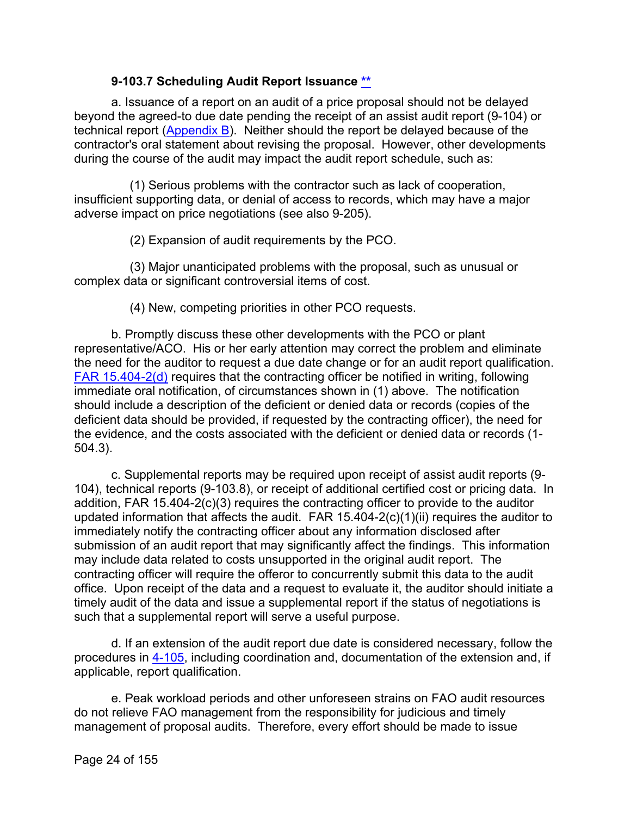#### **9-103.7 Scheduling Audit Report Issuance [\\*\\*](#page-0-17)**

<span id="page-23-0"></span>a. Issuance of a report on an audit of a price proposal should not be delayed beyond the agreed-to due date pending the receipt of an assist audit report (9-104) or technical report [\(Appendix B\)](https://viper.dcaa.mil/guidance/cam/3163/appendix-b-specialist-assistance#Sec). Neither should the report be delayed because of the contractor's oral statement about revising the proposal. However, other developments during the course of the audit may impact the audit report schedule, such as:

(1) Serious problems with the contractor such as lack of cooperation, insufficient supporting data, or denial of access to records, which may have a major adverse impact on price negotiations (see also 9-205).

(2) Expansion of audit requirements by the PCO.

(3) Major unanticipated problems with the proposal, such as unusual or complex data or significant controversial items of cost.

(4) New, competing priorities in other PCO requests.

b. Promptly discuss these other developments with the PCO or plant representative/ACO. His or her early attention may correct the problem and eliminate the need for the auditor to request a due date change or for an audit report qualification. [FAR 15.404-2\(d\)](http://www.ecfr.gov/cgi-bin/text-idx?SID=ea777dad9b1ff894f17bc622de30bb19&mc=true&node=se48.1.15_1404_62&rgn=div8) requires that the contracting officer be notified in writing, following immediate oral notification, of circumstances shown in (1) above. The notification should include a description of the deficient or denied data or records (copies of the deficient data should be provided, if requested by the contracting officer), the need for the evidence, and the costs associated with the deficient or denied data or records (1- 504.3).

c. Supplemental reports may be required upon receipt of assist audit reports (9- 104), technical reports (9-103.8), or receipt of additional certified cost or pricing data. In addition, FAR 15.404-2(c)(3) requires the contracting officer to provide to the auditor updated information that affects the audit. FAR 15.404-2(c)(1)(ii) requires the auditor to immediately notify the contracting officer about any information disclosed after submission of an audit report that may significantly affect the findings. This information may include data related to costs unsupported in the original audit report. The contracting officer will require the offeror to concurrently submit this data to the audit office. Upon receipt of the data and a request to evaluate it, the auditor should initiate a timely audit of the data and issue a supplemental report if the status of negotiations is such that a supplemental report will serve a useful purpose.

d. If an extension of the audit report due date is considered necessary, follow the procedures in [4-105,](https://viper.dcaa.mil/guidance/cam/3130/general-audit-requirements#Sec4105) including coordination and, documentation of the extension and, if applicable, report qualification.

e. Peak workload periods and other unforeseen strains on FAO audit resources do not relieve FAO management from the responsibility for judicious and timely management of proposal audits. Therefore, every effort should be made to issue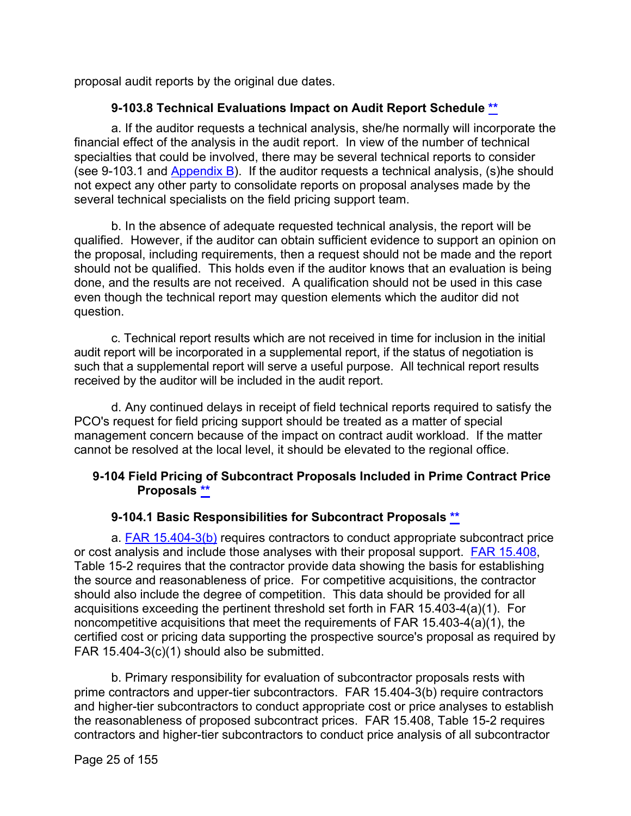proposal audit reports by the original due dates.

## **9-103.8 Technical Evaluations Impact on Audit Report Schedule [\\*\\*](#page-0-18)**

<span id="page-24-0"></span>a. If the auditor requests a technical analysis, she/he normally will incorporate the financial effect of the analysis in the audit report. In view of the number of technical specialties that could be involved, there may be several technical reports to consider (see 9-103.1 and [Appendix B\)](https://viper.dcaa.mil/guidance/cam/3163/appendix-b-specialist-assistance#Sec). If the auditor requests a technical analysis, (s)he should not expect any other party to consolidate reports on proposal analyses made by the several technical specialists on the field pricing support team.

b. In the absence of adequate requested technical analysis, the report will be qualified. However, if the auditor can obtain sufficient evidence to support an opinion on the proposal, including requirements, then a request should not be made and the report should not be qualified. This holds even if the auditor knows that an evaluation is being done, and the results are not received. A qualification should not be used in this case even though the technical report may question elements which the auditor did not question.

c. Technical report results which are not received in time for inclusion in the initial audit report will be incorporated in a supplemental report, if the status of negotiation is such that a supplemental report will serve a useful purpose. All technical report results received by the auditor will be included in the audit report.

d. Any continued delays in receipt of field technical reports required to satisfy the PCO's request for field pricing support should be treated as a matter of special management concern because of the impact on contract audit workload. If the matter cannot be resolved at the local level, it should be elevated to the regional office.

#### <span id="page-24-1"></span>**9-104 Field Pricing of Subcontract Proposals Included in Prime Contract Price Proposals [\\*\\*](#page-1-0)**

#### **9-104.1 Basic Responsibilities for Subcontract Proposals [\\*\\*](#page-1-1)**

<span id="page-24-2"></span>a. **FAR 15.404-3(b)** requires contractors to conduct appropriate subcontract price or cost analysis and include those analyses with their proposal support. [FAR 15.408,](http://www.ecfr.gov/cgi-bin/text-idx?SID=ea777dad9b1ff894f17bc622de30bb19&mc=true&node=se48.1.15_1408&rgn=div8) Table 15-2 requires that the contractor provide data showing the basis for establishing the source and reasonableness of price. For competitive acquisitions, the contractor should also include the degree of competition. This data should be provided for all acquisitions exceeding the pertinent threshold set forth in FAR 15.403-4(a)(1). For noncompetitive acquisitions that meet the requirements of FAR 15.403-4(a)(1), the certified cost or pricing data supporting the prospective source's proposal as required by FAR 15.404-3(c)(1) should also be submitted.

b. Primary responsibility for evaluation of subcontractor proposals rests with prime contractors and upper-tier subcontractors. FAR 15.404-3(b) require contractors and higher-tier subcontractors to conduct appropriate cost or price analyses to establish the reasonableness of proposed subcontract prices. FAR 15.408, Table 15-2 requires contractors and higher-tier subcontractors to conduct price analysis of all subcontractor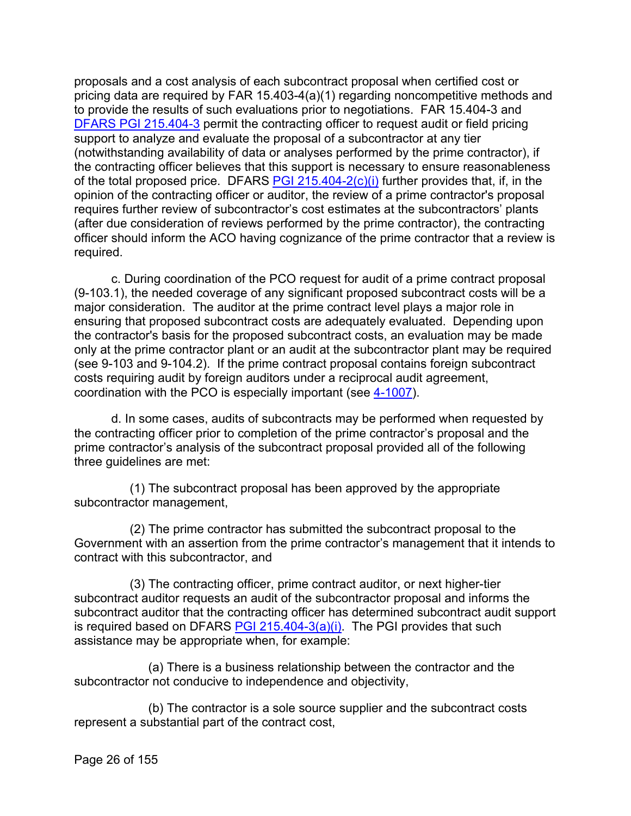proposals and a cost analysis of each subcontract proposal when certified cost or pricing data are required by FAR 15.403-4(a)(1) regarding noncompetitive methods and to provide the results of such evaluations prior to negotiations. FAR 15.404-3 and [DFARS PGI 215.404-3](http://www.acq.osd.mil/dpap/dars/pgi/pgi_htm/PGI215_4.htm) permit the contracting officer to request audit or field pricing support to analyze and evaluate the proposal of a subcontractor at any tier (notwithstanding availability of data or analyses performed by the prime contractor), if the contracting officer believes that this support is necessary to ensure reasonableness of the total proposed price. DFARS [PGI 215.404-2\(c\)\(i\)](http://www.acq.osd.mil/dpap/dars/pgi/pgi_htm/PGI215_4.htm) further provides that, if, in the opinion of the contracting officer or auditor, the review of a prime contractor's proposal requires further review of subcontractor's cost estimates at the subcontractors' plants (after due consideration of reviews performed by the prime contractor), the contracting officer should inform the ACO having cognizance of the prime contractor that a review is required.

c. During coordination of the PCO request for audit of a prime contract proposal (9-103.1), the needed coverage of any significant proposed subcontract costs will be a major consideration. The auditor at the prime contract level plays a major role in ensuring that proposed subcontract costs are adequately evaluated. Depending upon the contractor's basis for the proposed subcontract costs, an evaluation may be made only at the prime contractor plant or an audit at the subcontractor plant may be required (see 9-103 and 9-104.2). If the prime contract proposal contains foreign subcontract costs requiring audit by foreign auditors under a reciprocal audit agreement, coordination with the PCO is especially important (see [4-1007\)](https://viper.dcaa.mil/guidance/cam/3130/general-audit-requirements#Sec41007).

d. In some cases, audits of subcontracts may be performed when requested by the contracting officer prior to completion of the prime contractor's proposal and the prime contractor's analysis of the subcontract proposal provided all of the following three guidelines are met:

(1) The subcontract proposal has been approved by the appropriate subcontractor management,

(2) The prime contractor has submitted the subcontract proposal to the Government with an assertion from the prime contractor's management that it intends to contract with this subcontractor, and

(3) The contracting officer, prime contract auditor, or next higher-tier subcontract auditor requests an audit of the subcontractor proposal and informs the subcontract auditor that the contracting officer has determined subcontract audit support is required based on DFARS [PGI 215.404-3\(a\)\(i\).](http://www.acq.osd.mil/dpap/dars/pgi/pgi_htm/PGI215_4.htm) The PGI provides that such assistance may be appropriate when, for example:

(a) There is a business relationship between the contractor and the subcontractor not conducive to independence and objectivity,

(b) The contractor is a sole source supplier and the subcontract costs represent a substantial part of the contract cost,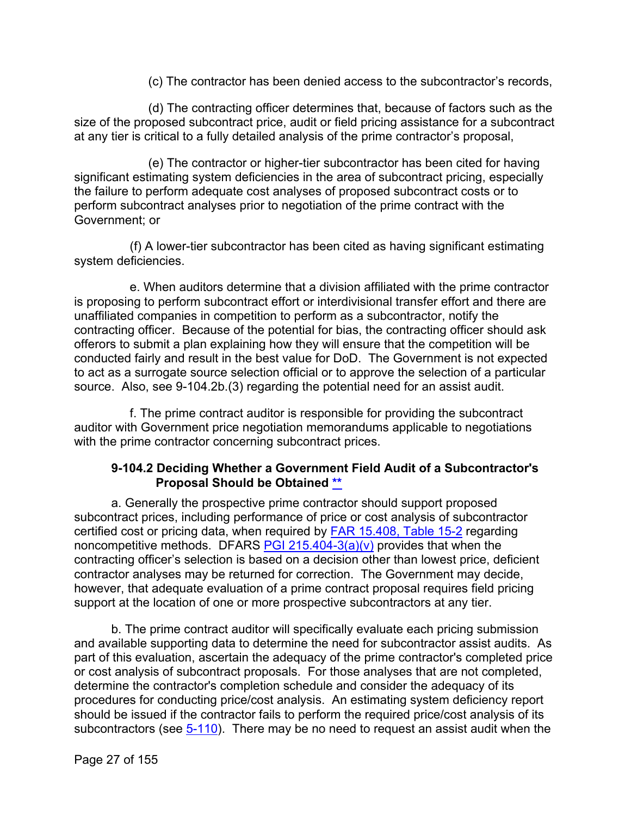(c) The contractor has been denied access to the subcontractor's records,

(d) The contracting officer determines that, because of factors such as the size of the proposed subcontract price, audit or field pricing assistance for a subcontract at any tier is critical to a fully detailed analysis of the prime contractor's proposal,

(e) The contractor or higher-tier subcontractor has been cited for having significant estimating system deficiencies in the area of subcontract pricing, especially the failure to perform adequate cost analyses of proposed subcontract costs or to perform subcontract analyses prior to negotiation of the prime contract with the Government; or

(f) A lower-tier subcontractor has been cited as having significant estimating system deficiencies.

e. When auditors determine that a division affiliated with the prime contractor is proposing to perform subcontract effort or interdivisional transfer effort and there are unaffiliated companies in competition to perform as a subcontractor, notify the contracting officer. Because of the potential for bias, the contracting officer should ask offerors to submit a plan explaining how they will ensure that the competition will be conducted fairly and result in the best value for DoD. The Government is not expected to act as a surrogate source selection official or to approve the selection of a particular source. Also, see 9-104.2b.(3) regarding the potential need for an assist audit.

f. The prime contract auditor is responsible for providing the subcontract auditor with Government price negotiation memorandums applicable to negotiations with the prime contractor concerning subcontract prices.

#### **9-104.2 Deciding Whether a Government Field Audit of a Subcontractor's Proposal Should be Obtained [\\*\\*](#page-1-2)**

<span id="page-26-0"></span>a. Generally the prospective prime contractor should support proposed subcontract prices, including performance of price or cost analysis of subcontractor certified cost or pricing data, when required by [FAR 15.408, Table 15-2](http://www.ecfr.gov/cgi-bin/text-idx?SID=a1e33e5a8d8d8cbee6cf646260d99de5&mc=true&node=se48.1.15_1408&rgn=div8) regarding noncompetitive methods. DFARS [PGI 215.404-3\(a\)\(v\)](http://www.acq.osd.mil/dpap/dars/pgi/pgi_htm/PGI215_4.htm) provides that when the contracting officer's selection is based on a decision other than lowest price, deficient contractor analyses may be returned for correction. The Government may decide, however, that adequate evaluation of a prime contract proposal requires field pricing support at the location of one or more prospective subcontractors at any tier.

b. The prime contract auditor will specifically evaluate each pricing submission and available supporting data to determine the need for subcontractor assist audits. As part of this evaluation, ascertain the adequacy of the prime contractor's completed price or cost analysis of subcontract proposals. For those analyses that are not completed, determine the contractor's completion schedule and consider the adequacy of its procedures for conducting price/cost analysis. An estimating system deficiency report should be issued if the contractor fails to perform the required price/cost analysis of its subcontractors (see [5-110\)](https://viper.dcaa.mil/guidance/cam/3135/audit-of-contractor-compliance-with-defense-federal-acquisition-regulation-supplement-for-contractor-business-systems-and-subsystems#Sec5110). There may be no need to request an assist audit when the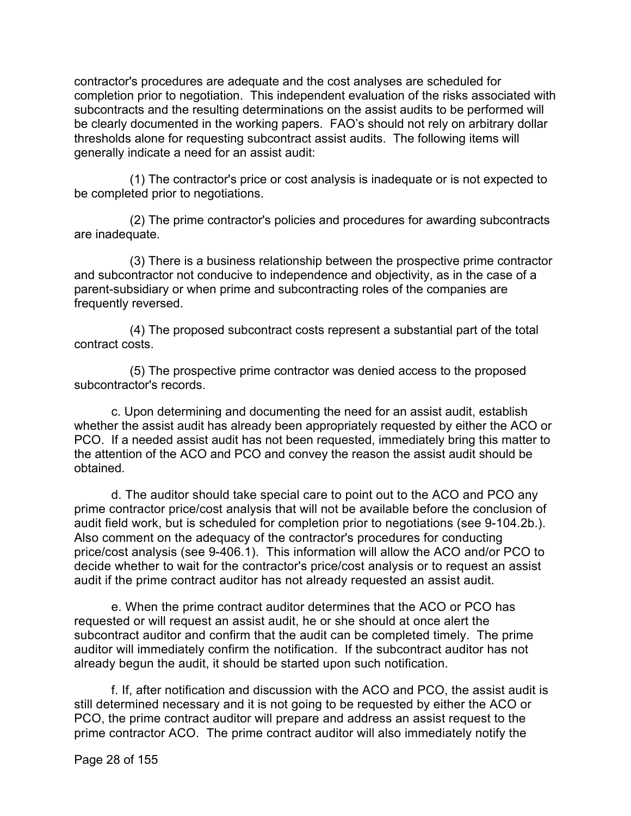contractor's procedures are adequate and the cost analyses are scheduled for completion prior to negotiation. This independent evaluation of the risks associated with subcontracts and the resulting determinations on the assist audits to be performed will be clearly documented in the working papers. FAO's should not rely on arbitrary dollar thresholds alone for requesting subcontract assist audits. The following items will generally indicate a need for an assist audit:

(1) The contractor's price or cost analysis is inadequate or is not expected to be completed prior to negotiations.

(2) The prime contractor's policies and procedures for awarding subcontracts are inadequate.

(3) There is a business relationship between the prospective prime contractor and subcontractor not conducive to independence and objectivity, as in the case of a parent-subsidiary or when prime and subcontracting roles of the companies are frequently reversed.

(4) The proposed subcontract costs represent a substantial part of the total contract costs.

(5) The prospective prime contractor was denied access to the proposed subcontractor's records.

c. Upon determining and documenting the need for an assist audit, establish whether the assist audit has already been appropriately requested by either the ACO or PCO. If a needed assist audit has not been requested, immediately bring this matter to the attention of the ACO and PCO and convey the reason the assist audit should be obtained.

d. The auditor should take special care to point out to the ACO and PCO any prime contractor price/cost analysis that will not be available before the conclusion of audit field work, but is scheduled for completion prior to negotiations (see 9-104.2b.). Also comment on the adequacy of the contractor's procedures for conducting price/cost analysis (see 9-406.1). This information will allow the ACO and/or PCO to decide whether to wait for the contractor's price/cost analysis or to request an assist audit if the prime contract auditor has not already requested an assist audit.

e. When the prime contract auditor determines that the ACO or PCO has requested or will request an assist audit, he or she should at once alert the subcontract auditor and confirm that the audit can be completed timely. The prime auditor will immediately confirm the notification. If the subcontract auditor has not already begun the audit, it should be started upon such notification.

f. If, after notification and discussion with the ACO and PCO, the assist audit is still determined necessary and it is not going to be requested by either the ACO or PCO, the prime contract auditor will prepare and address an assist request to the prime contractor ACO. The prime contract auditor will also immediately notify the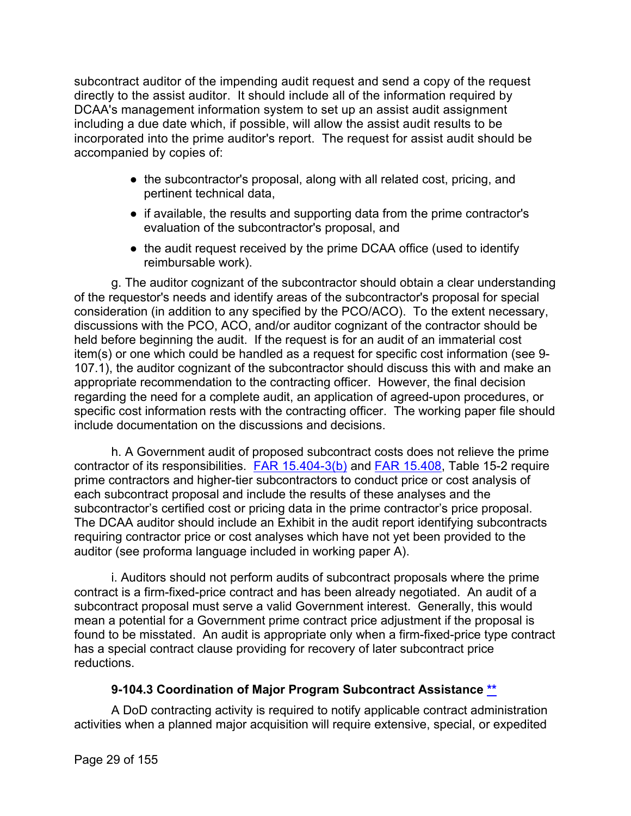subcontract auditor of the impending audit request and send a copy of the request directly to the assist auditor. It should include all of the information required by DCAA's management information system to set up an assist audit assignment including a due date which, if possible, will allow the assist audit results to be incorporated into the prime auditor's report. The request for assist audit should be accompanied by copies of:

- the subcontractor's proposal, along with all related cost, pricing, and pertinent technical data,
- if available, the results and supporting data from the prime contractor's evaluation of the subcontractor's proposal, and
- the audit request received by the prime DCAA office (used to identify reimbursable work).

g. The auditor cognizant of the subcontractor should obtain a clear understanding of the requestor's needs and identify areas of the subcontractor's proposal for special consideration (in addition to any specified by the PCO/ACO). To the extent necessary, discussions with the PCO, ACO, and/or auditor cognizant of the contractor should be held before beginning the audit. If the request is for an audit of an immaterial cost item(s) or one which could be handled as a request for specific cost information (see 9- 107.1), the auditor cognizant of the subcontractor should discuss this with and make an appropriate recommendation to the contracting officer. However, the final decision regarding the need for a complete audit, an application of agreed-upon procedures, or specific cost information rests with the contracting officer. The working paper file should include documentation on the discussions and decisions.

h. A Government audit of proposed subcontract costs does not relieve the prime contractor of its responsibilities. [FAR 15.404-3\(b\)](http://www.ecfr.gov/cgi-bin/retrieveECFR?gp=&SID=ea777dad9b1ff894f17bc622de30bb19&mc=true&r=SECTION&n=se48.1.15_1404_63) and [FAR 15.408,](http://www.ecfr.gov/cgi-bin/text-idx?SID=ea777dad9b1ff894f17bc622de30bb19&mc=true&node=se48.1.15_1408&rgn=div8) Table 15-2 require prime contractors and higher-tier subcontractors to conduct price or cost analysis of each subcontract proposal and include the results of these analyses and the subcontractor's certified cost or pricing data in the prime contractor's price proposal. The DCAA auditor should include an Exhibit in the audit report identifying subcontracts requiring contractor price or cost analyses which have not yet been provided to the auditor (see proforma language included in working paper A).

i. Auditors should not perform audits of subcontract proposals where the prime contract is a firm-fixed-price contract and has been already negotiated. An audit of a subcontract proposal must serve a valid Government interest. Generally, this would mean a potential for a Government prime contract price adjustment if the proposal is found to be misstated. An audit is appropriate only when a firm-fixed-price type contract has a special contract clause providing for recovery of later subcontract price reductions.

#### **9-104.3 Coordination of Major Program Subcontract Assistance [\\*\\*](#page-1-3)**

<span id="page-28-0"></span>A DoD contracting activity is required to notify applicable contract administration activities when a planned major acquisition will require extensive, special, or expedited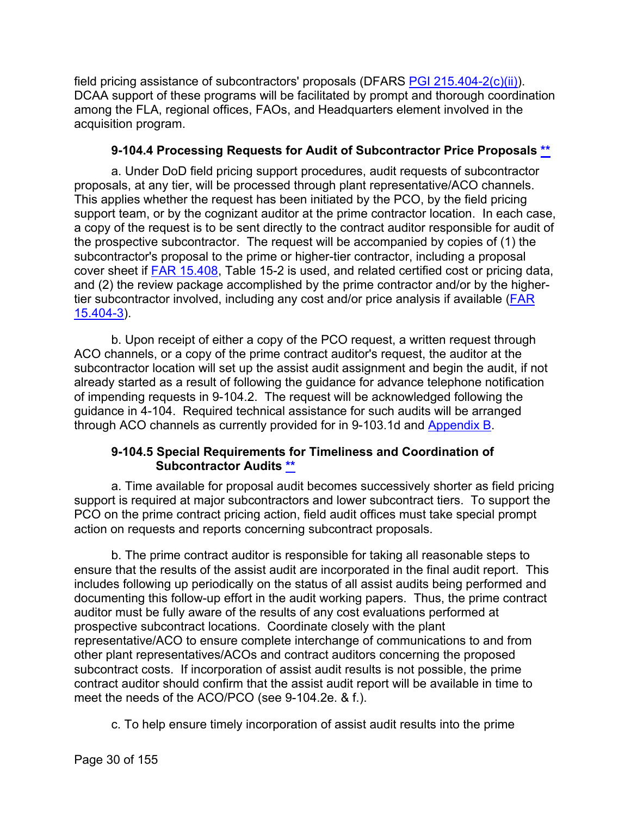field pricing assistance of subcontractors' proposals (DFARS  $PGI 215.404-2(c)(ii)$ ). DCAA support of these programs will be facilitated by prompt and thorough coordination among the FLA, regional offices, FAOs, and Headquarters element involved in the acquisition program.

#### **9-104.4 Processing Requests for Audit of Subcontractor Price Proposals [\\*\\*](#page-1-4)**

<span id="page-29-0"></span>a. Under DoD field pricing support procedures, audit requests of subcontractor proposals, at any tier, will be processed through plant representative/ACO channels. This applies whether the request has been initiated by the PCO, by the field pricing support team, or by the cognizant auditor at the prime contractor location. In each case, a copy of the request is to be sent directly to the contract auditor responsible for audit of the prospective subcontractor. The request will be accompanied by copies of (1) the subcontractor's proposal to the prime or higher-tier contractor, including a proposal cover sheet if [FAR 15.408,](http://www.ecfr.gov/cgi-bin/text-idx?SID=ea777dad9b1ff894f17bc622de30bb19&mc=true&node=se48.1.15_1408&rgn=div8) Table 15-2 is used, and related certified cost or pricing data, and (2) the review package accomplished by the prime contractor and/or by the highertier subcontractor involved, including any cost and/or price analysis if available [\(FAR](http://www.ecfr.gov/cgi-bin/text-idx?SID=8d190dd85a34456acc36f8a1d90c75f2&mc=true&node=se48.1.15_1404_63&rgn=div8)  [15.404-3\)](http://www.ecfr.gov/cgi-bin/text-idx?SID=8d190dd85a34456acc36f8a1d90c75f2&mc=true&node=se48.1.15_1404_63&rgn=div8).

b. Upon receipt of either a copy of the PCO request, a written request through ACO channels, or a copy of the prime contract auditor's request, the auditor at the subcontractor location will set up the assist audit assignment and begin the audit, if not already started as a result of following the guidance for advance telephone notification of impending requests in 9-104.2. The request will be acknowledged following the guidance in 4-104. Required technical assistance for such audits will be arranged through ACO channels as currently provided for in 9-103.1d and [Appendix B.](https://viper.dcaa.mil/guidance/cam/3163/appendix-b-specialist-assistance#Sec)

#### **9-104.5 Special Requirements for Timeliness and Coordination of Subcontractor Audits [\\*\\*](#page-1-5)**

<span id="page-29-1"></span>a. Time available for proposal audit becomes successively shorter as field pricing support is required at major subcontractors and lower subcontract tiers. To support the PCO on the prime contract pricing action, field audit offices must take special prompt action on requests and reports concerning subcontract proposals.

b. The prime contract auditor is responsible for taking all reasonable steps to ensure that the results of the assist audit are incorporated in the final audit report. This includes following up periodically on the status of all assist audits being performed and documenting this follow-up effort in the audit working papers. Thus, the prime contract auditor must be fully aware of the results of any cost evaluations performed at prospective subcontract locations. Coordinate closely with the plant representative/ACO to ensure complete interchange of communications to and from other plant representatives/ACOs and contract auditors concerning the proposed subcontract costs. If incorporation of assist audit results is not possible, the prime contract auditor should confirm that the assist audit report will be available in time to meet the needs of the ACO/PCO (see 9-104.2e. & f.).

c. To help ensure timely incorporation of assist audit results into the prime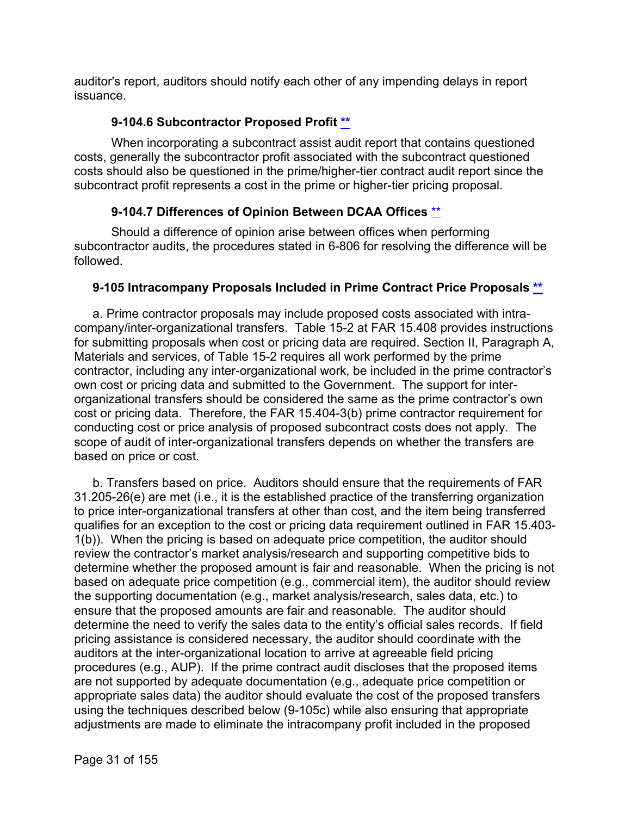auditor's report, auditors should notify each other of any impending delays in report issuance.

#### **9-104.6 Subcontractor Proposed Profit [\\*\\*](#page-1-6)**

<span id="page-30-0"></span>When incorporating a subcontract assist audit report that contains questioned costs, generally the subcontractor profit associated with the subcontract questioned costs should also be questioned in the prime/higher-tier contract audit report since the subcontract profit represents a cost in the prime or higher-tier pricing proposal.

#### **9-104.7 Differences of Opinion Between DCAA Offices** [\\*\\*](#page-1-7)

<span id="page-30-1"></span>Should a difference of opinion arise between offices when performing subcontractor audits, the procedures stated in 6-806 for resolving the difference will be followed.

#### <span id="page-30-2"></span>**9-105 Intracompany Proposals Included in Prime Contract Price Proposals [\\*\\*](#page-1-8)**

a. Prime contractor proposals may include proposed costs associated with intracompany/inter-organizational transfers. Table 15-2 at FAR 15.408 provides instructions for submitting proposals when cost or pricing data are required. Section II, Paragraph A, Materials and services, of Table 15-2 requires all work performed by the prime contractor, including any inter-organizational work, be included in the prime contractor's own cost or pricing data and submitted to the Government. The support for interorganizational transfers should be considered the same as the prime contractor's own cost or pricing data. Therefore, the FAR 15.404-3(b) prime contractor requirement for conducting cost or price analysis of proposed subcontract costs does not apply. The scope of audit of inter-organizational transfers depends on whether the transfers are based on price or cost.

b. Transfers based on price. Auditors should ensure that the requirements of FAR 31.205-26(e) are met (i.e., it is the established practice of the transferring organization to price inter-organizational transfers at other than cost, and the item being transferred qualifies for an exception to the cost or pricing data requirement outlined in FAR 15.403- 1(b)). When the pricing is based on adequate price competition, the auditor should review the contractor's market analysis/research and supporting competitive bids to determine whether the proposed amount is fair and reasonable. When the pricing is not based on adequate price competition (e.g., commercial item), the auditor should review the supporting documentation (e.g., market analysis/research, sales data, etc.) to ensure that the proposed amounts are fair and reasonable. The auditor should determine the need to verify the sales data to the entity's official sales records. If field pricing assistance is considered necessary, the auditor should coordinate with the auditors at the inter-organizational location to arrive at agreeable field pricing procedures (e.g., AUP). If the prime contract audit discloses that the proposed items are not supported by adequate documentation (e.g., adequate price competition or appropriate sales data) the auditor should evaluate the cost of the proposed transfers using the techniques described below (9-105c) while also ensuring that appropriate adjustments are made to eliminate the intracompany profit included in the proposed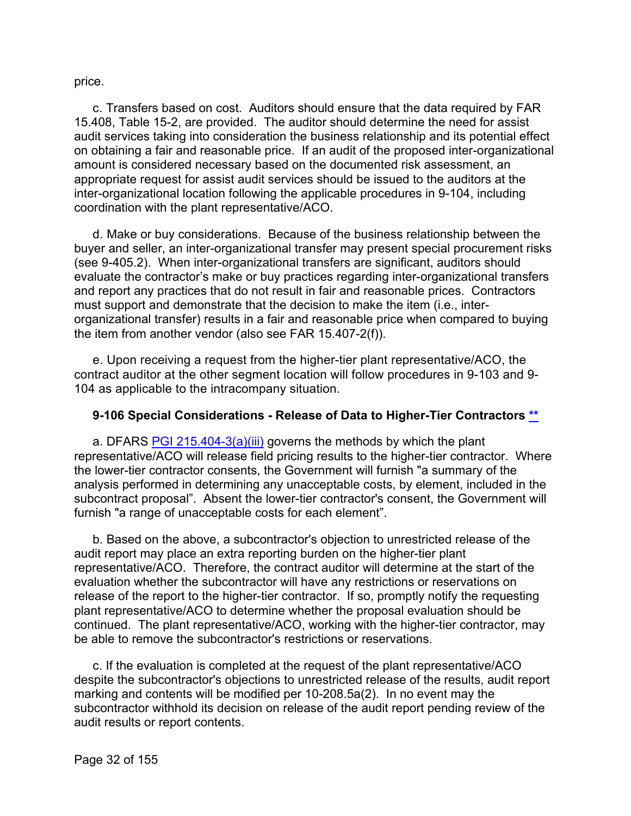price.

c. Transfers based on cost. Auditors should ensure that the data required by FAR 15.408, Table 15-2, are provided. The auditor should determine the need for assist audit services taking into consideration the business relationship and its potential effect on obtaining a fair and reasonable price. If an audit of the proposed inter-organizational amount is considered necessary based on the documented risk assessment, an appropriate request for assist audit services should be issued to the auditors at the inter-organizational location following the applicable procedures in 9-104, including coordination with the plant representative/ACO.

d. Make or buy considerations. Because of the business relationship between the buyer and seller, an inter-organizational transfer may present special procurement risks (see 9-405.2). When inter-organizational transfers are significant, auditors should evaluate the contractor's make or buy practices regarding inter-organizational transfers and report any practices that do not result in fair and reasonable prices. Contractors must support and demonstrate that the decision to make the item (i.e., interorganizational transfer) results in a fair and reasonable price when compared to buying the item from another vendor (also see FAR 15.407-2(f)).

e. Upon receiving a request from the higher-tier plant representative/ACO, the contract auditor at the other segment location will follow procedures in 9-103 and 9- 104 as applicable to the intracompany situation.

#### <span id="page-31-0"></span>**9-106 Special Considerations - Release of Data to Higher-Tier Contractors [\\*\\*](#page-1-9)**

a. DFARS [PGI 215.404-3\(a\)\(iii\)](http://www.acq.osd.mil/dpap/dars/pgi/pgi_htm/PGI215_4.htm) governs the methods by which the plant representative/ACO will release field pricing results to the higher-tier contractor. Where the lower-tier contractor consents, the Government will furnish "a summary of the analysis performed in determining any unacceptable costs, by element, included in the subcontract proposal". Absent the lower-tier contractor's consent, the Government will furnish "a range of unacceptable costs for each element".

b. Based on the above, a subcontractor's objection to unrestricted release of the audit report may place an extra reporting burden on the higher-tier plant representative/ACO. Therefore, the contract auditor will determine at the start of the evaluation whether the subcontractor will have any restrictions or reservations on release of the report to the higher-tier contractor. If so, promptly notify the requesting plant representative/ACO to determine whether the proposal evaluation should be continued. The plant representative/ACO, working with the higher-tier contractor, may be able to remove the subcontractor's restrictions or reservations.

c. If the evaluation is completed at the request of the plant representative/ACO despite the subcontractor's objections to unrestricted release of the results, audit report marking and contents will be modified per 10-208.5a(2). In no event may the subcontractor withhold its decision on release of the audit report pending review of the audit results or report contents.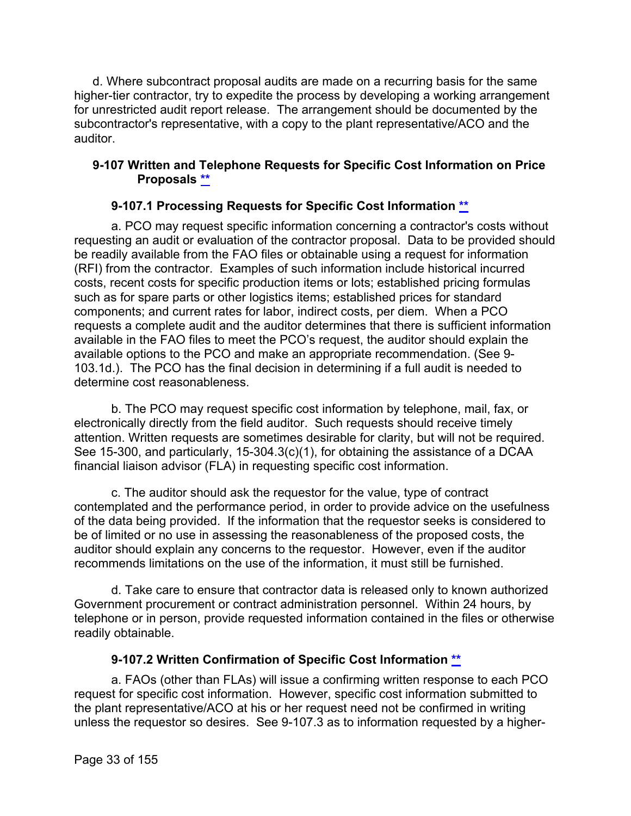d. Where subcontract proposal audits are made on a recurring basis for the same higher-tier contractor, try to expedite the process by developing a working arrangement for unrestricted audit report release. The arrangement should be documented by the subcontractor's representative, with a copy to the plant representative/ACO and the auditor.

#### <span id="page-32-0"></span>**9-107 Written and Telephone Requests for Specific Cost Information on Price Proposals [\\*\\*](#page-1-10)**

#### **9-107.1 Processing Requests for Specific Cost Information [\\*\\*](#page-1-11)**

<span id="page-32-1"></span>a. PCO may request specific information concerning a contractor's costs without requesting an audit or evaluation of the contractor proposal. Data to be provided should be readily available from the FAO files or obtainable using a request for information (RFI) from the contractor. Examples of such information include historical incurred costs, recent costs for specific production items or lots; established pricing formulas such as for spare parts or other logistics items; established prices for standard components; and current rates for labor, indirect costs, per diem. When a PCO requests a complete audit and the auditor determines that there is sufficient information available in the FAO files to meet the PCO's request, the auditor should explain the available options to the PCO and make an appropriate recommendation. (See 9- 103.1d.). The PCO has the final decision in determining if a full audit is needed to determine cost reasonableness.

b. The PCO may request specific cost information by telephone, mail, fax, or electronically directly from the field auditor. Such requests should receive timely attention. Written requests are sometimes desirable for clarity, but will not be required. See 15-300, and particularly, 15-304.3(c)(1), for obtaining the assistance of a DCAA financial liaison advisor (FLA) in requesting specific cost information.

c. The auditor should ask the requestor for the value, type of contract contemplated and the performance period, in order to provide advice on the usefulness of the data being provided. If the information that the requestor seeks is considered to be of limited or no use in assessing the reasonableness of the proposed costs, the auditor should explain any concerns to the requestor. However, even if the auditor recommends limitations on the use of the information, it must still be furnished.

d. Take care to ensure that contractor data is released only to known authorized Government procurement or contract administration personnel. Within 24 hours, by telephone or in person, provide requested information contained in the files or otherwise readily obtainable.

#### **9-107.2 Written Confirmation of Specific Cost Information [\\*\\*](#page-1-12)**

<span id="page-32-2"></span>a. FAOs (other than FLAs) will issue a confirming written response to each PCO request for specific cost information. However, specific cost information submitted to the plant representative/ACO at his or her request need not be confirmed in writing unless the requestor so desires. See 9-107.3 as to information requested by a higher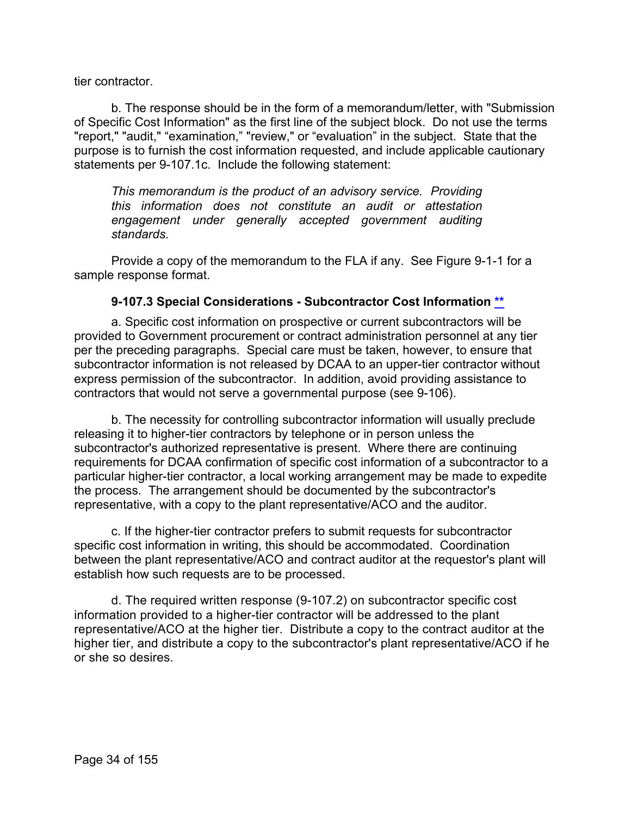tier contractor.

b. The response should be in the form of a memorandum/letter, with "Submission of Specific Cost Information" as the first line of the subject block. Do not use the terms "report," "audit," "examination," "review," or "evaluation" in the subject. State that the purpose is to furnish the cost information requested, and include applicable cautionary statements per 9-107.1c. Include the following statement:

*This memorandum is the product of an advisory service. Providing this information does not constitute an audit or attestation engagement under generally accepted government auditing standards.*

Provide a copy of the memorandum to the FLA if any. See Figure 9-1-1 for a sample response format.

#### **9-107.3 Special Considerations - Subcontractor Cost Information [\\*\\*](#page-1-13)**

<span id="page-33-0"></span>a. Specific cost information on prospective or current subcontractors will be provided to Government procurement or contract administration personnel at any tier per the preceding paragraphs. Special care must be taken, however, to ensure that subcontractor information is not released by DCAA to an upper-tier contractor without express permission of the subcontractor. In addition, avoid providing assistance to contractors that would not serve a governmental purpose (see 9-106).

b. The necessity for controlling subcontractor information will usually preclude releasing it to higher-tier contractors by telephone or in person unless the subcontractor's authorized representative is present. Where there are continuing requirements for DCAA confirmation of specific cost information of a subcontractor to a particular higher-tier contractor, a local working arrangement may be made to expedite the process. The arrangement should be documented by the subcontractor's representative, with a copy to the plant representative/ACO and the auditor.

c. If the higher-tier contractor prefers to submit requests for subcontractor specific cost information in writing, this should be accommodated. Coordination between the plant representative/ACO and contract auditor at the requestor's plant will establish how such requests are to be processed.

d. The required written response (9-107.2) on subcontractor specific cost information provided to a higher-tier contractor will be addressed to the plant representative/ACO at the higher tier. Distribute a copy to the contract auditor at the higher tier, and distribute a copy to the subcontractor's plant representative/ACO if he or she so desires.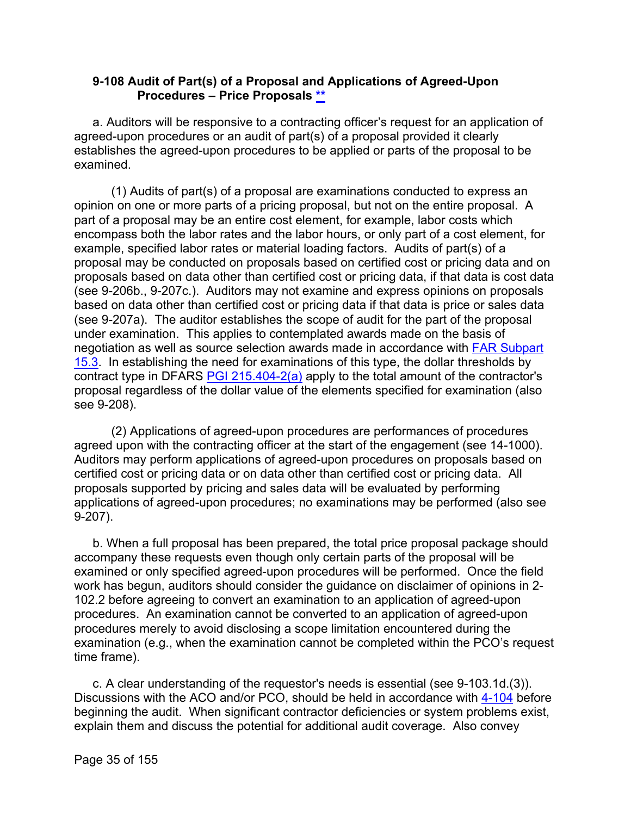#### <span id="page-34-0"></span>**9-108 Audit of Part(s) of a Proposal and Applications of Agreed-Upon Procedures – Price Proposals [\\*\\*](#page-1-14)**

a. Auditors will be responsive to a contracting officer's request for an application of agreed-upon procedures or an audit of part(s) of a proposal provided it clearly establishes the agreed-upon procedures to be applied or parts of the proposal to be examined.

(1) Audits of part(s) of a proposal are examinations conducted to express an opinion on one or more parts of a pricing proposal, but not on the entire proposal. A part of a proposal may be an entire cost element, for example, labor costs which encompass both the labor rates and the labor hours, or only part of a cost element, for example, specified labor rates or material loading factors. Audits of part(s) of a proposal may be conducted on proposals based on certified cost or pricing data and on proposals based on data other than certified cost or pricing data, if that data is cost data (see 9-206b., 9-207c.). Auditors may not examine and express opinions on proposals based on data other than certified cost or pricing data if that data is price or sales data (see 9-207a). The auditor establishes the scope of audit for the part of the proposal under examination. This applies to contemplated awards made on the basis of negotiation as well as source selection awards made in accordance with [FAR Subpart](http://www.ecfr.gov/cgi-bin/text-idx?SID=473deb3f3acdf45bda0b613de087eac2&mc=true&node=sp48.1.15.15_13&rgn=div6)  [15.3.](http://www.ecfr.gov/cgi-bin/text-idx?SID=473deb3f3acdf45bda0b613de087eac2&mc=true&node=sp48.1.15.15_13&rgn=div6) In establishing the need for examinations of this type, the dollar thresholds by contract type in DFARS [PGI 215.404-2\(a\)](http://www.acq.osd.mil/dpap/dars/pgi/pgi_htm/PGI215_4.htm) apply to the total amount of the contractor's proposal regardless of the dollar value of the elements specified for examination (also see 9-208).

(2) Applications of agreed-upon procedures are performances of procedures agreed upon with the contracting officer at the start of the engagement (see 14-1000). Auditors may perform applications of agreed-upon procedures on proposals based on certified cost or pricing data or on data other than certified cost or pricing data. All proposals supported by pricing and sales data will be evaluated by performing applications of agreed-upon procedures; no examinations may be performed (also see 9-207).

b. When a full proposal has been prepared, the total price proposal package should accompany these requests even though only certain parts of the proposal will be examined or only specified agreed-upon procedures will be performed. Once the field work has begun, auditors should consider the guidance on disclaimer of opinions in 2- 102.2 before agreeing to convert an examination to an application of agreed-upon procedures. An examination cannot be converted to an application of agreed-upon procedures merely to avoid disclosing a scope limitation encountered during the examination (e.g., when the examination cannot be completed within the PCO's request time frame).

c. A clear understanding of the requestor's needs is essential (see 9-103.1d.(3)). Discussions with the ACO and/or PCO, should be held in accordance with [4-104](https://viper.dcaa.mil/guidance/cam/3130/general-audit-requirements#Sec4104) before beginning the audit. When significant contractor deficiencies or system problems exist, explain them and discuss the potential for additional audit coverage. Also convey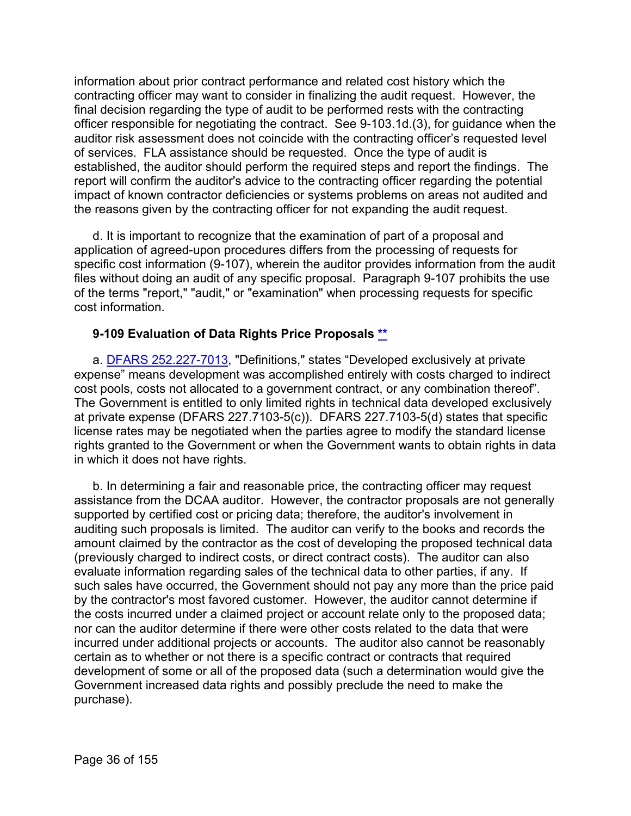information about prior contract performance and related cost history which the contracting officer may want to consider in finalizing the audit request. However, the final decision regarding the type of audit to be performed rests with the contracting officer responsible for negotiating the contract. See 9-103.1d.(3), for guidance when the auditor risk assessment does not coincide with the contracting officer's requested level of services. FLA assistance should be requested. Once the type of audit is established, the auditor should perform the required steps and report the findings. The report will confirm the auditor's advice to the contracting officer regarding the potential impact of known contractor deficiencies or systems problems on areas not audited and the reasons given by the contracting officer for not expanding the audit request.

d. It is important to recognize that the examination of part of a proposal and application of agreed-upon procedures differs from the processing of requests for specific cost information (9-107), wherein the auditor provides information from the audit files without doing an audit of any specific proposal. Paragraph 9-107 prohibits the use of the terms "report," "audit," or "examination" when processing requests for specific cost information.

#### <span id="page-35-0"></span>**9-109 Evaluation of Data Rights Price Proposals [\\*\\*](#page-1-15)**

a. [DFARS 252.227-7013,](http://www.ecfr.gov/cgi-bin/text-idx?SID=8d190dd85a34456acc36f8a1d90c75f2&mc=true&node=se48.3.252_1227_67013&rgn=div8) "Definitions," states "Developed exclusively at private expense" means development was accomplished entirely with costs charged to indirect cost pools, costs not allocated to a government contract, or any combination thereof". The Government is entitled to only limited rights in technical data developed exclusively at private expense (DFARS 227.7103-5(c)). DFARS 227.7103-5(d) states that specific license rates may be negotiated when the parties agree to modify the standard license rights granted to the Government or when the Government wants to obtain rights in data in which it does not have rights.

b. In determining a fair and reasonable price, the contracting officer may request assistance from the DCAA auditor. However, the contractor proposals are not generally supported by certified cost or pricing data; therefore, the auditor's involvement in auditing such proposals is limited. The auditor can verify to the books and records the amount claimed by the contractor as the cost of developing the proposed technical data (previously charged to indirect costs, or direct contract costs). The auditor can also evaluate information regarding sales of the technical data to other parties, if any. If such sales have occurred, the Government should not pay any more than the price paid by the contractor's most favored customer. However, the auditor cannot determine if the costs incurred under a claimed project or account relate only to the proposed data; nor can the auditor determine if there were other costs related to the data that were incurred under additional projects or accounts. The auditor also cannot be reasonably certain as to whether or not there is a specific contract or contracts that required development of some or all of the proposed data (such a determination would give the Government increased data rights and possibly preclude the need to make the purchase).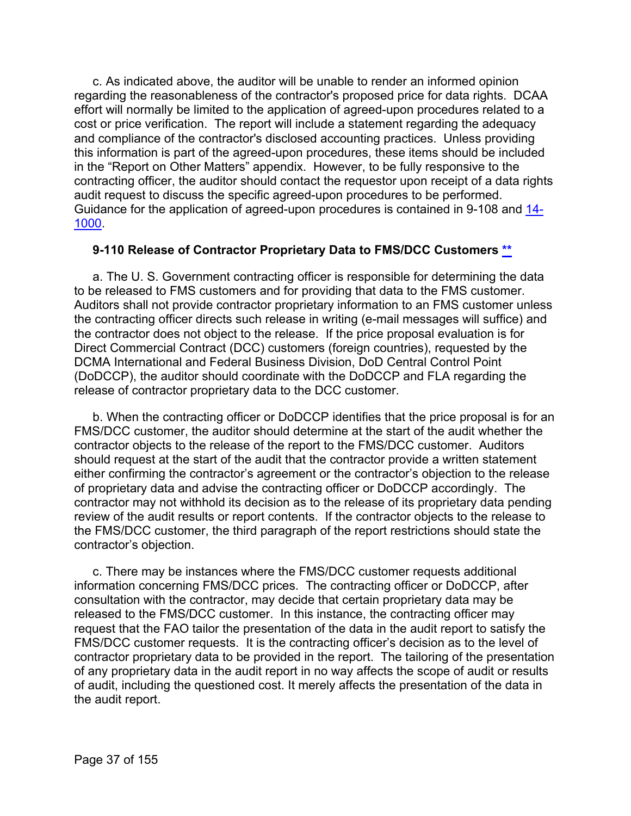c. As indicated above, the auditor will be unable to render an informed opinion regarding the reasonableness of the contractor's proposed price for data rights. DCAA effort will normally be limited to the application of agreed-upon procedures related to a cost or price verification. The report will include a statement regarding the adequacy and compliance of the contractor's disclosed accounting practices. Unless providing this information is part of the agreed-upon procedures, these items should be included in the "Report on Other Matters" appendix. However, to be fully responsive to the contracting officer, the auditor should contact the requestor upon receipt of a data rights audit request to discuss the specific agreed-upon procedures to be performed. Guidance for the application of agreed-upon procedures is contained in 9-108 and [14-](https://viper.dcaa.mil/guidance/cam/3158/other-contract-audit-assignments#Sec141000) [1000.](https://viper.dcaa.mil/guidance/cam/3158/other-contract-audit-assignments#Sec141000)

## **9-110 Release of Contractor Proprietary Data to FMS/DCC Customers [\\*\\*](#page-1-0)**

a. The U. S. Government contracting officer is responsible for determining the data to be released to FMS customers and for providing that data to the FMS customer. Auditors shall not provide contractor proprietary information to an FMS customer unless the contracting officer directs such release in writing (e-mail messages will suffice) and the contractor does not object to the release. If the price proposal evaluation is for Direct Commercial Contract (DCC) customers (foreign countries), requested by the DCMA International and Federal Business Division, DoD Central Control Point (DoDCCP), the auditor should coordinate with the DoDCCP and FLA regarding the release of contractor proprietary data to the DCC customer.

b. When the contracting officer or DoDCCP identifies that the price proposal is for an FMS/DCC customer, the auditor should determine at the start of the audit whether the contractor objects to the release of the report to the FMS/DCC customer. Auditors should request at the start of the audit that the contractor provide a written statement either confirming the contractor's agreement or the contractor's objection to the release of proprietary data and advise the contracting officer or DoDCCP accordingly. The contractor may not withhold its decision as to the release of its proprietary data pending review of the audit results or report contents. If the contractor objects to the release to the FMS/DCC customer, the third paragraph of the report restrictions should state the contractor's objection.

c. There may be instances where the FMS/DCC customer requests additional information concerning FMS/DCC prices. The contracting officer or DoDCCP, after consultation with the contractor, may decide that certain proprietary data may be released to the FMS/DCC customer. In this instance, the contracting officer may request that the FAO tailor the presentation of the data in the audit report to satisfy the FMS/DCC customer requests. It is the contracting officer's decision as to the level of contractor proprietary data to be provided in the report. The tailoring of the presentation of any proprietary data in the audit report in no way affects the scope of audit or results of audit, including the questioned cost. It merely affects the presentation of the data in the audit report.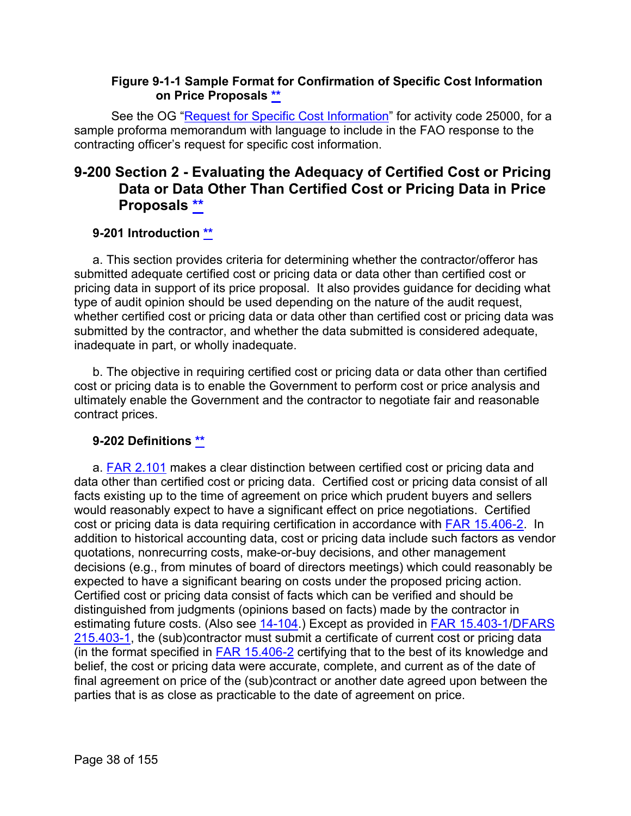## **Figure 9-1-1 Sample Format for Confirmation of Specific Cost Information on Price Proposals [\\*\\*](#page-1-1)**

See the OG ["Request for Specific Cost Information"](https://intranet.dcaa.mil/Lists/Audit_Programs__Other_Miscellaneous_Documents/DispForm.aspx?ID=200&Source=https%3A%2F%2Fintranet%2Edcaa%2Emil%2FSitePages%2FAPRSOAG%5F2%2Easpx%23InplviewHash01ace581%2De97e%2D48fc%2D9fb6%2Df593bc5fdfa8%3DPaged%253DTRUE%2Dp%5FActivityCode%253D23300%2Dp%5FID%253D190%2DPageFirstRow%253D181&ContentTypeId=0x010081CD2F96F4602146955C3A214C000D5C) for activity code 25000, for a sample proforma memorandum with language to include in the FAO response to the contracting officer's request for specific cost information.

# **9-200 Section 2 - Evaluating the Adequacy of Certified Cost or Pricing Data or Data Other Than Certified Cost or Pricing Data in Price Proposals [\\*\\*](#page-1-2)**

# **9-201 Introduction [\\*\\*](#page-1-3)**

a. This section provides criteria for determining whether the contractor/offeror has submitted adequate certified cost or pricing data or data other than certified cost or pricing data in support of its price proposal. It also provides guidance for deciding what type of audit opinion should be used depending on the nature of the audit request, whether certified cost or pricing data or data other than certified cost or pricing data was submitted by the contractor, and whether the data submitted is considered adequate, inadequate in part, or wholly inadequate.

b. The objective in requiring certified cost or pricing data or data other than certified cost or pricing data is to enable the Government to perform cost or price analysis and ultimately enable the Government and the contractor to negotiate fair and reasonable contract prices.

# **9-202 Definitions [\\*\\*](#page-1-4)**

a. [FAR 2.101](http://www.ecfr.gov/cgi-bin/text-idx?SID=8d190dd85a34456acc36f8a1d90c75f2&mc=true&node=se48.1.2_1101&rgn=div8) makes a clear distinction between certified cost or pricing data and data other than certified cost or pricing data. Certified cost or pricing data consist of all facts existing up to the time of agreement on price which prudent buyers and sellers would reasonably expect to have a significant effect on price negotiations. Certified cost or pricing data is data requiring certification in accordance with [FAR 15.406-2.](http://www.ecfr.gov/cgi-bin/text-idx?SID=8d190dd85a34456acc36f8a1d90c75f2&mc=true&node=se48.1.15_1406_62&rgn=div8) In addition to historical accounting data, cost or pricing data include such factors as vendor quotations, nonrecurring costs, make-or-buy decisions, and other management decisions (e.g., from minutes of board of directors meetings) which could reasonably be expected to have a significant bearing on costs under the proposed pricing action. Certified cost or pricing data consist of facts which can be verified and should be distinguished from judgments (opinions based on facts) made by the contractor in estimating future costs. (Also see [14-104.](https://viper.dcaa.mil/guidance/cam/3158/other-contract-audit-assignments#Sec14104)) Except as provided in [FAR 15.403-1](http://www.ecfr.gov/cgi-bin/text-idx?SID=8d190dd85a34456acc36f8a1d90c75f2&mc=true&node=se48.1.15_1403_61&rgn=div8)[/DFARS](http://www.ecfr.gov/cgi-bin/text-idx?SID=8d190dd85a34456acc36f8a1d90c75f2&mc=true&node=se48.3.215_1403_61&rgn=div8)  [215.403-1,](http://www.ecfr.gov/cgi-bin/text-idx?SID=8d190dd85a34456acc36f8a1d90c75f2&mc=true&node=se48.3.215_1403_61&rgn=div8) the (sub)contractor must submit a certificate of current cost or pricing data (in the format specified in [FAR 15.406-2](http://www.ecfr.gov/cgi-bin/text-idx?SID=8d190dd85a34456acc36f8a1d90c75f2&mc=true&node=se48.1.15_1406_62&rgn=div8) certifying that to the best of its knowledge and belief, the cost or pricing data were accurate, complete, and current as of the date of final agreement on price of the (sub)contract or another date agreed upon between the parties that is as close as practicable to the date of agreement on price.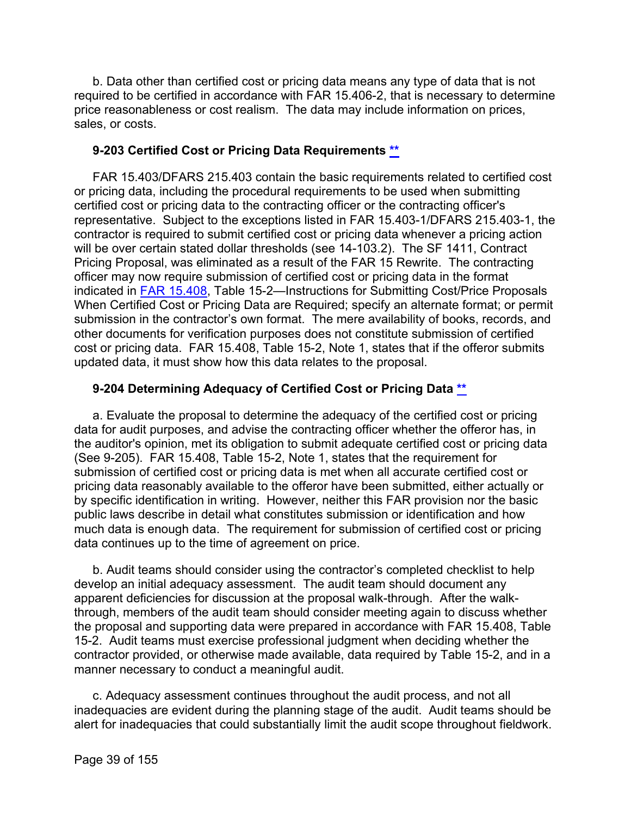b. Data other than certified cost or pricing data means any type of data that is not required to be certified in accordance with FAR 15.406-2, that is necessary to determine price reasonableness or cost realism. The data may include information on prices, sales, or costs.

## **9-203 Certified Cost or Pricing Data Requirements [\\*\\*](#page-1-5)**

FAR 15.403/DFARS 215.403 contain the basic requirements related to certified cost or pricing data, including the procedural requirements to be used when submitting certified cost or pricing data to the contracting officer or the contracting officer's representative. Subject to the exceptions listed in FAR 15.403-1/DFARS 215.403-1, the contractor is required to submit certified cost or pricing data whenever a pricing action will be over certain stated dollar thresholds (see 14-103.2). The SF 1411, Contract Pricing Proposal, was eliminated as a result of the FAR 15 Rewrite. The contracting officer may now require submission of certified cost or pricing data in the format indicated in [FAR 15.408,](http://www.ecfr.gov/cgi-bin/text-idx?SID=028c4c7355a8677b0412441f6f662508&mc=true&node=se48.1.15_1408&rgn=div8) Table 15-2—Instructions for Submitting Cost/Price Proposals When Certified Cost or Pricing Data are Required; specify an alternate format; or permit submission in the contractor's own format. The mere availability of books, records, and other documents for verification purposes does not constitute submission of certified cost or pricing data. FAR 15.408, Table 15-2, Note 1, states that if the offeror submits updated data, it must show how this data relates to the proposal.

## **9-204 Determining Adequacy of Certified Cost or Pricing Data [\\*\\*](#page-2-0)**

a. Evaluate the proposal to determine the adequacy of the certified cost or pricing data for audit purposes, and advise the contracting officer whether the offeror has, in the auditor's opinion, met its obligation to submit adequate certified cost or pricing data (See 9-205). FAR 15.408, Table 15-2, Note 1, states that the requirement for submission of certified cost or pricing data is met when all accurate certified cost or pricing data reasonably available to the offeror have been submitted, either actually or by specific identification in writing. However, neither this FAR provision nor the basic public laws describe in detail what constitutes submission or identification and how much data is enough data. The requirement for submission of certified cost or pricing data continues up to the time of agreement on price.

b. Audit teams should consider using the contractor's completed checklist to help develop an initial adequacy assessment. The audit team should document any apparent deficiencies for discussion at the proposal walk-through. After the walkthrough, members of the audit team should consider meeting again to discuss whether the proposal and supporting data were prepared in accordance with FAR 15.408, Table 15-2. Audit teams must exercise professional judgment when deciding whether the contractor provided, or otherwise made available, data required by Table 15-2, and in a manner necessary to conduct a meaningful audit.

c. Adequacy assessment continues throughout the audit process, and not all inadequacies are evident during the planning stage of the audit. Audit teams should be alert for inadequacies that could substantially limit the audit scope throughout fieldwork.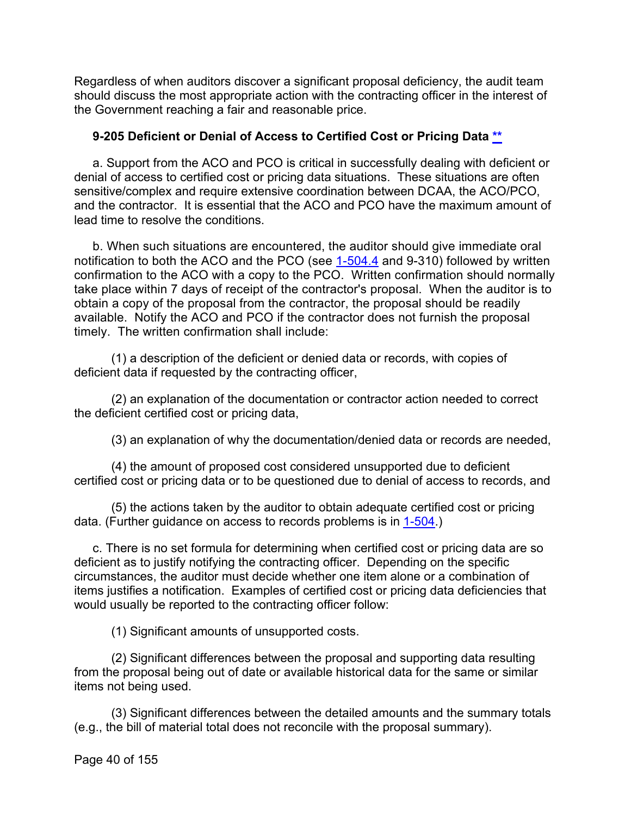Regardless of when auditors discover a significant proposal deficiency, the audit team should discuss the most appropriate action with the contracting officer in the interest of the Government reaching a fair and reasonable price.

## **9-205 Deficient or Denial of Access to Certified Cost or Pricing Data [\\*\\*](#page-2-1)**

a. Support from the ACO and PCO is critical in successfully dealing with deficient or denial of access to certified cost or pricing data situations. These situations are often sensitive/complex and require extensive coordination between DCAA, the ACO/PCO, and the contractor. It is essential that the ACO and PCO have the maximum amount of lead time to resolve the conditions.

b. When such situations are encountered, the auditor should give immediate oral notification to both the ACO and the PCO (see [1-504.4](https://viper.dcaa.mil/guidance/cam/3127/introduction-to-contract-audit#Sec15044) and 9-310) followed by written confirmation to the ACO with a copy to the PCO. Written confirmation should normally take place within 7 days of receipt of the contractor's proposal. When the auditor is to obtain a copy of the proposal from the contractor, the proposal should be readily available. Notify the ACO and PCO if the contractor does not furnish the proposal timely. The written confirmation shall include:

(1) a description of the deficient or denied data or records, with copies of deficient data if requested by the contracting officer,

(2) an explanation of the documentation or contractor action needed to correct the deficient certified cost or pricing data,

(3) an explanation of why the documentation/denied data or records are needed,

(4) the amount of proposed cost considered unsupported due to deficient certified cost or pricing data or to be questioned due to denial of access to records, and

(5) the actions taken by the auditor to obtain adequate certified cost or pricing data. (Further guidance on access to records problems is in [1-504.](https://viper.dcaa.mil/guidance/cam/3127/introduction-to-contract-audit#Sec1504))

c. There is no set formula for determining when certified cost or pricing data are so deficient as to justify notifying the contracting officer. Depending on the specific circumstances, the auditor must decide whether one item alone or a combination of items justifies a notification. Examples of certified cost or pricing data deficiencies that would usually be reported to the contracting officer follow:

(1) Significant amounts of unsupported costs.

(2) Significant differences between the proposal and supporting data resulting from the proposal being out of date or available historical data for the same or similar items not being used.

(3) Significant differences between the detailed amounts and the summary totals (e.g., the bill of material total does not reconcile with the proposal summary).

Page 40 of 155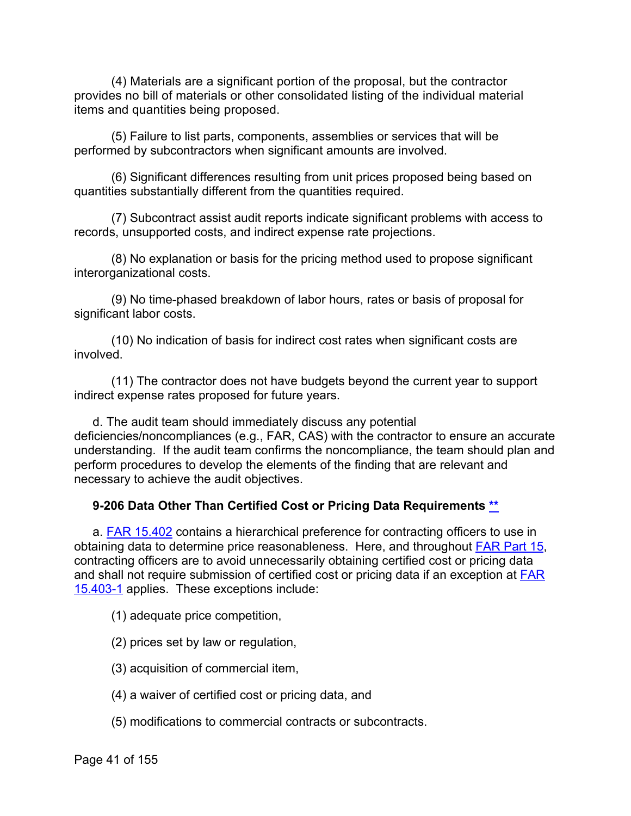(4) Materials are a significant portion of the proposal, but the contractor provides no bill of materials or other consolidated listing of the individual material items and quantities being proposed.

(5) Failure to list parts, components, assemblies or services that will be performed by subcontractors when significant amounts are involved.

(6) Significant differences resulting from unit prices proposed being based on quantities substantially different from the quantities required.

(7) Subcontract assist audit reports indicate significant problems with access to records, unsupported costs, and indirect expense rate projections.

(8) No explanation or basis for the pricing method used to propose significant interorganizational costs.

(9) No time-phased breakdown of labor hours, rates or basis of proposal for significant labor costs.

(10) No indication of basis for indirect cost rates when significant costs are involved.

(11) The contractor does not have budgets beyond the current year to support indirect expense rates proposed for future years.

d. The audit team should immediately discuss any potential deficiencies/noncompliances (e.g., FAR, CAS) with the contractor to ensure an accurate understanding. If the audit team confirms the noncompliance, the team should plan and perform procedures to develop the elements of the finding that are relevant and necessary to achieve the audit objectives.

# **9-206 Data Other Than Certified Cost or Pricing Data Requirements [\\*\\*](#page-2-2)**

a. [FAR 15.402](http://www.ecfr.gov/cgi-bin/text-idx?SID=028c4c7355a8677b0412441f6f662508&mc=true&node=se48.1.15_1402&rgn=div8) contains a hierarchical preference for contracting officers to use in obtaining data to determine price reasonableness. Here, and throughout [FAR Part 15,](http://www.ecfr.gov/cgi-bin/text-idx?SID=028c4c7355a8677b0412441f6f662508&mc=true&node=pt48.1.15&rgn=div5) contracting officers are to avoid unnecessarily obtaining certified cost or pricing data and shall not require submission of certified cost or pricing data if an exception at **FAR** [15.403-1](http://www.ecfr.gov/cgi-bin/text-idx?SID=028c4c7355a8677b0412441f6f662508&mc=true&node=se48.1.15_1403_61&rgn=div8) applies. These exceptions include:

(1) adequate price competition,

(2) prices set by law or regulation,

(3) acquisition of commercial item,

- (4) a waiver of certified cost or pricing data, and
- (5) modifications to commercial contracts or subcontracts.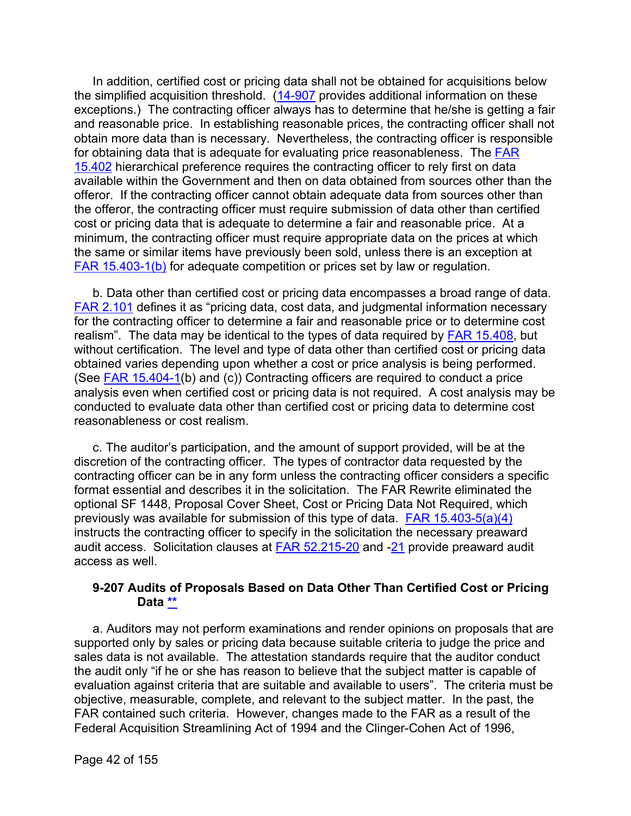In addition, certified cost or pricing data shall not be obtained for acquisitions below the simplified acquisition threshold. [\(14-907](https://viper.dcaa.mil/guidance/cam/3158/other-contract-audit-assignments#Sec14907) provides additional information on these exceptions.) The contracting officer always has to determine that he/she is getting a fair and reasonable price. In establishing reasonable prices, the contracting officer shall not obtain more data than is necessary. Nevertheless, the contracting officer is responsible for obtaining data that is adequate for evaluating price reasonableness. The **FAR** [15.402](http://www.ecfr.gov/cgi-bin/retrieveECFR?gp=&SID=028c4c7355a8677b0412441f6f662508&mc=true&r=SECTION&n=se48.1.15_1402) hierarchical preference requires the contracting officer to rely first on data available within the Government and then on data obtained from sources other than the offeror. If the contracting officer cannot obtain adequate data from sources other than the offeror, the contracting officer must require submission of data other than certified cost or pricing data that is adequate to determine a fair and reasonable price. At a minimum, the contracting officer must require appropriate data on the prices at which the same or similar items have previously been sold, unless there is an exception at [FAR 15.403-1\(b\)](http://www.ecfr.gov/cgi-bin/text-idx?SID=028c4c7355a8677b0412441f6f662508&mc=true&node=se48.1.15_1403_61&rgn=div8) for adequate competition or prices set by law or regulation.

b. Data other than certified cost or pricing data encompasses a broad range of data. [FAR 2.101](http://www.ecfr.gov/cgi-bin/text-idx?SID=774c132cd89f432a4396b976f68a0661&mc=true&node=se48.1.2_1101&rgn=div8) defines it as "pricing data, cost data, and judgmental information necessary for the contracting officer to determine a fair and reasonable price or to determine cost realism". The data may be identical to the types of data required by [FAR 15.408,](http://www.ecfr.gov/cgi-bin/text-idx?SID=774c132cd89f432a4396b976f68a0661&mc=true&node=se48.1.15_1408&rgn=div8) but without certification. The level and type of data other than certified cost or pricing data obtained varies depending upon whether a cost or price analysis is being performed. (See [FAR 15.404-1\(](http://www.ecfr.gov/cgi-bin/text-idx?SID=774c132cd89f432a4396b976f68a0661&mc=true&node=se48.1.15_1404_61&rgn=div8)b) and (c)) Contracting officers are required to conduct a price analysis even when certified cost or pricing data is not required. A cost analysis may be conducted to evaluate data other than certified cost or pricing data to determine cost reasonableness or cost realism.

c. The auditor's participation, and the amount of support provided, will be at the discretion of the contracting officer. The types of contractor data requested by the contracting officer can be in any form unless the contracting officer considers a specific format essential and describes it in the solicitation. The FAR Rewrite eliminated the optional SF 1448, Proposal Cover Sheet, Cost or Pricing Data Not Required, which previously was available for submission of this type of data. [FAR 15.403-5\(a\)\(4\)](http://www.ecfr.gov/cgi-bin/retrieveECFR?gp=&SID=774c132cd89f432a4396b976f68a0661&mc=true&r=SECTION&n=se48.1.15_1403_65) instructs the contracting officer to specify in the solicitation the necessary preaward audit access. Solicitation clauses at [FAR 52.215-20](http://www.ecfr.gov/cgi-bin/text-idx?SID=774c132cd89f432a4396b976f68a0661&mc=true&node=se48.2.52_1215_620&rgn=div8) and [-21](http://www.ecfr.gov/cgi-bin/retrieveECFR?gp=&SID=774c132cd89f432a4396b976f68a0661&mc=true&r=SECTION&n=se48.2.52_1215_621) provide preaward audit access as well.

## **9-207 Audits of Proposals Based on Data Other Than Certified Cost or Pricing Data [\\*\\*](#page-2-3)**

a. Auditors may not perform examinations and render opinions on proposals that are supported only by sales or pricing data because suitable criteria to judge the price and sales data is not available. The attestation standards require that the auditor conduct the audit only "if he or she has reason to believe that the subject matter is capable of evaluation against criteria that are suitable and available to users". The criteria must be objective, measurable, complete, and relevant to the subject matter. In the past, the FAR contained such criteria. However, changes made to the FAR as a result of the Federal Acquisition Streamlining Act of 1994 and the Clinger-Cohen Act of 1996,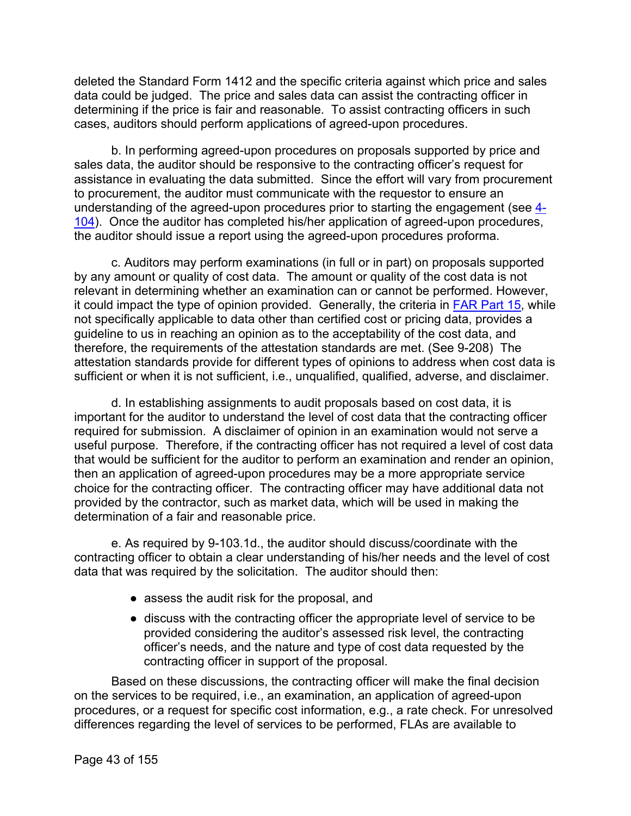deleted the Standard Form 1412 and the specific criteria against which price and sales data could be judged. The price and sales data can assist the contracting officer in determining if the price is fair and reasonable. To assist contracting officers in such cases, auditors should perform applications of agreed-upon procedures.

b. In performing agreed-upon procedures on proposals supported by price and sales data, the auditor should be responsive to the contracting officer's request for assistance in evaluating the data submitted. Since the effort will vary from procurement to procurement, the auditor must communicate with the requestor to ensure an understanding of the agreed-upon procedures prior to starting the engagement (see  $\frac{4}{3}$ -[104\)](https://viper.dcaa.mil/guidance/cam/3130/general-audit-requirements#Sec4104). Once the auditor has completed his/her application of agreed-upon procedures, the auditor should issue a report using the agreed-upon procedures proforma.

c. Auditors may perform examinations (in full or in part) on proposals supported by any amount or quality of cost data. The amount or quality of the cost data is not relevant in determining whether an examination can or cannot be performed. However, it could impact the type of opinion provided. Generally, the criteria in [FAR Part 15,](http://www.ecfr.gov/cgi-bin/text-idx?SID=c0712aaeba7e7ef6d15e9471397a152b&mc=true&node=pt48.1.15&rgn=div5) while not specifically applicable to data other than certified cost or pricing data, provides a guideline to us in reaching an opinion as to the acceptability of the cost data, and therefore, the requirements of the attestation standards are met. (See 9-208) The attestation standards provide for different types of opinions to address when cost data is sufficient or when it is not sufficient, i.e., unqualified, qualified, adverse, and disclaimer.

d. In establishing assignments to audit proposals based on cost data, it is important for the auditor to understand the level of cost data that the contracting officer required for submission. A disclaimer of opinion in an examination would not serve a useful purpose. Therefore, if the contracting officer has not required a level of cost data that would be sufficient for the auditor to perform an examination and render an opinion, then an application of agreed-upon procedures may be a more appropriate service choice for the contracting officer. The contracting officer may have additional data not provided by the contractor, such as market data, which will be used in making the determination of a fair and reasonable price.

e. As required by 9-103.1d., the auditor should discuss/coordinate with the contracting officer to obtain a clear understanding of his/her needs and the level of cost data that was required by the solicitation. The auditor should then:

- assess the audit risk for the proposal, and
- discuss with the contracting officer the appropriate level of service to be provided considering the auditor's assessed risk level, the contracting officer's needs, and the nature and type of cost data requested by the contracting officer in support of the proposal.

Based on these discussions, the contracting officer will make the final decision on the services to be required, i.e., an examination, an application of agreed-upon procedures, or a request for specific cost information, e.g., a rate check. For unresolved differences regarding the level of services to be performed, FLAs are available to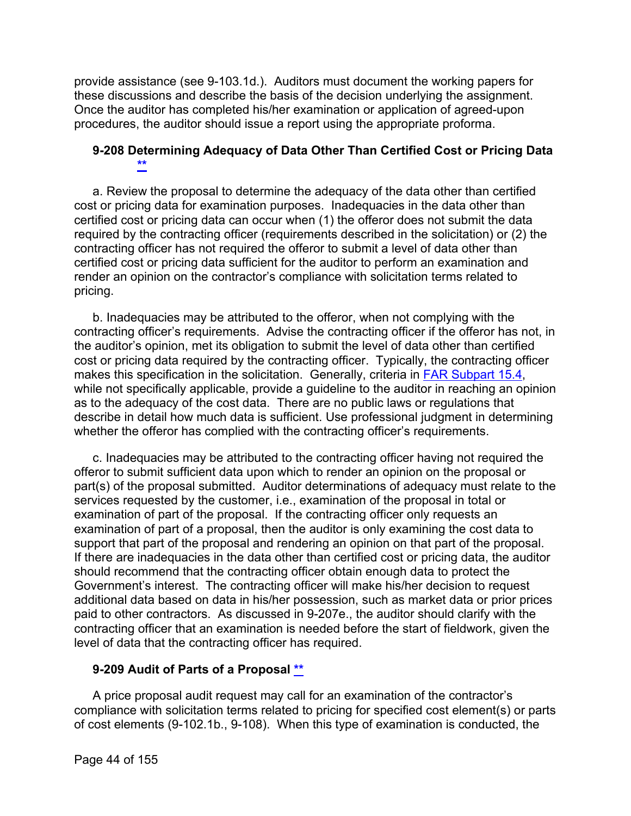provide assistance (see 9-103.1d.). Auditors must document the working papers for these discussions and describe the basis of the decision underlying the assignment. Once the auditor has completed his/her examination or application of agreed-upon procedures, the auditor should issue a report using the appropriate proforma.

## **9-208 Determining Adequacy of Data Other Than Certified Cost or Pricing Data [\\*\\*](#page-2-4)**

a. Review the proposal to determine the adequacy of the data other than certified cost or pricing data for examination purposes. Inadequacies in the data other than certified cost or pricing data can occur when (1) the offeror does not submit the data required by the contracting officer (requirements described in the solicitation) or (2) the contracting officer has not required the offeror to submit a level of data other than certified cost or pricing data sufficient for the auditor to perform an examination and render an opinion on the contractor's compliance with solicitation terms related to pricing.

b. Inadequacies may be attributed to the offeror, when not complying with the contracting officer's requirements. Advise the contracting officer if the offeror has not, in the auditor's opinion, met its obligation to submit the level of data other than certified cost or pricing data required by the contracting officer. Typically, the contracting officer makes this specification in the solicitation. Generally, criteria in [FAR Subpart 15.4,](http://www.ecfr.gov/cgi-bin/text-idx?SID=c0712aaeba7e7ef6d15e9471397a152b&mc=true&node=sp48.1.15.15_14&rgn=div6) while not specifically applicable, provide a guideline to the auditor in reaching an opinion as to the adequacy of the cost data. There are no public laws or regulations that describe in detail how much data is sufficient. Use professional judgment in determining whether the offeror has complied with the contracting officer's requirements.

c. Inadequacies may be attributed to the contracting officer having not required the offeror to submit sufficient data upon which to render an opinion on the proposal or part(s) of the proposal submitted. Auditor determinations of adequacy must relate to the services requested by the customer, i.e., examination of the proposal in total or examination of part of the proposal. If the contracting officer only requests an examination of part of a proposal, then the auditor is only examining the cost data to support that part of the proposal and rendering an opinion on that part of the proposal. If there are inadequacies in the data other than certified cost or pricing data, the auditor should recommend that the contracting officer obtain enough data to protect the Government's interest. The contracting officer will make his/her decision to request additional data based on data in his/her possession, such as market data or prior prices paid to other contractors. As discussed in 9-207e., the auditor should clarify with the contracting officer that an examination is needed before the start of fieldwork, given the level of data that the contracting officer has required.

## **9-209 Audit of Parts of a Proposal [\\*\\*](#page-2-5)**

A price proposal audit request may call for an examination of the contractor's compliance with solicitation terms related to pricing for specified cost element(s) or parts of cost elements (9-102.1b., 9-108). When this type of examination is conducted, the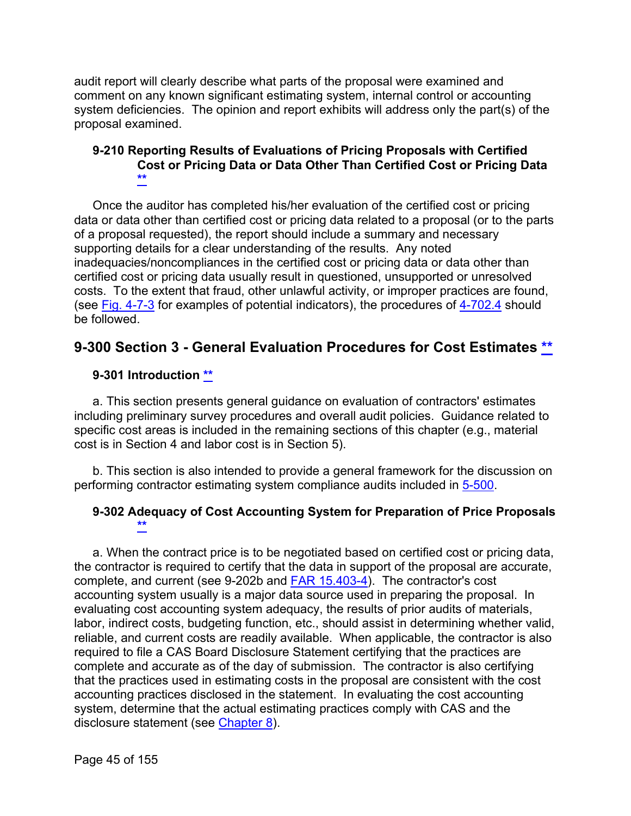audit report will clearly describe what parts of the proposal were examined and comment on any known significant estimating system, internal control or accounting system deficiencies. The opinion and report exhibits will address only the part(s) of the proposal examined.

#### **9-210 Reporting Results of Evaluations of Pricing Proposals with Certified Cost or Pricing Data or Data Other Than Certified Cost or Pricing Data [\\*\\*](#page-2-6)**

Once the auditor has completed his/her evaluation of the certified cost or pricing data or data other than certified cost or pricing data related to a proposal (or to the parts of a proposal requested), the report should include a summary and necessary supporting details for a clear understanding of the results. Any noted inadequacies/noncompliances in the certified cost or pricing data or data other than certified cost or pricing data usually result in questioned, unsupported or unresolved costs. To the extent that fraud, other unlawful activity, or improper practices are found, (see [Fig. 4-7-3](https://viper.dcaa.mil/guidance/cam/3130/general-audit-requirements#SecFig473) for examples of potential indicators), the procedures of [4-702.4](https://viper.dcaa.mil/guidance/cam/3130/general-audit-requirements#Sec47024) should be followed.

# **9-300 Section 3 - General Evaluation Procedures for Cost Estimates [\\*\\*](#page-2-7)**

## **9-301 Introduction [\\*\\*](#page-2-8)**

a. This section presents general guidance on evaluation of contractors' estimates including preliminary survey procedures and overall audit policies. Guidance related to specific cost areas is included in the remaining sections of this chapter (e.g., material cost is in Section 4 and labor cost is in Section 5).

b. This section is also intended to provide a general framework for the discussion on performing contractor estimating system compliance audits included in [5-500.](https://viper.dcaa.mil/guidance/cam/3135/audit-of-contractor-compliance-with-defense-federal-acquisition-regulation-supplement-for-contractor-business-systems-and-subsystems#Sec5500)

## **9-302 Adequacy of Cost Accounting System for Preparation of Price Proposals [\\*\\*](#page-2-9)**

a. When the contract price is to be negotiated based on certified cost or pricing data, the contractor is required to certify that the data in support of the proposal are accurate, complete, and current (see 9-202b and **FAR 15.403-4**). The contractor's cost accounting system usually is a major data source used in preparing the proposal. In evaluating cost accounting system adequacy, the results of prior audits of materials, labor, indirect costs, budgeting function, etc., should assist in determining whether valid, reliable, and current costs are readily available. When applicable, the contractor is also required to file a CAS Board Disclosure Statement certifying that the practices are complete and accurate as of the day of submission. The contractor is also certifying that the practices used in estimating costs in the proposal are consistent with the cost accounting practices disclosed in the statement. In evaluating the cost accounting system, determine that the actual estimating practices comply with CAS and the disclosure statement (see [Chapter 8\)](https://viper.dcaa.mil/guidance/cam/3141/cost-accounting-standards#Sec).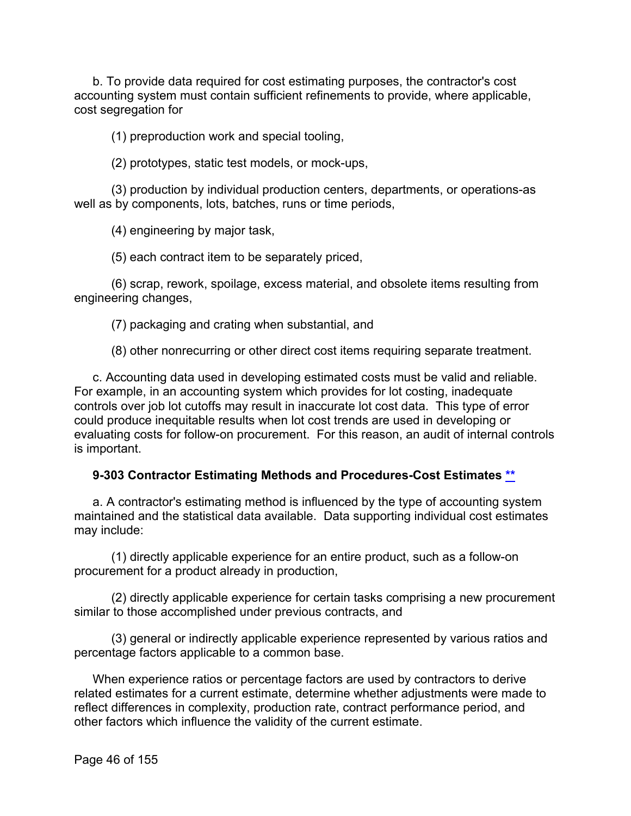b. To provide data required for cost estimating purposes, the contractor's cost accounting system must contain sufficient refinements to provide, where applicable, cost segregation for

(1) preproduction work and special tooling,

(2) prototypes, static test models, or mock-ups,

(3) production by individual production centers, departments, or operations-as well as by components, lots, batches, runs or time periods,

(4) engineering by major task,

(5) each contract item to be separately priced,

(6) scrap, rework, spoilage, excess material, and obsolete items resulting from engineering changes,

(7) packaging and crating when substantial, and

(8) other nonrecurring or other direct cost items requiring separate treatment.

c. Accounting data used in developing estimated costs must be valid and reliable. For example, in an accounting system which provides for lot costing, inadequate controls over job lot cutoffs may result in inaccurate lot cost data. This type of error could produce inequitable results when lot cost trends are used in developing or evaluating costs for follow-on procurement. For this reason, an audit of internal controls is important.

## **9-303 Contractor Estimating Methods and Procedures-Cost Estimates [\\*\\*](#page-2-10)**

a. A contractor's estimating method is influenced by the type of accounting system maintained and the statistical data available. Data supporting individual cost estimates may include:

(1) directly applicable experience for an entire product, such as a follow-on procurement for a product already in production,

(2) directly applicable experience for certain tasks comprising a new procurement similar to those accomplished under previous contracts, and

(3) general or indirectly applicable experience represented by various ratios and percentage factors applicable to a common base.

When experience ratios or percentage factors are used by contractors to derive related estimates for a current estimate, determine whether adjustments were made to reflect differences in complexity, production rate, contract performance period, and other factors which influence the validity of the current estimate.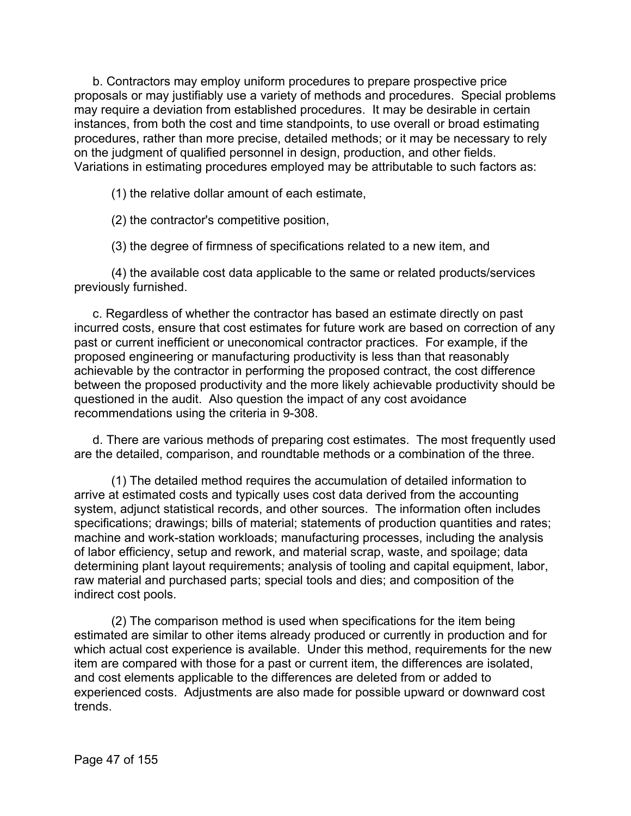b. Contractors may employ uniform procedures to prepare prospective price proposals or may justifiably use a variety of methods and procedures. Special problems may require a deviation from established procedures. It may be desirable in certain instances, from both the cost and time standpoints, to use overall or broad estimating procedures, rather than more precise, detailed methods; or it may be necessary to rely on the judgment of qualified personnel in design, production, and other fields. Variations in estimating procedures employed may be attributable to such factors as:

(1) the relative dollar amount of each estimate,

(2) the contractor's competitive position,

(3) the degree of firmness of specifications related to a new item, and

(4) the available cost data applicable to the same or related products/services previously furnished.

c. Regardless of whether the contractor has based an estimate directly on past incurred costs, ensure that cost estimates for future work are based on correction of any past or current inefficient or uneconomical contractor practices. For example, if the proposed engineering or manufacturing productivity is less than that reasonably achievable by the contractor in performing the proposed contract, the cost difference between the proposed productivity and the more likely achievable productivity should be questioned in the audit. Also question the impact of any cost avoidance recommendations using the criteria in 9-308.

d. There are various methods of preparing cost estimates. The most frequently used are the detailed, comparison, and roundtable methods or a combination of the three.

(1) The detailed method requires the accumulation of detailed information to arrive at estimated costs and typically uses cost data derived from the accounting system, adjunct statistical records, and other sources. The information often includes specifications; drawings; bills of material; statements of production quantities and rates; machine and work-station workloads; manufacturing processes, including the analysis of labor efficiency, setup and rework, and material scrap, waste, and spoilage; data determining plant layout requirements; analysis of tooling and capital equipment, labor, raw material and purchased parts; special tools and dies; and composition of the indirect cost pools.

(2) The comparison method is used when specifications for the item being estimated are similar to other items already produced or currently in production and for which actual cost experience is available. Under this method, requirements for the new item are compared with those for a past or current item, the differences are isolated, and cost elements applicable to the differences are deleted from or added to experienced costs. Adjustments are also made for possible upward or downward cost trends.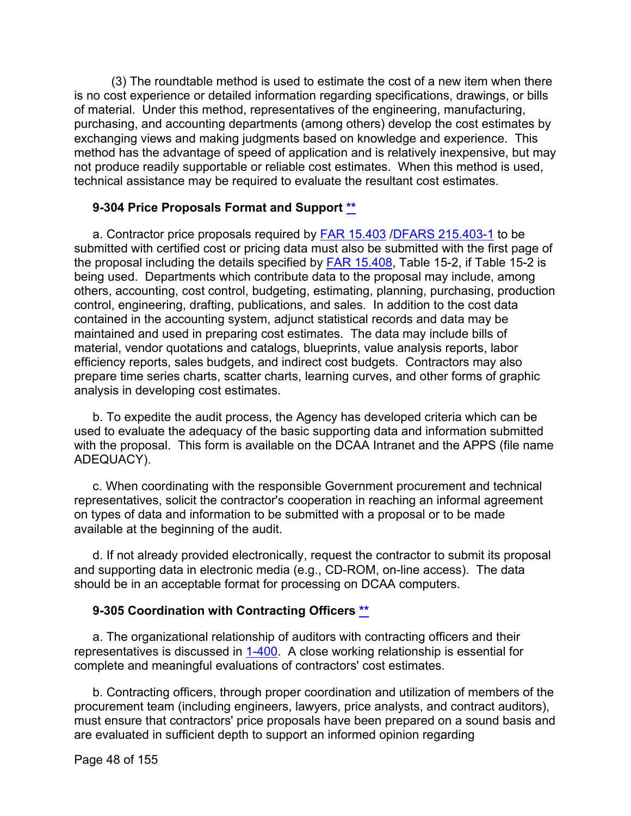(3) The roundtable method is used to estimate the cost of a new item when there is no cost experience or detailed information regarding specifications, drawings, or bills of material. Under this method, representatives of the engineering, manufacturing, purchasing, and accounting departments (among others) develop the cost estimates by exchanging views and making judgments based on knowledge and experience. This method has the advantage of speed of application and is relatively inexpensive, but may not produce readily supportable or reliable cost estimates. When this method is used, technical assistance may be required to evaluate the resultant cost estimates.

## **9-304 Price Proposals Format and Support [\\*\\*](#page-2-11)**

a. Contractor price proposals required by [FAR 15.403](http://www.ecfr.gov/cgi-bin/text-idx?SID=346f02cfeebe1dad8fd9738605e9649e&mc=true&node=sp48.1.15.15_14&rgn=div6) [/DFARS 215.403-1](http://www.ecfr.gov/cgi-bin/text-idx?SID=774c132cd89f432a4396b976f68a0661&mc=true&node=se48.3.215_1403_61&rgn=div8) to be submitted with certified cost or pricing data must also be submitted with the first page of the proposal including the details specified by [FAR 15.408,](http://www.ecfr.gov/cgi-bin/text-idx?SID=774c132cd89f432a4396b976f68a0661&mc=true&node=se48.1.15_1408&rgn=div8) Table 15-2, if Table 15-2 is being used. Departments which contribute data to the proposal may include, among others, accounting, cost control, budgeting, estimating, planning, purchasing, production control, engineering, drafting, publications, and sales. In addition to the cost data contained in the accounting system, adjunct statistical records and data may be maintained and used in preparing cost estimates. The data may include bills of material, vendor quotations and catalogs, blueprints, value analysis reports, labor efficiency reports, sales budgets, and indirect cost budgets. Contractors may also prepare time series charts, scatter charts, learning curves, and other forms of graphic analysis in developing cost estimates.

b. To expedite the audit process, the Agency has developed criteria which can be used to evaluate the adequacy of the basic supporting data and information submitted with the proposal. This form is available on the DCAA Intranet and the APPS (file name ADEQUACY).

c. When coordinating with the responsible Government procurement and technical representatives, solicit the contractor's cooperation in reaching an informal agreement on types of data and information to be submitted with a proposal or to be made available at the beginning of the audit.

d. If not already provided electronically, request the contractor to submit its proposal and supporting data in electronic media (e.g., CD-ROM, on-line access). The data should be in an acceptable format for processing on DCAA computers.

# **9-305 Coordination with Contracting Officers [\\*\\*](#page-2-12)**

a. The organizational relationship of auditors with contracting officers and their representatives is discussed in [1-400.](https://viper.dcaa.mil/guidance/cam/3127/introduction-to-contract-audit#Sec1400) A close working relationship is essential for complete and meaningful evaluations of contractors' cost estimates.

b. Contracting officers, through proper coordination and utilization of members of the procurement team (including engineers, lawyers, price analysts, and contract auditors), must ensure that contractors' price proposals have been prepared on a sound basis and are evaluated in sufficient depth to support an informed opinion regarding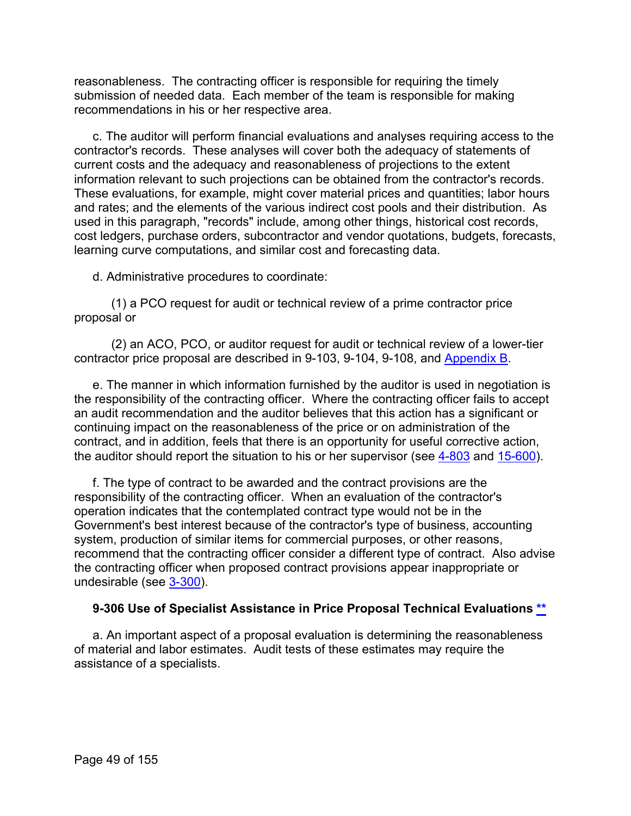reasonableness. The contracting officer is responsible for requiring the timely submission of needed data. Each member of the team is responsible for making recommendations in his or her respective area.

c. The auditor will perform financial evaluations and analyses requiring access to the contractor's records. These analyses will cover both the adequacy of statements of current costs and the adequacy and reasonableness of projections to the extent information relevant to such projections can be obtained from the contractor's records. These evaluations, for example, might cover material prices and quantities; labor hours and rates; and the elements of the various indirect cost pools and their distribution. As used in this paragraph, "records" include, among other things, historical cost records, cost ledgers, purchase orders, subcontractor and vendor quotations, budgets, forecasts, learning curve computations, and similar cost and forecasting data.

d. Administrative procedures to coordinate:

(1) a PCO request for audit or technical review of a prime contractor price proposal or

(2) an ACO, PCO, or auditor request for audit or technical review of a lower-tier contractor price proposal are described in 9-103, 9-104, 9-108, and [Appendix B.](https://viper.dcaa.mil/guidance/cam/3163/appendix-b-specialist-assistance#Sec)

e. The manner in which information furnished by the auditor is used in negotiation is the responsibility of the contracting officer. Where the contracting officer fails to accept an audit recommendation and the auditor believes that this action has a significant or continuing impact on the reasonableness of the price or on administration of the contract, and in addition, feels that there is an opportunity for useful corrective action, the auditor should report the situation to his or her supervisor (see [4-803](https://viper.dcaa.mil/guidance/cam/3130/general-audit-requirements#Sec4803) and [15-600\)](https://viper.dcaa.mil/guidance/cam/3161/other-dcaa-functions#Sec15600).

f. The type of contract to be awarded and the contract provisions are the responsibility of the contracting officer. When an evaluation of the contractor's operation indicates that the contemplated contract type would not be in the Government's best interest because of the contractor's type of business, accounting system, production of similar items for commercial purposes, or other reasons, recommend that the contracting officer consider a different type of contract. Also advise the contracting officer when proposed contract provisions appear inappropriate or undesirable (see [3-300\)](https://viper.dcaa.mil/guidance/cam/3129/audit-planning#Sec3300).

## **9-306 Use of Specialist Assistance in Price Proposal Technical Evaluations [\\*\\*](#page-2-13)**

a. An important aspect of a proposal evaluation is determining the reasonableness of material and labor estimates. Audit tests of these estimates may require the assistance of a specialists.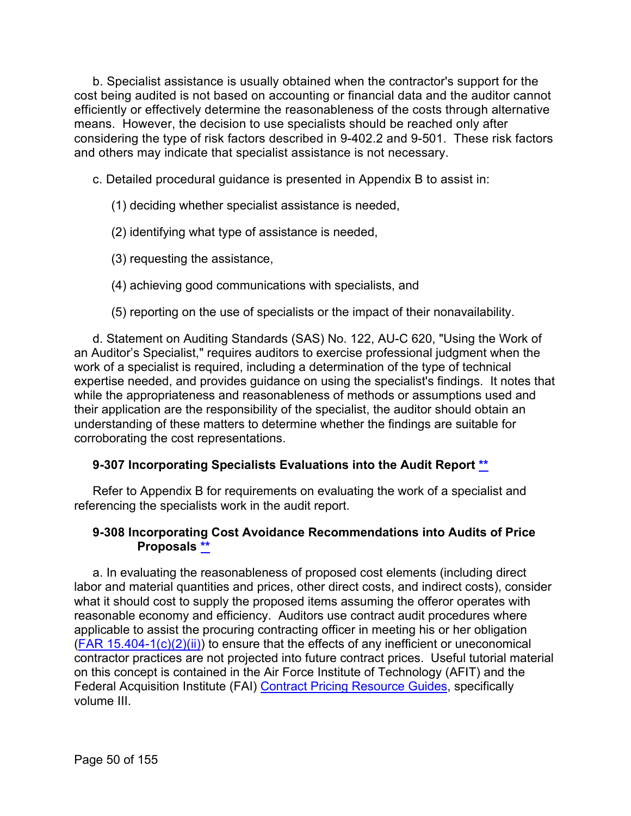b. Specialist assistance is usually obtained when the contractor's support for the cost being audited is not based on accounting or financial data and the auditor cannot efficiently or effectively determine the reasonableness of the costs through alternative means. However, the decision to use specialists should be reached only after considering the type of risk factors described in 9-402.2 and 9-501. These risk factors and others may indicate that specialist assistance is not necessary.

c. Detailed procedural guidance is presented in Appendix B to assist in:

# (1) deciding whether specialist assistance is needed,

- (2) identifying what type of assistance is needed,
- (3) requesting the assistance,
- (4) achieving good communications with specialists, and
- (5) reporting on the use of specialists or the impact of their nonavailability.

d. Statement on Auditing Standards (SAS) No. 122, AU-C 620, "Using the Work of an Auditor's Specialist," requires auditors to exercise professional judgment when the work of a specialist is required, including a determination of the type of technical expertise needed, and provides guidance on using the specialist's findings. It notes that while the appropriateness and reasonableness of methods or assumptions used and their application are the responsibility of the specialist, the auditor should obtain an understanding of these matters to determine whether the findings are suitable for corroborating the cost representations.

# **9-307 Incorporating Specialists Evaluations into the Audit Report [\\*\\*](#page-2-14)**

Refer to Appendix B for requirements on evaluating the work of a specialist and referencing the specialists work in the audit report.

## **9-308 Incorporating Cost Avoidance Recommendations into Audits of Price Proposals [\\*\\*](#page-2-15)**

a. In evaluating the reasonableness of proposed cost elements (including direct labor and material quantities and prices, other direct costs, and indirect costs), consider what it should cost to supply the proposed items assuming the offeror operates with reasonable economy and efficiency. Auditors use contract audit procedures where applicable to assist the procuring contracting officer in meeting his or her obligation  $(FAR 15.404-1(c)(2)(ii))$  to ensure that the effects of any inefficient or uneconomical contractor practices are not projected into future contract prices. Useful tutorial material on this concept is contained in the Air Force Institute of Technology (AFIT) and the Federal Acquisition Institute (FAI) [Contract Pricing Resource Guides,](https://www.dau.edu/tools/p/cprg) specifically volume III.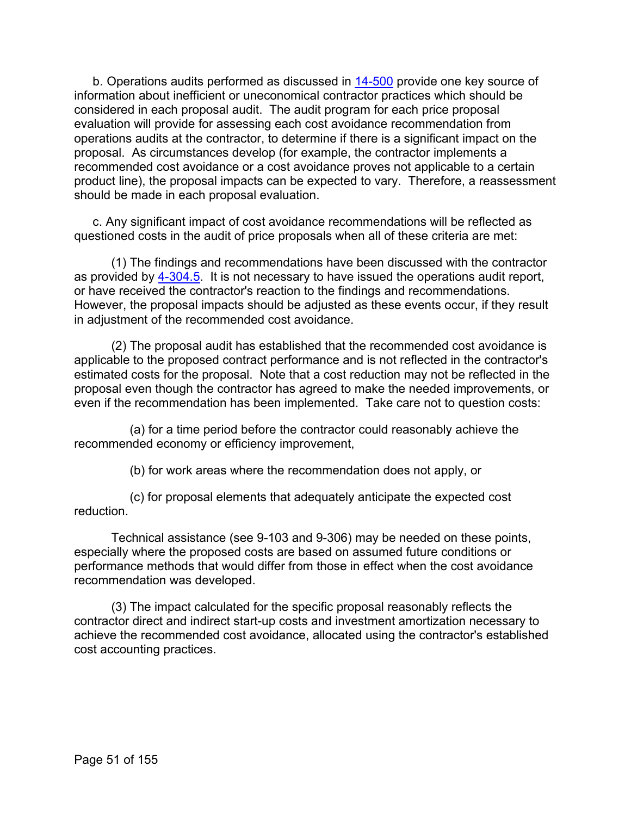b. Operations audits performed as discussed in [14-500](https://viper.dcaa.mil/guidance/cam/3158/other-contract-audit-assignments#Sec14500) provide one key source of information about inefficient or uneconomical contractor practices which should be considered in each proposal audit. The audit program for each price proposal evaluation will provide for assessing each cost avoidance recommendation from operations audits at the contractor, to determine if there is a significant impact on the proposal. As circumstances develop (for example, the contractor implements a recommended cost avoidance or a cost avoidance proves not applicable to a certain product line), the proposal impacts can be expected to vary. Therefore, a reassessment should be made in each proposal evaluation.

c. Any significant impact of cost avoidance recommendations will be reflected as questioned costs in the audit of price proposals when all of these criteria are met:

(1) The findings and recommendations have been discussed with the contractor as provided by [4-304.5.](https://viper.dcaa.mil/guidance/cam/3130/general-audit-requirements#Sec43045) It is not necessary to have issued the operations audit report, or have received the contractor's reaction to the findings and recommendations. However, the proposal impacts should be adjusted as these events occur, if they result in adjustment of the recommended cost avoidance.

(2) The proposal audit has established that the recommended cost avoidance is applicable to the proposed contract performance and is not reflected in the contractor's estimated costs for the proposal. Note that a cost reduction may not be reflected in the proposal even though the contractor has agreed to make the needed improvements, or even if the recommendation has been implemented. Take care not to question costs:

(a) for a time period before the contractor could reasonably achieve the recommended economy or efficiency improvement,

(b) for work areas where the recommendation does not apply, or

(c) for proposal elements that adequately anticipate the expected cost reduction.

Technical assistance (see 9-103 and 9-306) may be needed on these points, especially where the proposed costs are based on assumed future conditions or performance methods that would differ from those in effect when the cost avoidance recommendation was developed.

(3) The impact calculated for the specific proposal reasonably reflects the contractor direct and indirect start-up costs and investment amortization necessary to achieve the recommended cost avoidance, allocated using the contractor's established cost accounting practices.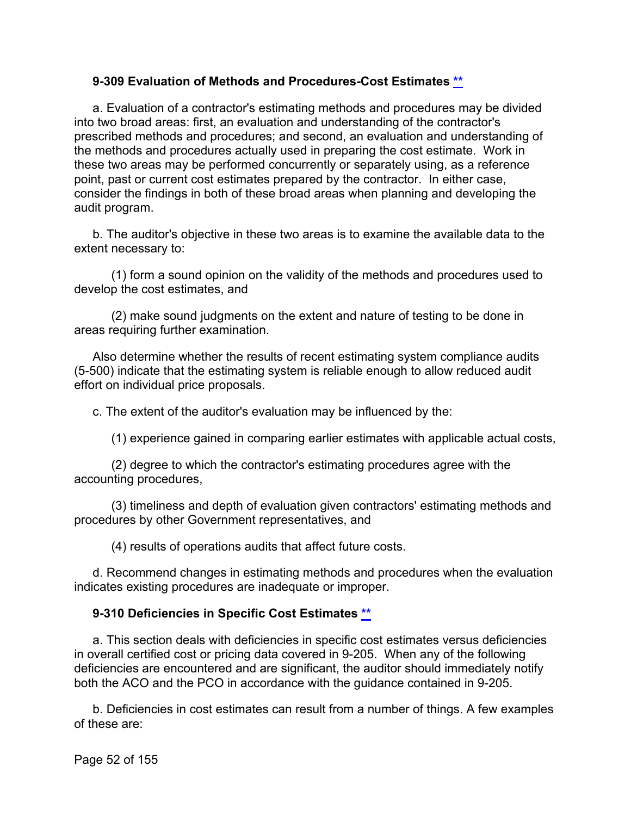## **9-309 Evaluation of Methods and Procedures-Cost Estimates [\\*\\*](#page-2-16)**

a. Evaluation of a contractor's estimating methods and procedures may be divided into two broad areas: first, an evaluation and understanding of the contractor's prescribed methods and procedures; and second, an evaluation and understanding of the methods and procedures actually used in preparing the cost estimate. Work in these two areas may be performed concurrently or separately using, as a reference point, past or current cost estimates prepared by the contractor. In either case, consider the findings in both of these broad areas when planning and developing the audit program.

b. The auditor's objective in these two areas is to examine the available data to the extent necessary to:

(1) form a sound opinion on the validity of the methods and procedures used to develop the cost estimates, and

(2) make sound judgments on the extent and nature of testing to be done in areas requiring further examination.

Also determine whether the results of recent estimating system compliance audits (5-500) indicate that the estimating system is reliable enough to allow reduced audit effort on individual price proposals.

c. The extent of the auditor's evaluation may be influenced by the:

(1) experience gained in comparing earlier estimates with applicable actual costs,

(2) degree to which the contractor's estimating procedures agree with the accounting procedures,

(3) timeliness and depth of evaluation given contractors' estimating methods and procedures by other Government representatives, and

(4) results of operations audits that affect future costs.

d. Recommend changes in estimating methods and procedures when the evaluation indicates existing procedures are inadequate or improper.

# **9-310 Deficiencies in Specific Cost Estimates [\\*\\*](#page-2-17)**

a. This section deals with deficiencies in specific cost estimates versus deficiencies in overall certified cost or pricing data covered in 9-205. When any of the following deficiencies are encountered and are significant, the auditor should immediately notify both the ACO and the PCO in accordance with the guidance contained in 9-205.

b. Deficiencies in cost estimates can result from a number of things. A few examples of these are: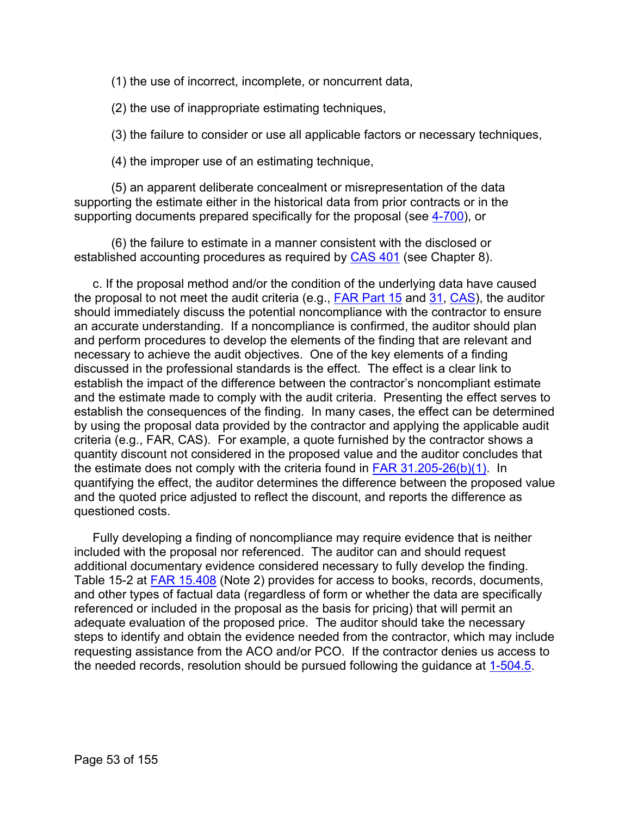(1) the use of incorrect, incomplete, or noncurrent data,

(2) the use of inappropriate estimating techniques,

(3) the failure to consider or use all applicable factors or necessary techniques,

(4) the improper use of an estimating technique,

(5) an apparent deliberate concealment or misrepresentation of the data supporting the estimate either in the historical data from prior contracts or in the supporting documents prepared specifically for the proposal (see [4-700\)](https://viper.dcaa.mil/guidance/cam/3130/general-audit-requirements#Sec4700), or

(6) the failure to estimate in a manner consistent with the disclosed or established accounting procedures as required by [CAS 401](http://www.ecfr.gov/cgi-bin/text-idx?SID=c7c6804220431bea453d66c09c685acb&mc=true&tpl=/ecfrbrowse/Title48/48cfr9904_main_02.tpl) (see Chapter 8).

c. If the proposal method and/or the condition of the underlying data have caused the proposal to not meet the audit criteria (e.g., [FAR Part 15](http://www.ecfr.gov/cgi-bin/text-idx?SID=774c132cd89f432a4396b976f68a0661&mc=true&node=pt48.1.15&rgn=div5) and [31,](http://www.ecfr.gov/cgi-bin/text-idx?SID=a1e33e5a8d8d8cbee6cf646260d99de5&mc=true&node=pt48.1.31&rgn=div5) [CAS\)](http://www.ecfr.gov/cgi-bin/text-idx?SID=4d5920faa2cf8c42f54d522127dc8bb3&mc=true&tpl=/ecfrbrowse/Title48/48cfr9904_main_02.tpl), the auditor should immediately discuss the potential noncompliance with the contractor to ensure an accurate understanding. If a noncompliance is confirmed, the auditor should plan and perform procedures to develop the elements of the finding that are relevant and necessary to achieve the audit objectives. One of the key elements of a finding discussed in the professional standards is the effect. The effect is a clear link to establish the impact of the difference between the contractor's noncompliant estimate and the estimate made to comply with the audit criteria. Presenting the effect serves to establish the consequences of the finding. In many cases, the effect can be determined by using the proposal data provided by the contractor and applying the applicable audit criteria (e.g., FAR, CAS). For example, a quote furnished by the contractor shows a quantity discount not considered in the proposed value and the auditor concludes that the estimate does not comply with the criteria found in [FAR 31.205-26\(b\)\(1\).](http://www.ecfr.gov/cgi-bin/text-idx?SID=774c132cd89f432a4396b976f68a0661&mc=true&node=se48.1.31_1205_626&rgn=div8) In quantifying the effect, the auditor determines the difference between the proposed value and the quoted price adjusted to reflect the discount, and reports the difference as questioned costs.

Fully developing a finding of noncompliance may require evidence that is neither included with the proposal nor referenced. The auditor can and should request additional documentary evidence considered necessary to fully develop the finding. Table 15-2 at [FAR 15.408](http://www.ecfr.gov/cgi-bin/text-idx?SID=774c132cd89f432a4396b976f68a0661&mc=true&node=se48.1.15_1408&rgn=div8) (Note 2) provides for access to books, records, documents, and other types of factual data (regardless of form or whether the data are specifically referenced or included in the proposal as the basis for pricing) that will permit an adequate evaluation of the proposed price. The auditor should take the necessary steps to identify and obtain the evidence needed from the contractor, which may include requesting assistance from the ACO and/or PCO. If the contractor denies us access to the needed records, resolution should be pursued following the guidance at [1-504.5.](https://viper.dcaa.mil/guidance/cam/3127/introduction-to-contract-audit#Access15045)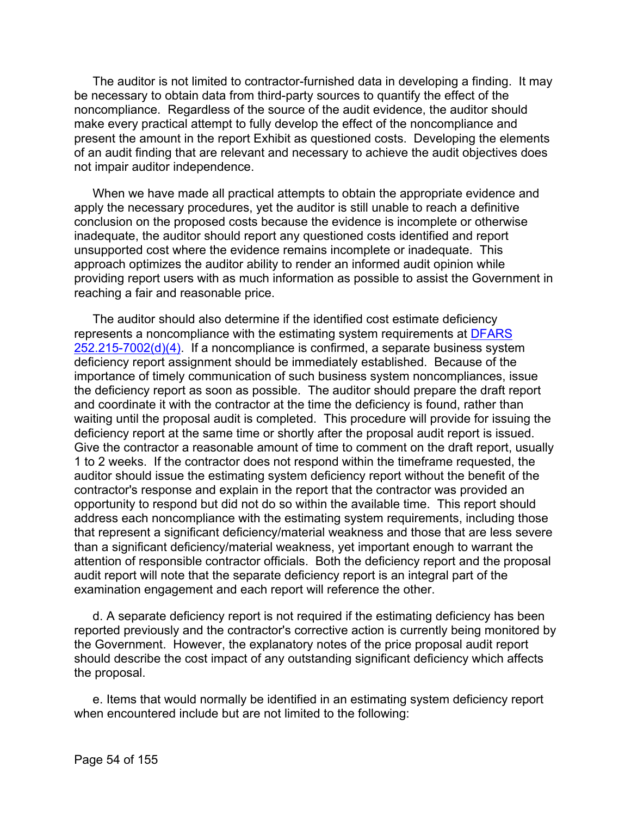The auditor is not limited to contractor-furnished data in developing a finding. It may be necessary to obtain data from third-party sources to quantify the effect of the noncompliance. Regardless of the source of the audit evidence, the auditor should make every practical attempt to fully develop the effect of the noncompliance and present the amount in the report Exhibit as questioned costs. Developing the elements of an audit finding that are relevant and necessary to achieve the audit objectives does not impair auditor independence.

When we have made all practical attempts to obtain the appropriate evidence and apply the necessary procedures, yet the auditor is still unable to reach a definitive conclusion on the proposed costs because the evidence is incomplete or otherwise inadequate, the auditor should report any questioned costs identified and report unsupported cost where the evidence remains incomplete or inadequate. This approach optimizes the auditor ability to render an informed audit opinion while providing report users with as much information as possible to assist the Government in reaching a fair and reasonable price.

The auditor should also determine if the identified cost estimate deficiency represents a noncompliance with the estimating system requirements at [DFARS](https://www.ecfr.gov/cgi-bin/text-idx?SID=642507107b4f4b6c27777876c8360424&mc=true&node=se48.3.252_1215_67002&rgn=div8)   $252.215-7002(d)(4)$ . If a noncompliance is confirmed, a separate business system deficiency report assignment should be immediately established. Because of the importance of timely communication of such business system noncompliances, issue the deficiency report as soon as possible. The auditor should prepare the draft report and coordinate it with the contractor at the time the deficiency is found, rather than waiting until the proposal audit is completed. This procedure will provide for issuing the deficiency report at the same time or shortly after the proposal audit report is issued. Give the contractor a reasonable amount of time to comment on the draft report, usually 1 to 2 weeks. If the contractor does not respond within the timeframe requested, the auditor should issue the estimating system deficiency report without the benefit of the contractor's response and explain in the report that the contractor was provided an opportunity to respond but did not do so within the available time. This report should address each noncompliance with the estimating system requirements, including those that represent a significant deficiency/material weakness and those that are less severe than a significant deficiency/material weakness, yet important enough to warrant the attention of responsible contractor officials. Both the deficiency report and the proposal audit report will note that the separate deficiency report is an integral part of the examination engagement and each report will reference the other.

d. A separate deficiency report is not required if the estimating deficiency has been reported previously and the contractor's corrective action is currently being monitored by the Government. However, the explanatory notes of the price proposal audit report should describe the cost impact of any outstanding significant deficiency which affects the proposal.

e. Items that would normally be identified in an estimating system deficiency report when encountered include but are not limited to the following: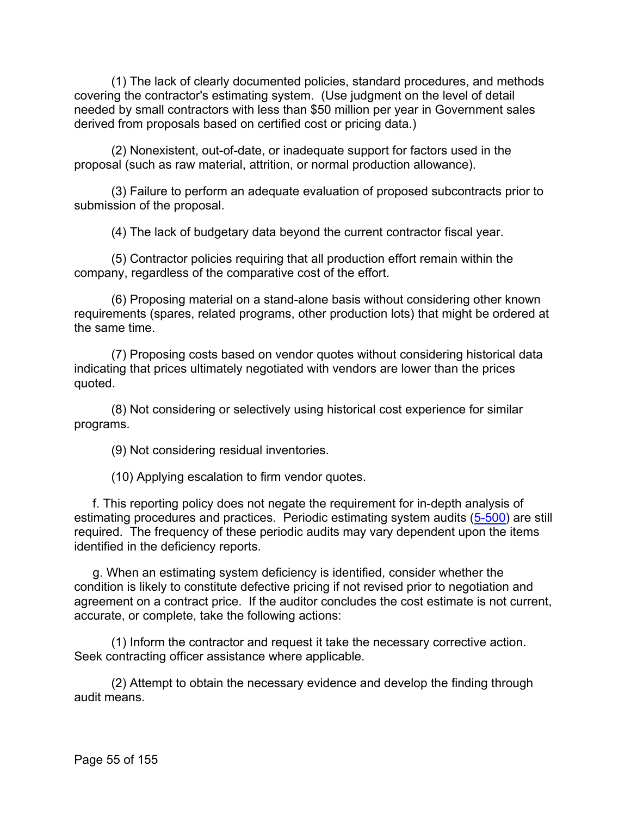(1) The lack of clearly documented policies, standard procedures, and methods covering the contractor's estimating system. (Use judgment on the level of detail needed by small contractors with less than \$50 million per year in Government sales derived from proposals based on certified cost or pricing data.)

(2) Nonexistent, out-of-date, or inadequate support for factors used in the proposal (such as raw material, attrition, or normal production allowance).

(3) Failure to perform an adequate evaluation of proposed subcontracts prior to submission of the proposal.

(4) The lack of budgetary data beyond the current contractor fiscal year.

(5) Contractor policies requiring that all production effort remain within the company, regardless of the comparative cost of the effort.

(6) Proposing material on a stand-alone basis without considering other known requirements (spares, related programs, other production lots) that might be ordered at the same time.

(7) Proposing costs based on vendor quotes without considering historical data indicating that prices ultimately negotiated with vendors are lower than the prices quoted.

(8) Not considering or selectively using historical cost experience for similar programs.

(9) Not considering residual inventories.

(10) Applying escalation to firm vendor quotes.

f. This reporting policy does not negate the requirement for in-depth analysis of estimating procedures and practices. Periodic estimating system audits [\(5-500\)](https://viper.dcaa.mil/guidance/cam/3135/audit-of-contractor-compliance-with-defense-federal-acquisition-regulation-supplement-for-contractor-business-systems-and-subsystems#Sec5500) are still required. The frequency of these periodic audits may vary dependent upon the items identified in the deficiency reports.

g. When an estimating system deficiency is identified, consider whether the condition is likely to constitute defective pricing if not revised prior to negotiation and agreement on a contract price. If the auditor concludes the cost estimate is not current, accurate, or complete, take the following actions:

(1) Inform the contractor and request it take the necessary corrective action. Seek contracting officer assistance where applicable.

(2) Attempt to obtain the necessary evidence and develop the finding through audit means.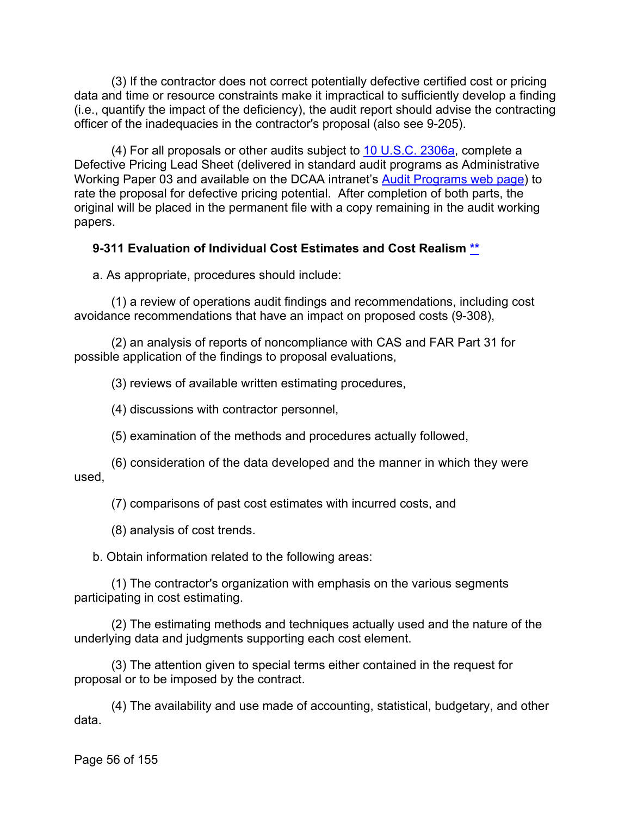(3) If the contractor does not correct potentially defective certified cost or pricing data and time or resource constraints make it impractical to sufficiently develop a finding (i.e., quantify the impact of the deficiency), the audit report should advise the contracting officer of the inadequacies in the contractor's proposal (also see 9-205).

(4) For all proposals or other audits subject to [10 U.S.C. 2306a,](http://uscode.house.gov/view.xhtml?req=granuleid:USC-prelim-title10-section2306&num=0&edition=prelim) complete a Defective Pricing Lead Sheet (delivered in standard audit programs as Administrative Working Paper 03 and available on the DCAA intranet's [Audit Programs web page\)](https://intranet.dcaa.mil/SitePages/APRSOAG_2.aspx) to rate the proposal for defective pricing potential. After completion of both parts, the original will be placed in the permanent file with a copy remaining in the audit working papers.

## **9-311 Evaluation of Individual Cost Estimates and Cost Realism [\\*\\*](#page-2-18)**

a. As appropriate, procedures should include:

(1) a review of operations audit findings and recommendations, including cost avoidance recommendations that have an impact on proposed costs (9-308),

(2) an analysis of reports of noncompliance with CAS and FAR Part 31 for possible application of the findings to proposal evaluations,

(3) reviews of available written estimating procedures,

(4) discussions with contractor personnel,

(5) examination of the methods and procedures actually followed,

(6) consideration of the data developed and the manner in which they were used,

(7) comparisons of past cost estimates with incurred costs, and

(8) analysis of cost trends.

b. Obtain information related to the following areas:

(1) The contractor's organization with emphasis on the various segments participating in cost estimating.

(2) The estimating methods and techniques actually used and the nature of the underlying data and judgments supporting each cost element.

(3) The attention given to special terms either contained in the request for proposal or to be imposed by the contract.

(4) The availability and use made of accounting, statistical, budgetary, and other data.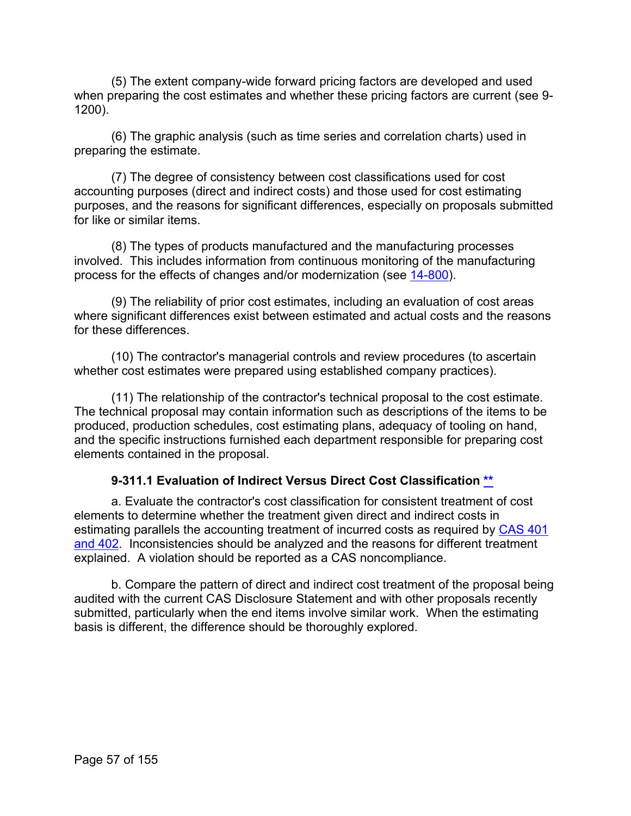(5) The extent company-wide forward pricing factors are developed and used when preparing the cost estimates and whether these pricing factors are current (see 9- 1200).

(6) The graphic analysis (such as time series and correlation charts) used in preparing the estimate.

(7) The degree of consistency between cost classifications used for cost accounting purposes (direct and indirect costs) and those used for cost estimating purposes, and the reasons for significant differences, especially on proposals submitted for like or similar items.

(8) The types of products manufactured and the manufacturing processes involved. This includes information from continuous monitoring of the manufacturing process for the effects of changes and/or modernization (see [14-800\)](https://viper.dcaa.mil/guidance/cam/3158/other-contract-audit-assignments#Sec14800).

(9) The reliability of prior cost estimates, including an evaluation of cost areas where significant differences exist between estimated and actual costs and the reasons for these differences

(10) The contractor's managerial controls and review procedures (to ascertain whether cost estimates were prepared using established company practices).

(11) The relationship of the contractor's technical proposal to the cost estimate. The technical proposal may contain information such as descriptions of the items to be produced, production schedules, cost estimating plans, adequacy of tooling on hand, and the specific instructions furnished each department responsible for preparing cost elements contained in the proposal.

# **9-311.1 Evaluation of Indirect Versus Direct Cost Classification [\\*\\*](#page-2-19)**

a. Evaluate the contractor's cost classification for consistent treatment of cost elements to determine whether the treatment given direct and indirect costs in estimating parallels the accounting treatment of incurred costs as required by [CAS 401](http://www.ecfr.gov/cgi-bin/text-idx?SID=789c1fab9c40cff1e7a55a1bce477a88&mc=true&tpl=/ecfrbrowse/Title48/48cfr9904_main_02.tpl)  [and 402.](http://www.ecfr.gov/cgi-bin/text-idx?SID=789c1fab9c40cff1e7a55a1bce477a88&mc=true&tpl=/ecfrbrowse/Title48/48cfr9904_main_02.tpl) Inconsistencies should be analyzed and the reasons for different treatment explained. A violation should be reported as a CAS noncompliance.

b. Compare the pattern of direct and indirect cost treatment of the proposal being audited with the current CAS Disclosure Statement and with other proposals recently submitted, particularly when the end items involve similar work. When the estimating basis is different, the difference should be thoroughly explored.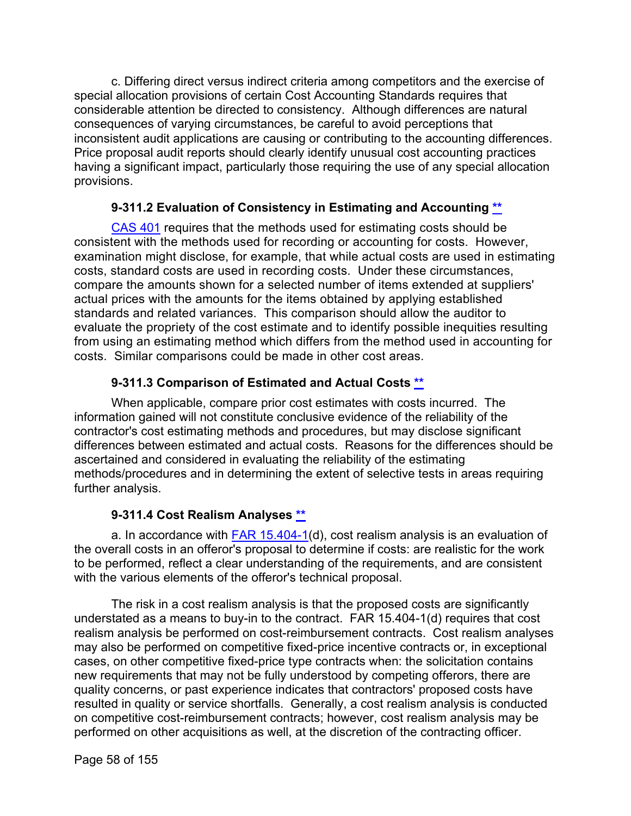c. Differing direct versus indirect criteria among competitors and the exercise of special allocation provisions of certain Cost Accounting Standards requires that considerable attention be directed to consistency. Although differences are natural consequences of varying circumstances, be careful to avoid perceptions that inconsistent audit applications are causing or contributing to the accounting differences. Price proposal audit reports should clearly identify unusual cost accounting practices having a significant impact, particularly those requiring the use of any special allocation provisions.

# **9-311.2 Evaluation of Consistency in Estimating and Accounting [\\*\\*](#page-2-20)**

[CAS 401](http://www.ecfr.gov/cgi-bin/text-idx?SID=789c1fab9c40cff1e7a55a1bce477a88&mc=true&tpl=/ecfrbrowse/Title48/48cfr9904_main_02.tpl) requires that the methods used for estimating costs should be consistent with the methods used for recording or accounting for costs. However, examination might disclose, for example, that while actual costs are used in estimating costs, standard costs are used in recording costs. Under these circumstances, compare the amounts shown for a selected number of items extended at suppliers' actual prices with the amounts for the items obtained by applying established standards and related variances. This comparison should allow the auditor to evaluate the propriety of the cost estimate and to identify possible inequities resulting from using an estimating method which differs from the method used in accounting for costs. Similar comparisons could be made in other cost areas.

# **9-311.3 Comparison of Estimated and Actual Costs [\\*\\*](#page-2-21)**

When applicable, compare prior cost estimates with costs incurred. The information gained will not constitute conclusive evidence of the reliability of the contractor's cost estimating methods and procedures, but may disclose significant differences between estimated and actual costs. Reasons for the differences should be ascertained and considered in evaluating the reliability of the estimating methods/procedures and in determining the extent of selective tests in areas requiring further analysis.

# **9-311.4 Cost Realism Analyses [\\*\\*](#page-2-22)**

a. In accordance with  $FAR$  15.404-1(d), cost realism analysis is an evaluation of the overall costs in an offeror's proposal to determine if costs: are realistic for the work to be performed, reflect a clear understanding of the requirements, and are consistent with the various elements of the offeror's technical proposal.

The risk in a cost realism analysis is that the proposed costs are significantly understated as a means to buy-in to the contract. FAR 15.404-1(d) requires that cost realism analysis be performed on cost-reimbursement contracts. Cost realism analyses may also be performed on competitive fixed-price incentive contracts or, in exceptional cases, on other competitive fixed-price type contracts when: the solicitation contains new requirements that may not be fully understood by competing offerors, there are quality concerns, or past experience indicates that contractors' proposed costs have resulted in quality or service shortfalls. Generally, a cost realism analysis is conducted on competitive cost-reimbursement contracts; however, cost realism analysis may be performed on other acquisitions as well, at the discretion of the contracting officer.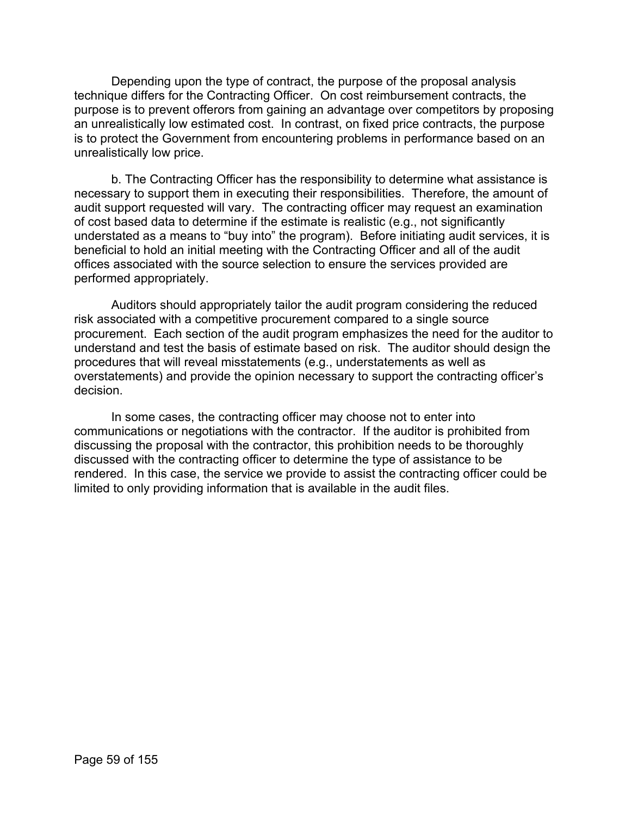Depending upon the type of contract, the purpose of the proposal analysis technique differs for the Contracting Officer. On cost reimbursement contracts, the purpose is to prevent offerors from gaining an advantage over competitors by proposing an unrealistically low estimated cost. In contrast, on fixed price contracts, the purpose is to protect the Government from encountering problems in performance based on an unrealistically low price.

b. The Contracting Officer has the responsibility to determine what assistance is necessary to support them in executing their responsibilities. Therefore, the amount of audit support requested will vary. The contracting officer may request an examination of cost based data to determine if the estimate is realistic (e.g., not significantly understated as a means to "buy into" the program). Before initiating audit services, it is beneficial to hold an initial meeting with the Contracting Officer and all of the audit offices associated with the source selection to ensure the services provided are performed appropriately.

Auditors should appropriately tailor the audit program considering the reduced risk associated with a competitive procurement compared to a single source procurement. Each section of the audit program emphasizes the need for the auditor to understand and test the basis of estimate based on risk. The auditor should design the procedures that will reveal misstatements (e.g., understatements as well as overstatements) and provide the opinion necessary to support the contracting officer's decision.

In some cases, the contracting officer may choose not to enter into communications or negotiations with the contractor. If the auditor is prohibited from discussing the proposal with the contractor, this prohibition needs to be thoroughly discussed with the contracting officer to determine the type of assistance to be rendered. In this case, the service we provide to assist the contracting officer could be limited to only providing information that is available in the audit files.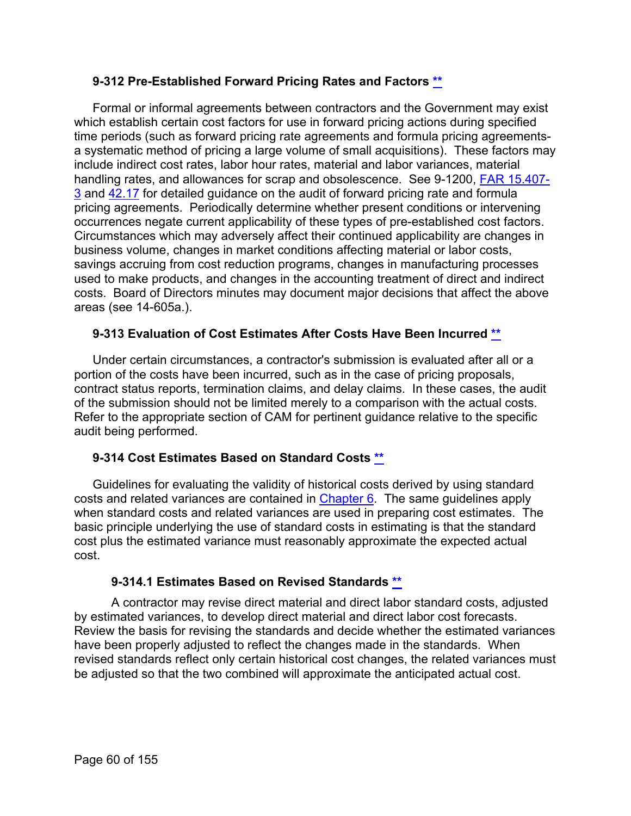## **9-312 Pre-Established Forward Pricing Rates and Factors [\\*\\*](#page-2-23)**

Formal or informal agreements between contractors and the Government may exist which establish certain cost factors for use in forward pricing actions during specified time periods (such as forward pricing rate agreements and formula pricing agreementsa systematic method of pricing a large volume of small acquisitions). These factors may include indirect cost rates, labor hour rates, material and labor variances, material handling rates, and allowances for scrap and obsolescence. See 9-1200, [FAR 15.407-](http://www.ecfr.gov/cgi-bin/text-idx?SID=774c132cd89f432a4396b976f68a0661&mc=true&node=se48.1.15_1407_63&rgn=div8) [3](http://www.ecfr.gov/cgi-bin/text-idx?SID=774c132cd89f432a4396b976f68a0661&mc=true&node=se48.1.15_1407_63&rgn=div8) and [42.17](http://www.ecfr.gov/cgi-bin/text-idx?SID=48d473c76725d95ae78a8a9863ce2670&mc=true&node=sp48.1.42.42_117&rgn=div6) for detailed guidance on the audit of forward pricing rate and formula pricing agreements. Periodically determine whether present conditions or intervening occurrences negate current applicability of these types of pre-established cost factors. Circumstances which may adversely affect their continued applicability are changes in business volume, changes in market conditions affecting material or labor costs, savings accruing from cost reduction programs, changes in manufacturing processes used to make products, and changes in the accounting treatment of direct and indirect costs. Board of Directors minutes may document major decisions that affect the above areas (see 14-605a.).

# **9-313 Evaluation of Cost Estimates After Costs Have Been Incurred [\\*\\*](#page-3-0)**

Under certain circumstances, a contractor's submission is evaluated after all or a portion of the costs have been incurred, such as in the case of pricing proposals, contract status reports, termination claims, and delay claims. In these cases, the audit of the submission should not be limited merely to a comparison with the actual costs. Refer to the appropriate section of CAM for pertinent guidance relative to the specific audit being performed.

# **9-314 Cost Estimates Based on Standard Costs [\\*\\*](#page-3-1)**

Guidelines for evaluating the validity of historical costs derived by using standard costs and related variances are contained in [Chapter 6.](https://viper.dcaa.mil/guidance/cam/3136/incurred-cost-audit-procedures#Sec) The same guidelines apply when standard costs and related variances are used in preparing cost estimates. The basic principle underlying the use of standard costs in estimating is that the standard cost plus the estimated variance must reasonably approximate the expected actual cost.

## **9-314.1 Estimates Based on Revised Standards [\\*\\*](#page-3-2)**

A contractor may revise direct material and direct labor standard costs, adjusted by estimated variances, to develop direct material and direct labor cost forecasts. Review the basis for revising the standards and decide whether the estimated variances have been properly adjusted to reflect the changes made in the standards. When revised standards reflect only certain historical cost changes, the related variances must be adjusted so that the two combined will approximate the anticipated actual cost.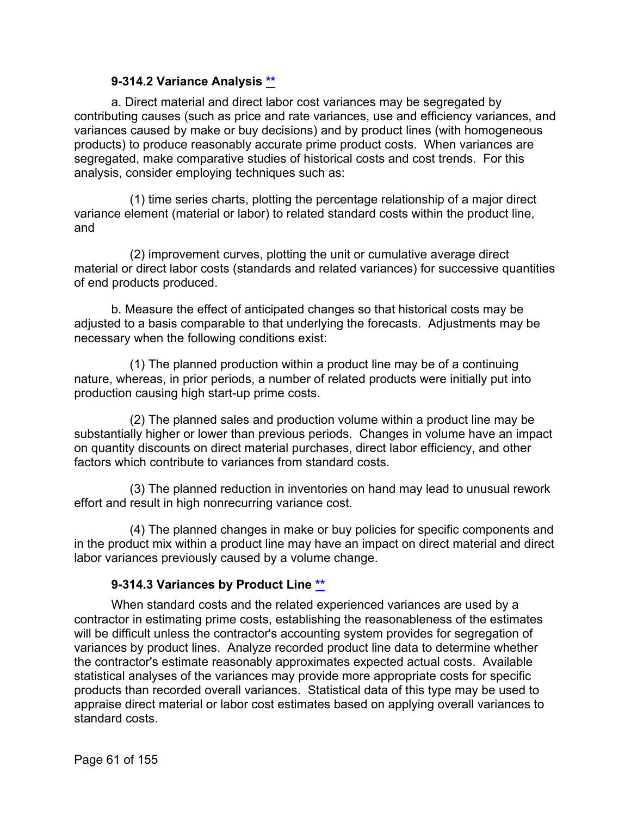## **9-314.2 Variance Analysis [\\*\\*](#page-3-3)**

a. Direct material and direct labor cost variances may be segregated by contributing causes (such as price and rate variances, use and efficiency variances, and variances caused by make or buy decisions) and by product lines (with homogeneous products) to produce reasonably accurate prime product costs. When variances are segregated, make comparative studies of historical costs and cost trends. For this analysis, consider employing techniques such as:

(1) time series charts, plotting the percentage relationship of a major direct variance element (material or labor) to related standard costs within the product line, and

(2) improvement curves, plotting the unit or cumulative average direct material or direct labor costs (standards and related variances) for successive quantities of end products produced.

b. Measure the effect of anticipated changes so that historical costs may be adjusted to a basis comparable to that underlying the forecasts. Adjustments may be necessary when the following conditions exist:

(1) The planned production within a product line may be of a continuing nature, whereas, in prior periods, a number of related products were initially put into production causing high start-up prime costs.

(2) The planned sales and production volume within a product line may be substantially higher or lower than previous periods. Changes in volume have an impact on quantity discounts on direct material purchases, direct labor efficiency, and other factors which contribute to variances from standard costs.

(3) The planned reduction in inventories on hand may lead to unusual rework effort and result in high nonrecurring variance cost.

(4) The planned changes in make or buy policies for specific components and in the product mix within a product line may have an impact on direct material and direct labor variances previously caused by a volume change.

# **9-314.3 Variances by Product Line [\\*\\*](#page-3-4)**

When standard costs and the related experienced variances are used by a contractor in estimating prime costs, establishing the reasonableness of the estimates will be difficult unless the contractor's accounting system provides for segregation of variances by product lines. Analyze recorded product line data to determine whether the contractor's estimate reasonably approximates expected actual costs. Available statistical analyses of the variances may provide more appropriate costs for specific products than recorded overall variances. Statistical data of this type may be used to appraise direct material or labor cost estimates based on applying overall variances to standard costs.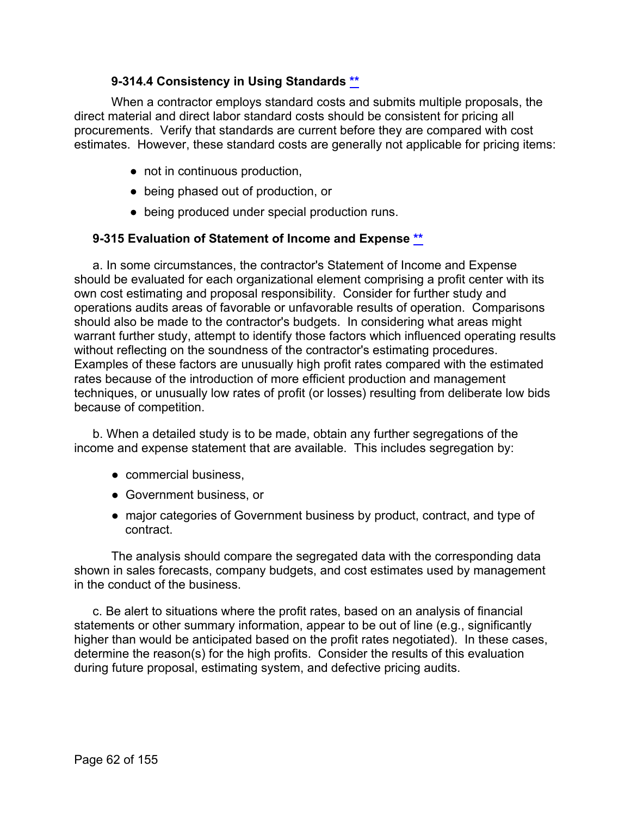# **9-314.4 Consistency in Using Standards [\\*\\*](#page-3-5)**

When a contractor employs standard costs and submits multiple proposals, the direct material and direct labor standard costs should be consistent for pricing all procurements. Verify that standards are current before they are compared with cost estimates. However, these standard costs are generally not applicable for pricing items:

- not in continuous production,
- being phased out of production, or
- being produced under special production runs.

## **9-315 Evaluation of Statement of Income and Expense [\\*\\*](#page-3-6)**

a. In some circumstances, the contractor's Statement of Income and Expense should be evaluated for each organizational element comprising a profit center with its own cost estimating and proposal responsibility. Consider for further study and operations audits areas of favorable or unfavorable results of operation. Comparisons should also be made to the contractor's budgets. In considering what areas might warrant further study, attempt to identify those factors which influenced operating results without reflecting on the soundness of the contractor's estimating procedures. Examples of these factors are unusually high profit rates compared with the estimated rates because of the introduction of more efficient production and management techniques, or unusually low rates of profit (or losses) resulting from deliberate low bids because of competition.

b. When a detailed study is to be made, obtain any further segregations of the income and expense statement that are available. This includes segregation by:

- commercial business,
- Government business, or
- major categories of Government business by product, contract, and type of contract.

The analysis should compare the segregated data with the corresponding data shown in sales forecasts, company budgets, and cost estimates used by management in the conduct of the business.

c. Be alert to situations where the profit rates, based on an analysis of financial statements or other summary information, appear to be out of line (e.g., significantly higher than would be anticipated based on the profit rates negotiated). In these cases, determine the reason(s) for the high profits. Consider the results of this evaluation during future proposal, estimating system, and defective pricing audits.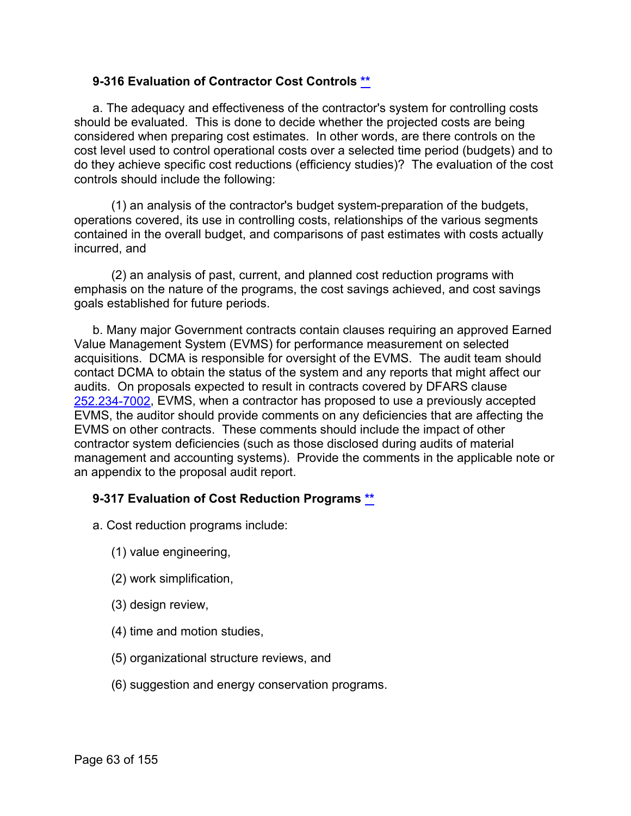## **9-316 Evaluation of Contractor Cost Controls [\\*\\*](#page-3-7)**

a. The adequacy and effectiveness of the contractor's system for controlling costs should be evaluated. This is done to decide whether the projected costs are being considered when preparing cost estimates. In other words, are there controls on the cost level used to control operational costs over a selected time period (budgets) and to do they achieve specific cost reductions (efficiency studies)? The evaluation of the cost controls should include the following:

(1) an analysis of the contractor's budget system-preparation of the budgets, operations covered, its use in controlling costs, relationships of the various segments contained in the overall budget, and comparisons of past estimates with costs actually incurred, and

(2) an analysis of past, current, and planned cost reduction programs with emphasis on the nature of the programs, the cost savings achieved, and cost savings goals established for future periods.

b. Many major Government contracts contain clauses requiring an approved Earned Value Management System (EVMS) for performance measurement on selected acquisitions. DCMA is responsible for oversight of the EVMS. The audit team should contact DCMA to obtain the status of the system and any reports that might affect our audits. On proposals expected to result in contracts covered by DFARS clause [252.234-7002,](http://www.ecfr.gov/cgi-bin/text-idx?SID=1a68c6783342601b8ac6efb69a55042e&mc=true&node=se48.3.252_1234_67002&rgn=div8) EVMS, when a contractor has proposed to use a previously accepted EVMS, the auditor should provide comments on any deficiencies that are affecting the EVMS on other contracts. These comments should include the impact of other contractor system deficiencies (such as those disclosed during audits of material management and accounting systems). Provide the comments in the applicable note or an appendix to the proposal audit report.

## **9-317 Evaluation of Cost Reduction Programs [\\*\\*](#page-3-8)**

- a. Cost reduction programs include:
	- (1) value engineering,
	- (2) work simplification,
	- (3) design review,
	- (4) time and motion studies,
	- (5) organizational structure reviews, and
	- (6) suggestion and energy conservation programs.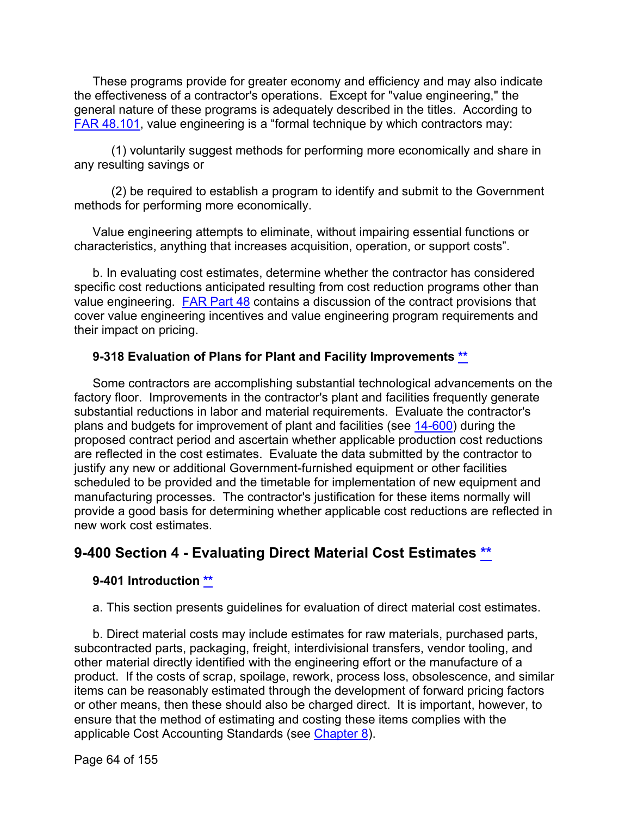These programs provide for greater economy and efficiency and may also indicate the effectiveness of a contractor's operations. Except for "value engineering," the general nature of these programs is adequately described in the titles. According to [FAR 48.101,](http://www.ecfr.gov/cgi-bin/text-idx?SID=774c132cd89f432a4396b976f68a0661&mc=true&node=se48.1.48_1101&rgn=div8) value engineering is a "formal technique by which contractors may:

(1) voluntarily suggest methods for performing more economically and share in any resulting savings or

(2) be required to establish a program to identify and submit to the Government methods for performing more economically.

Value engineering attempts to eliminate, without impairing essential functions or characteristics, anything that increases acquisition, operation, or support costs".

b. In evaluating cost estimates, determine whether the contractor has considered specific cost reductions anticipated resulting from cost reduction programs other than value engineering. [FAR Part 48](http://www.ecfr.gov/cgi-bin/retrieveECFR?gp=&SID=774c132cd89f432a4396b976f68a0661&mc=true&n=pt48.1.48&r=PART&ty=HTML) contains a discussion of the contract provisions that cover value engineering incentives and value engineering program requirements and their impact on pricing.

## **9-318 Evaluation of Plans for Plant and Facility Improvements [\\*\\*](#page-3-9)**

Some contractors are accomplishing substantial technological advancements on the factory floor. Improvements in the contractor's plant and facilities frequently generate substantial reductions in labor and material requirements. Evaluate the contractor's plans and budgets for improvement of plant and facilities (see [14-600\)](https://viper.dcaa.mil/guidance/cam/3158/other-contract-audit-assignments#Sec14600) during the proposed contract period and ascertain whether applicable production cost reductions are reflected in the cost estimates. Evaluate the data submitted by the contractor to justify any new or additional Government-furnished equipment or other facilities scheduled to be provided and the timetable for implementation of new equipment and manufacturing processes. The contractor's justification for these items normally will provide a good basis for determining whether applicable cost reductions are reflected in new work cost estimates.

# **9-400 Section 4 - Evaluating Direct Material Cost Estimates [\\*\\*](#page-3-10)**

## **9-401 Introduction [\\*\\*](#page-3-11)**

a. This section presents guidelines for evaluation of direct material cost estimates.

b. Direct material costs may include estimates for raw materials, purchased parts, subcontracted parts, packaging, freight, interdivisional transfers, vendor tooling, and other material directly identified with the engineering effort or the manufacture of a product. If the costs of scrap, spoilage, rework, process loss, obsolescence, and similar items can be reasonably estimated through the development of forward pricing factors or other means, then these should also be charged direct. It is important, however, to ensure that the method of estimating and costing these items complies with the applicable Cost Accounting Standards (see [Chapter 8\)](https://viper.dcaa.mil/guidance/cam/3141/cost-accounting-standards#Section).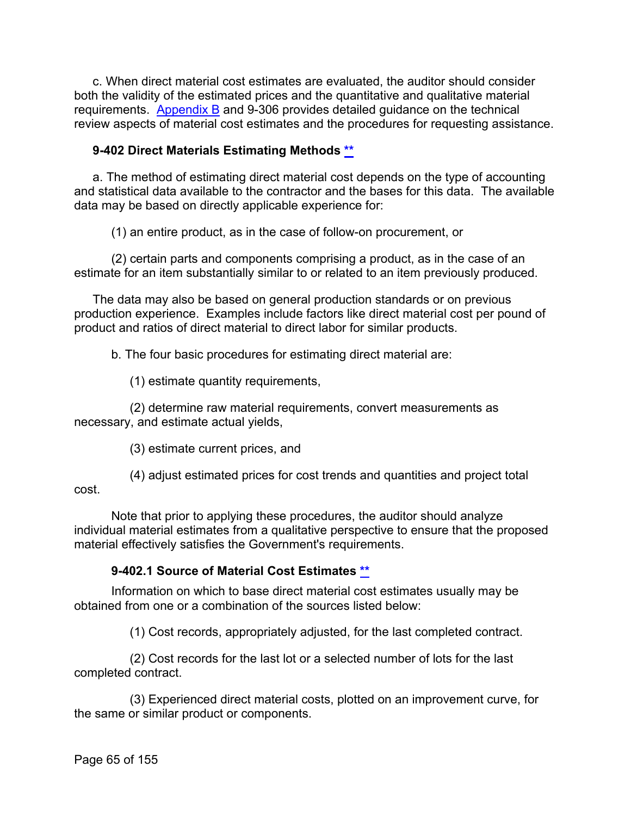c. When direct material cost estimates are evaluated, the auditor should consider both the validity of the estimated prices and the quantitative and qualitative material requirements. [Appendix](https://viper.dcaa.mil/guidance/cam/3163/appendix-b-specialist-assistance#Sec) B and 9-306 provides detailed guidance on the technical review aspects of material cost estimates and the procedures for requesting assistance.

# **9-402 Direct Materials Estimating Methods [\\*\\*](#page-3-12)**

a. The method of estimating direct material cost depends on the type of accounting and statistical data available to the contractor and the bases for this data. The available data may be based on directly applicable experience for:

(1) an entire product, as in the case of follow-on procurement, or

(2) certain parts and components comprising a product, as in the case of an estimate for an item substantially similar to or related to an item previously produced.

The data may also be based on general production standards or on previous production experience. Examples include factors like direct material cost per pound of product and ratios of direct material to direct labor for similar products.

b. The four basic procedures for estimating direct material are:

(1) estimate quantity requirements,

(2) determine raw material requirements, convert measurements as necessary, and estimate actual yields,

(3) estimate current prices, and

(4) adjust estimated prices for cost trends and quantities and project total cost.

Note that prior to applying these procedures, the auditor should analyze individual material estimates from a qualitative perspective to ensure that the proposed material effectively satisfies the Government's requirements.

## **9-402.1 Source of Material Cost Estimates [\\*\\*](#page-3-13)**

Information on which to base direct material cost estimates usually may be obtained from one or a combination of the sources listed below:

(1) Cost records, appropriately adjusted, for the last completed contract.

(2) Cost records for the last lot or a selected number of lots for the last completed contract.

(3) Experienced direct material costs, plotted on an improvement curve, for the same or similar product or components.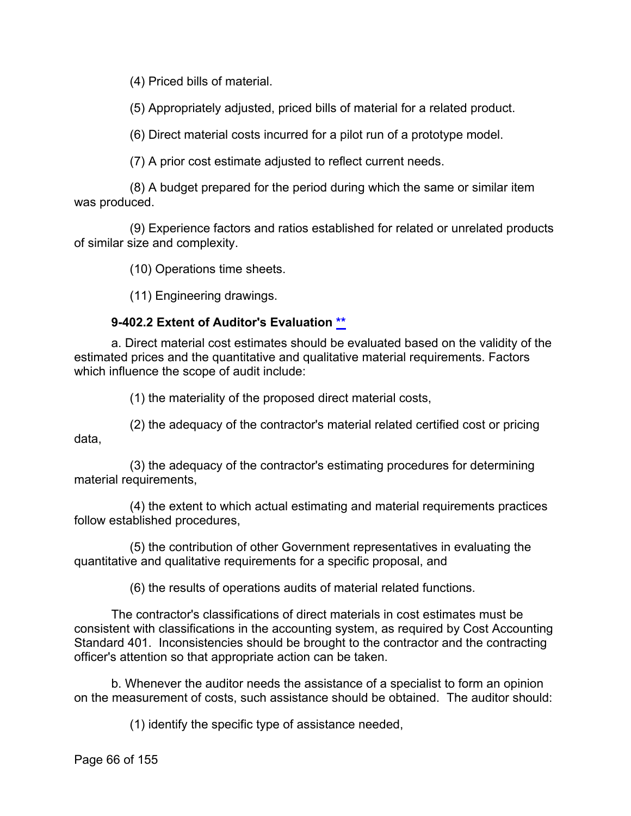(4) Priced bills of material.

(5) Appropriately adjusted, priced bills of material for a related product.

(6) Direct material costs incurred for a pilot run of a prototype model.

(7) A prior cost estimate adjusted to reflect current needs.

(8) A budget prepared for the period during which the same or similar item was produced.

(9) Experience factors and ratios established for related or unrelated products of similar size and complexity.

(10) Operations time sheets.

(11) Engineering drawings.

# **9-402.2 Extent of Auditor's Evaluation [\\*\\*](#page-3-14)**

a. Direct material cost estimates should be evaluated based on the validity of the estimated prices and the quantitative and qualitative material requirements. Factors which influence the scope of audit include:

(1) the materiality of the proposed direct material costs,

(2) the adequacy of the contractor's material related certified cost or pricing data,

(3) the adequacy of the contractor's estimating procedures for determining material requirements,

(4) the extent to which actual estimating and material requirements practices follow established procedures,

(5) the contribution of other Government representatives in evaluating the quantitative and qualitative requirements for a specific proposal, and

(6) the results of operations audits of material related functions.

The contractor's classifications of direct materials in cost estimates must be consistent with classifications in the accounting system, as required by Cost Accounting Standard 401. Inconsistencies should be brought to the contractor and the contracting officer's attention so that appropriate action can be taken.

b. Whenever the auditor needs the assistance of a specialist to form an opinion on the measurement of costs, such assistance should be obtained. The auditor should:

(1) identify the specific type of assistance needed,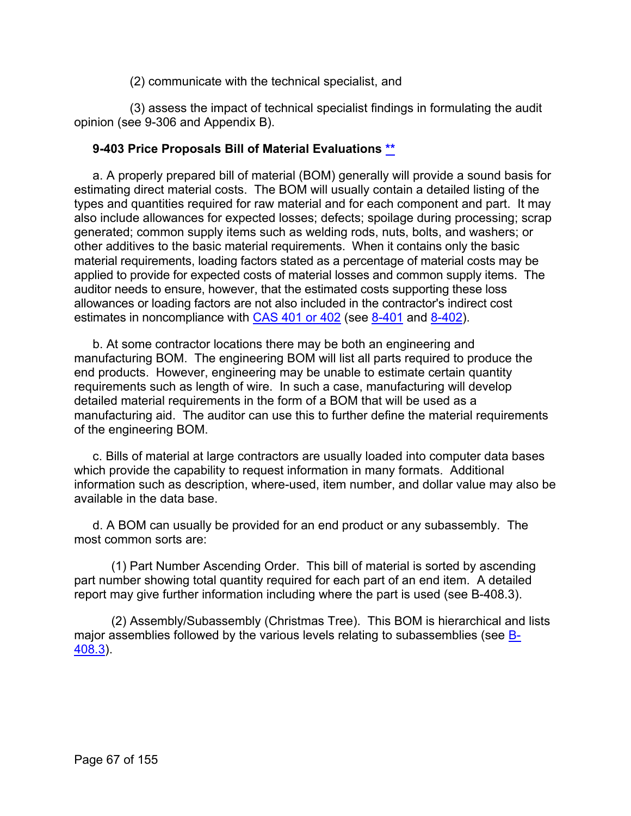(2) communicate with the technical specialist, and

(3) assess the impact of technical specialist findings in formulating the audit opinion (see 9-306 and Appendix B).

## **9-403 Price Proposals Bill of Material Evaluations [\\*\\*](#page-3-15)**

a. A properly prepared bill of material (BOM) generally will provide a sound basis for estimating direct material costs. The BOM will usually contain a detailed listing of the types and quantities required for raw material and for each component and part. It may also include allowances for expected losses; defects; spoilage during processing; scrap generated; common supply items such as welding rods, nuts, bolts, and washers; or other additives to the basic material requirements. When it contains only the basic material requirements, loading factors stated as a percentage of material costs may be applied to provide for expected costs of material losses and common supply items. The auditor needs to ensure, however, that the estimated costs supporting these loss allowances or loading factors are not also included in the contractor's indirect cost estimates in noncompliance with [CAS 401](http://www.ecfr.gov/cgi-bin/text-idx?SID=789c1fab9c40cff1e7a55a1bce477a88&mc=true&tpl=/ecfrbrowse/Title48/48cfr9904_main_02.tpl) or 402 (see [8-401](https://viper.dcaa.mil/guidance/cam/3141/cost-accounting-standards#Section8401) and [8-402\)](https://viper.dcaa.mil/guidance/cam/3141/cost-accounting-standards#Section8402).

b. At some contractor locations there may be both an engineering and manufacturing BOM. The engineering BOM will list all parts required to produce the end products. However, engineering may be unable to estimate certain quantity requirements such as length of wire. In such a case, manufacturing will develop detailed material requirements in the form of a BOM that will be used as a manufacturing aid. The auditor can use this to further define the material requirements of the engineering BOM.

c. Bills of material at large contractors are usually loaded into computer data bases which provide the capability to request information in many formats. Additional information such as description, where-used, item number, and dollar value may also be available in the data base.

d. A BOM can usually be provided for an end product or any subassembly. The most common sorts are:

(1) Part Number Ascending Order. This bill of material is sorted by ascending part number showing total quantity required for each part of an end item. A detailed report may give further information including where the part is used (see B-408.3).

(2) Assembly/Subassembly (Christmas Tree). This BOM is hierarchical and lists major assemblies followed by the various levels relating to subassemblies (see [B-](https://viper.dcaa.mil/guidance/cam/3163/appendix-b-specialist-assistance#Sec)[408.3\)](https://viper.dcaa.mil/guidance/cam/3163/appendix-b-specialist-assistance#Sec).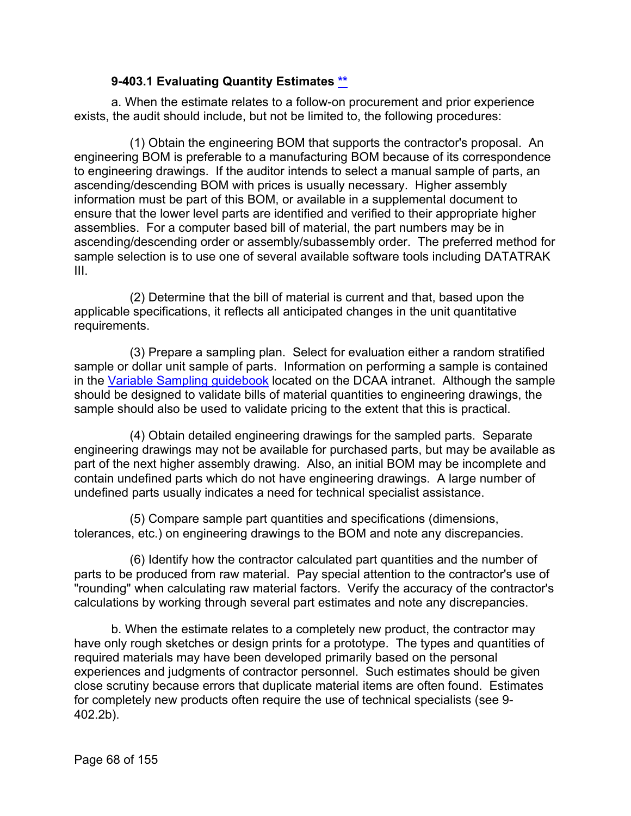## **9-403.1 Evaluating Quantity Estimates [\\*\\*](#page-3-16)**

a. When the estimate relates to a follow-on procurement and prior experience exists, the audit should include, but not be limited to, the following procedures:

(1) Obtain the engineering BOM that supports the contractor's proposal. An engineering BOM is preferable to a manufacturing BOM because of its correspondence to engineering drawings. If the auditor intends to select a manual sample of parts, an ascending/descending BOM with prices is usually necessary. Higher assembly information must be part of this BOM, or available in a supplemental document to ensure that the lower level parts are identified and verified to their appropriate higher assemblies. For a computer based bill of material, the part numbers may be in ascending/descending order or assembly/subassembly order. The preferred method for sample selection is to use one of several available software tools including DATATRAK III.

(2) Determine that the bill of material is current and that, based upon the applicable specifications, it reflects all anticipated changes in the unit quantitative requirements.

(3) Prepare a sampling plan. Select for evaluation either a random stratified sample or dollar unit sample of parts. Information on performing a sample is contained in the [Variable Sampling guidebook](https://viper.dcaa.mil/guidance/guidebooks/variable-sampling) located on the DCAA intranet. Although the sample should be designed to validate bills of material quantities to engineering drawings, the sample should also be used to validate pricing to the extent that this is practical.

(4) Obtain detailed engineering drawings for the sampled parts. Separate engineering drawings may not be available for purchased parts, but may be available as part of the next higher assembly drawing. Also, an initial BOM may be incomplete and contain undefined parts which do not have engineering drawings. A large number of undefined parts usually indicates a need for technical specialist assistance.

(5) Compare sample part quantities and specifications (dimensions, tolerances, etc.) on engineering drawings to the BOM and note any discrepancies.

(6) Identify how the contractor calculated part quantities and the number of parts to be produced from raw material. Pay special attention to the contractor's use of "rounding" when calculating raw material factors. Verify the accuracy of the contractor's calculations by working through several part estimates and note any discrepancies.

b. When the estimate relates to a completely new product, the contractor may have only rough sketches or design prints for a prototype. The types and quantities of required materials may have been developed primarily based on the personal experiences and judgments of contractor personnel. Such estimates should be given close scrutiny because errors that duplicate material items are often found. Estimates for completely new products often require the use of technical specialists (see 9- 402.2b).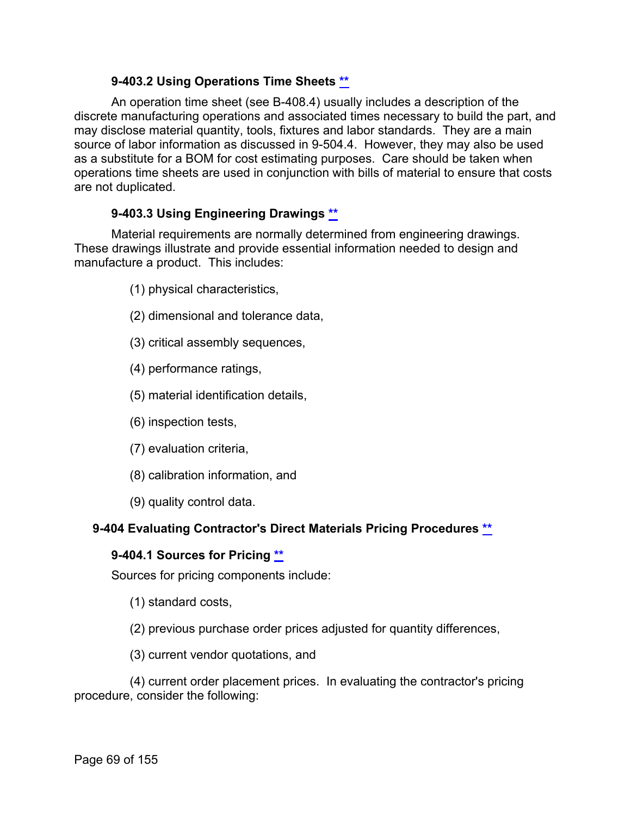## **9-403.2 Using Operations Time Sheets [\\*\\*](#page-3-17)**

An operation time sheet (see B-408.4) usually includes a description of the discrete manufacturing operations and associated times necessary to build the part, and may disclose material quantity, tools, fixtures and labor standards. They are a main source of labor information as discussed in 9-504.4. However, they may also be used as a substitute for a BOM for cost estimating purposes. Care should be taken when operations time sheets are used in conjunction with bills of material to ensure that costs are not duplicated.

# **9-403.3 Using Engineering Drawings [\\*\\*](#page-3-18)**

Material requirements are normally determined from engineering drawings. These drawings illustrate and provide essential information needed to design and manufacture a product. This includes:

- (1) physical characteristics,
- (2) dimensional and tolerance data,
- (3) critical assembly sequences,
- (4) performance ratings,
- (5) material identification details,
- (6) inspection tests,
- (7) evaluation criteria,
- (8) calibration information, and
- (9) quality control data.

## **9-404 Evaluating Contractor's Direct Materials Pricing Procedures [\\*\\*](#page-3-19)**

## **9-404.1 Sources for Pricing [\\*\\*](#page-3-20)**

Sources for pricing components include:

- (1) standard costs,
- (2) previous purchase order prices adjusted for quantity differences,
- (3) current vendor quotations, and

(4) current order placement prices. In evaluating the contractor's pricing procedure, consider the following: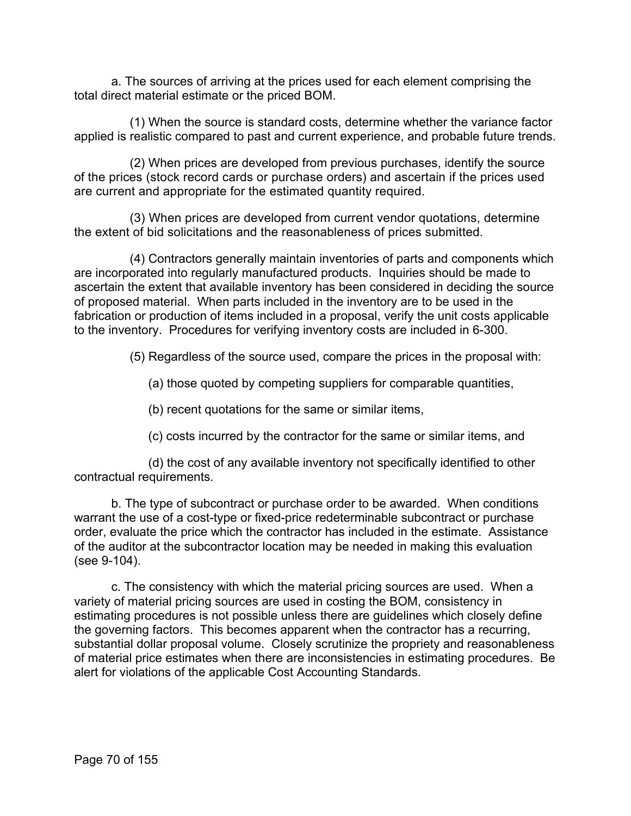a. The sources of arriving at the prices used for each element comprising the total direct material estimate or the priced BOM.

(1) When the source is standard costs, determine whether the variance factor applied is realistic compared to past and current experience, and probable future trends.

(2) When prices are developed from previous purchases, identify the source of the prices (stock record cards or purchase orders) and ascertain if the prices used are current and appropriate for the estimated quantity required.

(3) When prices are developed from current vendor quotations, determine the extent of bid solicitations and the reasonableness of prices submitted.

(4) Contractors generally maintain inventories of parts and components which are incorporated into regularly manufactured products. Inquiries should be made to ascertain the extent that available inventory has been considered in deciding the source of proposed material. When parts included in the inventory are to be used in the fabrication or production of items included in a proposal, verify the unit costs applicable to the inventory. Procedures for verifying inventory costs are included in 6-300.

(5) Regardless of the source used, compare the prices in the proposal with:

(a) those quoted by competing suppliers for comparable quantities,

(b) recent quotations for the same or similar items,

(c) costs incurred by the contractor for the same or similar items, and

(d) the cost of any available inventory not specifically identified to other contractual requirements.

b. The type of subcontract or purchase order to be awarded. When conditions warrant the use of a cost-type or fixed-price redeterminable subcontract or purchase order, evaluate the price which the contractor has included in the estimate. Assistance of the auditor at the subcontractor location may be needed in making this evaluation (see 9-104).

c. The consistency with which the material pricing sources are used. When a variety of material pricing sources are used in costing the BOM, consistency in estimating procedures is not possible unless there are guidelines which closely define the governing factors. This becomes apparent when the contractor has a recurring, substantial dollar proposal volume. Closely scrutinize the propriety and reasonableness of material price estimates when there are inconsistencies in estimating procedures. Be alert for violations of the applicable Cost Accounting Standards.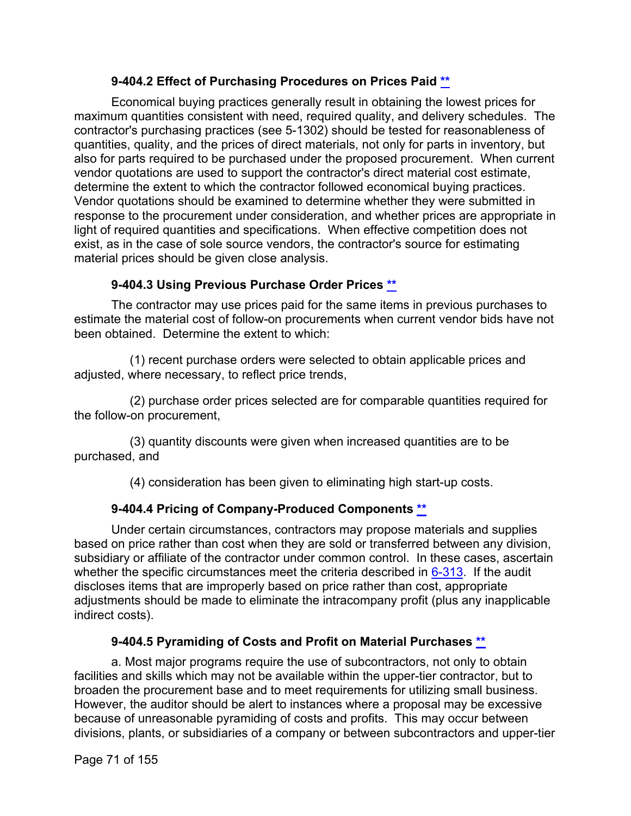# **9-404.2 Effect of Purchasing Procedures on Prices Paid [\\*\\*](#page-3-21)**

Economical buying practices generally result in obtaining the lowest prices for maximum quantities consistent with need, required quality, and delivery schedules. The contractor's purchasing practices (see 5-1302) should be tested for reasonableness of quantities, quality, and the prices of direct materials, not only for parts in inventory, but also for parts required to be purchased under the proposed procurement. When current vendor quotations are used to support the contractor's direct material cost estimate, determine the extent to which the contractor followed economical buying practices. Vendor quotations should be examined to determine whether they were submitted in response to the procurement under consideration, and whether prices are appropriate in light of required quantities and specifications. When effective competition does not exist, as in the case of sole source vendors, the contractor's source for estimating material prices should be given close analysis.

# **9-404.3 Using Previous Purchase Order Prices [\\*\\*](#page-3-22)**

The contractor may use prices paid for the same items in previous purchases to estimate the material cost of follow-on procurements when current vendor bids have not been obtained. Determine the extent to which:

(1) recent purchase orders were selected to obtain applicable prices and adjusted, where necessary, to reflect price trends,

(2) purchase order prices selected are for comparable quantities required for the follow-on procurement,

(3) quantity discounts were given when increased quantities are to be purchased, and

(4) consideration has been given to eliminating high start-up costs.

# **9-404.4 Pricing of Company-Produced Components [\\*\\*](#page-3-23)**

Under certain circumstances, contractors may propose materials and supplies based on price rather than cost when they are sold or transferred between any division, subsidiary or affiliate of the contractor under common control. In these cases, ascertain whether the specific circumstances meet the criteria described in  $6-313$ . If the audit discloses items that are improperly based on price rather than cost, appropriate adjustments should be made to eliminate the intracompany profit (plus any inapplicable indirect costs).

# **9-404.5 Pyramiding of Costs and Profit on Material Purchases [\\*\\*](#page-3-24)**

a. Most major programs require the use of subcontractors, not only to obtain facilities and skills which may not be available within the upper-tier contractor, but to broaden the procurement base and to meet requirements for utilizing small business. However, the auditor should be alert to instances where a proposal may be excessive because of unreasonable pyramiding of costs and profits. This may occur between divisions, plants, or subsidiaries of a company or between subcontractors and upper-tier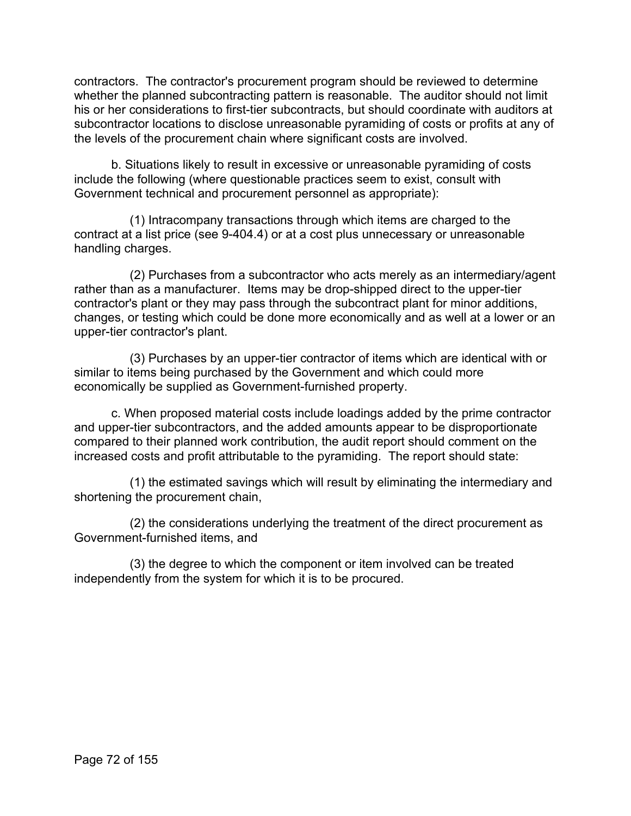contractors. The contractor's procurement program should be reviewed to determine whether the planned subcontracting pattern is reasonable. The auditor should not limit his or her considerations to first-tier subcontracts, but should coordinate with auditors at subcontractor locations to disclose unreasonable pyramiding of costs or profits at any of the levels of the procurement chain where significant costs are involved.

b. Situations likely to result in excessive or unreasonable pyramiding of costs include the following (where questionable practices seem to exist, consult with Government technical and procurement personnel as appropriate):

(1) Intracompany transactions through which items are charged to the contract at a list price (see 9-404.4) or at a cost plus unnecessary or unreasonable handling charges.

(2) Purchases from a subcontractor who acts merely as an intermediary/agent rather than as a manufacturer. Items may be drop-shipped direct to the upper-tier contractor's plant or they may pass through the subcontract plant for minor additions, changes, or testing which could be done more economically and as well at a lower or an upper-tier contractor's plant.

(3) Purchases by an upper-tier contractor of items which are identical with or similar to items being purchased by the Government and which could more economically be supplied as Government-furnished property.

c. When proposed material costs include loadings added by the prime contractor and upper-tier subcontractors, and the added amounts appear to be disproportionate compared to their planned work contribution, the audit report should comment on the increased costs and profit attributable to the pyramiding. The report should state:

(1) the estimated savings which will result by eliminating the intermediary and shortening the procurement chain,

(2) the considerations underlying the treatment of the direct procurement as Government-furnished items, and

(3) the degree to which the component or item involved can be treated independently from the system for which it is to be procured.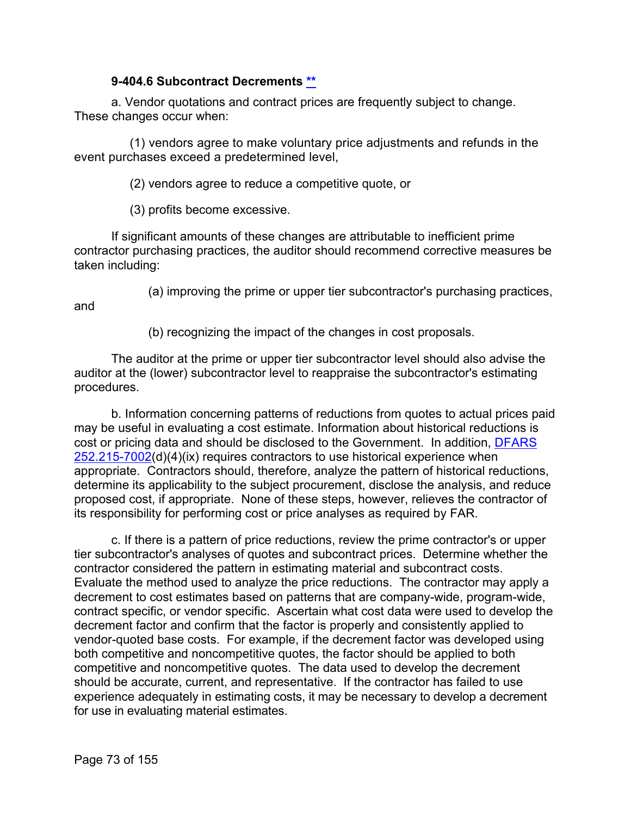### **9-404.6 Subcontract Decrements [\\*\\*](#page-3-0)**

a. Vendor quotations and contract prices are frequently subject to change. These changes occur when:

(1) vendors agree to make voluntary price adjustments and refunds in the event purchases exceed a predetermined level,

(2) vendors agree to reduce a competitive quote, or

(3) profits become excessive.

If significant amounts of these changes are attributable to inefficient prime contractor purchasing practices, the auditor should recommend corrective measures be taken including:

and

(a) improving the prime or upper tier subcontractor's purchasing practices,

(b) recognizing the impact of the changes in cost proposals.

The auditor at the prime or upper tier subcontractor level should also advise the auditor at the (lower) subcontractor level to reappraise the subcontractor's estimating procedures.

b. Information concerning patterns of reductions from quotes to actual prices paid may be useful in evaluating a cost estimate. Information about historical reductions is cost or pricing data and should be disclosed to the Government. In addition, [DFARS](http://www.ecfr.gov/cgi-bin/text-idx?SID=774c132cd89f432a4396b976f68a0661&mc=true&node=se48.3.252_1215_67002&rgn=div8)  [252.215-7002\(](http://www.ecfr.gov/cgi-bin/text-idx?SID=774c132cd89f432a4396b976f68a0661&mc=true&node=se48.3.252_1215_67002&rgn=div8)d)(4)(ix) requires contractors to use historical experience when appropriate. Contractors should, therefore, analyze the pattern of historical reductions, determine its applicability to the subject procurement, disclose the analysis, and reduce proposed cost, if appropriate. None of these steps, however, relieves the contractor of its responsibility for performing cost or price analyses as required by FAR.

c. If there is a pattern of price reductions, review the prime contractor's or upper tier subcontractor's analyses of quotes and subcontract prices. Determine whether the contractor considered the pattern in estimating material and subcontract costs. Evaluate the method used to analyze the price reductions. The contractor may apply a decrement to cost estimates based on patterns that are company-wide, program-wide, contract specific, or vendor specific. Ascertain what cost data were used to develop the decrement factor and confirm that the factor is properly and consistently applied to vendor-quoted base costs. For example, if the decrement factor was developed using both competitive and noncompetitive quotes, the factor should be applied to both competitive and noncompetitive quotes. The data used to develop the decrement should be accurate, current, and representative. If the contractor has failed to use experience adequately in estimating costs, it may be necessary to develop a decrement for use in evaluating material estimates.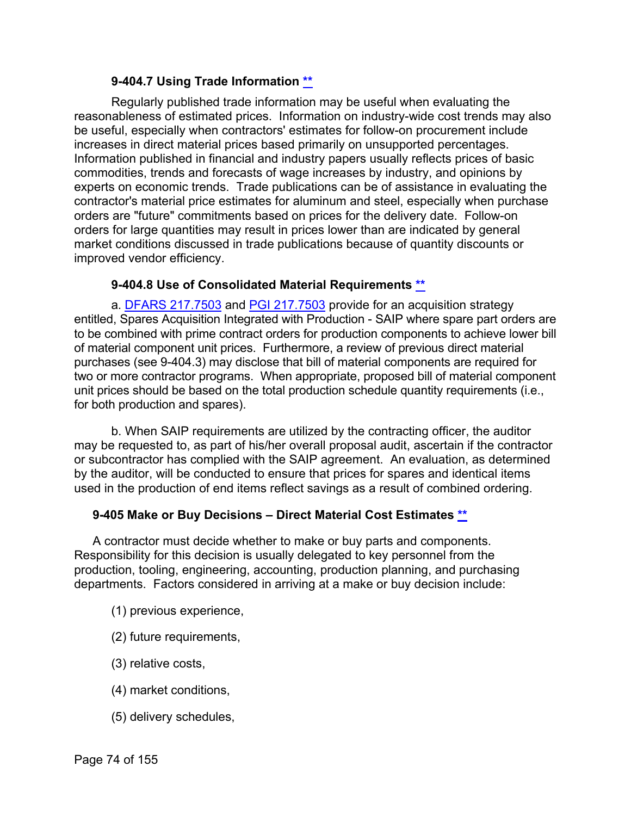### **9-404.7 Using Trade Information [\\*\\*](#page-3-1)**

Regularly published trade information may be useful when evaluating the reasonableness of estimated prices. Information on industry-wide cost trends may also be useful, especially when contractors' estimates for follow-on procurement include increases in direct material prices based primarily on unsupported percentages. Information published in financial and industry papers usually reflects prices of basic commodities, trends and forecasts of wage increases by industry, and opinions by experts on economic trends. Trade publications can be of assistance in evaluating the contractor's material price estimates for aluminum and steel, especially when purchase orders are "future" commitments based on prices for the delivery date. Follow-on orders for large quantities may result in prices lower than are indicated by general market conditions discussed in trade publications because of quantity discounts or improved vendor efficiency.

### **9-404.8 Use of Consolidated Material Requirements [\\*\\*](#page-3-2)**

a. [DFARS 217.7503](http://www.ecfr.gov/cgi-bin/text-idx?SID=774c132cd89f432a4396b976f68a0661&mc=true&node=se48.3.217_17503&rgn=div8) and [PGI 217.7503](http://www.acq.osd.mil/dpap/dars/pgi/frameset.htm?dfarsno=217_75&pgino=PGI217_75&dfarsanchor=BM217_75&pgianchor=BM217_75) provide for an acquisition strategy entitled, Spares Acquisition Integrated with Production - SAIP where spare part orders are to be combined with prime contract orders for production components to achieve lower bill of material component unit prices. Furthermore, a review of previous direct material purchases (see 9-404.3) may disclose that bill of material components are required for two or more contractor programs. When appropriate, proposed bill of material component unit prices should be based on the total production schedule quantity requirements (i.e., for both production and spares).

b. When SAIP requirements are utilized by the contracting officer, the auditor may be requested to, as part of his/her overall proposal audit, ascertain if the contractor or subcontractor has complied with the SAIP agreement. An evaluation, as determined by the auditor, will be conducted to ensure that prices for spares and identical items used in the production of end items reflect savings as a result of combined ordering.

# **9-405 Make or Buy Decisions – Direct Material Cost Estimates [\\*\\*](#page-4-0)**

A contractor must decide whether to make or buy parts and components. Responsibility for this decision is usually delegated to key personnel from the production, tooling, engineering, accounting, production planning, and purchasing departments. Factors considered in arriving at a make or buy decision include:

- (1) previous experience,
- (2) future requirements,
- (3) relative costs,
- (4) market conditions,
- (5) delivery schedules,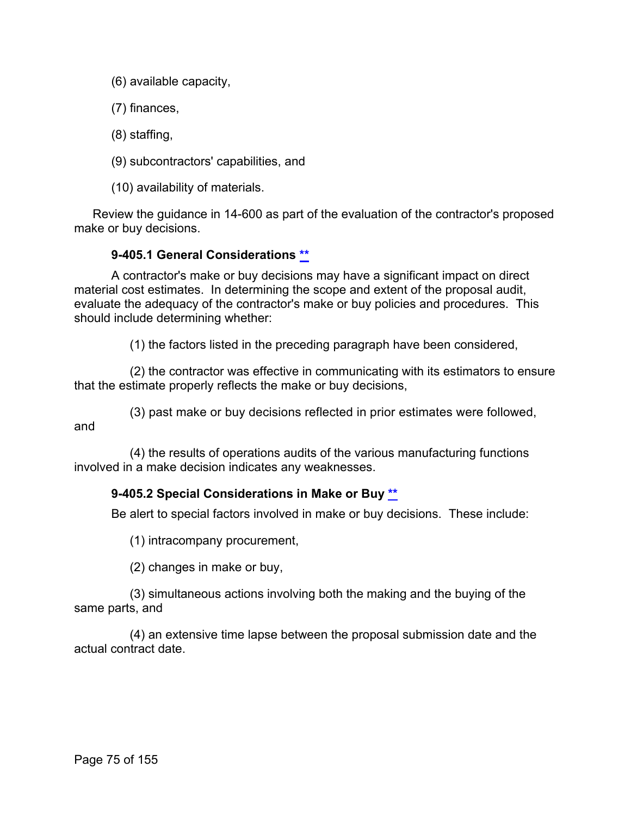(6) available capacity,

(7) finances,

(8) staffing,

(9) subcontractors' capabilities, and

(10) availability of materials.

Review the guidance in 14-600 as part of the evaluation of the contractor's proposed make or buy decisions.

# **9-405.1 General Considerations [\\*\\*](#page-4-1)**

A contractor's make or buy decisions may have a significant impact on direct material cost estimates. In determining the scope and extent of the proposal audit, evaluate the adequacy of the contractor's make or buy policies and procedures. This should include determining whether:

(1) the factors listed in the preceding paragraph have been considered,

(2) the contractor was effective in communicating with its estimators to ensure that the estimate properly reflects the make or buy decisions,

(3) past make or buy decisions reflected in prior estimates were followed, and

(4) the results of operations audits of the various manufacturing functions involved in a make decision indicates any weaknesses.

# **9-405.2 Special Considerations in Make or Buy [\\*\\*](#page-4-2)**

Be alert to special factors involved in make or buy decisions. These include:

(1) intracompany procurement,

(2) changes in make or buy,

(3) simultaneous actions involving both the making and the buying of the same parts, and

(4) an extensive time lapse between the proposal submission date and the actual contract date.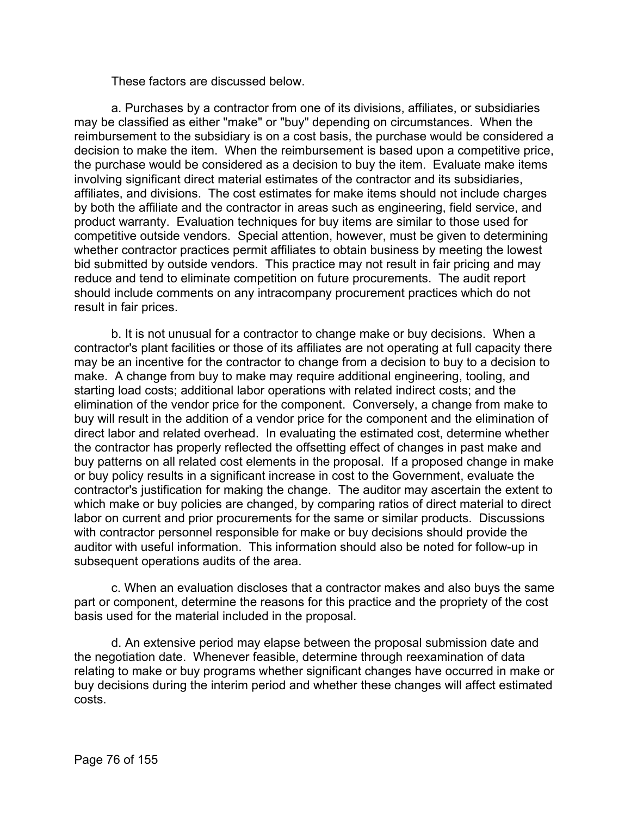These factors are discussed below.

a. Purchases by a contractor from one of its divisions, affiliates, or subsidiaries may be classified as either "make" or "buy" depending on circumstances. When the reimbursement to the subsidiary is on a cost basis, the purchase would be considered a decision to make the item. When the reimbursement is based upon a competitive price, the purchase would be considered as a decision to buy the item. Evaluate make items involving significant direct material estimates of the contractor and its subsidiaries, affiliates, and divisions. The cost estimates for make items should not include charges by both the affiliate and the contractor in areas such as engineering, field service, and product warranty. Evaluation techniques for buy items are similar to those used for competitive outside vendors. Special attention, however, must be given to determining whether contractor practices permit affiliates to obtain business by meeting the lowest bid submitted by outside vendors. This practice may not result in fair pricing and may reduce and tend to eliminate competition on future procurements. The audit report should include comments on any intracompany procurement practices which do not result in fair prices.

b. It is not unusual for a contractor to change make or buy decisions. When a contractor's plant facilities or those of its affiliates are not operating at full capacity there may be an incentive for the contractor to change from a decision to buy to a decision to make. A change from buy to make may require additional engineering, tooling, and starting load costs; additional labor operations with related indirect costs; and the elimination of the vendor price for the component. Conversely, a change from make to buy will result in the addition of a vendor price for the component and the elimination of direct labor and related overhead. In evaluating the estimated cost, determine whether the contractor has properly reflected the offsetting effect of changes in past make and buy patterns on all related cost elements in the proposal. If a proposed change in make or buy policy results in a significant increase in cost to the Government, evaluate the contractor's justification for making the change. The auditor may ascertain the extent to which make or buy policies are changed, by comparing ratios of direct material to direct labor on current and prior procurements for the same or similar products. Discussions with contractor personnel responsible for make or buy decisions should provide the auditor with useful information. This information should also be noted for follow-up in subsequent operations audits of the area.

c. When an evaluation discloses that a contractor makes and also buys the same part or component, determine the reasons for this practice and the propriety of the cost basis used for the material included in the proposal.

d. An extensive period may elapse between the proposal submission date and the negotiation date. Whenever feasible, determine through reexamination of data relating to make or buy programs whether significant changes have occurred in make or buy decisions during the interim period and whether these changes will affect estimated costs.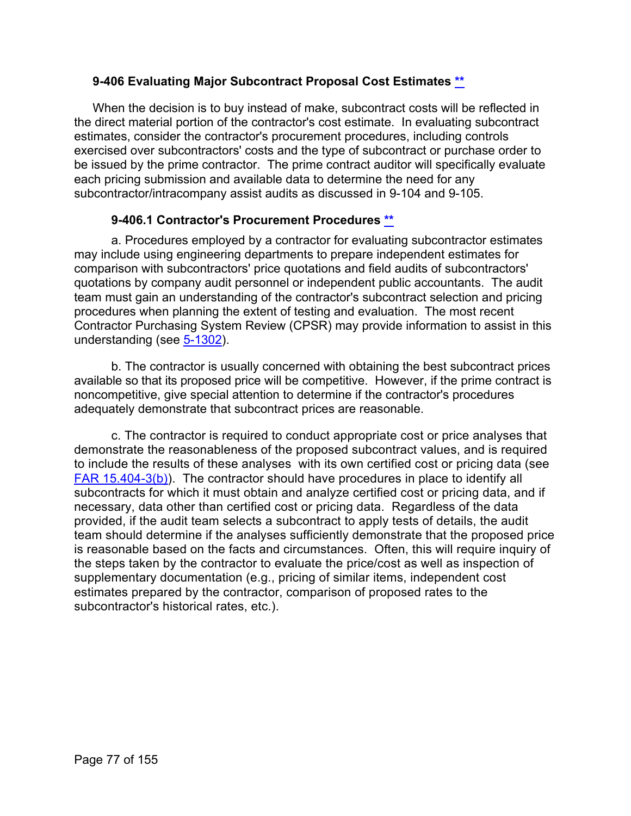### **9-406 Evaluating Major Subcontract Proposal Cost Estimates [\\*\\*](#page-4-3)**

When the decision is to buy instead of make, subcontract costs will be reflected in the direct material portion of the contractor's cost estimate. In evaluating subcontract estimates, consider the contractor's procurement procedures, including controls exercised over subcontractors' costs and the type of subcontract or purchase order to be issued by the prime contractor. The prime contract auditor will specifically evaluate each pricing submission and available data to determine the need for any subcontractor/intracompany assist audits as discussed in 9-104 and 9-105.

### **9-406.1 Contractor's Procurement Procedures [\\*\\*](#page-4-4)**

a. Procedures employed by a contractor for evaluating subcontractor estimates may include using engineering departments to prepare independent estimates for comparison with subcontractors' price quotations and field audits of subcontractors' quotations by company audit personnel or independent public accountants. The audit team must gain an understanding of the contractor's subcontract selection and pricing procedures when planning the extent of testing and evaluation. The most recent Contractor Purchasing System Review (CPSR) may provide information to assist in this understanding (see [5-1302\)](https://viper.dcaa.mil/guidance/cam/3135/audit-of-contractor-compliance-with-defense-federal-acquisition-regulation-supplement-for-contractor-business-systems-and-subsystems#Sec51302).

b. The contractor is usually concerned with obtaining the best subcontract prices available so that its proposed price will be competitive. However, if the prime contract is noncompetitive, give special attention to determine if the contractor's procedures adequately demonstrate that subcontract prices are reasonable.

c. The contractor is required to conduct appropriate cost or price analyses that demonstrate the reasonableness of the proposed subcontract values, and is required to include the results of these analyses with its own certified cost or pricing data (see [FAR 15.404-3\(b\)\)](http://www.ecfr.gov/cgi-bin/text-idx?SID=c2bed3829abb183e6c19fe0d6792b169&mc=true&node=se48.1.15_1404_63&rgn=div8). The contractor should have procedures in place to identify all subcontracts for which it must obtain and analyze certified cost or pricing data, and if necessary, data other than certified cost or pricing data. Regardless of the data provided, if the audit team selects a subcontract to apply tests of details, the audit team should determine if the analyses sufficiently demonstrate that the proposed price is reasonable based on the facts and circumstances. Often, this will require inquiry of the steps taken by the contractor to evaluate the price/cost as well as inspection of supplementary documentation (e.g., pricing of similar items, independent cost estimates prepared by the contractor, comparison of proposed rates to the subcontractor's historical rates, etc.).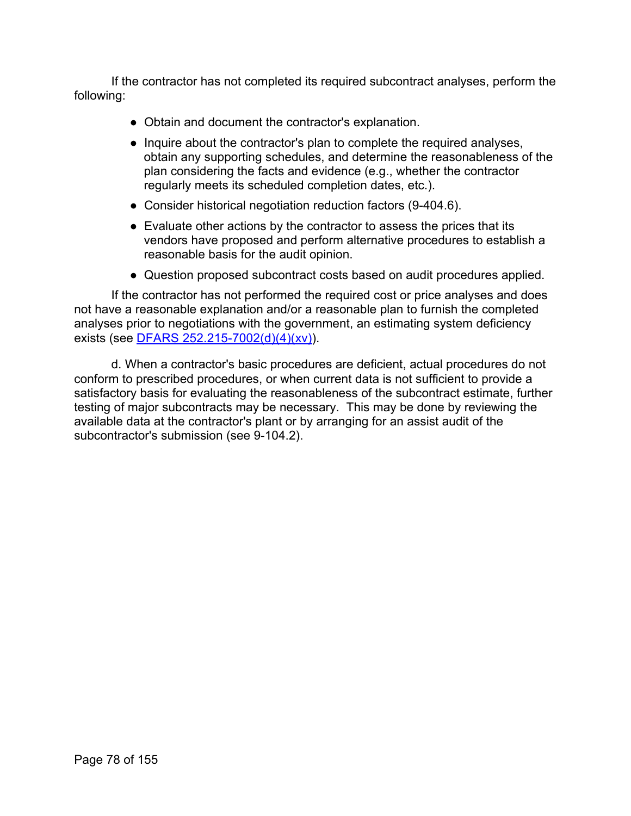If the contractor has not completed its required subcontract analyses, perform the following:

- Obtain and document the contractor's explanation.
- Inquire about the contractor's plan to complete the required analyses, obtain any supporting schedules, and determine the reasonableness of the plan considering the facts and evidence (e.g., whether the contractor regularly meets its scheduled completion dates, etc.).
- Consider historical negotiation reduction factors (9-404.6).
- Evaluate other actions by the contractor to assess the prices that its vendors have proposed and perform alternative procedures to establish a reasonable basis for the audit opinion.
- Question proposed subcontract costs based on audit procedures applied.

If the contractor has not performed the required cost or price analyses and does not have a reasonable explanation and/or a reasonable plan to furnish the completed analyses prior to negotiations with the government, an estimating system deficiency exists (see [DFARS 252.215-7002\(d\)\(4\)\(xv\)\)](http://www.ecfr.gov/cgi-bin/text-idx?SID=c2bed3829abb183e6c19fe0d6792b169&mc=true&node=se48.3.252_1215_67002&rgn=div8).

d. When a contractor's basic procedures are deficient, actual procedures do not conform to prescribed procedures, or when current data is not sufficient to provide a satisfactory basis for evaluating the reasonableness of the subcontract estimate, further testing of major subcontracts may be necessary. This may be done by reviewing the available data at the contractor's plant or by arranging for an assist audit of the subcontractor's submission (see 9-104.2).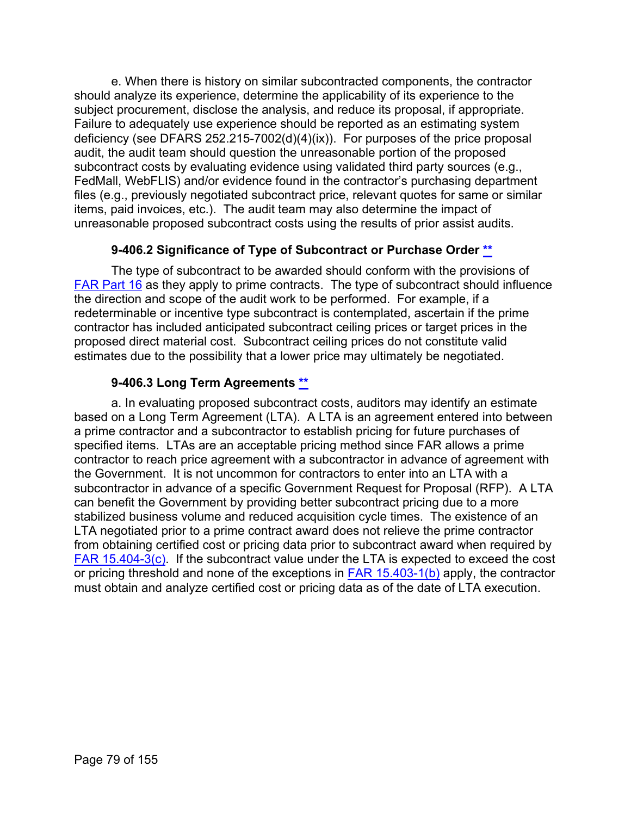e. When there is history on similar subcontracted components, the contractor should analyze its experience, determine the applicability of its experience to the subject procurement, disclose the analysis, and reduce its proposal, if appropriate. Failure to adequately use experience should be reported as an estimating system deficiency (see DFARS 252.215-7002(d)(4)(ix)). For purposes of the price proposal audit, the audit team should question the unreasonable portion of the proposed subcontract costs by evaluating evidence using validated third party sources (e.g., FedMall, WebFLIS) and/or evidence found in the contractor's purchasing department files (e.g., previously negotiated subcontract price, relevant quotes for same or similar items, paid invoices, etc.). The audit team may also determine the impact of unreasonable proposed subcontract costs using the results of prior assist audits.

# **9-406.2 Significance of Type of Subcontract or Purchase Order [\\*\\*](#page-4-5)**

The type of subcontract to be awarded should conform with the provisions of [FAR Part 16](http://www.ecfr.gov/cgi-bin/text-idx?SID=02de22e4710fbfa226b99d16d1745aa7&mc=true&node=pt48.1.16&rgn=div5) as they apply to prime contracts. The type of subcontract should influence the direction and scope of the audit work to be performed. For example, if a redeterminable or incentive type subcontract is contemplated, ascertain if the prime contractor has included anticipated subcontract ceiling prices or target prices in the proposed direct material cost. Subcontract ceiling prices do not constitute valid estimates due to the possibility that a lower price may ultimately be negotiated.

# **9-406.3 Long Term Agreements [\\*\\*](#page-4-6)**

a. In evaluating proposed subcontract costs, auditors may identify an estimate based on a Long Term Agreement (LTA). A LTA is an agreement entered into between a prime contractor and a subcontractor to establish pricing for future purchases of specified items. LTAs are an acceptable pricing method since FAR allows a prime contractor to reach price agreement with a subcontractor in advance of agreement with the Government. It is not uncommon for contractors to enter into an LTA with a subcontractor in advance of a specific Government Request for Proposal (RFP). A LTA can benefit the Government by providing better subcontract pricing due to a more stabilized business volume and reduced acquisition cycle times. The existence of an LTA negotiated prior to a prime contract award does not relieve the prime contractor from obtaining certified cost or pricing data prior to subcontract award when required by  $FAR$  15.404-3(c). If the subcontract value under the LTA is expected to exceed the cost or pricing threshold and none of the exceptions in [FAR 15.403-1\(b\)](http://www.ecfr.gov/cgi-bin/text-idx?SID=c2bed3829abb183e6c19fe0d6792b169&mc=true&node=se48.1.15_1403_61&rgn=div8) apply, the contractor must obtain and analyze certified cost or pricing data as of the date of LTA execution.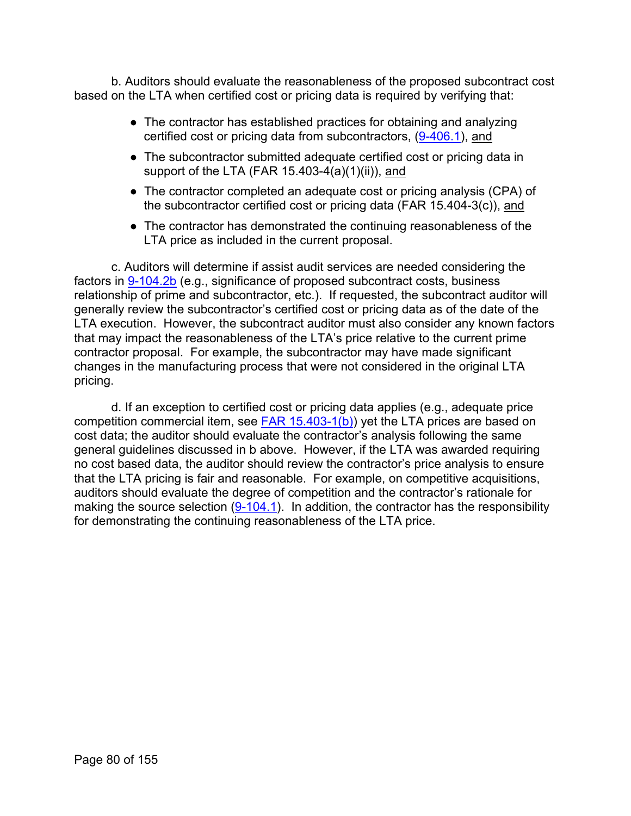b. Auditors should evaluate the reasonableness of the proposed subcontract cost based on the LTA when certified cost or pricing data is required by verifying that:

- The contractor has established practices for obtaining and analyzing certified cost or pricing data from subcontractors, [\(9-406.1\)](https://viper.dcaa.mil/guidance/cam/3144/audits-of-cost-estimating-and-pricing-proposals#Sec94046), and
- The subcontractor submitted adequate certified cost or pricing data in support of the LTA (FAR  $15.403-4(a)(1)(ii)$ ), and
- The contractor completed an adequate cost or pricing analysis (CPA) of the subcontractor certified cost or pricing data (FAR 15.404-3(c)), and
- The contractor has demonstrated the continuing reasonableness of the LTA price as included in the current proposal.

c. Auditors will determine if assist audit services are needed considering the factors in [9-104.2b](https://viper.dcaa.mil/guidance/cam/3144/audits-of-cost-estimating-and-pricing-proposals#Sec91042) (e.g., significance of proposed subcontract costs, business relationship of prime and subcontractor, etc.). If requested, the subcontract auditor will generally review the subcontractor's certified cost or pricing data as of the date of the LTA execution. However, the subcontract auditor must also consider any known factors that may impact the reasonableness of the LTA's price relative to the current prime contractor proposal. For example, the subcontractor may have made significant changes in the manufacturing process that were not considered in the original LTA pricing.

d. If an exception to certified cost or pricing data applies (e.g., adequate price competition commercial item, see  $FAR$  15.403-1(b)) yet the LTA prices are based on cost data; the auditor should evaluate the contractor's analysis following the same general guidelines discussed in b above. However, if the LTA was awarded requiring no cost based data, the auditor should review the contractor's price analysis to ensure that the LTA pricing is fair and reasonable. For example, on competitive acquisitions, auditors should evaluate the degree of competition and the contractor's rationale for making the source selection  $(9-104.1)$ . In addition, the contractor has the responsibility for demonstrating the continuing reasonableness of the LTA price.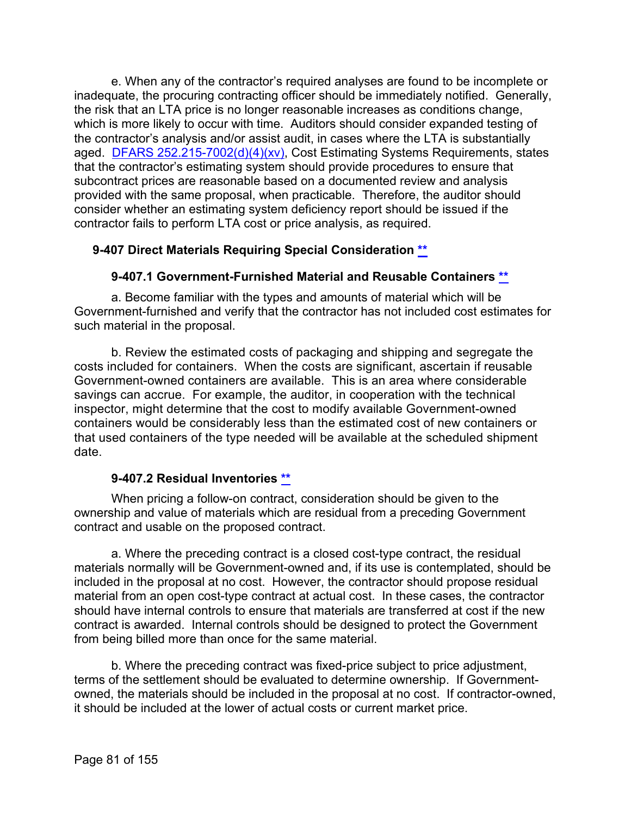e. When any of the contractor's required analyses are found to be incomplete or inadequate, the procuring contracting officer should be immediately notified. Generally, the risk that an LTA price is no longer reasonable increases as conditions change, which is more likely to occur with time. Auditors should consider expanded testing of the contractor's analysis and/or assist audit, in cases where the LTA is substantially aged. [DFARS 252.215-7002\(d\)\(4\)\(xv\),](http://www.ecfr.gov/cgi-bin/text-idx?SID=c2bed3829abb183e6c19fe0d6792b169&mc=true&node=se48.3.252_1215_67002&rgn=div8) Cost Estimating Systems Requirements, states that the contractor's estimating system should provide procedures to ensure that subcontract prices are reasonable based on a documented review and analysis provided with the same proposal, when practicable. Therefore, the auditor should consider whether an estimating system deficiency report should be issued if the contractor fails to perform LTA cost or price analysis, as required.

# **9-407 Direct Materials Requiring Special Consideration [\\*\\*](#page-4-7)**

### **9-407.1 Government-Furnished Material and Reusable Containers [\\*\\*](#page-4-8)**

a. Become familiar with the types and amounts of material which will be Government-furnished and verify that the contractor has not included cost estimates for such material in the proposal.

b. Review the estimated costs of packaging and shipping and segregate the costs included for containers. When the costs are significant, ascertain if reusable Government-owned containers are available. This is an area where considerable savings can accrue. For example, the auditor, in cooperation with the technical inspector, might determine that the cost to modify available Government-owned containers would be considerably less than the estimated cost of new containers or that used containers of the type needed will be available at the scheduled shipment date.

### **9-407.2 Residual Inventories [\\*\\*](#page-4-9)**

When pricing a follow-on contract, consideration should be given to the ownership and value of materials which are residual from a preceding Government contract and usable on the proposed contract.

a. Where the preceding contract is a closed cost-type contract, the residual materials normally will be Government-owned and, if its use is contemplated, should be included in the proposal at no cost. However, the contractor should propose residual material from an open cost-type contract at actual cost. In these cases, the contractor should have internal controls to ensure that materials are transferred at cost if the new contract is awarded. Internal controls should be designed to protect the Government from being billed more than once for the same material.

b. Where the preceding contract was fixed-price subject to price adjustment, terms of the settlement should be evaluated to determine ownership. If Governmentowned, the materials should be included in the proposal at no cost. If contractor-owned, it should be included at the lower of actual costs or current market price.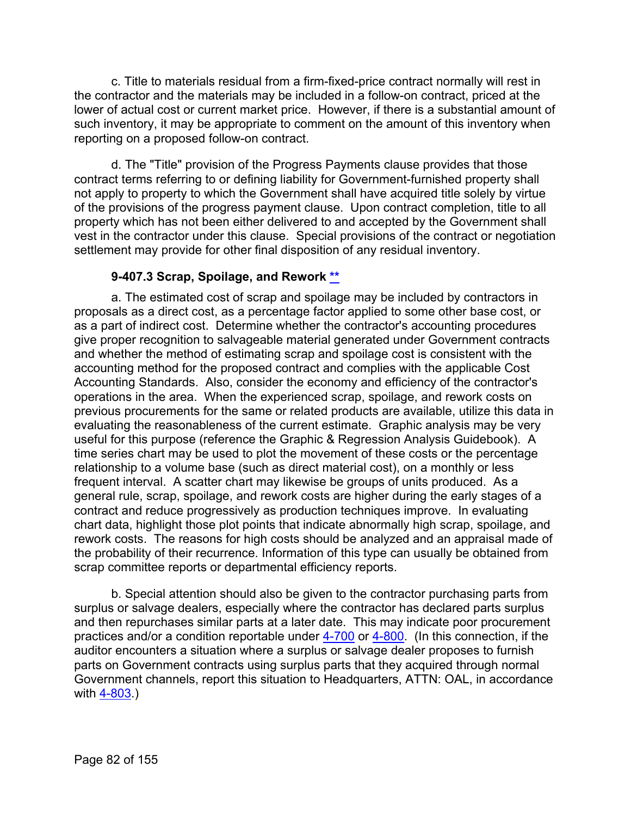c. Title to materials residual from a firm-fixed-price contract normally will rest in the contractor and the materials may be included in a follow-on contract, priced at the lower of actual cost or current market price. However, if there is a substantial amount of such inventory, it may be appropriate to comment on the amount of this inventory when reporting on a proposed follow-on contract.

d. The "Title" provision of the Progress Payments clause provides that those contract terms referring to or defining liability for Government-furnished property shall not apply to property to which the Government shall have acquired title solely by virtue of the provisions of the progress payment clause. Upon contract completion, title to all property which has not been either delivered to and accepted by the Government shall vest in the contractor under this clause. Special provisions of the contract or negotiation settlement may provide for other final disposition of any residual inventory.

# **9-407.3 Scrap, Spoilage, and Rework [\\*\\*](#page-4-10)**

a. The estimated cost of scrap and spoilage may be included by contractors in proposals as a direct cost, as a percentage factor applied to some other base cost, or as a part of indirect cost. Determine whether the contractor's accounting procedures give proper recognition to salvageable material generated under Government contracts and whether the method of estimating scrap and spoilage cost is consistent with the accounting method for the proposed contract and complies with the applicable Cost Accounting Standards. Also, consider the economy and efficiency of the contractor's operations in the area. When the experienced scrap, spoilage, and rework costs on previous procurements for the same or related products are available, utilize this data in evaluating the reasonableness of the current estimate. Graphic analysis may be very useful for this purpose (reference the Graphic & Regression Analysis Guidebook). A time series chart may be used to plot the movement of these costs or the percentage relationship to a volume base (such as direct material cost), on a monthly or less frequent interval. A scatter chart may likewise be groups of units produced. As a general rule, scrap, spoilage, and rework costs are higher during the early stages of a contract and reduce progressively as production techniques improve. In evaluating chart data, highlight those plot points that indicate abnormally high scrap, spoilage, and rework costs. The reasons for high costs should be analyzed and an appraisal made of the probability of their recurrence. Information of this type can usually be obtained from scrap committee reports or departmental efficiency reports.

b. Special attention should also be given to the contractor purchasing parts from surplus or salvage dealers, especially where the contractor has declared parts surplus and then repurchases similar parts at a later date. This may indicate poor procurement practices and/or a condition reportable under  $4-700$  or  $4-800$ . (In this connection, if the auditor encounters a situation where a surplus or salvage dealer proposes to furnish parts on Government contracts using surplus parts that they acquired through normal Government channels, report this situation to Headquarters, ATTN: OAL, in accordance with [4-803.](https://viper.dcaa.mil/guidance/cam/3130/general-audit-requirements#Sec4803))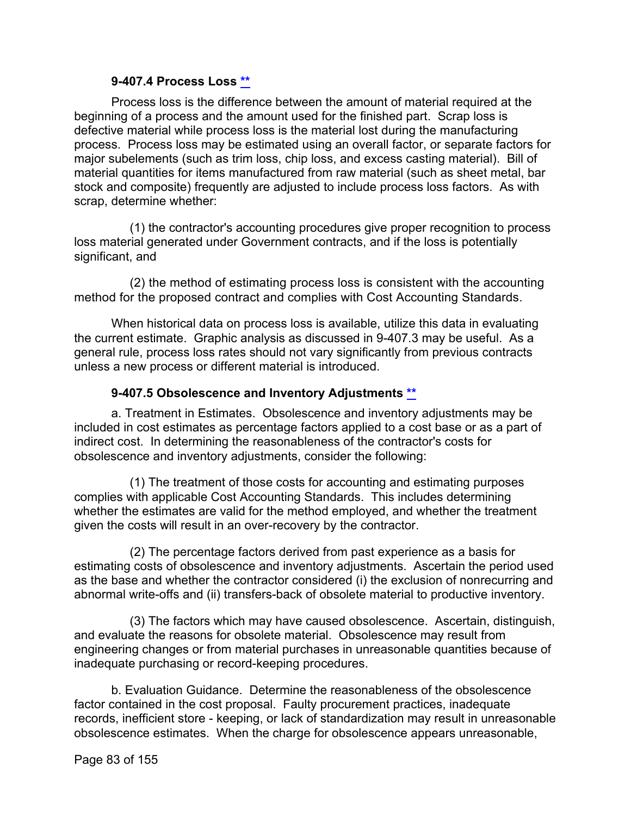### **9-407.4 Process Loss [\\*\\*](#page-4-11)**

Process loss is the difference between the amount of material required at the beginning of a process and the amount used for the finished part. Scrap loss is defective material while process loss is the material lost during the manufacturing process. Process loss may be estimated using an overall factor, or separate factors for major subelements (such as trim loss, chip loss, and excess casting material). Bill of material quantities for items manufactured from raw material (such as sheet metal, bar stock and composite) frequently are adjusted to include process loss factors. As with scrap, determine whether:

(1) the contractor's accounting procedures give proper recognition to process loss material generated under Government contracts, and if the loss is potentially significant, and

(2) the method of estimating process loss is consistent with the accounting method for the proposed contract and complies with Cost Accounting Standards.

When historical data on process loss is available, utilize this data in evaluating the current estimate. Graphic analysis as discussed in 9-407.3 may be useful. As a general rule, process loss rates should not vary significantly from previous contracts unless a new process or different material is introduced.

# **9-407.5 Obsolescence and Inventory Adjustments [\\*\\*](#page-4-12)**

a. Treatment in Estimates. Obsolescence and inventory adjustments may be included in cost estimates as percentage factors applied to a cost base or as a part of indirect cost. In determining the reasonableness of the contractor's costs for obsolescence and inventory adjustments, consider the following:

(1) The treatment of those costs for accounting and estimating purposes complies with applicable Cost Accounting Standards. This includes determining whether the estimates are valid for the method employed, and whether the treatment given the costs will result in an over-recovery by the contractor.

(2) The percentage factors derived from past experience as a basis for estimating costs of obsolescence and inventory adjustments. Ascertain the period used as the base and whether the contractor considered (i) the exclusion of nonrecurring and abnormal write-offs and (ii) transfers-back of obsolete material to productive inventory.

(3) The factors which may have caused obsolescence. Ascertain, distinguish, and evaluate the reasons for obsolete material. Obsolescence may result from engineering changes or from material purchases in unreasonable quantities because of inadequate purchasing or record-keeping procedures.

b. Evaluation Guidance. Determine the reasonableness of the obsolescence factor contained in the cost proposal. Faulty procurement practices, inadequate records, inefficient store - keeping, or lack of standardization may result in unreasonable obsolescence estimates. When the charge for obsolescence appears unreasonable,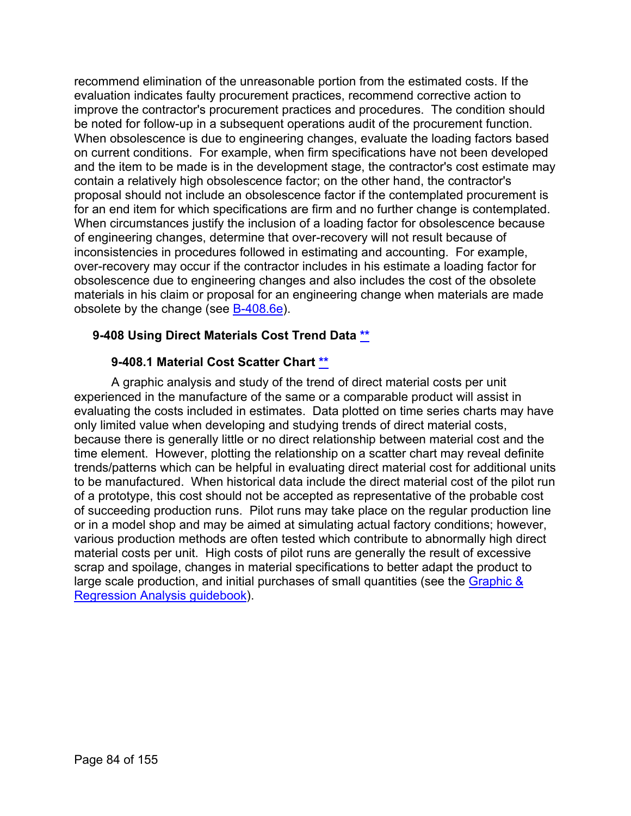recommend elimination of the unreasonable portion from the estimated costs. If the evaluation indicates faulty procurement practices, recommend corrective action to improve the contractor's procurement practices and procedures. The condition should be noted for follow-up in a subsequent operations audit of the procurement function. When obsolescence is due to engineering changes, evaluate the loading factors based on current conditions. For example, when firm specifications have not been developed and the item to be made is in the development stage, the contractor's cost estimate may contain a relatively high obsolescence factor; on the other hand, the contractor's proposal should not include an obsolescence factor if the contemplated procurement is for an end item for which specifications are firm and no further change is contemplated. When circumstances justify the inclusion of a loading factor for obsolescence because of engineering changes, determine that over-recovery will not result because of inconsistencies in procedures followed in estimating and accounting. For example, over-recovery may occur if the contractor includes in his estimate a loading factor for obsolescence due to engineering changes and also includes the cost of the obsolete materials in his claim or proposal for an engineering change when materials are made obsolete by the change (see [B-408.6e\)](https://viper.dcaa.mil/guidance/cam/3163/appendix-b-specialist-assistance#SecB4086).

# **9-408 Using Direct Materials Cost Trend Data [\\*\\*](#page-4-13)**

### **9-408.1 Material Cost Scatter Chart [\\*\\*](#page-4-14)**

A graphic analysis and study of the trend of direct material costs per unit experienced in the manufacture of the same or a comparable product will assist in evaluating the costs included in estimates. Data plotted on time series charts may have only limited value when developing and studying trends of direct material costs, because there is generally little or no direct relationship between material cost and the time element. However, plotting the relationship on a scatter chart may reveal definite trends/patterns which can be helpful in evaluating direct material cost for additional units to be manufactured. When historical data include the direct material cost of the pilot run of a prototype, this cost should not be accepted as representative of the probable cost of succeeding production runs. Pilot runs may take place on the regular production line or in a model shop and may be aimed at simulating actual factory conditions; however, various production methods are often tested which contribute to abnormally high direct material costs per unit. High costs of pilot runs are generally the result of excessive scrap and spoilage, changes in material specifications to better adapt the product to large scale production, and initial purchases of small quantities (see the Graphic & [Regression Analysis guidebook\)](https://viper.dcaa.mil/guidance/guidebooks/graphic-and-regression-analysis).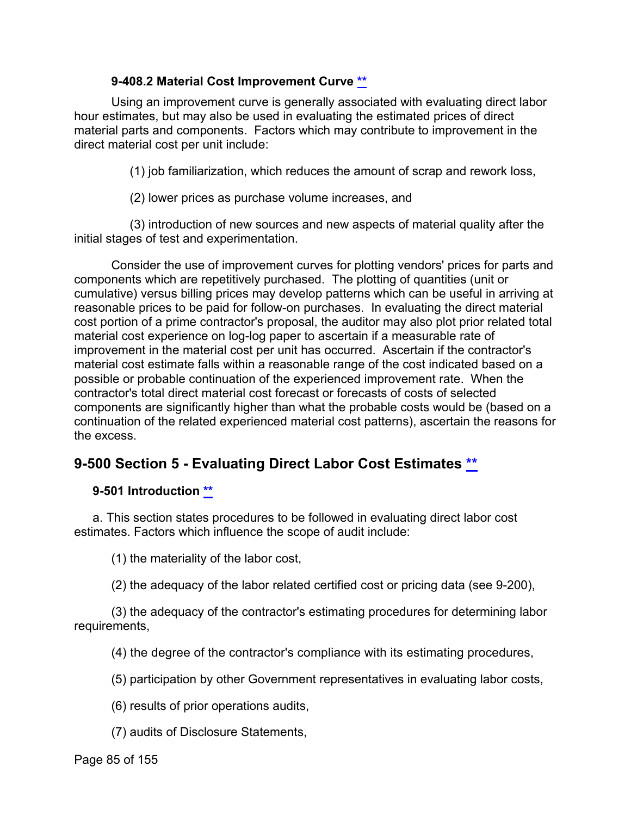### **9-408.2 Material Cost Improvement Curve [\\*\\*](#page-4-15)**

Using an improvement curve is generally associated with evaluating direct labor hour estimates, but may also be used in evaluating the estimated prices of direct material parts and components. Factors which may contribute to improvement in the direct material cost per unit include:

(1) job familiarization, which reduces the amount of scrap and rework loss,

(2) lower prices as purchase volume increases, and

(3) introduction of new sources and new aspects of material quality after the initial stages of test and experimentation.

Consider the use of improvement curves for plotting vendors' prices for parts and components which are repetitively purchased. The plotting of quantities (unit or cumulative) versus billing prices may develop patterns which can be useful in arriving at reasonable prices to be paid for follow-on purchases. In evaluating the direct material cost portion of a prime contractor's proposal, the auditor may also plot prior related total material cost experience on log-log paper to ascertain if a measurable rate of improvement in the material cost per unit has occurred. Ascertain if the contractor's material cost estimate falls within a reasonable range of the cost indicated based on a possible or probable continuation of the experienced improvement rate. When the contractor's total direct material cost forecast or forecasts of costs of selected components are significantly higher than what the probable costs would be (based on a continuation of the related experienced material cost patterns), ascertain the reasons for the excess.

# **9-500 Section 5 - Evaluating Direct Labor Cost Estimates [\\*\\*](#page-4-16)**

# **9-501 Introduction [\\*\\*](#page-4-17)**

a. This section states procedures to be followed in evaluating direct labor cost estimates. Factors which influence the scope of audit include:

(1) the materiality of the labor cost,

(2) the adequacy of the labor related certified cost or pricing data (see 9-200),

(3) the adequacy of the contractor's estimating procedures for determining labor requirements,

(4) the degree of the contractor's compliance with its estimating procedures,

(5) participation by other Government representatives in evaluating labor costs,

(6) results of prior operations audits,

(7) audits of Disclosure Statements,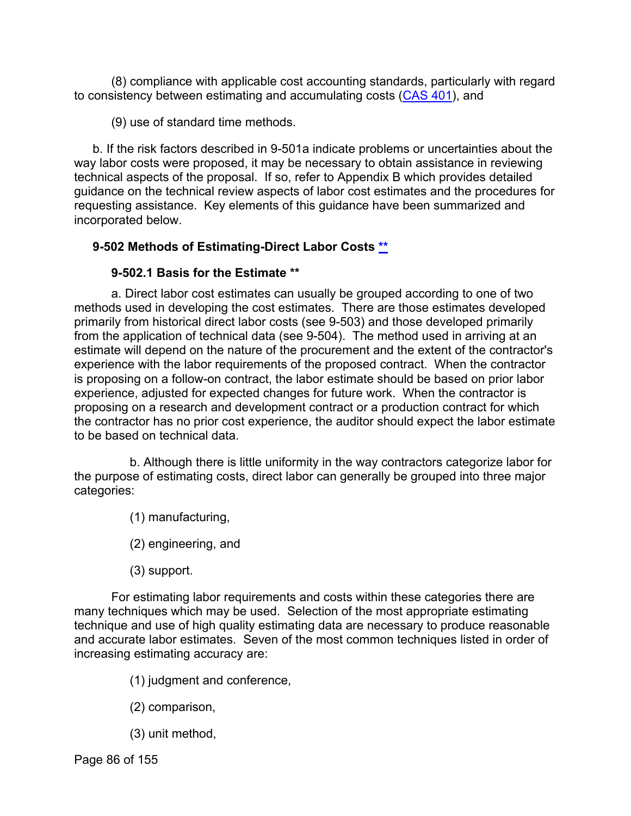(8) compliance with applicable cost accounting standards, particularly with regard to consistency between estimating and accumulating costs [\(CAS 401\)](http://www.ecfr.gov/cgi-bin/text-idx?SID=789c1fab9c40cff1e7a55a1bce477a88&mc=true&tpl=/ecfrbrowse/Title48/48cfr9904_main_02.tpl), and

(9) use of standard time methods.

b. If the risk factors described in 9-501a indicate problems or uncertainties about the way labor costs were proposed, it may be necessary to obtain assistance in reviewing technical aspects of the proposal. If so, refer to Appendix B which provides detailed guidance on the technical review aspects of labor cost estimates and the procedures for requesting assistance. Key elements of this guidance have been summarized and incorporated below.

# **9-502 Methods of Estimating-Direct Labor Costs [\\*\\*](#page-4-18)**

# **9-502.1 Basis for the Estimate [\\*\\*](#page-4-19)**

a. Direct labor cost estimates can usually be grouped according to one of two methods used in developing the cost estimates. There are those estimates developed primarily from historical direct labor costs (see 9-503) and those developed primarily from the application of technical data (see 9-504). The method used in arriving at an estimate will depend on the nature of the procurement and the extent of the contractor's experience with the labor requirements of the proposed contract. When the contractor is proposing on a follow-on contract, the labor estimate should be based on prior labor experience, adjusted for expected changes for future work. When the contractor is proposing on a research and development contract or a production contract for which the contractor has no prior cost experience, the auditor should expect the labor estimate to be based on technical data.

b. Although there is little uniformity in the way contractors categorize labor for the purpose of estimating costs, direct labor can generally be grouped into three major categories:

- (1) manufacturing,
- (2) engineering, and
- (3) support.

For estimating labor requirements and costs within these categories there are many techniques which may be used. Selection of the most appropriate estimating technique and use of high quality estimating data are necessary to produce reasonable and accurate labor estimates. Seven of the most common techniques listed in order of increasing estimating accuracy are:

- (1) judgment and conference,
- (2) comparison,
- (3) unit method,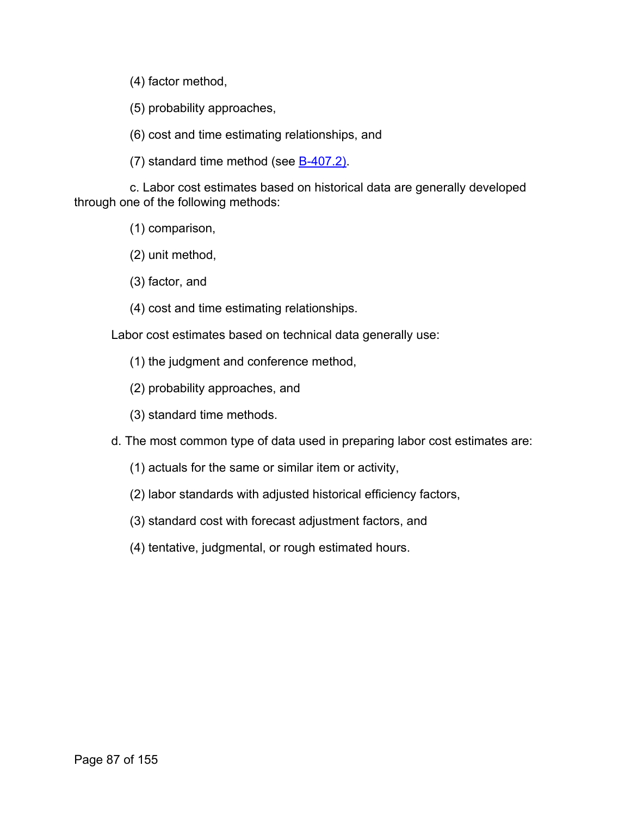(4) factor method,

(5) probability approaches,

(6) cost and time estimating relationships, and

(7) standard time method (see [B-407.2\).](https://viper.dcaa.mil/guidance/cam/3163/appendix-b-specialist-assistance#SecB4072)

c. Labor cost estimates based on historical data are generally developed through one of the following methods:

(1) comparison,

(2) unit method,

(3) factor, and

(4) cost and time estimating relationships.

Labor cost estimates based on technical data generally use:

(1) the judgment and conference method,

- (2) probability approaches, and
- (3) standard time methods.

d. The most common type of data used in preparing labor cost estimates are:

- (1) actuals for the same or similar item or activity,
- (2) labor standards with adjusted historical efficiency factors,
- (3) standard cost with forecast adjustment factors, and
- (4) tentative, judgmental, or rough estimated hours.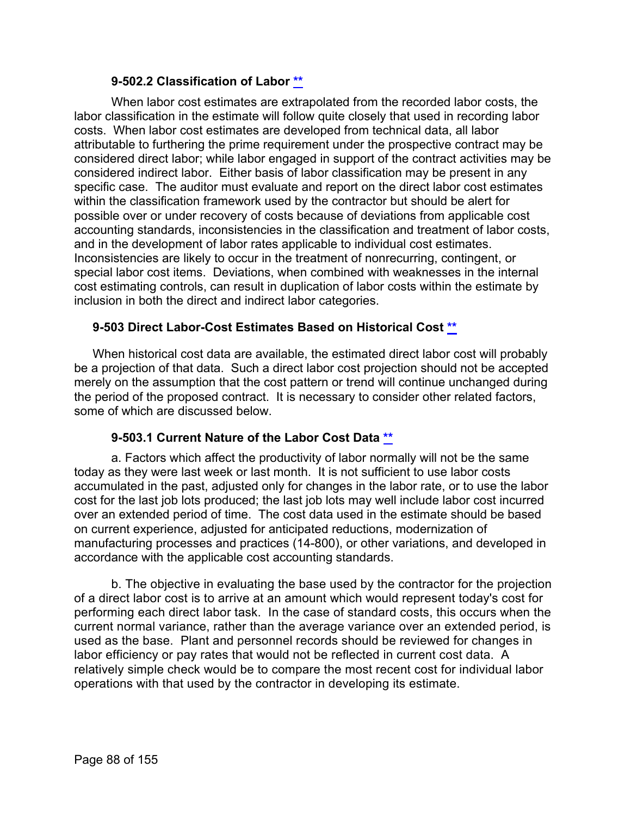### **9-502.2 Classification of Labor [\\*\\*](#page-4-20)**

When labor cost estimates are extrapolated from the recorded labor costs, the labor classification in the estimate will follow quite closely that used in recording labor costs. When labor cost estimates are developed from technical data, all labor attributable to furthering the prime requirement under the prospective contract may be considered direct labor; while labor engaged in support of the contract activities may be considered indirect labor. Either basis of labor classification may be present in any specific case. The auditor must evaluate and report on the direct labor cost estimates within the classification framework used by the contractor but should be alert for possible over or under recovery of costs because of deviations from applicable cost accounting standards, inconsistencies in the classification and treatment of labor costs, and in the development of labor rates applicable to individual cost estimates. Inconsistencies are likely to occur in the treatment of nonrecurring, contingent, or special labor cost items. Deviations, when combined with weaknesses in the internal cost estimating controls, can result in duplication of labor costs within the estimate by inclusion in both the direct and indirect labor categories.

### **9-503 Direct Labor-Cost Estimates Based on Historical Cost [\\*\\*](#page-4-21)**

When historical cost data are available, the estimated direct labor cost will probably be a projection of that data. Such a direct labor cost projection should not be accepted merely on the assumption that the cost pattern or trend will continue unchanged during the period of the proposed contract. It is necessary to consider other related factors, some of which are discussed below.

# **9-503.1 Current Nature of the Labor Cost Data [\\*\\*](#page-4-22)**

a. Factors which affect the productivity of labor normally will not be the same today as they were last week or last month. It is not sufficient to use labor costs accumulated in the past, adjusted only for changes in the labor rate, or to use the labor cost for the last job lots produced; the last job lots may well include labor cost incurred over an extended period of time. The cost data used in the estimate should be based on current experience, adjusted for anticipated reductions, modernization of manufacturing processes and practices (14-800), or other variations, and developed in accordance with the applicable cost accounting standards.

b. The objective in evaluating the base used by the contractor for the projection of a direct labor cost is to arrive at an amount which would represent today's cost for performing each direct labor task. In the case of standard costs, this occurs when the current normal variance, rather than the average variance over an extended period, is used as the base. Plant and personnel records should be reviewed for changes in labor efficiency or pay rates that would not be reflected in current cost data. A relatively simple check would be to compare the most recent cost for individual labor operations with that used by the contractor in developing its estimate.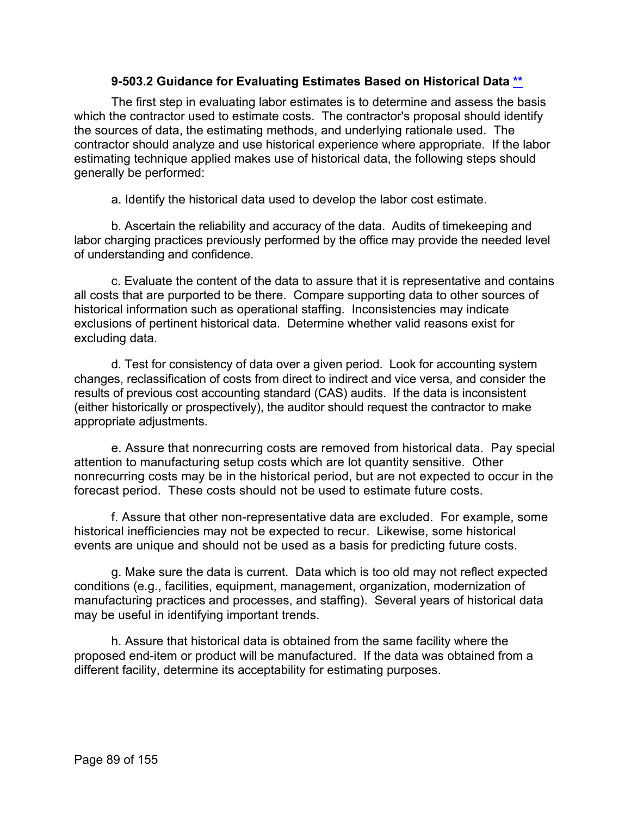### **9-503.2 Guidance for Evaluating Estimates Based on Historical Data [\\*\\*](#page-4-23)**

The first step in evaluating labor estimates is to determine and assess the basis which the contractor used to estimate costs. The contractor's proposal should identify the sources of data, the estimating methods, and underlying rationale used. The contractor should analyze and use historical experience where appropriate. If the labor estimating technique applied makes use of historical data, the following steps should generally be performed:

a. Identify the historical data used to develop the labor cost estimate.

b. Ascertain the reliability and accuracy of the data. Audits of timekeeping and labor charging practices previously performed by the office may provide the needed level of understanding and confidence.

c. Evaluate the content of the data to assure that it is representative and contains all costs that are purported to be there. Compare supporting data to other sources of historical information such as operational staffing. Inconsistencies may indicate exclusions of pertinent historical data. Determine whether valid reasons exist for excluding data.

d. Test for consistency of data over a given period. Look for accounting system changes, reclassification of costs from direct to indirect and vice versa, and consider the results of previous cost accounting standard (CAS) audits. If the data is inconsistent (either historically or prospectively), the auditor should request the contractor to make appropriate adjustments.

e. Assure that nonrecurring costs are removed from historical data. Pay special attention to manufacturing setup costs which are lot quantity sensitive. Other nonrecurring costs may be in the historical period, but are not expected to occur in the forecast period. These costs should not be used to estimate future costs.

f. Assure that other non-representative data are excluded. For example, some historical inefficiencies may not be expected to recur. Likewise, some historical events are unique and should not be used as a basis for predicting future costs.

g. Make sure the data is current. Data which is too old may not reflect expected conditions (e.g., facilities, equipment, management, organization, modernization of manufacturing practices and processes, and staffing). Several years of historical data may be useful in identifying important trends.

h. Assure that historical data is obtained from the same facility where the proposed end-item or product will be manufactured. If the data was obtained from a different facility, determine its acceptability for estimating purposes.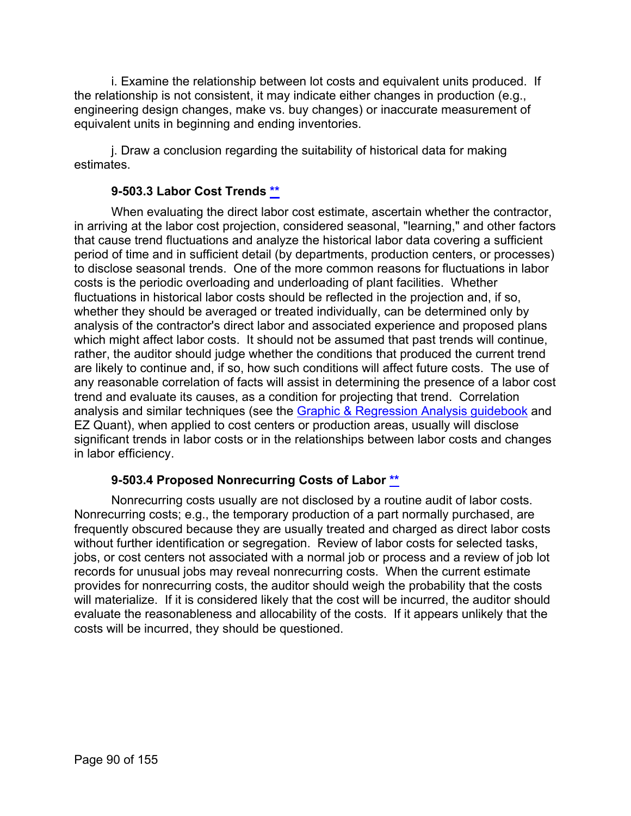i. Examine the relationship between lot costs and equivalent units produced. If the relationship is not consistent, it may indicate either changes in production (e.g., engineering design changes, make vs. buy changes) or inaccurate measurement of equivalent units in beginning and ending inventories.

j. Draw a conclusion regarding the suitability of historical data for making estimates.

# **9-503.3 Labor Cost Trends [\\*\\*](#page-4-24)**

When evaluating the direct labor cost estimate, ascertain whether the contractor, in arriving at the labor cost projection, considered seasonal, "learning," and other factors that cause trend fluctuations and analyze the historical labor data covering a sufficient period of time and in sufficient detail (by departments, production centers, or processes) to disclose seasonal trends. One of the more common reasons for fluctuations in labor costs is the periodic overloading and underloading of plant facilities. Whether fluctuations in historical labor costs should be reflected in the projection and, if so, whether they should be averaged or treated individually, can be determined only by analysis of the contractor's direct labor and associated experience and proposed plans which might affect labor costs. It should not be assumed that past trends will continue, rather, the auditor should judge whether the conditions that produced the current trend are likely to continue and, if so, how such conditions will affect future costs. The use of any reasonable correlation of facts will assist in determining the presence of a labor cost trend and evaluate its causes, as a condition for projecting that trend. Correlation analysis and similar techniques (see the [Graphic & Regression Analysis guidebook](https://viper.dcaa.mil/guidance/guidebooks/graphic-and-regression-analysis) and EZ Quant), when applied to cost centers or production areas, usually will disclose significant trends in labor costs or in the relationships between labor costs and changes in labor efficiency.

# **9-503.4 Proposed Nonrecurring Costs of Labor [\\*\\*](#page-4-25)**

Nonrecurring costs usually are not disclosed by a routine audit of labor costs. Nonrecurring costs; e.g., the temporary production of a part normally purchased, are frequently obscured because they are usually treated and charged as direct labor costs without further identification or segregation. Review of labor costs for selected tasks, jobs, or cost centers not associated with a normal job or process and a review of job lot records for unusual jobs may reveal nonrecurring costs. When the current estimate provides for nonrecurring costs, the auditor should weigh the probability that the costs will materialize. If it is considered likely that the cost will be incurred, the auditor should evaluate the reasonableness and allocability of the costs. If it appears unlikely that the costs will be incurred, they should be questioned.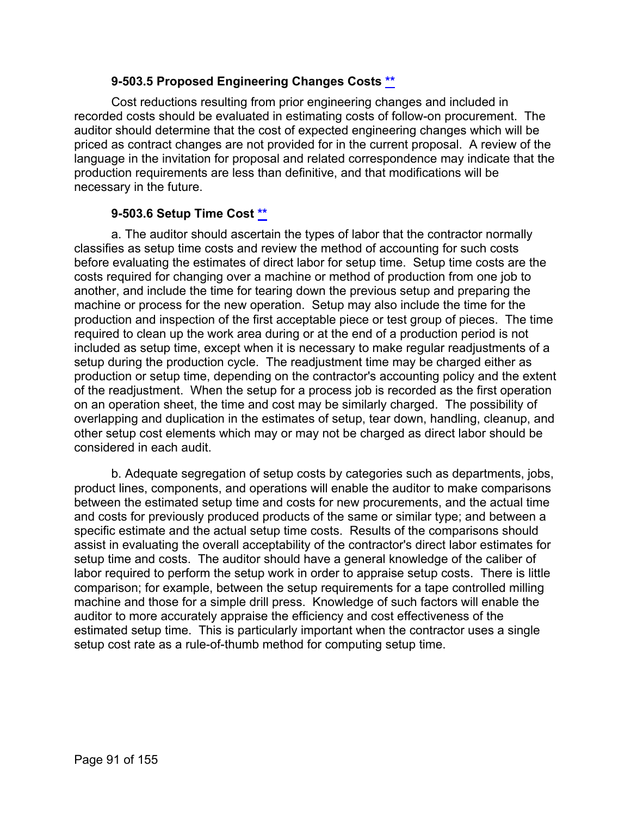### **9-503.5 Proposed Engineering Changes Costs [\\*\\*](#page-4-26)**

Cost reductions resulting from prior engineering changes and included in recorded costs should be evaluated in estimating costs of follow-on procurement. The auditor should determine that the cost of expected engineering changes which will be priced as contract changes are not provided for in the current proposal. A review of the language in the invitation for proposal and related correspondence may indicate that the production requirements are less than definitive, and that modifications will be necessary in the future.

### **9-503.6 Setup Time Cost [\\*\\*](#page-4-27)**

a. The auditor should ascertain the types of labor that the contractor normally classifies as setup time costs and review the method of accounting for such costs before evaluating the estimates of direct labor for setup time. Setup time costs are the costs required for changing over a machine or method of production from one job to another, and include the time for tearing down the previous setup and preparing the machine or process for the new operation. Setup may also include the time for the production and inspection of the first acceptable piece or test group of pieces. The time required to clean up the work area during or at the end of a production period is not included as setup time, except when it is necessary to make regular readjustments of a setup during the production cycle. The readjustment time may be charged either as production or setup time, depending on the contractor's accounting policy and the extent of the readjustment. When the setup for a process job is recorded as the first operation on an operation sheet, the time and cost may be similarly charged. The possibility of overlapping and duplication in the estimates of setup, tear down, handling, cleanup, and other setup cost elements which may or may not be charged as direct labor should be considered in each audit.

b. Adequate segregation of setup costs by categories such as departments, jobs, product lines, components, and operations will enable the auditor to make comparisons between the estimated setup time and costs for new procurements, and the actual time and costs for previously produced products of the same or similar type; and between a specific estimate and the actual setup time costs. Results of the comparisons should assist in evaluating the overall acceptability of the contractor's direct labor estimates for setup time and costs. The auditor should have a general knowledge of the caliber of labor required to perform the setup work in order to appraise setup costs. There is little comparison; for example, between the setup requirements for a tape controlled milling machine and those for a simple drill press. Knowledge of such factors will enable the auditor to more accurately appraise the efficiency and cost effectiveness of the estimated setup time. This is particularly important when the contractor uses a single setup cost rate as a rule-of-thumb method for computing setup time.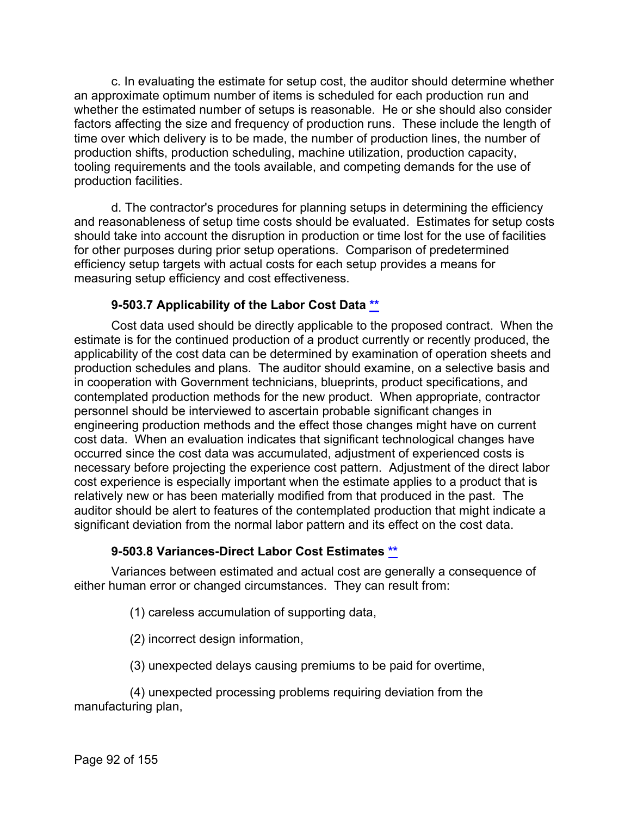c. In evaluating the estimate for setup cost, the auditor should determine whether an approximate optimum number of items is scheduled for each production run and whether the estimated number of setups is reasonable. He or she should also consider factors affecting the size and frequency of production runs. These include the length of time over which delivery is to be made, the number of production lines, the number of production shifts, production scheduling, machine utilization, production capacity, tooling requirements and the tools available, and competing demands for the use of production facilities.

d. The contractor's procedures for planning setups in determining the efficiency and reasonableness of setup time costs should be evaluated. Estimates for setup costs should take into account the disruption in production or time lost for the use of facilities for other purposes during prior setup operations. Comparison of predetermined efficiency setup targets with actual costs for each setup provides a means for measuring setup efficiency and cost effectiveness.

### **9-503.7 Applicability of the Labor Cost Data [\\*\\*](#page-5-0)**

Cost data used should be directly applicable to the proposed contract. When the estimate is for the continued production of a product currently or recently produced, the applicability of the cost data can be determined by examination of operation sheets and production schedules and plans. The auditor should examine, on a selective basis and in cooperation with Government technicians, blueprints, product specifications, and contemplated production methods for the new product. When appropriate, contractor personnel should be interviewed to ascertain probable significant changes in engineering production methods and the effect those changes might have on current cost data. When an evaluation indicates that significant technological changes have occurred since the cost data was accumulated, adjustment of experienced costs is necessary before projecting the experience cost pattern. Adjustment of the direct labor cost experience is especially important when the estimate applies to a product that is relatively new or has been materially modified from that produced in the past. The auditor should be alert to features of the contemplated production that might indicate a significant deviation from the normal labor pattern and its effect on the cost data.

### **9-503.8 Variances-Direct Labor Cost Estimates [\\*\\*](#page-5-1)**

Variances between estimated and actual cost are generally a consequence of either human error or changed circumstances. They can result from:

(1) careless accumulation of supporting data,

- (2) incorrect design information,
- (3) unexpected delays causing premiums to be paid for overtime,

(4) unexpected processing problems requiring deviation from the manufacturing plan,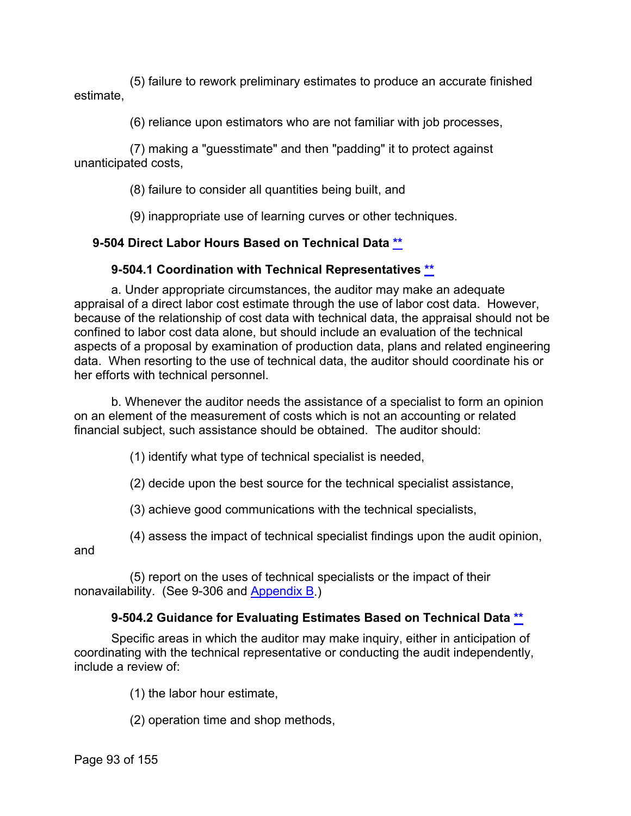(5) failure to rework preliminary estimates to produce an accurate finished estimate,

(6) reliance upon estimators who are not familiar with job processes,

(7) making a "guesstimate" and then "padding" it to protect against unanticipated costs,

(8) failure to consider all quantities being built, and

(9) inappropriate use of learning curves or other techniques.

# **9-504 Direct Labor Hours Based on Technical Data [\\*\\*](#page-5-2)**

# **9-504.1 Coordination with Technical Representatives [\\*\\*](#page-5-3)**

a. Under appropriate circumstances, the auditor may make an adequate appraisal of a direct labor cost estimate through the use of labor cost data. However, because of the relationship of cost data with technical data, the appraisal should not be confined to labor cost data alone, but should include an evaluation of the technical aspects of a proposal by examination of production data, plans and related engineering data. When resorting to the use of technical data, the auditor should coordinate his or her efforts with technical personnel.

b. Whenever the auditor needs the assistance of a specialist to form an opinion on an element of the measurement of costs which is not an accounting or related financial subject, such assistance should be obtained. The auditor should:

(1) identify what type of technical specialist is needed,

(2) decide upon the best source for the technical specialist assistance,

(3) achieve good communications with the technical specialists,

(4) assess the impact of technical specialist findings upon the audit opinion,

and

(5) report on the uses of technical specialists or the impact of their nonavailability. (See 9-306 and [Appendix B.](https://viper.dcaa.mil/guidance/cam/3163/appendix-b-specialist-assistance#Sec))

# **9-504.2 Guidance for Evaluating Estimates Based on Technical Data [\\*\\*](#page-5-4)**

Specific areas in which the auditor may make inquiry, either in anticipation of coordinating with the technical representative or conducting the audit independently, include a review of:

(1) the labor hour estimate,

(2) operation time and shop methods,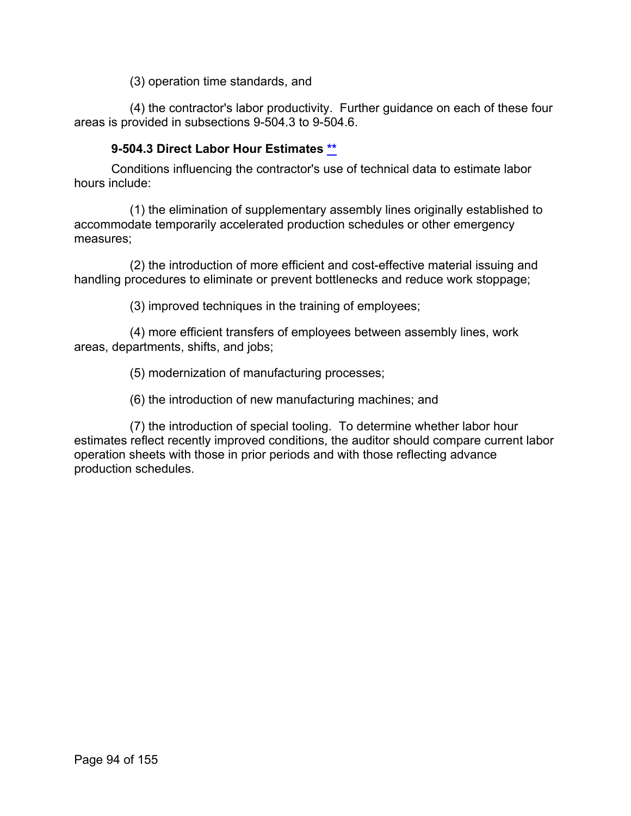(3) operation time standards, and

(4) the contractor's labor productivity. Further guidance on each of these four areas is provided in subsections 9-504.3 to 9-504.6.

### **9-504.3 Direct Labor Hour Estimates [\\*\\*](#page-5-5)**

Conditions influencing the contractor's use of technical data to estimate labor hours include:

(1) the elimination of supplementary assembly lines originally established to accommodate temporarily accelerated production schedules or other emergency measures;

(2) the introduction of more efficient and cost-effective material issuing and handling procedures to eliminate or prevent bottlenecks and reduce work stoppage;

(3) improved techniques in the training of employees;

(4) more efficient transfers of employees between assembly lines, work areas, departments, shifts, and jobs;

(5) modernization of manufacturing processes;

(6) the introduction of new manufacturing machines; and

(7) the introduction of special tooling. To determine whether labor hour estimates reflect recently improved conditions, the auditor should compare current labor operation sheets with those in prior periods and with those reflecting advance production schedules.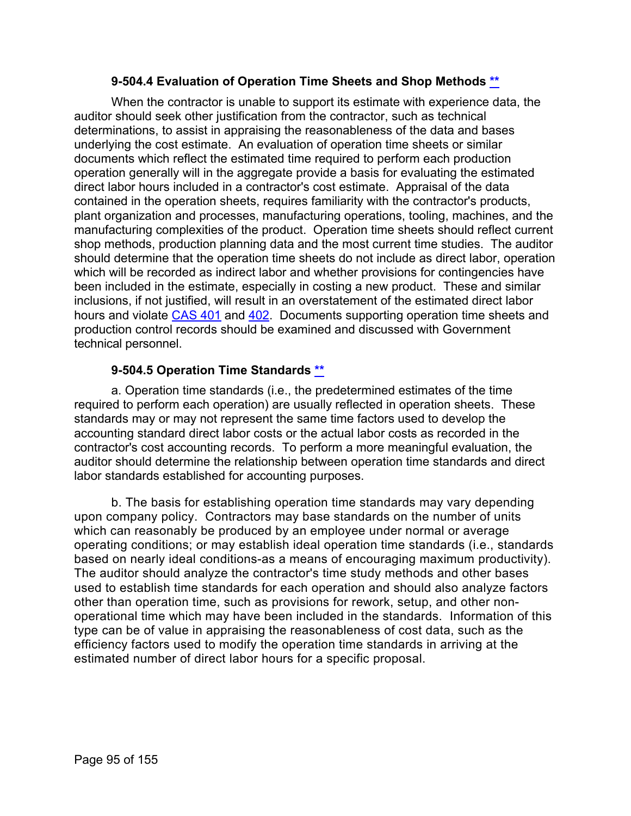### **9-504.4 Evaluation of Operation Time Sheets and Shop Methods [\\*\\*](#page-5-6)**

When the contractor is unable to support its estimate with experience data, the auditor should seek other justification from the contractor, such as technical determinations, to assist in appraising the reasonableness of the data and bases underlying the cost estimate. An evaluation of operation time sheets or similar documents which reflect the estimated time required to perform each production operation generally will in the aggregate provide a basis for evaluating the estimated direct labor hours included in a contractor's cost estimate. Appraisal of the data contained in the operation sheets, requires familiarity with the contractor's products, plant organization and processes, manufacturing operations, tooling, machines, and the manufacturing complexities of the product. Operation time sheets should reflect current shop methods, production planning data and the most current time studies. The auditor should determine that the operation time sheets do not include as direct labor, operation which will be recorded as indirect labor and whether provisions for contingencies have been included in the estimate, especially in costing a new product. These and similar inclusions, if not justified, will result in an overstatement of the estimated direct labor hours and violate [CAS 401](http://www.ecfr.gov/cgi-bin/text-idx?SID=64f603010a5d32ea512c7e870a81986b&mc=true&node=se48.7.9904_1401&rgn=div8) and [402.](http://www.ecfr.gov/cgi-bin/text-idx?SID=64f603010a5d32ea512c7e870a81986b&mc=true&node=se48.7.9904_1402&rgn=div8) Documents supporting operation time sheets and production control records should be examined and discussed with Government technical personnel.

### **9-504.5 Operation Time Standards [\\*\\*](#page-5-7)**

a. Operation time standards (i.e., the predetermined estimates of the time required to perform each operation) are usually reflected in operation sheets. These standards may or may not represent the same time factors used to develop the accounting standard direct labor costs or the actual labor costs as recorded in the contractor's cost accounting records. To perform a more meaningful evaluation, the auditor should determine the relationship between operation time standards and direct labor standards established for accounting purposes.

b. The basis for establishing operation time standards may vary depending upon company policy. Contractors may base standards on the number of units which can reasonably be produced by an employee under normal or average operating conditions; or may establish ideal operation time standards (i.e., standards based on nearly ideal conditions-as a means of encouraging maximum productivity). The auditor should analyze the contractor's time study methods and other bases used to establish time standards for each operation and should also analyze factors other than operation time, such as provisions for rework, setup, and other nonoperational time which may have been included in the standards. Information of this type can be of value in appraising the reasonableness of cost data, such as the efficiency factors used to modify the operation time standards in arriving at the estimated number of direct labor hours for a specific proposal.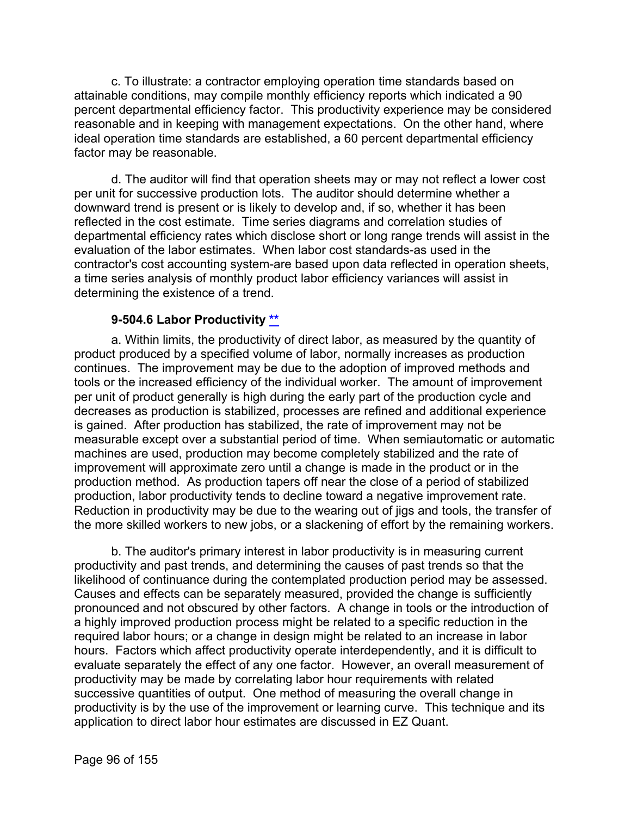c. To illustrate: a contractor employing operation time standards based on attainable conditions, may compile monthly efficiency reports which indicated a 90 percent departmental efficiency factor. This productivity experience may be considered reasonable and in keeping with management expectations. On the other hand, where ideal operation time standards are established, a 60 percent departmental efficiency factor may be reasonable.

d. The auditor will find that operation sheets may or may not reflect a lower cost per unit for successive production lots. The auditor should determine whether a downward trend is present or is likely to develop and, if so, whether it has been reflected in the cost estimate. Time series diagrams and correlation studies of departmental efficiency rates which disclose short or long range trends will assist in the evaluation of the labor estimates. When labor cost standards-as used in the contractor's cost accounting system-are based upon data reflected in operation sheets, a time series analysis of monthly product labor efficiency variances will assist in determining the existence of a trend.

### **9-504.6 Labor Productivity [\\*\\*](#page-5-8)**

a. Within limits, the productivity of direct labor, as measured by the quantity of product produced by a specified volume of labor, normally increases as production continues. The improvement may be due to the adoption of improved methods and tools or the increased efficiency of the individual worker. The amount of improvement per unit of product generally is high during the early part of the production cycle and decreases as production is stabilized, processes are refined and additional experience is gained. After production has stabilized, the rate of improvement may not be measurable except over a substantial period of time. When semiautomatic or automatic machines are used, production may become completely stabilized and the rate of improvement will approximate zero until a change is made in the product or in the production method. As production tapers off near the close of a period of stabilized production, labor productivity tends to decline toward a negative improvement rate. Reduction in productivity may be due to the wearing out of jigs and tools, the transfer of the more skilled workers to new jobs, or a slackening of effort by the remaining workers.

b. The auditor's primary interest in labor productivity is in measuring current productivity and past trends, and determining the causes of past trends so that the likelihood of continuance during the contemplated production period may be assessed. Causes and effects can be separately measured, provided the change is sufficiently pronounced and not obscured by other factors. A change in tools or the introduction of a highly improved production process might be related to a specific reduction in the required labor hours; or a change in design might be related to an increase in labor hours. Factors which affect productivity operate interdependently, and it is difficult to evaluate separately the effect of any one factor. However, an overall measurement of productivity may be made by correlating labor hour requirements with related successive quantities of output. One method of measuring the overall change in productivity is by the use of the improvement or learning curve. This technique and its application to direct labor hour estimates are discussed in EZ Quant.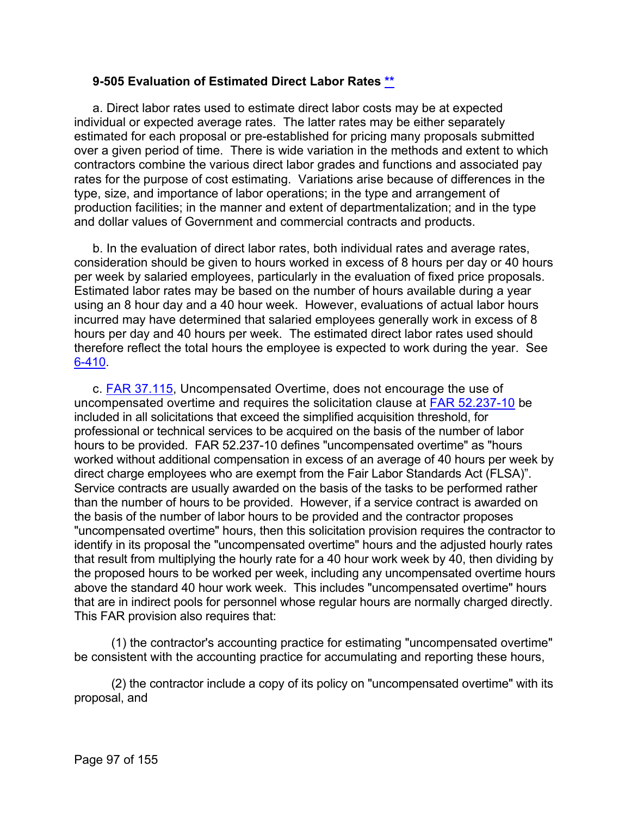### **9-505 Evaluation of Estimated Direct Labor Rates [\\*\\*](#page-5-9)**

a. Direct labor rates used to estimate direct labor costs may be at expected individual or expected average rates. The latter rates may be either separately estimated for each proposal or pre-established for pricing many proposals submitted over a given period of time. There is wide variation in the methods and extent to which contractors combine the various direct labor grades and functions and associated pay rates for the purpose of cost estimating. Variations arise because of differences in the type, size, and importance of labor operations; in the type and arrangement of production facilities; in the manner and extent of departmentalization; and in the type and dollar values of Government and commercial contracts and products.

b. In the evaluation of direct labor rates, both individual rates and average rates, consideration should be given to hours worked in excess of 8 hours per day or 40 hours per week by salaried employees, particularly in the evaluation of fixed price proposals. Estimated labor rates may be based on the number of hours available during a year using an 8 hour day and a 40 hour week. However, evaluations of actual labor hours incurred may have determined that salaried employees generally work in excess of 8 hours per day and 40 hours per week. The estimated direct labor rates used should therefore reflect the total hours the employee is expected to work during the year. See [6-410.](https://viper.dcaa.mil/guidance/cam/3136/incurred-cost-audit-procedures#Sec6410)

c. [FAR 37.115,](http://www.ecfr.gov/cgi-bin/retrieveECFR?gp=&SID=abdbc7bed6d1cf2a8c51c6483f02a2be&mc=true&n=sp48.1.37.37_11&r=SUBPART&ty=HTML#se48.1.37_1115) Uncompensated Overtime, does not encourage the use of uncompensated overtime and requires the solicitation clause at [FAR 52.237-10](http://www.ecfr.gov/cgi-bin/text-idx?SID=c2bed3829abb183e6c19fe0d6792b169&mc=true&node=se48.2.52_1237_610&rgn=div8) be included in all solicitations that exceed the simplified acquisition threshold, for professional or technical services to be acquired on the basis of the number of labor hours to be provided. FAR 52.237-10 defines "uncompensated overtime" as "hours worked without additional compensation in excess of an average of 40 hours per week by direct charge employees who are exempt from the Fair Labor Standards Act (FLSA)". Service contracts are usually awarded on the basis of the tasks to be performed rather than the number of hours to be provided. However, if a service contract is awarded on the basis of the number of labor hours to be provided and the contractor proposes "uncompensated overtime" hours, then this solicitation provision requires the contractor to identify in its proposal the "uncompensated overtime" hours and the adjusted hourly rates that result from multiplying the hourly rate for a 40 hour work week by 40, then dividing by the proposed hours to be worked per week, including any uncompensated overtime hours above the standard 40 hour work week. This includes "uncompensated overtime" hours that are in indirect pools for personnel whose regular hours are normally charged directly. This FAR provision also requires that:

(1) the contractor's accounting practice for estimating "uncompensated overtime" be consistent with the accounting practice for accumulating and reporting these hours,

(2) the contractor include a copy of its policy on "uncompensated overtime" with its proposal, and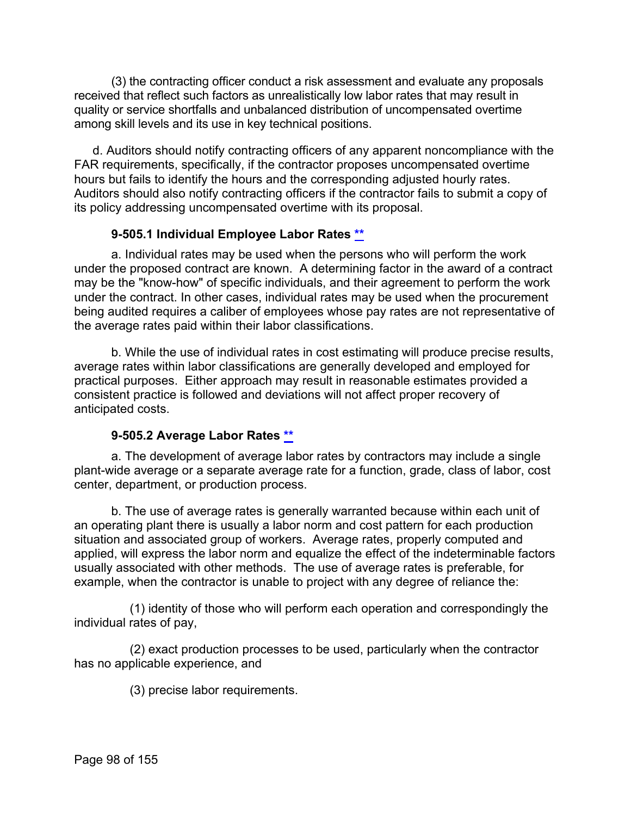(3) the contracting officer conduct a risk assessment and evaluate any proposals received that reflect such factors as unrealistically low labor rates that may result in quality or service shortfalls and unbalanced distribution of uncompensated overtime among skill levels and its use in key technical positions.

d. Auditors should notify contracting officers of any apparent noncompliance with the FAR requirements, specifically, if the contractor proposes uncompensated overtime hours but fails to identify the hours and the corresponding adjusted hourly rates. Auditors should also notify contracting officers if the contractor fails to submit a copy of its policy addressing uncompensated overtime with its proposal.

# **9-505.1 Individual Employee Labor Rates [\\*\\*](#page-5-10)**

a. Individual rates may be used when the persons who will perform the work under the proposed contract are known. A determining factor in the award of a contract may be the "know-how" of specific individuals, and their agreement to perform the work under the contract. In other cases, individual rates may be used when the procurement being audited requires a caliber of employees whose pay rates are not representative of the average rates paid within their labor classifications.

b. While the use of individual rates in cost estimating will produce precise results, average rates within labor classifications are generally developed and employed for practical purposes. Either approach may result in reasonable estimates provided a consistent practice is followed and deviations will not affect proper recovery of anticipated costs.

# **9-505.2 Average Labor Rates [\\*\\*](#page-5-11)**

a. The development of average labor rates by contractors may include a single plant-wide average or a separate average rate for a function, grade, class of labor, cost center, department, or production process.

b. The use of average rates is generally warranted because within each unit of an operating plant there is usually a labor norm and cost pattern for each production situation and associated group of workers. Average rates, properly computed and applied, will express the labor norm and equalize the effect of the indeterminable factors usually associated with other methods. The use of average rates is preferable, for example, when the contractor is unable to project with any degree of reliance the:

(1) identity of those who will perform each operation and correspondingly the individual rates of pay,

(2) exact production processes to be used, particularly when the contractor has no applicable experience, and

(3) precise labor requirements.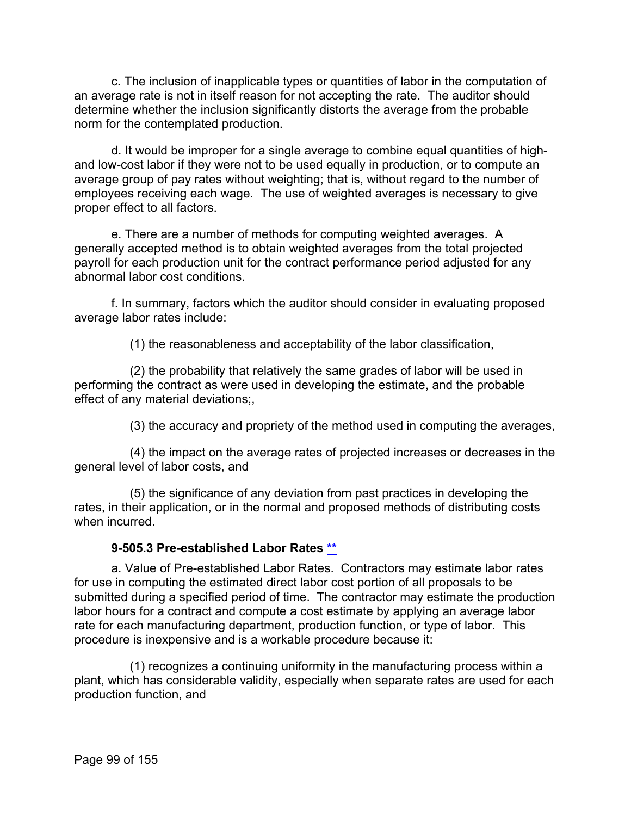c. The inclusion of inapplicable types or quantities of labor in the computation of an average rate is not in itself reason for not accepting the rate. The auditor should determine whether the inclusion significantly distorts the average from the probable norm for the contemplated production.

d. It would be improper for a single average to combine equal quantities of highand low-cost labor if they were not to be used equally in production, or to compute an average group of pay rates without weighting; that is, without regard to the number of employees receiving each wage. The use of weighted averages is necessary to give proper effect to all factors.

e. There are a number of methods for computing weighted averages. A generally accepted method is to obtain weighted averages from the total projected payroll for each production unit for the contract performance period adjusted for any abnormal labor cost conditions.

f. In summary, factors which the auditor should consider in evaluating proposed average labor rates include:

(1) the reasonableness and acceptability of the labor classification,

(2) the probability that relatively the same grades of labor will be used in performing the contract as were used in developing the estimate, and the probable effect of any material deviations;,

(3) the accuracy and propriety of the method used in computing the averages,

(4) the impact on the average rates of projected increases or decreases in the general level of labor costs, and

(5) the significance of any deviation from past practices in developing the rates, in their application, or in the normal and proposed methods of distributing costs when incurred

# **9-505.3 Pre-established Labor Rates [\\*\\*](#page-5-12)**

a. Value of Pre-established Labor Rates. Contractors may estimate labor rates for use in computing the estimated direct labor cost portion of all proposals to be submitted during a specified period of time. The contractor may estimate the production labor hours for a contract and compute a cost estimate by applying an average labor rate for each manufacturing department, production function, or type of labor. This procedure is inexpensive and is a workable procedure because it:

(1) recognizes a continuing uniformity in the manufacturing process within a plant, which has considerable validity, especially when separate rates are used for each production function, and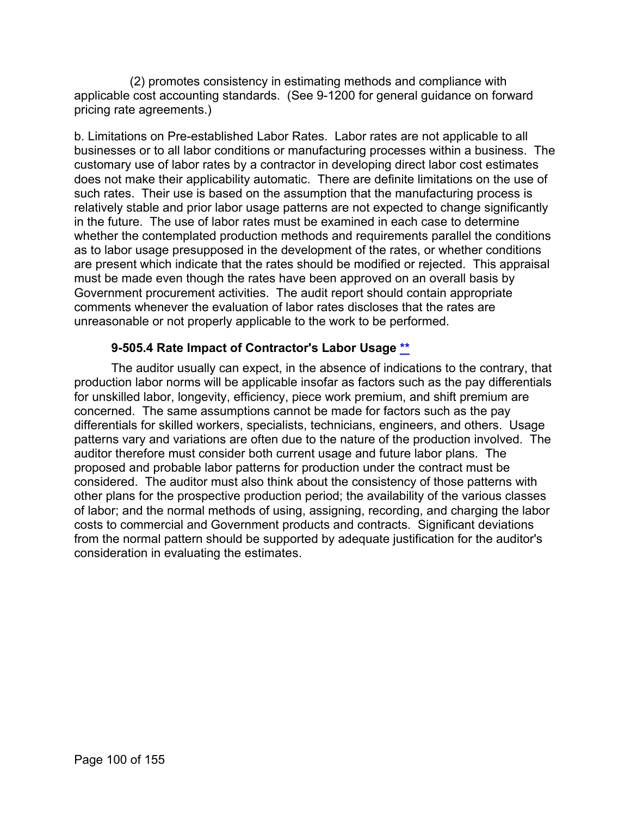(2) promotes consistency in estimating methods and compliance with applicable cost accounting standards. (See 9-1200 for general guidance on forward pricing rate agreements.)

b. Limitations on Pre-established Labor Rates. Labor rates are not applicable to all businesses or to all labor conditions or manufacturing processes within a business. The customary use of labor rates by a contractor in developing direct labor cost estimates does not make their applicability automatic. There are definite limitations on the use of such rates. Their use is based on the assumption that the manufacturing process is relatively stable and prior labor usage patterns are not expected to change significantly in the future. The use of labor rates must be examined in each case to determine whether the contemplated production methods and requirements parallel the conditions as to labor usage presupposed in the development of the rates, or whether conditions are present which indicate that the rates should be modified or rejected. This appraisal must be made even though the rates have been approved on an overall basis by Government procurement activities. The audit report should contain appropriate comments whenever the evaluation of labor rates discloses that the rates are unreasonable or not properly applicable to the work to be performed.

# **9-505.4 Rate Impact of Contractor's Labor Usage [\\*\\*](#page-5-13)**

The auditor usually can expect, in the absence of indications to the contrary, that production labor norms will be applicable insofar as factors such as the pay differentials for unskilled labor, longevity, efficiency, piece work premium, and shift premium are concerned. The same assumptions cannot be made for factors such as the pay differentials for skilled workers, specialists, technicians, engineers, and others. Usage patterns vary and variations are often due to the nature of the production involved. The auditor therefore must consider both current usage and future labor plans. The proposed and probable labor patterns for production under the contract must be considered. The auditor must also think about the consistency of those patterns with other plans for the prospective production period; the availability of the various classes of labor; and the normal methods of using, assigning, recording, and charging the labor costs to commercial and Government products and contracts. Significant deviations from the normal pattern should be supported by adequate justification for the auditor's consideration in evaluating the estimates.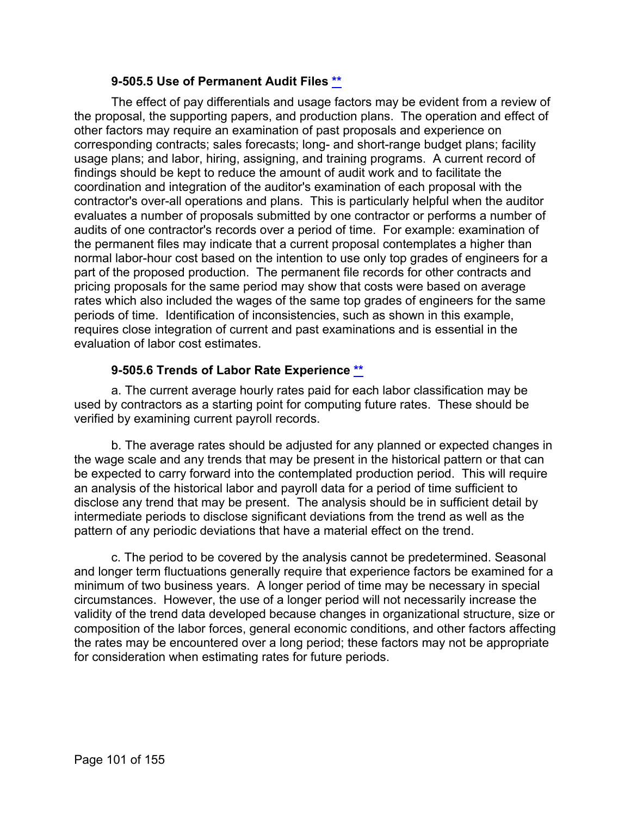### **9-505.5 Use of Permanent Audit Files [\\*\\*](#page-5-14)**

The effect of pay differentials and usage factors may be evident from a review of the proposal, the supporting papers, and production plans. The operation and effect of other factors may require an examination of past proposals and experience on corresponding contracts; sales forecasts; long- and short-range budget plans; facility usage plans; and labor, hiring, assigning, and training programs. A current record of findings should be kept to reduce the amount of audit work and to facilitate the coordination and integration of the auditor's examination of each proposal with the contractor's over-all operations and plans. This is particularly helpful when the auditor evaluates a number of proposals submitted by one contractor or performs a number of audits of one contractor's records over a period of time. For example: examination of the permanent files may indicate that a current proposal contemplates a higher than normal labor-hour cost based on the intention to use only top grades of engineers for a part of the proposed production. The permanent file records for other contracts and pricing proposals for the same period may show that costs were based on average rates which also included the wages of the same top grades of engineers for the same periods of time. Identification of inconsistencies, such as shown in this example, requires close integration of current and past examinations and is essential in the evaluation of labor cost estimates.

### **9-505.6 Trends of Labor Rate Experience [\\*\\*](#page-5-15)**

a. The current average hourly rates paid for each labor classification may be used by contractors as a starting point for computing future rates. These should be verified by examining current payroll records.

b. The average rates should be adjusted for any planned or expected changes in the wage scale and any trends that may be present in the historical pattern or that can be expected to carry forward into the contemplated production period. This will require an analysis of the historical labor and payroll data for a period of time sufficient to disclose any trend that may be present. The analysis should be in sufficient detail by intermediate periods to disclose significant deviations from the trend as well as the pattern of any periodic deviations that have a material effect on the trend.

c. The period to be covered by the analysis cannot be predetermined. Seasonal and longer term fluctuations generally require that experience factors be examined for a minimum of two business years. A longer period of time may be necessary in special circumstances. However, the use of a longer period will not necessarily increase the validity of the trend data developed because changes in organizational structure, size or composition of the labor forces, general economic conditions, and other factors affecting the rates may be encountered over a long period; these factors may not be appropriate for consideration when estimating rates for future periods.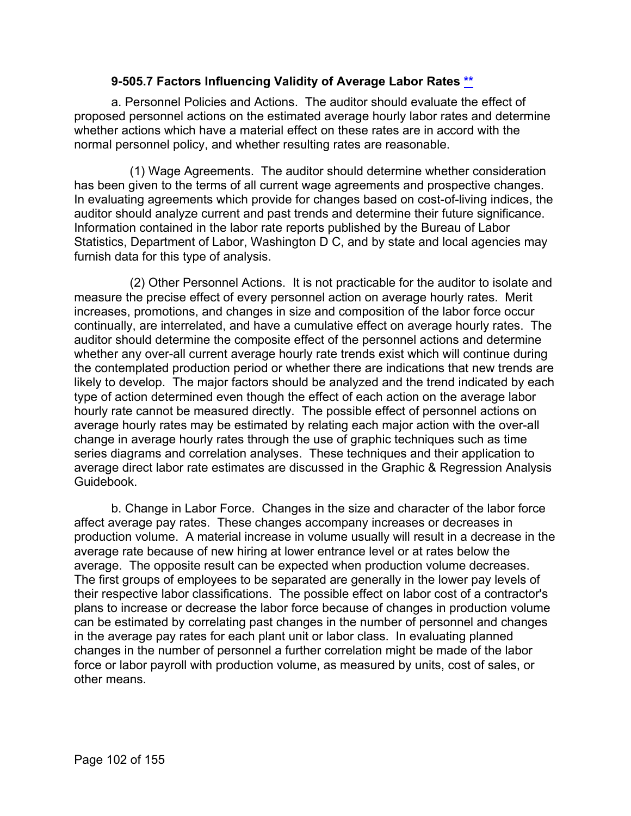### **9-505.7 Factors Influencing Validity of Average Labor Rates [\\*\\*](#page-5-16)**

a. Personnel Policies and Actions. The auditor should evaluate the effect of proposed personnel actions on the estimated average hourly labor rates and determine whether actions which have a material effect on these rates are in accord with the normal personnel policy, and whether resulting rates are reasonable.

(1) Wage Agreements. The auditor should determine whether consideration has been given to the terms of all current wage agreements and prospective changes. In evaluating agreements which provide for changes based on cost-of-living indices, the auditor should analyze current and past trends and determine their future significance. Information contained in the labor rate reports published by the Bureau of Labor Statistics, Department of Labor, Washington D C, and by state and local agencies may furnish data for this type of analysis.

(2) Other Personnel Actions. It is not practicable for the auditor to isolate and measure the precise effect of every personnel action on average hourly rates. Merit increases, promotions, and changes in size and composition of the labor force occur continually, are interrelated, and have a cumulative effect on average hourly rates. The auditor should determine the composite effect of the personnel actions and determine whether any over-all current average hourly rate trends exist which will continue during the contemplated production period or whether there are indications that new trends are likely to develop. The major factors should be analyzed and the trend indicated by each type of action determined even though the effect of each action on the average labor hourly rate cannot be measured directly. The possible effect of personnel actions on average hourly rates may be estimated by relating each major action with the over-all change in average hourly rates through the use of graphic techniques such as time series diagrams and correlation analyses. These techniques and their application to average direct labor rate estimates are discussed in the Graphic & Regression Analysis Guidebook.

b. Change in Labor Force. Changes in the size and character of the labor force affect average pay rates. These changes accompany increases or decreases in production volume. A material increase in volume usually will result in a decrease in the average rate because of new hiring at lower entrance level or at rates below the average. The opposite result can be expected when production volume decreases. The first groups of employees to be separated are generally in the lower pay levels of their respective labor classifications. The possible effect on labor cost of a contractor's plans to increase or decrease the labor force because of changes in production volume can be estimated by correlating past changes in the number of personnel and changes in the average pay rates for each plant unit or labor class. In evaluating planned changes in the number of personnel a further correlation might be made of the labor force or labor payroll with production volume, as measured by units, cost of sales, or other means.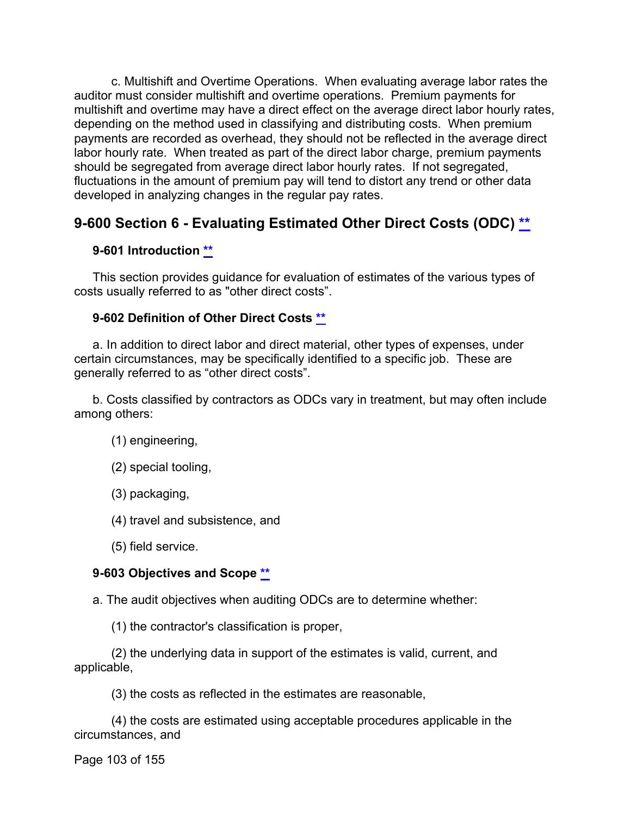c. Multishift and Overtime Operations. When evaluating average labor rates the auditor must consider multishift and overtime operations. Premium payments for multishift and overtime may have a direct effect on the average direct labor hourly rates, depending on the method used in classifying and distributing costs. When premium payments are recorded as overhead, they should not be reflected in the average direct labor hourly rate. When treated as part of the direct labor charge, premium payments should be segregated from average direct labor hourly rates. If not segregated, fluctuations in the amount of premium pay will tend to distort any trend or other data developed in analyzing changes in the regular pay rates.

# **9-600 Section 6 - Evaluating Estimated Other Direct Costs (ODC) [\\*\\*](#page-5-17)**

# **9-601 Introduction [\\*\\*](#page-5-18)**

This section provides guidance for evaluation of estimates of the various types of costs usually referred to as "other direct costs".

# **9-602 Definition of Other Direct Costs [\\*\\*](#page-5-19)**

a. In addition to direct labor and direct material, other types of expenses, under certain circumstances, may be specifically identified to a specific job. These are generally referred to as "other direct costs".

b. Costs classified by contractors as ODCs vary in treatment, but may often include among others:

- (1) engineering,
- (2) special tooling,
- (3) packaging,
- (4) travel and subsistence, and
- (5) field service.

# **9-603 Objectives and Scope [\\*\\*](#page-5-20)**

a. The audit objectives when auditing ODCs are to determine whether:

(1) the contractor's classification is proper,

(2) the underlying data in support of the estimates is valid, current, and applicable,

(3) the costs as reflected in the estimates are reasonable,

(4) the costs are estimated using acceptable procedures applicable in the circumstances, and

Page 103 of 155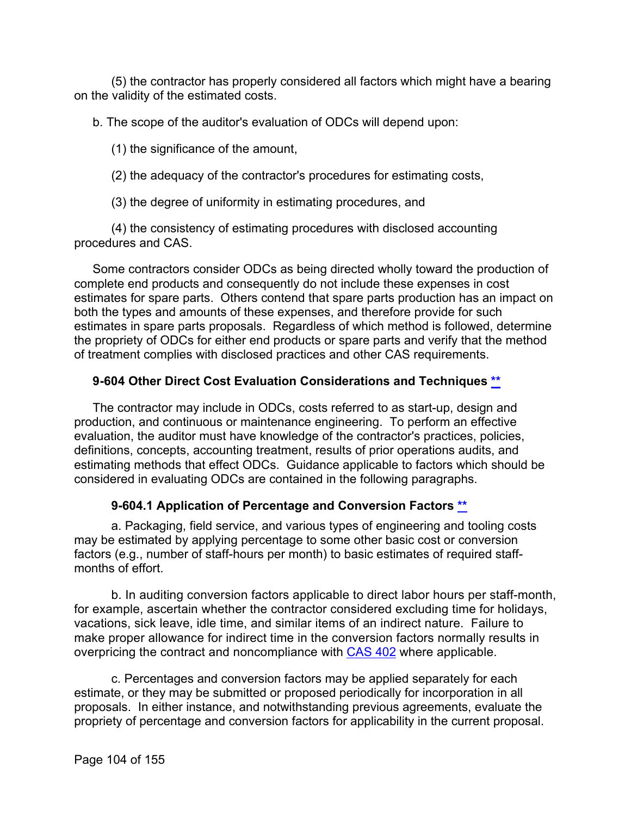(5) the contractor has properly considered all factors which might have a bearing on the validity of the estimated costs.

b. The scope of the auditor's evaluation of ODCs will depend upon:

(1) the significance of the amount,

(2) the adequacy of the contractor's procedures for estimating costs,

(3) the degree of uniformity in estimating procedures, and

(4) the consistency of estimating procedures with disclosed accounting procedures and CAS.

Some contractors consider ODCs as being directed wholly toward the production of complete end products and consequently do not include these expenses in cost estimates for spare parts. Others contend that spare parts production has an impact on both the types and amounts of these expenses, and therefore provide for such estimates in spare parts proposals. Regardless of which method is followed, determine the propriety of ODCs for either end products or spare parts and verify that the method of treatment complies with disclosed practices and other CAS requirements.

# **9-604 Other Direct Cost Evaluation Considerations and Techniques [\\*\\*](#page-5-21)**

The contractor may include in ODCs, costs referred to as start-up, design and production, and continuous or maintenance engineering. To perform an effective evaluation, the auditor must have knowledge of the contractor's practices, policies, definitions, concepts, accounting treatment, results of prior operations audits, and estimating methods that effect ODCs. Guidance applicable to factors which should be considered in evaluating ODCs are contained in the following paragraphs.

# **9-604.1 Application of Percentage and Conversion Factors [\\*\\*](#page-5-22)**

a. Packaging, field service, and various types of engineering and tooling costs may be estimated by applying percentage to some other basic cost or conversion factors (e.g., number of staff-hours per month) to basic estimates of required staffmonths of effort.

b. In auditing conversion factors applicable to direct labor hours per staff-month, for example, ascertain whether the contractor considered excluding time for holidays, vacations, sick leave, idle time, and similar items of an indirect nature. Failure to make proper allowance for indirect time in the conversion factors normally results in overpricing the contract and noncompliance with [CAS 402](http://www.ecfr.gov/cgi-bin/text-idx?SID=abdbc7bed6d1cf2a8c51c6483f02a2be&mc=true&node=pt48.7.9904&rgn=div5) where applicable.

c. Percentages and conversion factors may be applied separately for each estimate, or they may be submitted or proposed periodically for incorporation in all proposals. In either instance, and notwithstanding previous agreements, evaluate the propriety of percentage and conversion factors for applicability in the current proposal.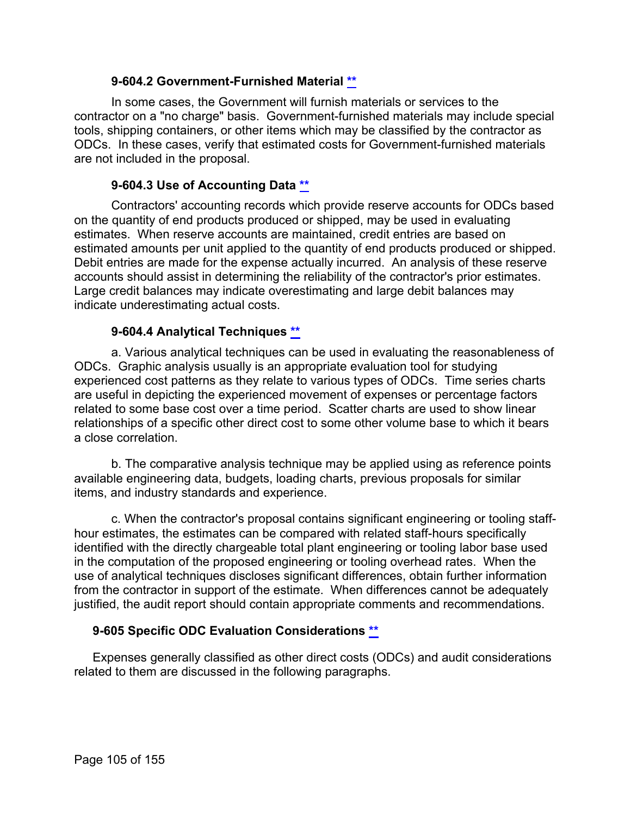### **9-604.2 Government-Furnished Material [\\*\\*](#page-5-23)**

In some cases, the Government will furnish materials or services to the contractor on a "no charge" basis. Government-furnished materials may include special tools, shipping containers, or other items which may be classified by the contractor as ODCs. In these cases, verify that estimated costs for Government-furnished materials are not included in the proposal.

#### **9-604.3 Use of Accounting Data [\\*\\*](#page-5-24)**

Contractors' accounting records which provide reserve accounts for ODCs based on the quantity of end products produced or shipped, may be used in evaluating estimates. When reserve accounts are maintained, credit entries are based on estimated amounts per unit applied to the quantity of end products produced or shipped. Debit entries are made for the expense actually incurred. An analysis of these reserve accounts should assist in determining the reliability of the contractor's prior estimates. Large credit balances may indicate overestimating and large debit balances may indicate underestimating actual costs.

#### **9-604.4 Analytical Techniques [\\*\\*](#page-5-25)**

a. Various analytical techniques can be used in evaluating the reasonableness of ODCs. Graphic analysis usually is an appropriate evaluation tool for studying experienced cost patterns as they relate to various types of ODCs. Time series charts are useful in depicting the experienced movement of expenses or percentage factors related to some base cost over a time period. Scatter charts are used to show linear relationships of a specific other direct cost to some other volume base to which it bears a close correlation.

b. The comparative analysis technique may be applied using as reference points available engineering data, budgets, loading charts, previous proposals for similar items, and industry standards and experience.

c. When the contractor's proposal contains significant engineering or tooling staffhour estimates, the estimates can be compared with related staff-hours specifically identified with the directly chargeable total plant engineering or tooling labor base used in the computation of the proposed engineering or tooling overhead rates. When the use of analytical techniques discloses significant differences, obtain further information from the contractor in support of the estimate. When differences cannot be adequately justified, the audit report should contain appropriate comments and recommendations.

### **9-605 Specific ODC Evaluation Considerations [\\*\\*](#page-5-26)**

Expenses generally classified as other direct costs (ODCs) and audit considerations related to them are discussed in the following paragraphs.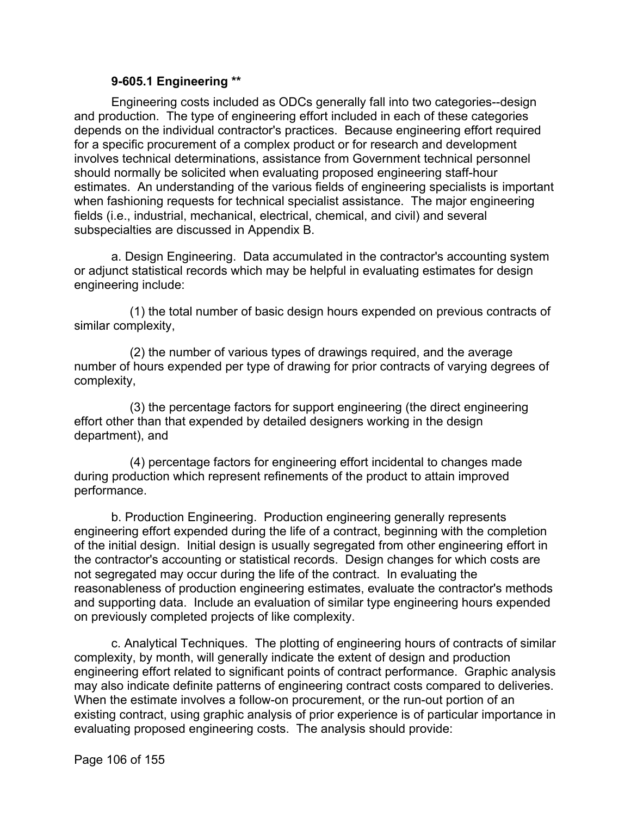#### **9-605.1 Engineering [\\*\\*](#page-5-27)**

Engineering costs included as ODCs generally fall into two categories--design and production. The type of engineering effort included in each of these categories depends on the individual contractor's practices. Because engineering effort required for a specific procurement of a complex product or for research and development involves technical determinations, assistance from Government technical personnel should normally be solicited when evaluating proposed engineering staff-hour estimates. An understanding of the various fields of engineering specialists is important when fashioning requests for technical specialist assistance. The major engineering fields (i.e., industrial, mechanical, electrical, chemical, and civil) and several subspecialties are discussed in Appendix B.

a. Design Engineering. Data accumulated in the contractor's accounting system or adjunct statistical records which may be helpful in evaluating estimates for design engineering include:

(1) the total number of basic design hours expended on previous contracts of similar complexity,

(2) the number of various types of drawings required, and the average number of hours expended per type of drawing for prior contracts of varying degrees of complexity,

(3) the percentage factors for support engineering (the direct engineering effort other than that expended by detailed designers working in the design department), and

(4) percentage factors for engineering effort incidental to changes made during production which represent refinements of the product to attain improved performance.

b. Production Engineering. Production engineering generally represents engineering effort expended during the life of a contract, beginning with the completion of the initial design. Initial design is usually segregated from other engineering effort in the contractor's accounting or statistical records. Design changes for which costs are not segregated may occur during the life of the contract. In evaluating the reasonableness of production engineering estimates, evaluate the contractor's methods and supporting data. Include an evaluation of similar type engineering hours expended on previously completed projects of like complexity.

c. Analytical Techniques. The plotting of engineering hours of contracts of similar complexity, by month, will generally indicate the extent of design and production engineering effort related to significant points of contract performance. Graphic analysis may also indicate definite patterns of engineering contract costs compared to deliveries. When the estimate involves a follow-on procurement, or the run-out portion of an existing contract, using graphic analysis of prior experience is of particular importance in evaluating proposed engineering costs. The analysis should provide:

Page 106 of 155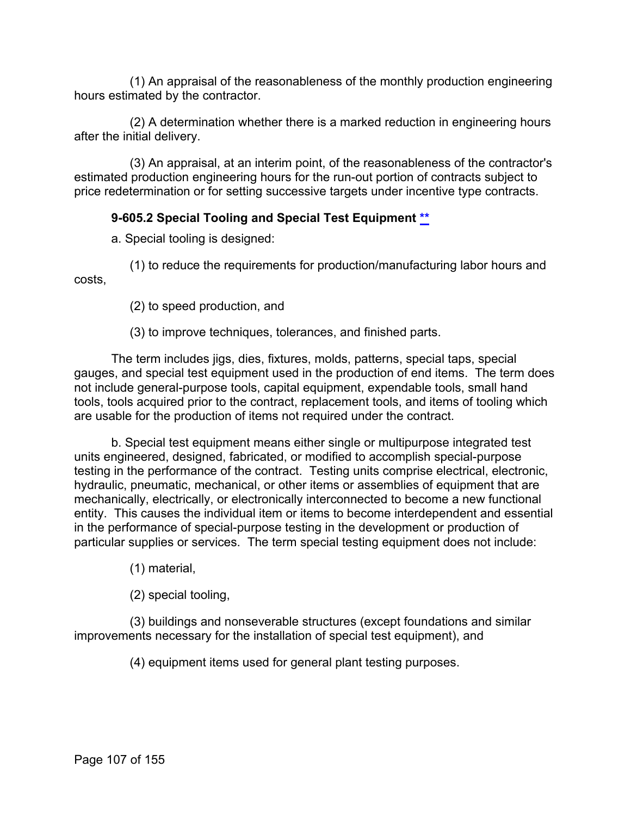(1) An appraisal of the reasonableness of the monthly production engineering hours estimated by the contractor.

(2) A determination whether there is a marked reduction in engineering hours after the initial delivery.

(3) An appraisal, at an interim point, of the reasonableness of the contractor's estimated production engineering hours for the run-out portion of contracts subject to price redetermination or for setting successive targets under incentive type contracts.

# **9-605.2 Special Tooling and Special Test Equipment [\\*\\*](#page-5-28)**

a. Special tooling is designed:

(1) to reduce the requirements for production/manufacturing labor hours and costs,

(2) to speed production, and

(3) to improve techniques, tolerances, and finished parts.

The term includes jigs, dies, fixtures, molds, patterns, special taps, special gauges, and special test equipment used in the production of end items. The term does not include general-purpose tools, capital equipment, expendable tools, small hand tools, tools acquired prior to the contract, replacement tools, and items of tooling which are usable for the production of items not required under the contract.

b. Special test equipment means either single or multipurpose integrated test units engineered, designed, fabricated, or modified to accomplish special-purpose testing in the performance of the contract. Testing units comprise electrical, electronic, hydraulic, pneumatic, mechanical, or other items or assemblies of equipment that are mechanically, electrically, or electronically interconnected to become a new functional entity. This causes the individual item or items to become interdependent and essential in the performance of special-purpose testing in the development or production of particular supplies or services. The term special testing equipment does not include:

(1) material,

(2) special tooling,

(3) buildings and nonseverable structures (except foundations and similar improvements necessary for the installation of special test equipment), and

(4) equipment items used for general plant testing purposes.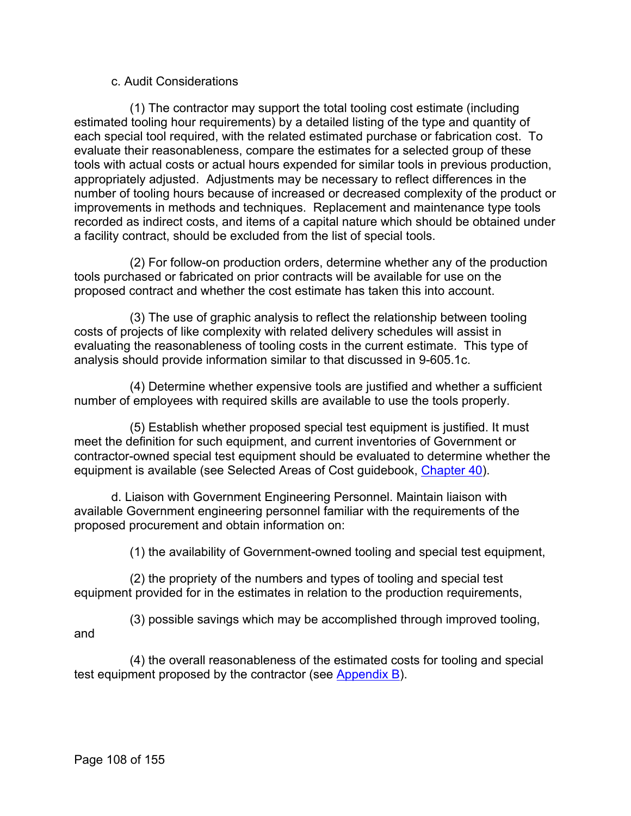#### c. Audit Considerations

(1) The contractor may support the total tooling cost estimate (including estimated tooling hour requirements) by a detailed listing of the type and quantity of each special tool required, with the related estimated purchase or fabrication cost. To evaluate their reasonableness, compare the estimates for a selected group of these tools with actual costs or actual hours expended for similar tools in previous production, appropriately adjusted. Adjustments may be necessary to reflect differences in the number of tooling hours because of increased or decreased complexity of the product or improvements in methods and techniques. Replacement and maintenance type tools recorded as indirect costs, and items of a capital nature which should be obtained under a facility contract, should be excluded from the list of special tools.

(2) For follow-on production orders, determine whether any of the production tools purchased or fabricated on prior contracts will be available for use on the proposed contract and whether the cost estimate has taken this into account.

(3) The use of graphic analysis to reflect the relationship between tooling costs of projects of like complexity with related delivery schedules will assist in evaluating the reasonableness of tooling costs in the current estimate. This type of analysis should provide information similar to that discussed in 9-605.1c.

(4) Determine whether expensive tools are justified and whether a sufficient number of employees with required skills are available to use the tools properly.

(5) Establish whether proposed special test equipment is justified. It must meet the definition for such equipment, and current inventories of Government or contractor-owned special test equipment should be evaluated to determine whether the equipment is available (see Selected Areas of Cost guidebook, [Chapter 40\)](https://viper.dcaa.mil/guidance/guidebooks/selected-areas-of-cost/3076/lease-cost).

d. Liaison with Government Engineering Personnel. Maintain liaison with available Government engineering personnel familiar with the requirements of the proposed procurement and obtain information on:

(1) the availability of Government-owned tooling and special test equipment,

(2) the propriety of the numbers and types of tooling and special test equipment provided for in the estimates in relation to the production requirements,

(3) possible savings which may be accomplished through improved tooling, and

(4) the overall reasonableness of the estimated costs for tooling and special test equipment proposed by the contractor (see [Appendix B\)](https://viper.dcaa.mil/guidance/cam/3163/appendix-b-specialist-assistance#Sec).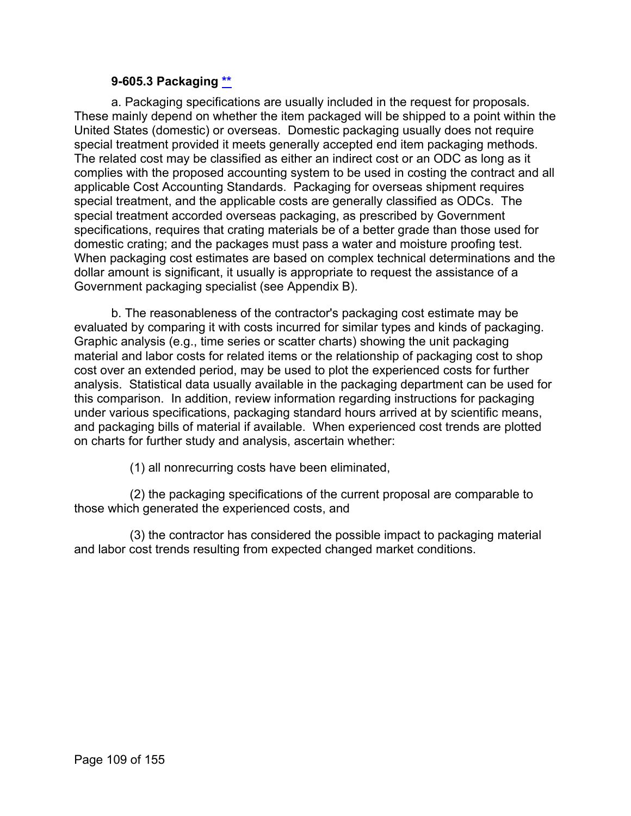#### **9-605.3 Packaging [\\*\\*](#page-6-0)**

a. Packaging specifications are usually included in the request for proposals. These mainly depend on whether the item packaged will be shipped to a point within the United States (domestic) or overseas. Domestic packaging usually does not require special treatment provided it meets generally accepted end item packaging methods. The related cost may be classified as either an indirect cost or an ODC as long as it complies with the proposed accounting system to be used in costing the contract and all applicable Cost Accounting Standards. Packaging for overseas shipment requires special treatment, and the applicable costs are generally classified as ODCs. The special treatment accorded overseas packaging, as prescribed by Government specifications, requires that crating materials be of a better grade than those used for domestic crating; and the packages must pass a water and moisture proofing test. When packaging cost estimates are based on complex technical determinations and the dollar amount is significant, it usually is appropriate to request the assistance of a Government packaging specialist (see Appendix B).

b. The reasonableness of the contractor's packaging cost estimate may be evaluated by comparing it with costs incurred for similar types and kinds of packaging. Graphic analysis (e.g., time series or scatter charts) showing the unit packaging material and labor costs for related items or the relationship of packaging cost to shop cost over an extended period, may be used to plot the experienced costs for further analysis. Statistical data usually available in the packaging department can be used for this comparison. In addition, review information regarding instructions for packaging under various specifications, packaging standard hours arrived at by scientific means, and packaging bills of material if available. When experienced cost trends are plotted on charts for further study and analysis, ascertain whether:

(1) all nonrecurring costs have been eliminated,

(2) the packaging specifications of the current proposal are comparable to those which generated the experienced costs, and

(3) the contractor has considered the possible impact to packaging material and labor cost trends resulting from expected changed market conditions.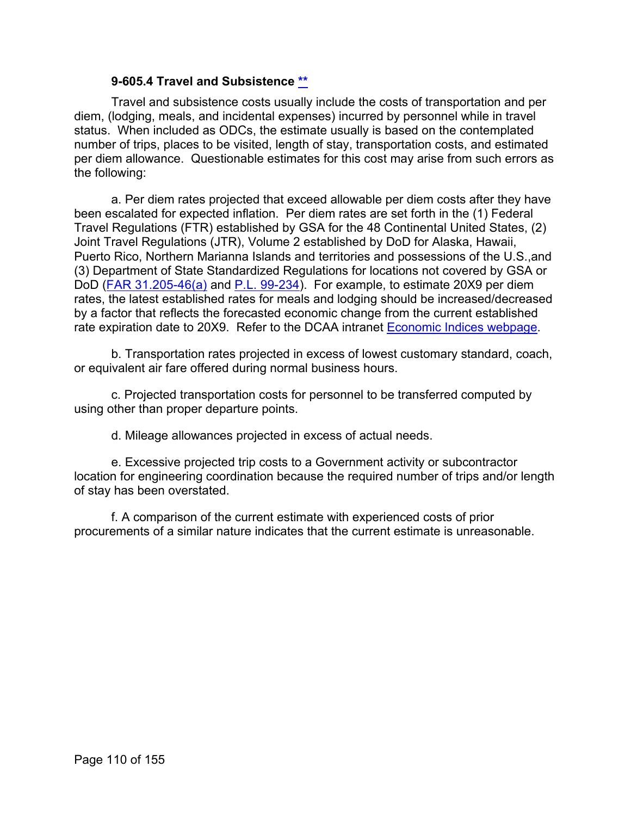#### **9-605.4 Travel and Subsistence [\\*\\*](#page-6-1)**

Travel and subsistence costs usually include the costs of transportation and per diem, (lodging, meals, and incidental expenses) incurred by personnel while in travel status. When included as ODCs, the estimate usually is based on the contemplated number of trips, places to be visited, length of stay, transportation costs, and estimated per diem allowance. Questionable estimates for this cost may arise from such errors as the following:

a. Per diem rates projected that exceed allowable per diem costs after they have been escalated for expected inflation. Per diem rates are set forth in the (1) Federal Travel Regulations (FTR) established by GSA for the 48 Continental United States, (2) Joint Travel Regulations (JTR), Volume 2 established by DoD for Alaska, Hawaii, Puerto Rico, Northern Marianna Islands and territories and possessions of the U.S.,and (3) Department of State Standardized Regulations for locations not covered by GSA or DoD [\(FAR 31.205-46\(a\)](http://www.ecfr.gov/cgi-bin/text-idx?SID=c2bed3829abb183e6c19fe0d6792b169&mc=true&node=se48.1.31_1205_646&rgn=div8) and [P.L. 99-234\)](https://www.congress.gov/bill/99th-congress/senate-bill/1840). For example, to estimate 20X9 per diem rates, the latest established rates for meals and lodging should be increased/decreased by a factor that reflects the forecasted economic change from the current established rate expiration date to 20X9. Refer to the DCAA intranet [Economic Indices webpage.](https://sharepoint.dcaaintra.mil/headquarters/operations/ots/SitePages/Home.aspx)

b. Transportation rates projected in excess of lowest customary standard, coach, or equivalent air fare offered during normal business hours.

c. Projected transportation costs for personnel to be transferred computed by using other than proper departure points.

d. Mileage allowances projected in excess of actual needs.

e. Excessive projected trip costs to a Government activity or subcontractor location for engineering coordination because the required number of trips and/or length of stay has been overstated.

f. A comparison of the current estimate with experienced costs of prior procurements of a similar nature indicates that the current estimate is unreasonable.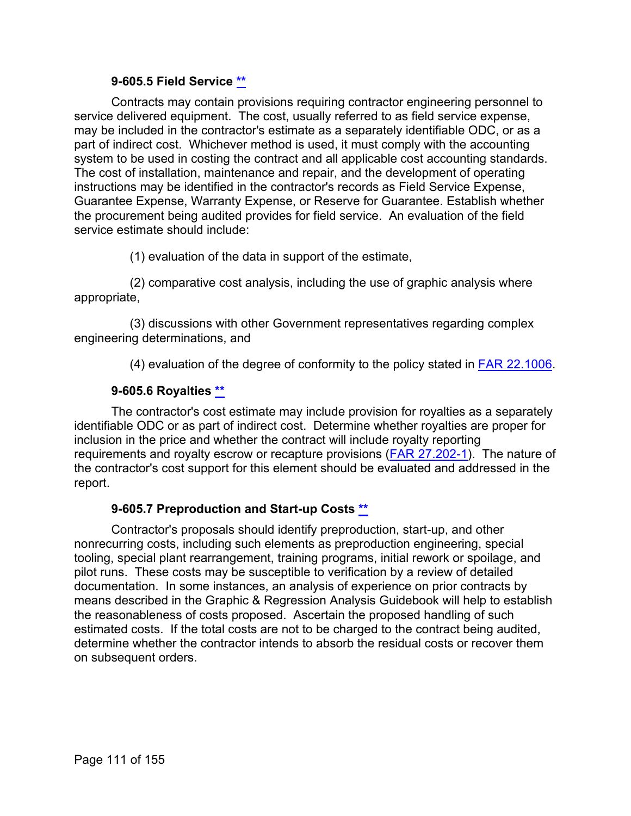#### **9-605.5 Field Service [\\*\\*](#page-6-2)**

Contracts may contain provisions requiring contractor engineering personnel to service delivered equipment. The cost, usually referred to as field service expense, may be included in the contractor's estimate as a separately identifiable ODC, or as a part of indirect cost. Whichever method is used, it must comply with the accounting system to be used in costing the contract and all applicable cost accounting standards. The cost of installation, maintenance and repair, and the development of operating instructions may be identified in the contractor's records as Field Service Expense, Guarantee Expense, Warranty Expense, or Reserve for Guarantee. Establish whether the procurement being audited provides for field service. An evaluation of the field service estimate should include:

(1) evaluation of the data in support of the estimate,

(2) comparative cost analysis, including the use of graphic analysis where appropriate,

(3) discussions with other Government representatives regarding complex engineering determinations, and

(4) evaluation of the degree of conformity to the policy stated in [FAR 22.1006.](http://www.ecfr.gov/cgi-bin/text-idx?SID=c2bed3829abb183e6c19fe0d6792b169&mc=true&node=se48.1.22_11006&rgn=div8)

# **9-605.6 Royalties [\\*\\*](#page-6-3)**

The contractor's cost estimate may include provision for royalties as a separately identifiable ODC or as part of indirect cost. Determine whether royalties are proper for inclusion in the price and whether the contract will include royalty reporting requirements and royalty escrow or recapture provisions [\(FAR 27.202-1\)](http://www.ecfr.gov/cgi-bin/text-idx?SID=c2bed3829abb183e6c19fe0d6792b169&mc=true&node=se48.1.27_1202_61&rgn=div8). The nature of the contractor's cost support for this element should be evaluated and addressed in the report.

#### **9-605.7 Preproduction and Start-up Costs [\\*\\*](#page-6-4)**

Contractor's proposals should identify preproduction, start-up, and other nonrecurring costs, including such elements as preproduction engineering, special tooling, special plant rearrangement, training programs, initial rework or spoilage, and pilot runs. These costs may be susceptible to verification by a review of detailed documentation. In some instances, an analysis of experience on prior contracts by means described in the Graphic & Regression Analysis Guidebook will help to establish the reasonableness of costs proposed. Ascertain the proposed handling of such estimated costs. If the total costs are not to be charged to the contract being audited, determine whether the contractor intends to absorb the residual costs or recover them on subsequent orders.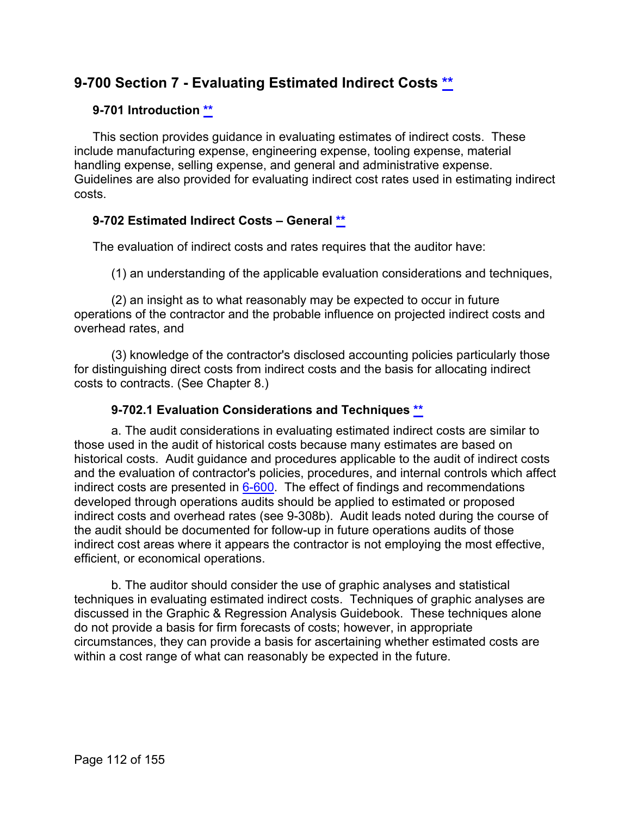# **9-700 Section 7 - Evaluating Estimated Indirect Costs [\\*\\*](#page-6-5)**

# **9-701 Introduction [\\*\\*](#page-6-6)**

This section provides guidance in evaluating estimates of indirect costs. These include manufacturing expense, engineering expense, tooling expense, material handling expense, selling expense, and general and administrative expense. Guidelines are also provided for evaluating indirect cost rates used in estimating indirect costs.

# **9-702 Estimated Indirect Costs – General [\\*\\*](#page-6-7)**

The evaluation of indirect costs and rates requires that the auditor have:

(1) an understanding of the applicable evaluation considerations and techniques,

(2) an insight as to what reasonably may be expected to occur in future operations of the contractor and the probable influence on projected indirect costs and overhead rates, and

(3) knowledge of the contractor's disclosed accounting policies particularly those for distinguishing direct costs from indirect costs and the basis for allocating indirect costs to contracts. (See Chapter 8.)

# **9-702.1 Evaluation Considerations and Techniques [\\*\\*](#page-6-8)**

a. The audit considerations in evaluating estimated indirect costs are similar to those used in the audit of historical costs because many estimates are based on historical costs. Audit guidance and procedures applicable to the audit of indirect costs and the evaluation of contractor's policies, procedures, and internal controls which affect indirect costs are presented in [6-600.](https://viper.dcaa.mil/guidance/cam/3136/incurred-cost-audit-procedures#Sec6600) The effect of findings and recommendations developed through operations audits should be applied to estimated or proposed indirect costs and overhead rates (see 9-308b). Audit leads noted during the course of the audit should be documented for follow-up in future operations audits of those indirect cost areas where it appears the contractor is not employing the most effective, efficient, or economical operations.

b. The auditor should consider the use of graphic analyses and statistical techniques in evaluating estimated indirect costs. Techniques of graphic analyses are discussed in the Graphic & Regression Analysis Guidebook. These techniques alone do not provide a basis for firm forecasts of costs; however, in appropriate circumstances, they can provide a basis for ascertaining whether estimated costs are within a cost range of what can reasonably be expected in the future.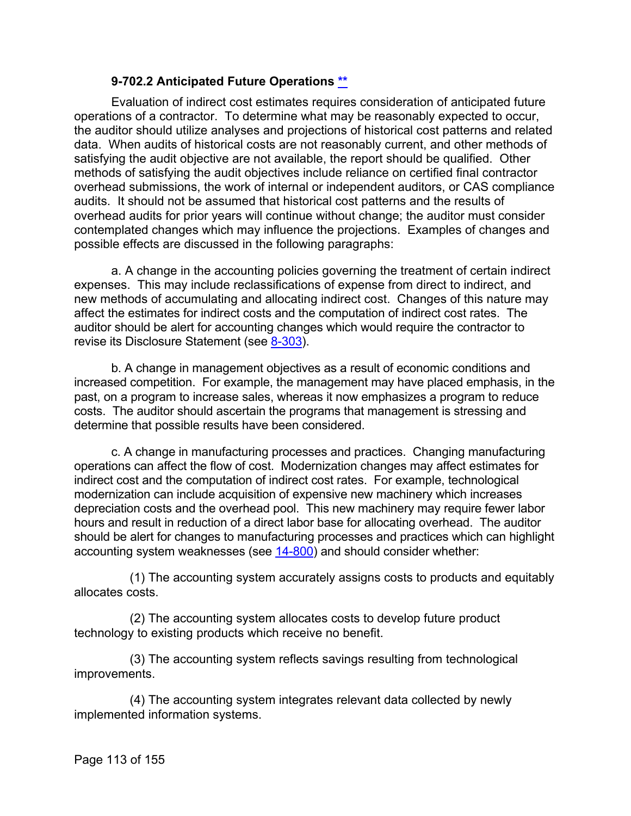#### **9-702.2 Anticipated Future Operations [\\*\\*](#page-6-9)**

Evaluation of indirect cost estimates requires consideration of anticipated future operations of a contractor. To determine what may be reasonably expected to occur, the auditor should utilize analyses and projections of historical cost patterns and related data. When audits of historical costs are not reasonably current, and other methods of satisfying the audit objective are not available, the report should be qualified. Other methods of satisfying the audit objectives include reliance on certified final contractor overhead submissions, the work of internal or independent auditors, or CAS compliance audits. It should not be assumed that historical cost patterns and the results of overhead audits for prior years will continue without change; the auditor must consider contemplated changes which may influence the projections. Examples of changes and possible effects are discussed in the following paragraphs:

a. A change in the accounting policies governing the treatment of certain indirect expenses. This may include reclassifications of expense from direct to indirect, and new methods of accumulating and allocating indirect cost. Changes of this nature may affect the estimates for indirect costs and the computation of indirect cost rates. The auditor should be alert for accounting changes which would require the contractor to revise its Disclosure Statement (see [8-303\)](https://viper.dcaa.mil/guidance/cam/3141/cost-accounting-standards#Section8303).

b. A change in management objectives as a result of economic conditions and increased competition. For example, the management may have placed emphasis, in the past, on a program to increase sales, whereas it now emphasizes a program to reduce costs. The auditor should ascertain the programs that management is stressing and determine that possible results have been considered.

c. A change in manufacturing processes and practices. Changing manufacturing operations can affect the flow of cost. Modernization changes may affect estimates for indirect cost and the computation of indirect cost rates. For example, technological modernization can include acquisition of expensive new machinery which increases depreciation costs and the overhead pool. This new machinery may require fewer labor hours and result in reduction of a direct labor base for allocating overhead. The auditor should be alert for changes to manufacturing processes and practices which can highlight accounting system weaknesses (see [14-800\)](https://viper.dcaa.mil/guidance/cam/3158/other-contract-audit-assignments#Sec14800) and should consider whether:

(1) The accounting system accurately assigns costs to products and equitably allocates costs.

(2) The accounting system allocates costs to develop future product technology to existing products which receive no benefit.

(3) The accounting system reflects savings resulting from technological improvements.

(4) The accounting system integrates relevant data collected by newly implemented information systems.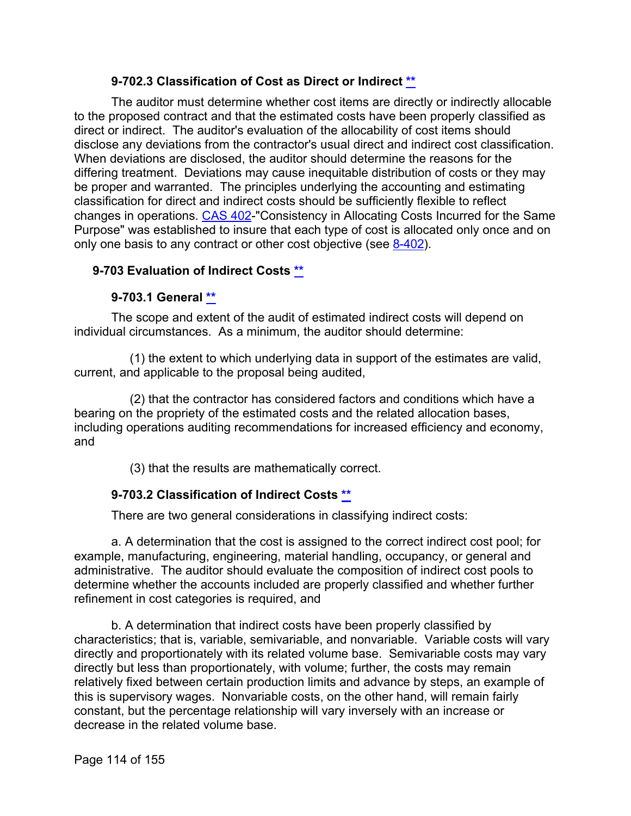# **9-702.3 Classification of Cost as Direct or Indirect [\\*\\*](#page-6-10)**

The auditor must determine whether cost items are directly or indirectly allocable to the proposed contract and that the estimated costs have been properly classified as direct or indirect. The auditor's evaluation of the allocability of cost items should disclose any deviations from the contractor's usual direct and indirect cost classification. When deviations are disclosed, the auditor should determine the reasons for the differing treatment. Deviations may cause inequitable distribution of costs or they may be proper and warranted. The principles underlying the accounting and estimating classification for direct and indirect costs should be sufficiently flexible to reflect changes in operations. [CAS 402-](http://www.ecfr.gov/cgi-bin/text-idx?SID=64f603010a5d32ea512c7e870a81986b&mc=true&node=se48.7.9904_1402&rgn=div8)"Consistency in Allocating Costs Incurred for the Same Purpose" was established to insure that each type of cost is allocated only once and on only one basis to any contract or other cost objective (see [8-402\)](https://viper.dcaa.mil/guidance/cam/3141/cost-accounting-standards#Section8402).

### **9-703 Evaluation of Indirect Costs [\\*\\*](#page-6-11)**

### **9-703.1 General [\\*\\*](#page-6-12)**

The scope and extent of the audit of estimated indirect costs will depend on individual circumstances. As a minimum, the auditor should determine:

(1) the extent to which underlying data in support of the estimates are valid, current, and applicable to the proposal being audited,

(2) that the contractor has considered factors and conditions which have a bearing on the propriety of the estimated costs and the related allocation bases, including operations auditing recommendations for increased efficiency and economy, and

(3) that the results are mathematically correct.

# **9-703.2 Classification of Indirect Costs [\\*\\*](#page-6-13)**

There are two general considerations in classifying indirect costs:

a. A determination that the cost is assigned to the correct indirect cost pool; for example, manufacturing, engineering, material handling, occupancy, or general and administrative. The auditor should evaluate the composition of indirect cost pools to determine whether the accounts included are properly classified and whether further refinement in cost categories is required, and

b. A determination that indirect costs have been properly classified by characteristics; that is, variable, semivariable, and nonvariable. Variable costs will vary directly and proportionately with its related volume base. Semivariable costs may vary directly but less than proportionately, with volume; further, the costs may remain relatively fixed between certain production limits and advance by steps, an example of this is supervisory wages. Nonvariable costs, on the other hand, will remain fairly constant, but the percentage relationship will vary inversely with an increase or decrease in the related volume base.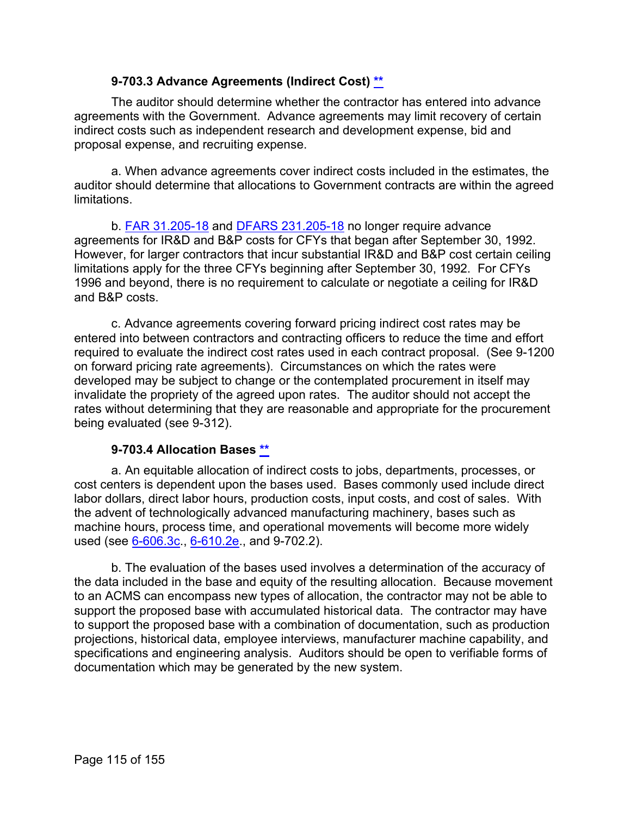### **9-703.3 Advance Agreements (Indirect Cost) [\\*\\*](#page-6-14)**

The auditor should determine whether the contractor has entered into advance agreements with the Government. Advance agreements may limit recovery of certain indirect costs such as independent research and development expense, bid and proposal expense, and recruiting expense.

a. When advance agreements cover indirect costs included in the estimates, the auditor should determine that allocations to Government contracts are within the agreed limitations.

b. [FAR 31.205-18](http://www.ecfr.gov/cgi-bin/text-idx?SID=c2bed3829abb183e6c19fe0d6792b169&mc=true&node=se48.1.31_1205_618&rgn=div8) and [DFARS 231.205-18](http://www.ecfr.gov/cgi-bin/text-idx?SID=c2bed3829abb183e6c19fe0d6792b169&mc=true&node=se48.3.231_1205_618&rgn=div8) no longer require advance agreements for IR&D and B&P costs for CFYs that began after September 30, 1992. However, for larger contractors that incur substantial IR&D and B&P cost certain ceiling limitations apply for the three CFYs beginning after September 30, 1992. For CFYs 1996 and beyond, there is no requirement to calculate or negotiate a ceiling for IR&D and B&P costs.

c. Advance agreements covering forward pricing indirect cost rates may be entered into between contractors and contracting officers to reduce the time and effort required to evaluate the indirect cost rates used in each contract proposal. (See 9-1200 on forward pricing rate agreements). Circumstances on which the rates were developed may be subject to change or the contemplated procurement in itself may invalidate the propriety of the agreed upon rates. The auditor should not accept the rates without determining that they are reasonable and appropriate for the procurement being evaluated (see 9-312).

#### **9-703.4 Allocation Bases [\\*\\*](#page-6-15)**

a. An equitable allocation of indirect costs to jobs, departments, processes, or cost centers is dependent upon the bases used. Bases commonly used include direct labor dollars, direct labor hours, production costs, input costs, and cost of sales. With the advent of technologically advanced manufacturing machinery, bases such as machine hours, process time, and operational movements will become more widely used (see  $6 - 606.3c$ ,  $6 - 610.2e$ , and 9-702.2).

b. The evaluation of the bases used involves a determination of the accuracy of the data included in the base and equity of the resulting allocation. Because movement to an ACMS can encompass new types of allocation, the contractor may not be able to support the proposed base with accumulated historical data. The contractor may have to support the proposed base with a combination of documentation, such as production projections, historical data, employee interviews, manufacturer machine capability, and specifications and engineering analysis. Auditors should be open to verifiable forms of documentation which may be generated by the new system.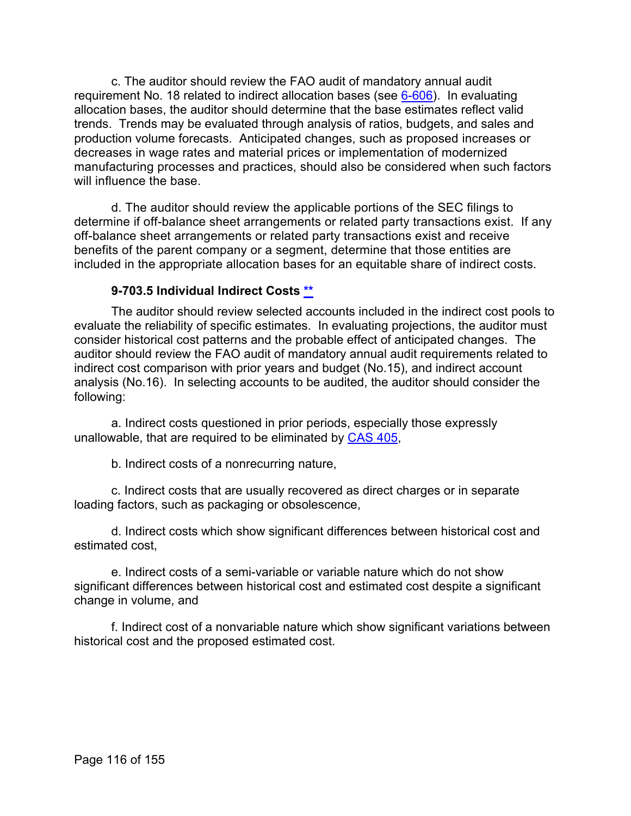c. The auditor should review the FAO audit of mandatory annual audit requirement No. 18 related to indirect allocation bases (see [6-606\)](https://viper.dcaa.mil/guidance/cam/3136/incurred-cost-audit-procedures#Sec6606). In evaluating allocation bases, the auditor should determine that the base estimates reflect valid trends. Trends may be evaluated through analysis of ratios, budgets, and sales and production volume forecasts. Anticipated changes, such as proposed increases or decreases in wage rates and material prices or implementation of modernized manufacturing processes and practices, should also be considered when such factors will influence the base.

d. The auditor should review the applicable portions of the SEC filings to determine if off-balance sheet arrangements or related party transactions exist. If any off-balance sheet arrangements or related party transactions exist and receive benefits of the parent company or a segment, determine that those entities are included in the appropriate allocation bases for an equitable share of indirect costs.

### **9-703.5 Individual Indirect Costs [\\*\\*](#page-6-16)**

The auditor should review selected accounts included in the indirect cost pools to evaluate the reliability of specific estimates. In evaluating projections, the auditor must consider historical cost patterns and the probable effect of anticipated changes. The auditor should review the FAO audit of mandatory annual audit requirements related to indirect cost comparison with prior years and budget (No.15), and indirect account analysis (No.16). In selecting accounts to be audited, the auditor should consider the following:

a. Indirect costs questioned in prior periods, especially those expressly unallowable, that are required to be eliminated by [CAS 405,](http://www.ecfr.gov/cgi-bin/text-idx?SID=a44b6485fb413ac644f4364cc0f8c0ae&mc=true&tpl=/ecfrbrowse/Title48/48cfr9904_main_02.tpl)

b. Indirect costs of a nonrecurring nature,

c. Indirect costs that are usually recovered as direct charges or in separate loading factors, such as packaging or obsolescence,

d. Indirect costs which show significant differences between historical cost and estimated cost,

e. Indirect costs of a semi-variable or variable nature which do not show significant differences between historical cost and estimated cost despite a significant change in volume, and

f. Indirect cost of a nonvariable nature which show significant variations between historical cost and the proposed estimated cost.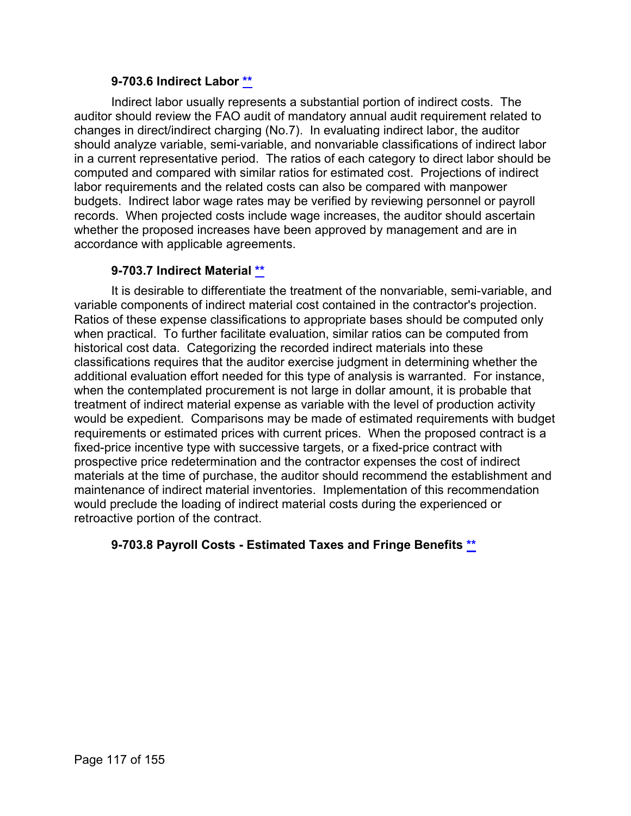#### **9-703.6 Indirect Labor [\\*\\*](#page-6-17)**

Indirect labor usually represents a substantial portion of indirect costs. The auditor should review the FAO audit of mandatory annual audit requirement related to changes in direct/indirect charging (No.7). In evaluating indirect labor, the auditor should analyze variable, semi-variable, and nonvariable classifications of indirect labor in a current representative period. The ratios of each category to direct labor should be computed and compared with similar ratios for estimated cost. Projections of indirect labor requirements and the related costs can also be compared with manpower budgets. Indirect labor wage rates may be verified by reviewing personnel or payroll records. When projected costs include wage increases, the auditor should ascertain whether the proposed increases have been approved by management and are in accordance with applicable agreements.

### **9-703.7 Indirect Material [\\*\\*](#page-6-18)**

It is desirable to differentiate the treatment of the nonvariable, semi-variable, and variable components of indirect material cost contained in the contractor's projection. Ratios of these expense classifications to appropriate bases should be computed only when practical. To further facilitate evaluation, similar ratios can be computed from historical cost data. Categorizing the recorded indirect materials into these classifications requires that the auditor exercise judgment in determining whether the additional evaluation effort needed for this type of analysis is warranted. For instance, when the contemplated procurement is not large in dollar amount, it is probable that treatment of indirect material expense as variable with the level of production activity would be expedient. Comparisons may be made of estimated requirements with budget requirements or estimated prices with current prices. When the proposed contract is a fixed-price incentive type with successive targets, or a fixed-price contract with prospective price redetermination and the contractor expenses the cost of indirect materials at the time of purchase, the auditor should recommend the establishment and maintenance of indirect material inventories. Implementation of this recommendation would preclude the loading of indirect material costs during the experienced or retroactive portion of the contract.

# **9-703.8 Payroll Costs - Estimated Taxes and Fringe Benefits [\\*\\*](#page-6-19)**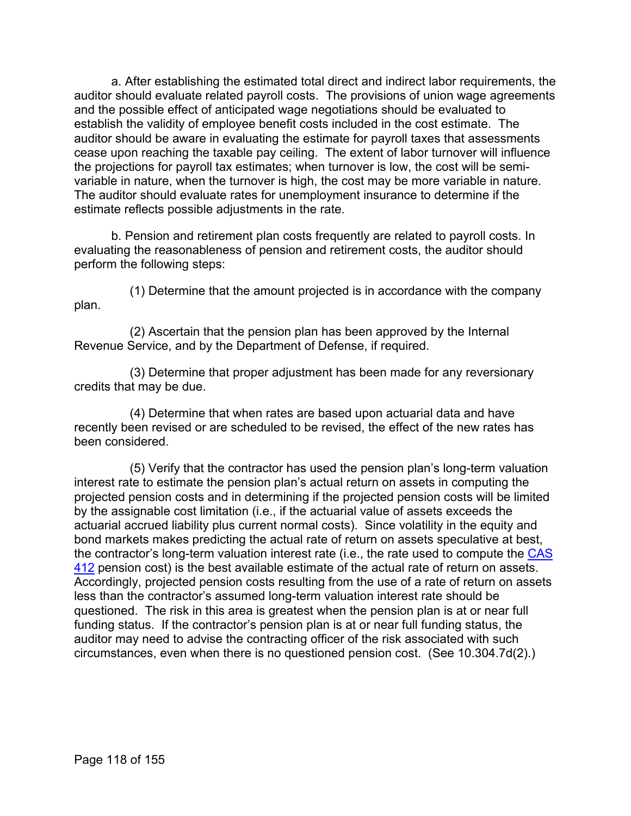a. After establishing the estimated total direct and indirect labor requirements, the auditor should evaluate related payroll costs. The provisions of union wage agreements and the possible effect of anticipated wage negotiations should be evaluated to establish the validity of employee benefit costs included in the cost estimate. The auditor should be aware in evaluating the estimate for payroll taxes that assessments cease upon reaching the taxable pay ceiling. The extent of labor turnover will influence the projections for payroll tax estimates; when turnover is low, the cost will be semivariable in nature, when the turnover is high, the cost may be more variable in nature. The auditor should evaluate rates for unemployment insurance to determine if the estimate reflects possible adjustments in the rate.

b. Pension and retirement plan costs frequently are related to payroll costs. In evaluating the reasonableness of pension and retirement costs, the auditor should perform the following steps:

plan.

(1) Determine that the amount projected is in accordance with the company

(2) Ascertain that the pension plan has been approved by the Internal Revenue Service, and by the Department of Defense, if required.

(3) Determine that proper adjustment has been made for any reversionary credits that may be due.

(4) Determine that when rates are based upon actuarial data and have recently been revised or are scheduled to be revised, the effect of the new rates has been considered.

(5) Verify that the contractor has used the pension plan's long-term valuation interest rate to estimate the pension plan's actual return on assets in computing the projected pension costs and in determining if the projected pension costs will be limited by the assignable cost limitation (i.e., if the actuarial value of assets exceeds the actuarial accrued liability plus current normal costs). Since volatility in the equity and bond markets makes predicting the actual rate of return on assets speculative at best, the contractor's long-term valuation interest rate (i.e., the rate used to compute the [CAS](http://www.ecfr.gov/cgi-bin/text-idx?SID=a44b6485fb413ac644f4364cc0f8c0ae&mc=true&tpl=/ecfrbrowse/Title48/48cfr9904_main_02.tpl)  [412](http://www.ecfr.gov/cgi-bin/text-idx?SID=a44b6485fb413ac644f4364cc0f8c0ae&mc=true&tpl=/ecfrbrowse/Title48/48cfr9904_main_02.tpl) pension cost) is the best available estimate of the actual rate of return on assets. Accordingly, projected pension costs resulting from the use of a rate of return on assets less than the contractor's assumed long-term valuation interest rate should be questioned. The risk in this area is greatest when the pension plan is at or near full funding status. If the contractor's pension plan is at or near full funding status, the auditor may need to advise the contracting officer of the risk associated with such circumstances, even when there is no questioned pension cost. (See 10.304.7d(2).)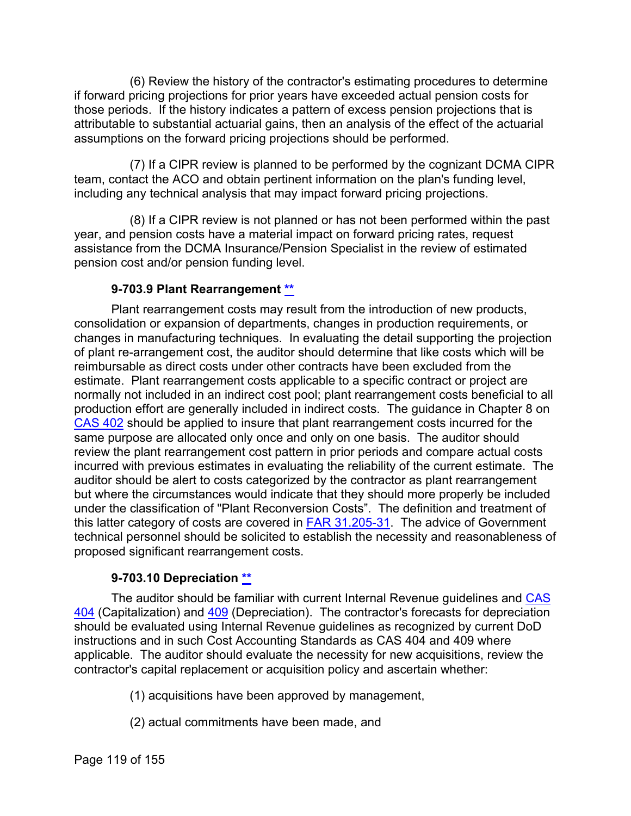(6) Review the history of the contractor's estimating procedures to determine if forward pricing projections for prior years have exceeded actual pension costs for those periods. If the history indicates a pattern of excess pension projections that is attributable to substantial actuarial gains, then an analysis of the effect of the actuarial assumptions on the forward pricing projections should be performed.

(7) If a CIPR review is planned to be performed by the cognizant DCMA CIPR team, contact the ACO and obtain pertinent information on the plan's funding level, including any technical analysis that may impact forward pricing projections.

(8) If a CIPR review is not planned or has not been performed within the past year, and pension costs have a material impact on forward pricing rates, request assistance from the DCMA Insurance/Pension Specialist in the review of estimated pension cost and/or pension funding level.

# **9-703.9 Plant Rearrangement [\\*\\*](#page-6-20)**

Plant rearrangement costs may result from the introduction of new products, consolidation or expansion of departments, changes in production requirements, or changes in manufacturing techniques. In evaluating the detail supporting the projection of plant re-arrangement cost, the auditor should determine that like costs which will be reimbursable as direct costs under other contracts have been excluded from the estimate. Plant rearrangement costs applicable to a specific contract or project are normally not included in an indirect cost pool; plant rearrangement costs beneficial to all production effort are generally included in indirect costs. The guidance in Chapter 8 on [CAS 402](http://www.ecfr.gov/cgi-bin/text-idx?SID=a44b6485fb413ac644f4364cc0f8c0ae&mc=true&tpl=/ecfrbrowse/Title48/48cfr9904_main_02.tpl) should be applied to insure that plant rearrangement costs incurred for the same purpose are allocated only once and only on one basis. The auditor should review the plant rearrangement cost pattern in prior periods and compare actual costs incurred with previous estimates in evaluating the reliability of the current estimate. The auditor should be alert to costs categorized by the contractor as plant rearrangement but where the circumstances would indicate that they should more properly be included under the classification of "Plant Reconversion Costs". The definition and treatment of this latter category of costs are covered in **FAR 31.205-31**. The advice of Government technical personnel should be solicited to establish the necessity and reasonableness of proposed significant rearrangement costs.

# **9-703.10 Depreciation [\\*\\*](#page-6-21)**

The auditor should be familiar with current Internal Revenue guidelines and CAS [404](http://www.ecfr.gov/cgi-bin/text-idx?SID=a44b6485fb413ac644f4364cc0f8c0ae&mc=true&tpl=/ecfrbrowse/Title48/48cfr9904_main_02.tpl) (Capitalization) and [409](http://www.ecfr.gov/cgi-bin/text-idx?SID=a44b6485fb413ac644f4364cc0f8c0ae&mc=true&tpl=/ecfrbrowse/Title48/48cfr9904_main_02.tpl) (Depreciation). The contractor's forecasts for depreciation should be evaluated using Internal Revenue guidelines as recognized by current DoD instructions and in such Cost Accounting Standards as CAS 404 and 409 where applicable. The auditor should evaluate the necessity for new acquisitions, review the contractor's capital replacement or acquisition policy and ascertain whether:

- (1) acquisitions have been approved by management,
- (2) actual commitments have been made, and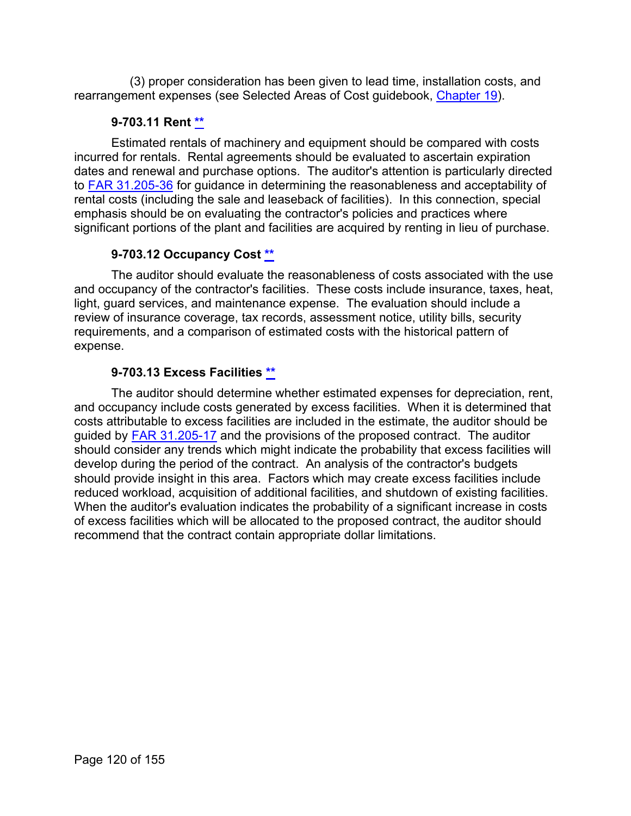(3) proper consideration has been given to lead time, installation costs, and rearrangement expenses (see Selected Areas of Cost guidebook, [Chapter 19\)](https://viper.dcaa.mil/guidance/guidebooks/selected-areas-of-cost/3055/depreciation-costs).

## **9-703.11 Rent [\\*\\*](#page-6-22)**

Estimated rentals of machinery and equipment should be compared with costs incurred for rentals. Rental agreements should be evaluated to ascertain expiration dates and renewal and purchase options. The auditor's attention is particularly directed to [FAR 31.205-36](http://www.ecfr.gov/cgi-bin/retrieveECFR?gp=&SID=c2bed3829abb183e6c19fe0d6792b169&mc=true&r=SECTION&n=se48.1.31_1205_636) for guidance in determining the reasonableness and acceptability of rental costs (including the sale and leaseback of facilities). In this connection, special emphasis should be on evaluating the contractor's policies and practices where significant portions of the plant and facilities are acquired by renting in lieu of purchase.

# **9-703.12 Occupancy Cost [\\*\\*](#page-6-23)**

The auditor should evaluate the reasonableness of costs associated with the use and occupancy of the contractor's facilities. These costs include insurance, taxes, heat, light, guard services, and maintenance expense. The evaluation should include a review of insurance coverage, tax records, assessment notice, utility bills, security requirements, and a comparison of estimated costs with the historical pattern of expense.

# **9-703.13 Excess Facilities [\\*\\*](#page-6-24)**

The auditor should determine whether estimated expenses for depreciation, rent, and occupancy include costs generated by excess facilities. When it is determined that costs attributable to excess facilities are included in the estimate, the auditor should be guided by [FAR 31.205-17](http://www.ecfr.gov/cgi-bin/text-idx?SID=c2bed3829abb183e6c19fe0d6792b169&mc=true&node=se48.1.31_1205_617&rgn=div8) and the provisions of the proposed contract. The auditor should consider any trends which might indicate the probability that excess facilities will develop during the period of the contract. An analysis of the contractor's budgets should provide insight in this area. Factors which may create excess facilities include reduced workload, acquisition of additional facilities, and shutdown of existing facilities. When the auditor's evaluation indicates the probability of a significant increase in costs of excess facilities which will be allocated to the proposed contract, the auditor should recommend that the contract contain appropriate dollar limitations.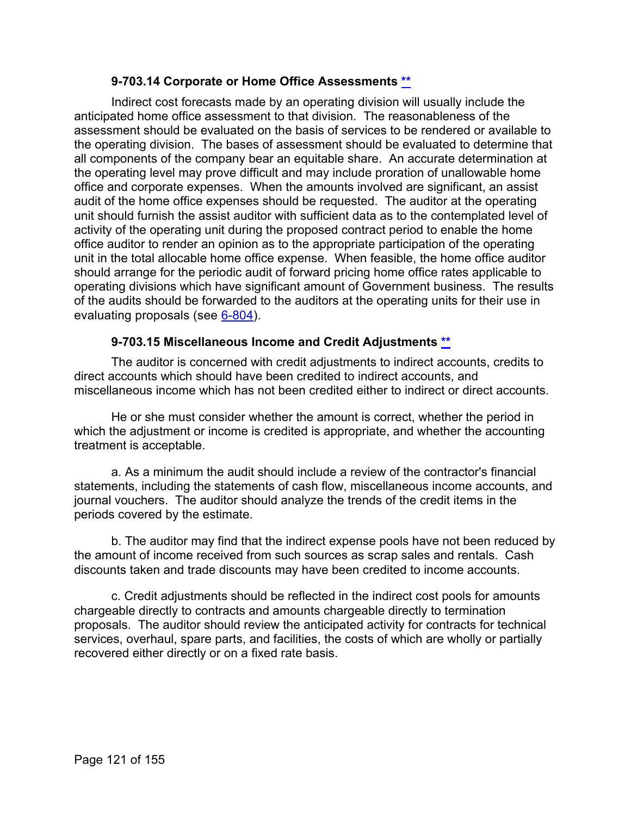#### **9-703.14 Corporate or Home Office Assessments [\\*\\*](#page-6-25)**

Indirect cost forecasts made by an operating division will usually include the anticipated home office assessment to that division. The reasonableness of the assessment should be evaluated on the basis of services to be rendered or available to the operating division. The bases of assessment should be evaluated to determine that all components of the company bear an equitable share. An accurate determination at the operating level may prove difficult and may include proration of unallowable home office and corporate expenses. When the amounts involved are significant, an assist audit of the home office expenses should be requested. The auditor at the operating unit should furnish the assist auditor with sufficient data as to the contemplated level of activity of the operating unit during the proposed contract period to enable the home office auditor to render an opinion as to the appropriate participation of the operating unit in the total allocable home office expense. When feasible, the home office auditor should arrange for the periodic audit of forward pricing home office rates applicable to operating divisions which have significant amount of Government business. The results of the audits should be forwarded to the auditors at the operating units for their use in evaluating proposals (see [6-804\)](https://viper.dcaa.mil/guidance/cam/3136/incurred-cost-audit-procedures#Sec6804).

#### **9-703.15 Miscellaneous Income and Credit Adjustments [\\*\\*](#page-6-26)**

The auditor is concerned with credit adjustments to indirect accounts, credits to direct accounts which should have been credited to indirect accounts, and miscellaneous income which has not been credited either to indirect or direct accounts.

He or she must consider whether the amount is correct, whether the period in which the adjustment or income is credited is appropriate, and whether the accounting treatment is acceptable.

a. As a minimum the audit should include a review of the contractor's financial statements, including the statements of cash flow, miscellaneous income accounts, and journal vouchers. The auditor should analyze the trends of the credit items in the periods covered by the estimate.

b. The auditor may find that the indirect expense pools have not been reduced by the amount of income received from such sources as scrap sales and rentals. Cash discounts taken and trade discounts may have been credited to income accounts.

c. Credit adjustments should be reflected in the indirect cost pools for amounts chargeable directly to contracts and amounts chargeable directly to termination proposals. The auditor should review the anticipated activity for contracts for technical services, overhaul, spare parts, and facilities, the costs of which are wholly or partially recovered either directly or on a fixed rate basis.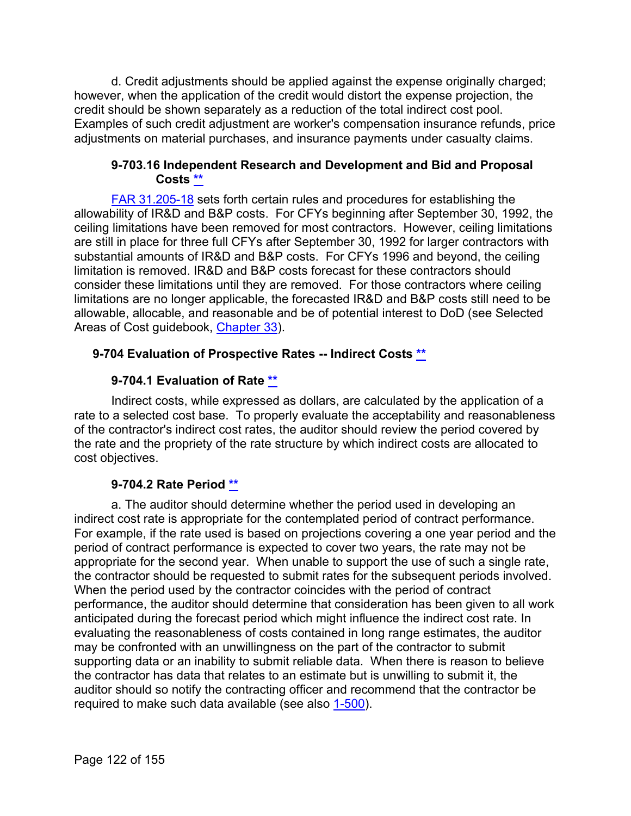d. Credit adjustments should be applied against the expense originally charged; however, when the application of the credit would distort the expense projection, the credit should be shown separately as a reduction of the total indirect cost pool. Examples of such credit adjustment are worker's compensation insurance refunds, price adjustments on material purchases, and insurance payments under casualty claims.

#### **9-703.16 Independent Research and Development and Bid and Proposal Costs [\\*\\*](#page-6-27)**

[FAR 31.205-18](http://www.ecfr.gov/cgi-bin/retrieveECFR?gp=&SID=c2bed3829abb183e6c19fe0d6792b169&mc=true&r=SECTION&n=se48.1.31_1205_618) sets forth certain rules and procedures for establishing the allowability of IR&D and B&P costs. For CFYs beginning after September 30, 1992, the ceiling limitations have been removed for most contractors. However, ceiling limitations are still in place for three full CFYs after September 30, 1992 for larger contractors with substantial amounts of IR&D and B&P costs. For CFYs 1996 and beyond, the ceiling limitation is removed. IR&D and B&P costs forecast for these contractors should consider these limitations until they are removed. For those contractors where ceiling limitations are no longer applicable, the forecasted IR&D and B&P costs still need to be allowable, allocable, and reasonable and be of potential interest to DoD (see Selected Areas of Cost guidebook, [Chapter 33\)](https://viper.dcaa.mil/guidance/guidebooks/selected-areas-of-cost/3069/independent-research-development-and-bid-proposal-costs).

# **9-704 Evaluation of Prospective Rates -- Indirect Costs [\\*\\*](#page-6-28)**

# **9-704.1 Evaluation of Rate [\\*\\*](#page-7-0)**

Indirect costs, while expressed as dollars, are calculated by the application of a rate to a selected cost base. To properly evaluate the acceptability and reasonableness of the contractor's indirect cost rates, the auditor should review the period covered by the rate and the propriety of the rate structure by which indirect costs are allocated to cost objectives.

# **9-704.2 Rate Period [\\*\\*](#page-7-1)**

a. The auditor should determine whether the period used in developing an indirect cost rate is appropriate for the contemplated period of contract performance. For example, if the rate used is based on projections covering a one year period and the period of contract performance is expected to cover two years, the rate may not be appropriate for the second year. When unable to support the use of such a single rate, the contractor should be requested to submit rates for the subsequent periods involved. When the period used by the contractor coincides with the period of contract performance, the auditor should determine that consideration has been given to all work anticipated during the forecast period which might influence the indirect cost rate. In evaluating the reasonableness of costs contained in long range estimates, the auditor may be confronted with an unwillingness on the part of the contractor to submit supporting data or an inability to submit reliable data. When there is reason to believe the contractor has data that relates to an estimate but is unwilling to submit it, the auditor should so notify the contracting officer and recommend that the contractor be required to make such data available (see also [1-500\)](https://viper.dcaa.mil/guidance/cam/3127/introduction-to-contract-audit#Sec1500).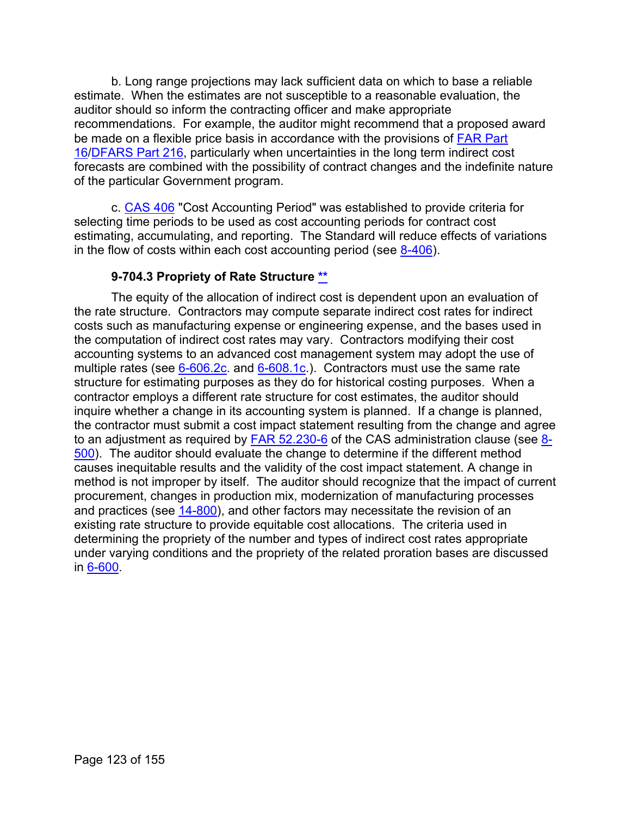b. Long range projections may lack sufficient data on which to base a reliable estimate. When the estimates are not susceptible to a reasonable evaluation, the auditor should so inform the contracting officer and make appropriate recommendations. For example, the auditor might recommend that a proposed award be made on a flexible price basis in accordance with the provisions of [FAR Part](http://www.ecfr.gov/cgi-bin/text-idx?SID=1939bae615cba00e3bbf76ff1d8e9413&mc=true&node=pt48.1.16&rgn=div5)  [16/](http://www.ecfr.gov/cgi-bin/text-idx?SID=1939bae615cba00e3bbf76ff1d8e9413&mc=true&node=pt48.1.16&rgn=div5)[DFARS Part 216,](http://www.ecfr.gov/cgi-bin/text-idx?SID=1939bae615cba00e3bbf76ff1d8e9413&mc=true&node=pt48.3.216&rgn=div5) particularly when uncertainties in the long term indirect cost forecasts are combined with the possibility of contract changes and the indefinite nature of the particular Government program.

c. [CAS 406](http://www.ecfr.gov/cgi-bin/text-idx?SID=a44b6485fb413ac644f4364cc0f8c0ae&mc=true&tpl=/ecfrbrowse/Title48/48cfr9904_main_02.tpl) "Cost Accounting Period" was established to provide criteria for selecting time periods to be used as cost accounting periods for contract cost estimating, accumulating, and reporting. The Standard will reduce effects of variations in the flow of costs within each cost accounting period (see  $8-406$ ).

#### **9-704.3 Propriety of Rate Structure [\\*\\*](#page-7-2)**

The equity of the allocation of indirect cost is dependent upon an evaluation of the rate structure. Contractors may compute separate indirect cost rates for indirect costs such as manufacturing expense or engineering expense, and the bases used in the computation of indirect cost rates may vary. Contractors modifying their cost accounting systems to an advanced cost management system may adopt the use of multiple rates (see  $6-606.2c$ . and  $6-608.1c$ .). Contractors must use the same rate structure for estimating purposes as they do for historical costing purposes. When a contractor employs a different rate structure for cost estimates, the auditor should inquire whether a change in its accounting system is planned. If a change is planned, the contractor must submit a cost impact statement resulting from the change and agree to an adjustment as required by [FAR 52.230-6](http://www.ecfr.gov/cgi-bin/text-idx?SID=c2bed3829abb183e6c19fe0d6792b169&mc=true&node=se48.2.52_1230_66&rgn=div8) of the CAS administration clause (see [8-](https://viper.dcaa.mil/guidance/cam/3141/cost-accounting-standards#Section8500) [500\)](https://viper.dcaa.mil/guidance/cam/3141/cost-accounting-standards#Section8500). The auditor should evaluate the change to determine if the different method causes inequitable results and the validity of the cost impact statement. A change in method is not improper by itself. The auditor should recognize that the impact of current procurement, changes in production mix, modernization of manufacturing processes and practices (see [14-800\)](https://viper.dcaa.mil/guidance/cam/3158/other-contract-audit-assignments#Sec14800), and other factors may necessitate the revision of an existing rate structure to provide equitable cost allocations. The criteria used in determining the propriety of the number and types of indirect cost rates appropriate under varying conditions and the propriety of the related proration bases are discussed in [6-600.](https://viper.dcaa.mil/guidance/cam/3136/incurred-cost-audit-procedures#Sec6600)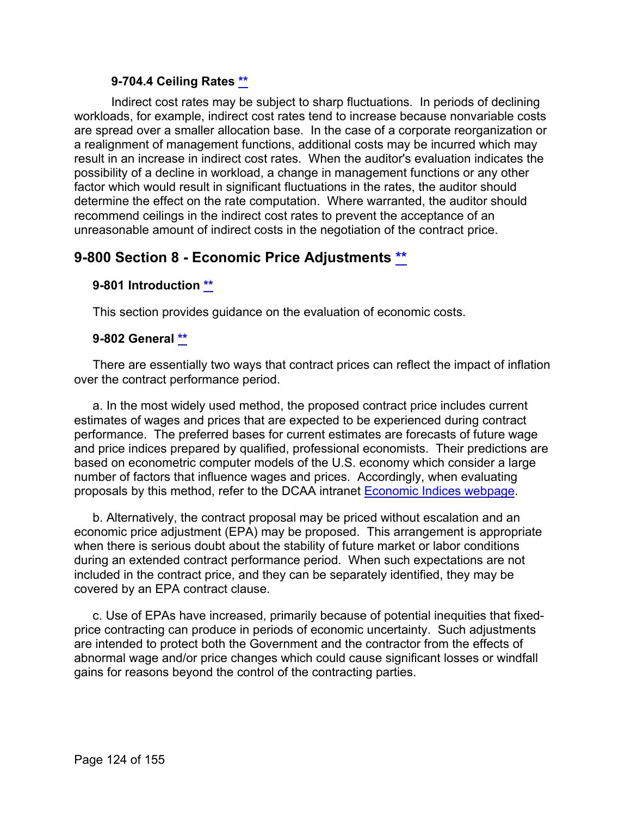#### **9-704.4 Ceiling Rates [\\*\\*](#page-7-3)**

Indirect cost rates may be subject to sharp fluctuations. In periods of declining workloads, for example, indirect cost rates tend to increase because nonvariable costs are spread over a smaller allocation base. In the case of a corporate reorganization or a realignment of management functions, additional costs may be incurred which may result in an increase in indirect cost rates. When the auditor's evaluation indicates the possibility of a decline in workload, a change in management functions or any other factor which would result in significant fluctuations in the rates, the auditor should determine the effect on the rate computation. Where warranted, the auditor should recommend ceilings in the indirect cost rates to prevent the acceptance of an unreasonable amount of indirect costs in the negotiation of the contract price.

# **9-800 Section 8 - Economic Price Adjustments [\\*\\*](#page-7-4)**

#### **9-801 Introduction [\\*\\*](#page-7-5)**

This section provides guidance on the evaluation of economic costs.

#### **9-802 General [\\*\\*](#page-7-6)**

There are essentially two ways that contract prices can reflect the impact of inflation over the contract performance period.

a. In the most widely used method, the proposed contract price includes current estimates of wages and prices that are expected to be experienced during contract performance. The preferred bases for current estimates are forecasts of future wage and price indices prepared by qualified, professional economists. Their predictions are based on econometric computer models of the U.S. economy which consider a large number of factors that influence wages and prices. Accordingly, when evaluating proposals by this method, refer to the DCAA intranet [Economic Indices webpage.](https://sharepoint.dcaaintra.mil/headquarters/operations/ots/SitePages/Home.aspx)

b. Alternatively, the contract proposal may be priced without escalation and an economic price adjustment (EPA) may be proposed. This arrangement is appropriate when there is serious doubt about the stability of future market or labor conditions during an extended contract performance period. When such expectations are not included in the contract price, and they can be separately identified, they may be covered by an EPA contract clause.

c. Use of EPAs have increased, primarily because of potential inequities that fixedprice contracting can produce in periods of economic uncertainty. Such adjustments are intended to protect both the Government and the contractor from the effects of abnormal wage and/or price changes which could cause significant losses or windfall gains for reasons beyond the control of the contracting parties.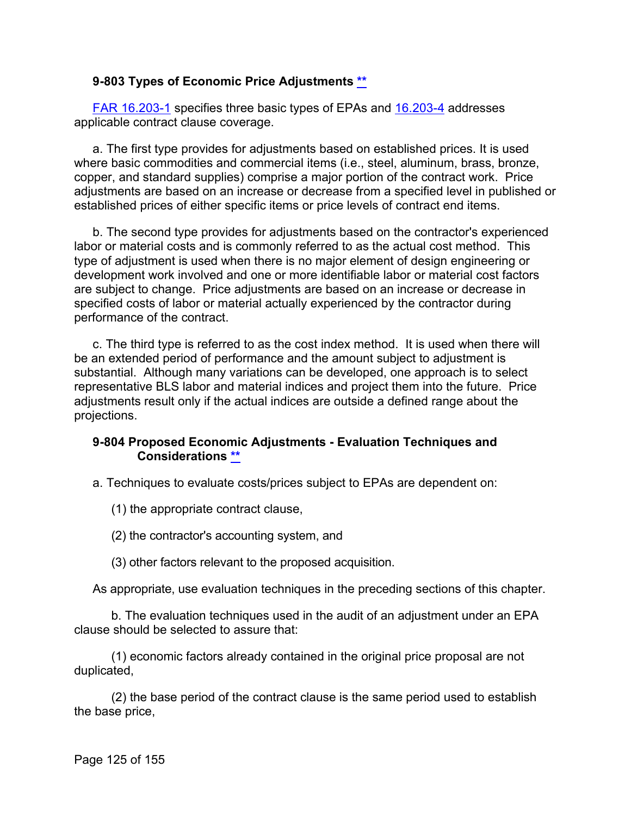#### **9-803 Types of Economic Price Adjustments [\\*\\*](#page-7-7)**

[FAR 16.203-1](http://www.ecfr.gov/cgi-bin/text-idx?SID=abc6e84a42c244ce8049f84f0eef1f08&mc=true&node=se48.1.16_1203_61&rgn=div8) specifies three basic types of EPAs and [16.203-4](http://www.ecfr.gov/cgi-bin/retrieveECFR?gp=&SID=998d8a7c3e9bec1de1c811b179c36c20&mc=true&r=SECTION&n=se48.1.16_1203_64) addresses applicable contract clause coverage.

a. The first type provides for adjustments based on established prices. It is used where basic commodities and commercial items (i.e., steel, aluminum, brass, bronze, copper, and standard supplies) comprise a major portion of the contract work. Price adjustments are based on an increase or decrease from a specified level in published or established prices of either specific items or price levels of contract end items.

b. The second type provides for adjustments based on the contractor's experienced labor or material costs and is commonly referred to as the actual cost method. This type of adjustment is used when there is no major element of design engineering or development work involved and one or more identifiable labor or material cost factors are subject to change. Price adjustments are based on an increase or decrease in specified costs of labor or material actually experienced by the contractor during performance of the contract.

c. The third type is referred to as the cost index method. It is used when there will be an extended period of performance and the amount subject to adjustment is substantial. Although many variations can be developed, one approach is to select representative BLS labor and material indices and project them into the future. Price adjustments result only if the actual indices are outside a defined range about the projections.

#### **9-804 Proposed Economic Adjustments - Evaluation Techniques and Considerations [\\*\\*](#page-7-8)**

a. Techniques to evaluate costs/prices subject to EPAs are dependent on:

(1) the appropriate contract clause,

(2) the contractor's accounting system, and

(3) other factors relevant to the proposed acquisition.

As appropriate, use evaluation techniques in the preceding sections of this chapter.

b. The evaluation techniques used in the audit of an adjustment under an EPA clause should be selected to assure that:

(1) economic factors already contained in the original price proposal are not duplicated,

(2) the base period of the contract clause is the same period used to establish the base price,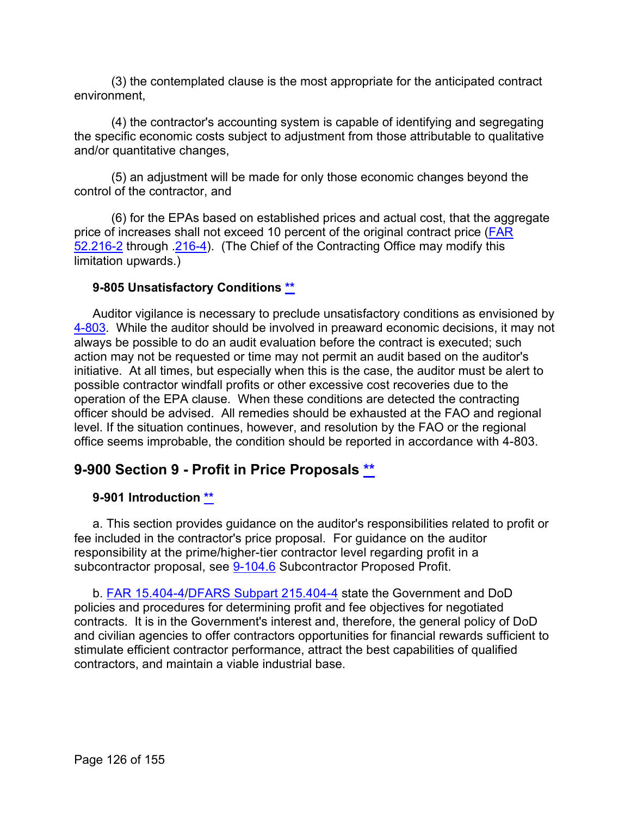(3) the contemplated clause is the most appropriate for the anticipated contract environment,

(4) the contractor's accounting system is capable of identifying and segregating the specific economic costs subject to adjustment from those attributable to qualitative and/or quantitative changes,

(5) an adjustment will be made for only those economic changes beyond the control of the contractor, and

(6) for the EPAs based on established prices and actual cost, that the aggregate price of increases shall not exceed 10 percent of the original contract price (**FAR** [52.216-2](http://www.ecfr.gov/cgi-bin/text-idx?SID=abc6e84a42c244ce8049f84f0eef1f08&mc=true&node=se48.2.52_1216_62&rgn=div8) through [.216-4\)](http://162.140.57.127/cgi-bin/retrieveECFR?gp=&SID=042e877ec2f4a67547e0f3a929e26e63&mc=true&r=SECTION&n=se48.2.52_1216_64). (The Chief of the Contracting Office may modify this limitation upwards.)

#### **9-805 Unsatisfactory Conditions [\\*\\*](#page-7-9)**

Auditor vigilance is necessary to preclude unsatisfactory conditions as envisioned by [4-803.](https://viper.dcaa.mil/guidance/cam/3130/general-audit-requirements#Sec4803) While the auditor should be involved in preaward economic decisions, it may not always be possible to do an audit evaluation before the contract is executed; such action may not be requested or time may not permit an audit based on the auditor's initiative. At all times, but especially when this is the case, the auditor must be alert to possible contractor windfall profits or other excessive cost recoveries due to the operation of the EPA clause. When these conditions are detected the contracting officer should be advised. All remedies should be exhausted at the FAO and regional level. If the situation continues, however, and resolution by the FAO or the regional office seems improbable, the condition should be reported in accordance with 4-803.

# **9-900 Section 9 - Profit in Price Proposals [\\*\\*](#page-7-10)**

# **9-901 Introduction [\\*\\*](#page-7-11)**

a. This section provides guidance on the auditor's responsibilities related to profit or fee included in the contractor's price proposal. For guidance on the auditor responsibility at the prime/higher-tier contractor level regarding profit in a subcontractor proposal, see [9-104.6](#page-30-0) Subcontractor Proposed Profit.

b. [FAR 15.404-4/](http://www.ecfr.gov/cgi-bin/text-idx?SID=abc6e84a42c244ce8049f84f0eef1f08&mc=true&node=se48.1.15_1404_64&rgn=div8)[DFARS Subpart 215.404-4](http://www.ecfr.gov/cgi-bin/text-idx?SID=f900a73fb9e03b1994bef25b165e8b78&mc=true&node=se48.3.215_1404_64&rgn=div8) state the Government and DoD policies and procedures for determining profit and fee objectives for negotiated contracts. It is in the Government's interest and, therefore, the general policy of DoD and civilian agencies to offer contractors opportunities for financial rewards sufficient to stimulate efficient contractor performance, attract the best capabilities of qualified contractors, and maintain a viable industrial base.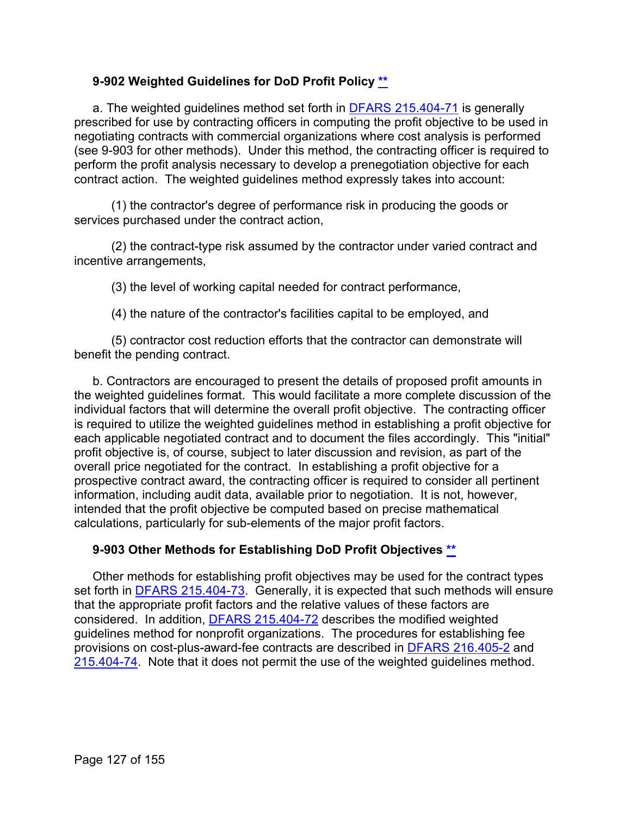# **9-902 Weighted Guidelines for DoD Profit Policy [\\*\\*](#page-7-12)**

a. The weighted guidelines method set forth in [DFARS 215.404-71](http://www.ecfr.gov/cgi-bin/text-idx?SID=cf473215aa0d3d8a4ba8a02f7806b752&mc=true&node=sp48.3.215.215_14&rgn=div6) is generally prescribed for use by contracting officers in computing the profit objective to be used in negotiating contracts with commercial organizations where cost analysis is performed (see 9-903 for other methods). Under this method, the contracting officer is required to perform the profit analysis necessary to develop a prenegotiation objective for each contract action. The weighted guidelines method expressly takes into account:

(1) the contractor's degree of performance risk in producing the goods or services purchased under the contract action,

(2) the contract-type risk assumed by the contractor under varied contract and incentive arrangements,

(3) the level of working capital needed for contract performance,

(4) the nature of the contractor's facilities capital to be employed, and

(5) contractor cost reduction efforts that the contractor can demonstrate will benefit the pending contract.

b. Contractors are encouraged to present the details of proposed profit amounts in the weighted guidelines format. This would facilitate a more complete discussion of the individual factors that will determine the overall profit objective. The contracting officer is required to utilize the weighted guidelines method in establishing a profit objective for each applicable negotiated contract and to document the files accordingly. This "initial" profit objective is, of course, subject to later discussion and revision, as part of the overall price negotiated for the contract. In establishing a profit objective for a prospective contract award, the contracting officer is required to consider all pertinent information, including audit data, available prior to negotiation. It is not, however, intended that the profit objective be computed based on precise mathematical calculations, particularly for sub-elements of the major profit factors.

# **9-903 Other Methods for Establishing DoD Profit Objectives [\\*\\*](#page-7-13)**

Other methods for establishing profit objectives may be used for the contract types set forth in [DFARS 215.404-73.](http://www.ecfr.gov/cgi-bin/retrieveECFR?gp=&SID=f900a73fb9e03b1994bef25b165e8b78&mc=true&r=SECTION&n=se48.3.215_1404_673) Generally, it is expected that such methods will ensure that the appropriate profit factors and the relative values of these factors are considered. In addition, [DFARS 215.404-72](http://www.ecfr.gov/cgi-bin/retrieveECFR?gp=&SID=f900a73fb9e03b1994bef25b165e8b78&mc=true&r=SECTION&n=se48.3.215_1404_672) describes the modified weighted guidelines method for nonprofit organizations. The procedures for establishing fee provisions on cost-plus-award-fee contracts are described in [DFARS 216.405-2](http://www.ecfr.gov/cgi-bin/text-idx?SID=f900a73fb9e03b1994bef25b165e8b78&mc=true&node=se48.3.216_1405_62&rgn=div8) and [215.404-74.](http://www.ecfr.gov/cgi-bin/retrieveECFR?gp=&SID=f900a73fb9e03b1994bef25b165e8b78&mc=true&r=SECTION&n=se48.3.215_1404_674) Note that it does not permit the use of the weighted guidelines method.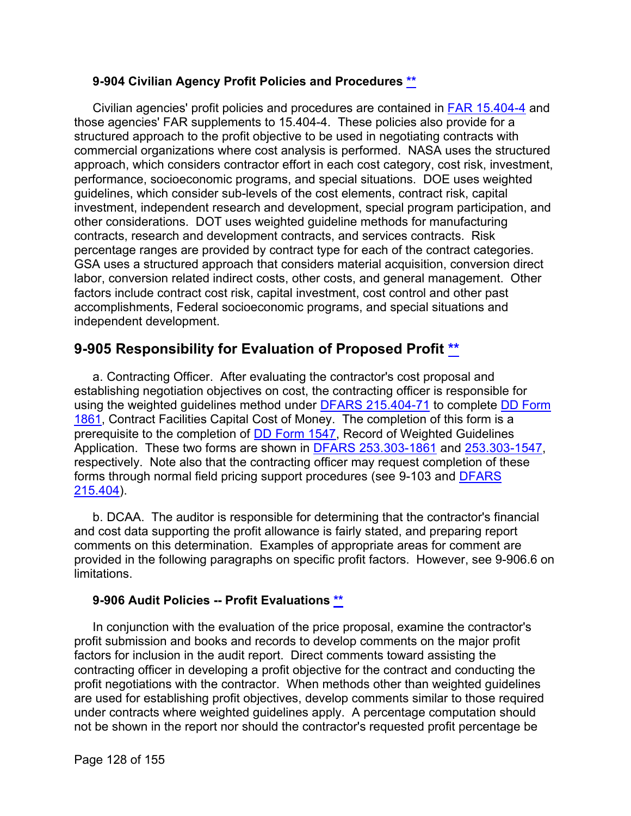#### **9-904 Civilian Agency Profit Policies and Procedures [\\*\\*](#page-7-14)**

Civilian agencies' profit policies and procedures are contained in [FAR 15.404-4](http://www.ecfr.gov/cgi-bin/text-idx?SID=f900a73fb9e03b1994bef25b165e8b78&mc=true&node=se48.1.15_1404_64&rgn=div8) and those agencies' FAR supplements to 15.404-4. These policies also provide for a structured approach to the profit objective to be used in negotiating contracts with commercial organizations where cost analysis is performed. NASA uses the structured approach, which considers contractor effort in each cost category, cost risk, investment, performance, socioeconomic programs, and special situations. DOE uses weighted guidelines, which consider sub-levels of the cost elements, contract risk, capital investment, independent research and development, special program participation, and other considerations. DOT uses weighted guideline methods for manufacturing contracts, research and development contracts, and services contracts. Risk percentage ranges are provided by contract type for each of the contract categories. GSA uses a structured approach that considers material acquisition, conversion direct labor, conversion related indirect costs, other costs, and general management. Other factors include contract cost risk, capital investment, cost control and other past accomplishments, Federal socioeconomic programs, and special situations and independent development.

# **9-905 Responsibility for Evaluation of Proposed Profit [\\*\\*](#page-7-15)**

a. Contracting Officer. After evaluating the contractor's cost proposal and establishing negotiation objectives on cost, the contracting officer is responsible for using the weighted guidelines method under [DFARS 215.404-71](http://www.ecfr.gov/cgi-bin/retrieveECFR?gp=&SID=88c5bab06c973f8db74306e57e8129de&mc=true&n=sp48.3.215.215_14&r=SUBPART&ty=HTML#se48.3.215_1404_671) to complete [DD Form](http://www.dtic.mil/whs/directives/forms/forminfo/forminfopage2192.html)  [1861,](http://www.dtic.mil/whs/directives/forms/forminfo/forminfopage2192.html) Contract Facilities Capital Cost of Money. The completion of this form is a prerequisite to the completion of [DD Form 1547,](http://www.dtic.mil/whs/directives/forms/forminfo/forminfopage632.html) Record of Weighted Guidelines Application. These two forms are shown in [DFARS 253.303-1861](http://www.dtic.mil/whs/directives/forms/forminfo/forminfopage2192.html) and [253.303-1547,](http://www.dtic.mil/whs/directives/forms/forminfo/forminfopage632.html) respectively. Note also that the contracting officer may request completion of these forms through normal field pricing support procedures (see 9-103 and [DFARS](http://www.ecfr.gov/cgi-bin/retrieveECFR?gp=&SID=f900a73fb9e03b1994bef25b165e8b78&mc=true&n=sp48.3.215.215_14&r=SUBPART&ty=HTML#se48.3.215_1404)  [215.404\)](http://www.ecfr.gov/cgi-bin/retrieveECFR?gp=&SID=f900a73fb9e03b1994bef25b165e8b78&mc=true&n=sp48.3.215.215_14&r=SUBPART&ty=HTML#se48.3.215_1404).

b. DCAA. The auditor is responsible for determining that the contractor's financial and cost data supporting the profit allowance is fairly stated, and preparing report comments on this determination. Examples of appropriate areas for comment are provided in the following paragraphs on specific profit factors. However, see 9-906.6 on limitations.

# **9-906 Audit Policies -- Profit Evaluations [\\*\\*](#page-7-16)**

In conjunction with the evaluation of the price proposal, examine the contractor's profit submission and books and records to develop comments on the major profit factors for inclusion in the audit report. Direct comments toward assisting the contracting officer in developing a profit objective for the contract and conducting the profit negotiations with the contractor. When methods other than weighted guidelines are used for establishing profit objectives, develop comments similar to those required under contracts where weighted guidelines apply. A percentage computation should not be shown in the report nor should the contractor's requested profit percentage be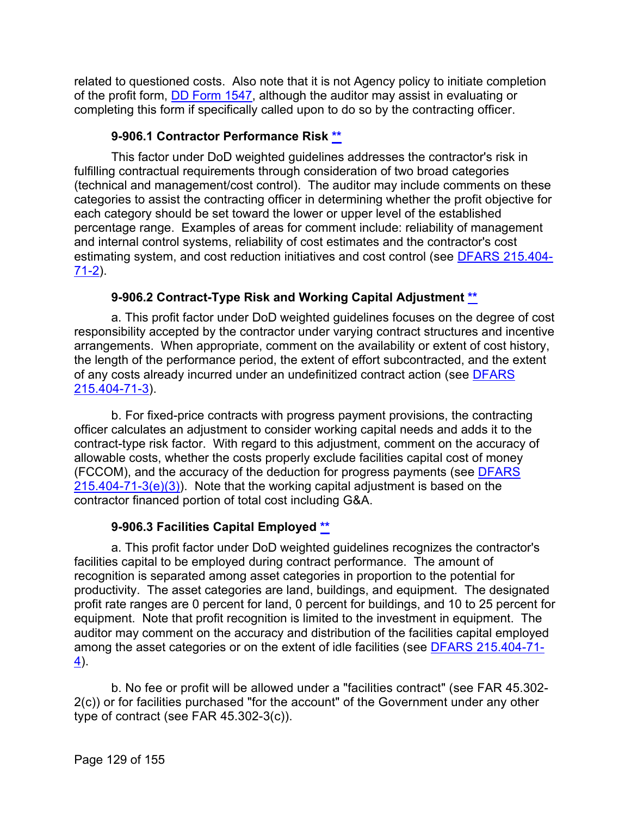related to questioned costs. Also note that it is not Agency policy to initiate completion of the profit form, [DD Form 1547,](https://www.acq.osd.mil/dpap/dars/dfars/html/previous/dd1547.pdf) although the auditor may assist in evaluating or completing this form if specifically called upon to do so by the contracting officer.

# **9-906.1 Contractor Performance Risk [\\*\\*](#page-7-17)**

This factor under DoD weighted guidelines addresses the contractor's risk in fulfilling contractual requirements through consideration of two broad categories (technical and management/cost control). The auditor may include comments on these categories to assist the contracting officer in determining whether the profit objective for each category should be set toward the lower or upper level of the established percentage range. Examples of areas for comment include: reliability of management and internal control systems, reliability of cost estimates and the contractor's cost estimating system, and cost reduction initiatives and cost control (see [DFARS 215.404-](http://www.ecfr.gov/cgi-bin/text-idx?SID=f900a73fb9e03b1994bef25b165e8b78&mc=true&node=se48.3.215_1404_671_62&rgn=div8) [71-2\)](http://www.ecfr.gov/cgi-bin/text-idx?SID=f900a73fb9e03b1994bef25b165e8b78&mc=true&node=se48.3.215_1404_671_62&rgn=div8).

# **9-906.2 Contract-Type Risk and Working Capital Adjustment [\\*\\*](#page-7-18)**

a. This profit factor under DoD weighted guidelines focuses on the degree of cost responsibility accepted by the contractor under varying contract structures and incentive arrangements. When appropriate, comment on the availability or extent of cost history, the length of the performance period, the extent of effort subcontracted, and the extent of any costs already incurred under an undefinitized contract action (see [DFARS](http://www.ecfr.gov/cgi-bin/retrieveECFR?gp=&SID=f900a73fb9e03b1994bef25b165e8b78&mc=true&r=SECTION&n=se48.3.215_1404_671_63)  [215.404-71-3\)](http://www.ecfr.gov/cgi-bin/retrieveECFR?gp=&SID=f900a73fb9e03b1994bef25b165e8b78&mc=true&r=SECTION&n=se48.3.215_1404_671_63).

b. For fixed-price contracts with progress payment provisions, the contracting officer calculates an adjustment to consider working capital needs and adds it to the contract-type risk factor. With regard to this adjustment, comment on the accuracy of allowable costs, whether the costs properly exclude facilities capital cost of money (FCCOM), and the accuracy of the deduction for progress payments (see [DFARS](http://www.ecfr.gov/cgi-bin/retrieveECFR?gp=&SID=f900a73fb9e03b1994bef25b165e8b78&mc=true&r=SECTION&n=se48.3.215_1404_671_63)   $215.404 - 71 - 3(e)(3)$ . Note that the working capital adjustment is based on the contractor financed portion of total cost including G&A.

# **9-906.3 Facilities Capital Employed [\\*\\*](#page-7-19)**

a. This profit factor under DoD weighted guidelines recognizes the contractor's facilities capital to be employed during contract performance. The amount of recognition is separated among asset categories in proportion to the potential for productivity. The asset categories are land, buildings, and equipment. The designated profit rate ranges are 0 percent for land, 0 percent for buildings, and 10 to 25 percent for equipment. Note that profit recognition is limited to the investment in equipment. The auditor may comment on the accuracy and distribution of the facilities capital employed among the asset categories or on the extent of idle facilities (see [DFARS 215.404-71-](http://www.ecfr.gov/cgi-bin/text-idx?SID=8104d06a5d18c4ec6e65a2c90dbb28f0&mc=true&node=se48.3.215_1404_671_64&rgn=div8)  $4$ ).

b. No fee or profit will be allowed under a "facilities contract" (see FAR 45.302- 2(c)) or for facilities purchased "for the account" of the Government under any other type of contract (see FAR 45.302-3(c)).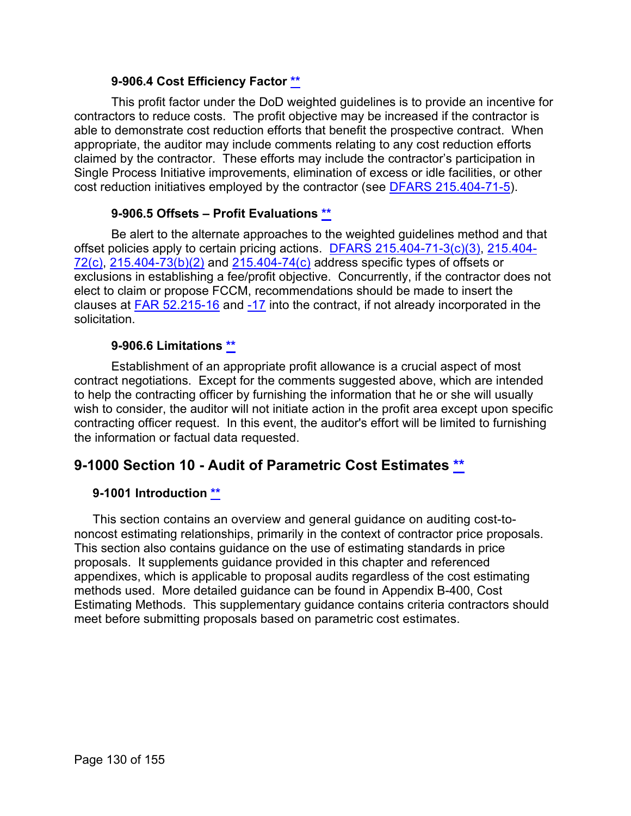## **9-906.4 Cost Efficiency Factor [\\*\\*](#page-7-20)**

This profit factor under the DoD weighted guidelines is to provide an incentive for contractors to reduce costs. The profit objective may be increased if the contractor is able to demonstrate cost reduction efforts that benefit the prospective contract. When appropriate, the auditor may include comments relating to any cost reduction efforts claimed by the contractor. These efforts may include the contractor's participation in Single Process Initiative improvements, elimination of excess or idle facilities, or other cost reduction initiatives employed by the contractor (see [DFARS 215.404-71-5\)](http://www.ecfr.gov/cgi-bin/retrieveECFR?gp=&SID=f900a73fb9e03b1994bef25b165e8b78&mc=true&r=SECTION&n=se48.3.215_1404_671_65).

### **9-906.5 Offsets – Profit Evaluations [\\*\\*](#page-7-21)**

Be alert to the alternate approaches to the weighted guidelines method and that offset policies apply to certain pricing actions. [DFARS 215.404-71-3\(c\)\(3\),](http://www.ecfr.gov/cgi-bin/retrieveECFR?gp=&SID=f900a73fb9e03b1994bef25b165e8b78&mc=true&r=SECTION&n=se48.3.215_1404_671_63) [215.404-](http://www.ecfr.gov/cgi-bin/retrieveECFR?gp=&SID=f900a73fb9e03b1994bef25b165e8b78&mc=true&r=SECTION&n=se48.3.215_1404_672) [72\(c\),](http://www.ecfr.gov/cgi-bin/retrieveECFR?gp=&SID=f900a73fb9e03b1994bef25b165e8b78&mc=true&r=SECTION&n=se48.3.215_1404_672) [215.404-73\(b\)\(2\)](http://www.ecfr.gov/cgi-bin/retrieveECFR?gp=&SID=f900a73fb9e03b1994bef25b165e8b78&mc=true&r=SECTION&n=se48.3.215_1404_673) and [215.404-74\(c\)](http://www.ecfr.gov/cgi-bin/retrieveECFR?gp=&SID=f900a73fb9e03b1994bef25b165e8b78&mc=true&r=SECTION&n=se48.3.215_1404_674) address specific types of offsets or exclusions in establishing a fee/profit objective. Concurrently, if the contractor does not elect to claim or propose FCCM, recommendations should be made to insert the clauses at [FAR 52.215-16](http://www.ecfr.gov/cgi-bin/text-idx?SID=ffe72dff2c2f341cf071630e14165823&mc=true&node=se48.2.52_1215_616&rgn=div8) and [-17](http://www.ecfr.gov/cgi-bin/retrieveECFR?gp=&SID=ffe72dff2c2f341cf071630e14165823&mc=true&r=SECTION&n=se48.2.52_1215_617) into the contract, if not already incorporated in the solicitation.

### **9-906.6 Limitations [\\*\\*](#page-7-22)**

Establishment of an appropriate profit allowance is a crucial aspect of most contract negotiations. Except for the comments suggested above, which are intended to help the contracting officer by furnishing the information that he or she will usually wish to consider, the auditor will not initiate action in the profit area except upon specific contracting officer request. In this event, the auditor's effort will be limited to furnishing the information or factual data requested.

# **9-1000 Section 10 - Audit of Parametric Cost Estimates [\\*\\*](#page-7-23)**

#### **9-1001 Introduction [\\*\\*](#page-7-24)**

This section contains an overview and general guidance on auditing cost-tononcost estimating relationships, primarily in the context of contractor price proposals. This section also contains guidance on the use of estimating standards in price proposals. It supplements guidance provided in this chapter and referenced appendixes, which is applicable to proposal audits regardless of the cost estimating methods used. More detailed guidance can be found in Appendix B-400, Cost Estimating Methods. This supplementary guidance contains criteria contractors should meet before submitting proposals based on parametric cost estimates.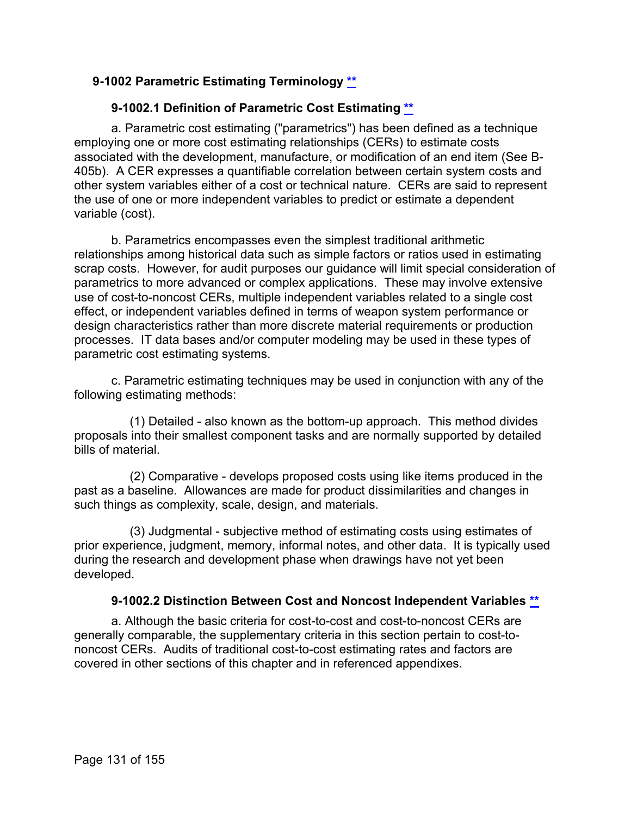# **9-1002 Parametric Estimating Terminology [\\*\\*](#page-7-25)**

# **9-1002.1 Definition of Parametric Cost Estimating [\\*\\*](#page-8-0)**

a. Parametric cost estimating ("parametrics") has been defined as a technique employing one or more cost estimating relationships (CERs) to estimate costs associated with the development, manufacture, or modification of an end item (See B-405b). A CER expresses a quantifiable correlation between certain system costs and other system variables either of a cost or technical nature. CERs are said to represent the use of one or more independent variables to predict or estimate a dependent variable (cost).

b. Parametrics encompasses even the simplest traditional arithmetic relationships among historical data such as simple factors or ratios used in estimating scrap costs. However, for audit purposes our guidance will limit special consideration of parametrics to more advanced or complex applications. These may involve extensive use of cost-to-noncost CERs, multiple independent variables related to a single cost effect, or independent variables defined in terms of weapon system performance or design characteristics rather than more discrete material requirements or production processes. IT data bases and/or computer modeling may be used in these types of parametric cost estimating systems.

c. Parametric estimating techniques may be used in conjunction with any of the following estimating methods:

(1) Detailed - also known as the bottom-up approach. This method divides proposals into their smallest component tasks and are normally supported by detailed bills of material.

(2) Comparative - develops proposed costs using like items produced in the past as a baseline. Allowances are made for product dissimilarities and changes in such things as complexity, scale, design, and materials.

(3) Judgmental - subjective method of estimating costs using estimates of prior experience, judgment, memory, informal notes, and other data. It is typically used during the research and development phase when drawings have not yet been developed.

#### **9-1002.2 Distinction Between Cost and Noncost Independent Variables [\\*\\*](#page-8-1)**

a. Although the basic criteria for cost-to-cost and cost-to-noncost CERs are generally comparable, the supplementary criteria in this section pertain to cost-tononcost CERs. Audits of traditional cost-to-cost estimating rates and factors are covered in other sections of this chapter and in referenced appendixes.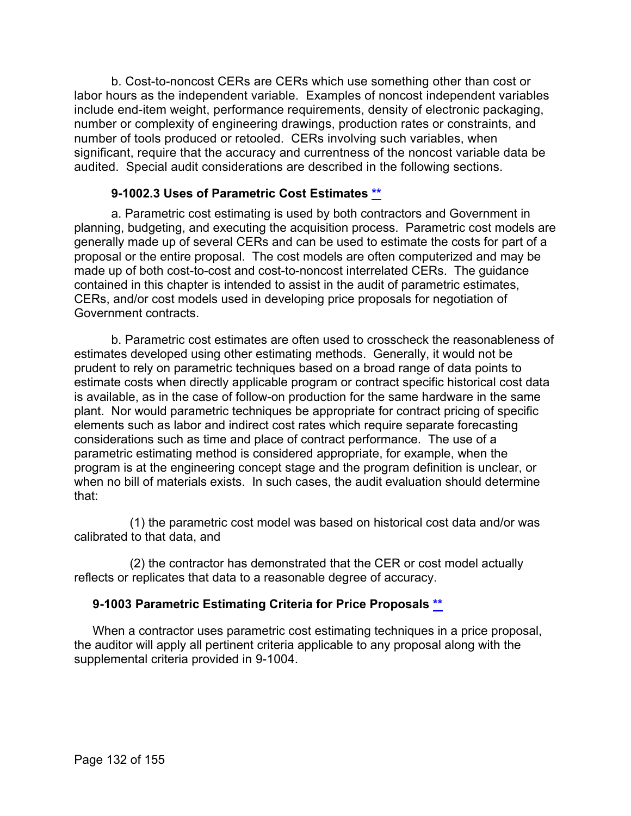b. Cost-to-noncost CERs are CERs which use something other than cost or labor hours as the independent variable. Examples of noncost independent variables include end-item weight, performance requirements, density of electronic packaging, number or complexity of engineering drawings, production rates or constraints, and number of tools produced or retooled. CERs involving such variables, when significant, require that the accuracy and currentness of the noncost variable data be audited. Special audit considerations are described in the following sections.

# **9-1002.3 Uses of Parametric Cost Estimates [\\*\\*](#page-8-2)**

a. Parametric cost estimating is used by both contractors and Government in planning, budgeting, and executing the acquisition process. Parametric cost models are generally made up of several CERs and can be used to estimate the costs for part of a proposal or the entire proposal. The cost models are often computerized and may be made up of both cost-to-cost and cost-to-noncost interrelated CERs. The guidance contained in this chapter is intended to assist in the audit of parametric estimates, CERs, and/or cost models used in developing price proposals for negotiation of Government contracts.

b. Parametric cost estimates are often used to crosscheck the reasonableness of estimates developed using other estimating methods. Generally, it would not be prudent to rely on parametric techniques based on a broad range of data points to estimate costs when directly applicable program or contract specific historical cost data is available, as in the case of follow-on production for the same hardware in the same plant. Nor would parametric techniques be appropriate for contract pricing of specific elements such as labor and indirect cost rates which require separate forecasting considerations such as time and place of contract performance. The use of a parametric estimating method is considered appropriate, for example, when the program is at the engineering concept stage and the program definition is unclear, or when no bill of materials exists. In such cases, the audit evaluation should determine that:

(1) the parametric cost model was based on historical cost data and/or was calibrated to that data, and

(2) the contractor has demonstrated that the CER or cost model actually reflects or replicates that data to a reasonable degree of accuracy.

# **9-1003 Parametric Estimating Criteria for Price Proposals [\\*\\*](#page-8-3)**

When a contractor uses parametric cost estimating techniques in a price proposal, the auditor will apply all pertinent criteria applicable to any proposal along with the supplemental criteria provided in 9-1004.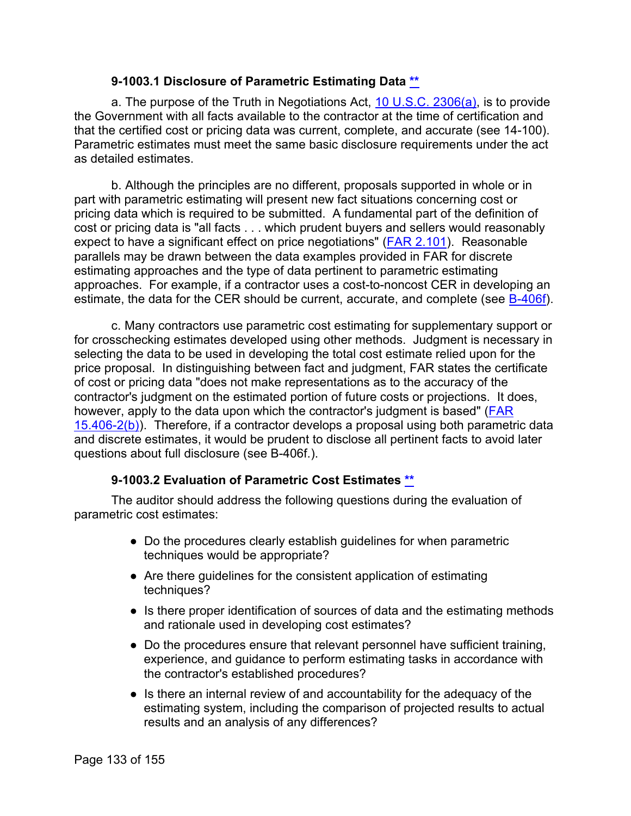#### **9-1003.1 Disclosure of Parametric Estimating Data [\\*\\*](#page-8-4)**

a. The purpose of the Truth in Negotiations Act, [10 U.S.C. 2306\(a\),](http://uscode.house.gov/view.xhtml?req=granuleid:USC-prelim-title10-section2306&num=0&edition=prelim) is to provide the Government with all facts available to the contractor at the time of certification and that the certified cost or pricing data was current, complete, and accurate (see 14-100). Parametric estimates must meet the same basic disclosure requirements under the act as detailed estimates.

b. Although the principles are no different, proposals supported in whole or in part with parametric estimating will present new fact situations concerning cost or pricing data which is required to be submitted. A fundamental part of the definition of cost or pricing data is "all facts . . . which prudent buyers and sellers would reasonably expect to have a significant effect on price negotiations" [\(FAR 2.101\)](http://www.ecfr.gov/cgi-bin/text-idx?SID=f900a73fb9e03b1994bef25b165e8b78&mc=true&node=se48.1.2_1101&rgn=div8). Reasonable parallels may be drawn between the data examples provided in FAR for discrete estimating approaches and the type of data pertinent to parametric estimating approaches. For example, if a contractor uses a cost-to-noncost CER in developing an estimate, the data for the CER should be current, accurate, and complete (see [B-406f\)](https://viper.dcaa.mil/guidance/cam/3163/appendix-b-specialist-assistance#SecB406).

c. Many contractors use parametric cost estimating for supplementary support or for crosschecking estimates developed using other methods. Judgment is necessary in selecting the data to be used in developing the total cost estimate relied upon for the price proposal. In distinguishing between fact and judgment, FAR states the certificate of cost or pricing data "does not make representations as to the accuracy of the contractor's judgment on the estimated portion of future costs or projections. It does, however, apply to the data upon which the contractor's judgment is based" [\(FAR](http://www.ecfr.gov/cgi-bin/text-idx?SID=f900a73fb9e03b1994bef25b165e8b78&mc=true&node=se48.1.15_1406_62&rgn=div8)   $15.406-2(b)$ ). Therefore, if a contractor develops a proposal using both parametric data and discrete estimates, it would be prudent to disclose all pertinent facts to avoid later questions about full disclosure (see B-406f.).

# **9-1003.2 Evaluation of Parametric Cost Estimates [\\*\\*](#page-8-5)**

The auditor should address the following questions during the evaluation of parametric cost estimates:

- Do the procedures clearly establish guidelines for when parametric techniques would be appropriate?
- Are there guidelines for the consistent application of estimating techniques?
- Is there proper identification of sources of data and the estimating methods and rationale used in developing cost estimates?
- Do the procedures ensure that relevant personnel have sufficient training, experience, and guidance to perform estimating tasks in accordance with the contractor's established procedures?
- Is there an internal review of and accountability for the adequacy of the estimating system, including the comparison of projected results to actual results and an analysis of any differences?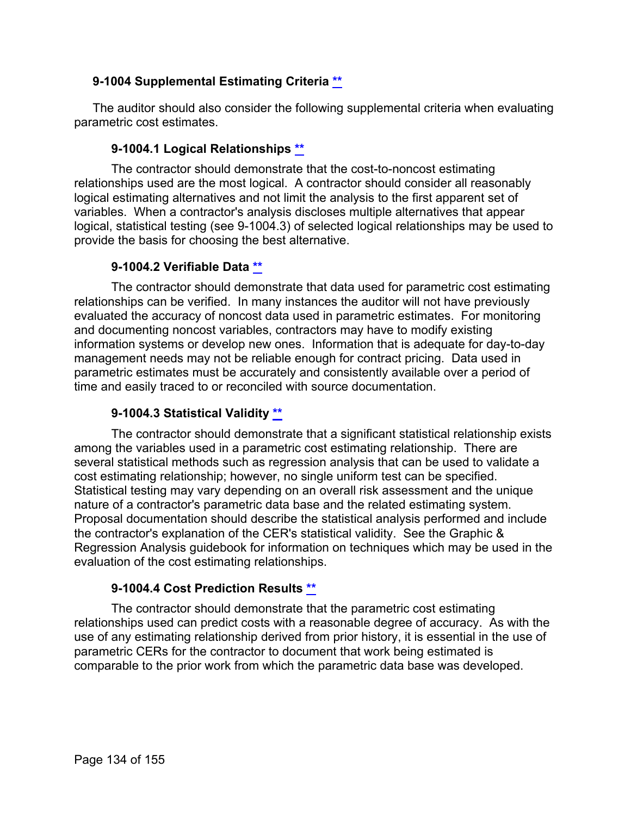# **9-1004 Supplemental Estimating Criteria [\\*\\*](#page-8-6)**

The auditor should also consider the following supplemental criteria when evaluating parametric cost estimates.

### **9-1004.1 Logical Relationships [\\*\\*](#page-8-7)**

The contractor should demonstrate that the cost-to-noncost estimating relationships used are the most logical. A contractor should consider all reasonably logical estimating alternatives and not limit the analysis to the first apparent set of variables. When a contractor's analysis discloses multiple alternatives that appear logical, statistical testing (see 9-1004.3) of selected logical relationships may be used to provide the basis for choosing the best alternative.

### **9-1004.2 Verifiable Data [\\*\\*](#page-8-8)**

The contractor should demonstrate that data used for parametric cost estimating relationships can be verified. In many instances the auditor will not have previously evaluated the accuracy of noncost data used in parametric estimates. For monitoring and documenting noncost variables, contractors may have to modify existing information systems or develop new ones. Information that is adequate for day-to-day management needs may not be reliable enough for contract pricing. Data used in parametric estimates must be accurately and consistently available over a period of time and easily traced to or reconciled with source documentation.

# **9-1004.3 Statistical Validity [\\*\\*](#page-8-9)**

The contractor should demonstrate that a significant statistical relationship exists among the variables used in a parametric cost estimating relationship. There are several statistical methods such as regression analysis that can be used to validate a cost estimating relationship; however, no single uniform test can be specified. Statistical testing may vary depending on an overall risk assessment and the unique nature of a contractor's parametric data base and the related estimating system. Proposal documentation should describe the statistical analysis performed and include the contractor's explanation of the CER's statistical validity. See the Graphic & Regression Analysis guidebook for information on techniques which may be used in the evaluation of the cost estimating relationships.

#### **9-1004.4 Cost Prediction Results [\\*\\*](#page-8-10)**

The contractor should demonstrate that the parametric cost estimating relationships used can predict costs with a reasonable degree of accuracy. As with the use of any estimating relationship derived from prior history, it is essential in the use of parametric CERs for the contractor to document that work being estimated is comparable to the prior work from which the parametric data base was developed.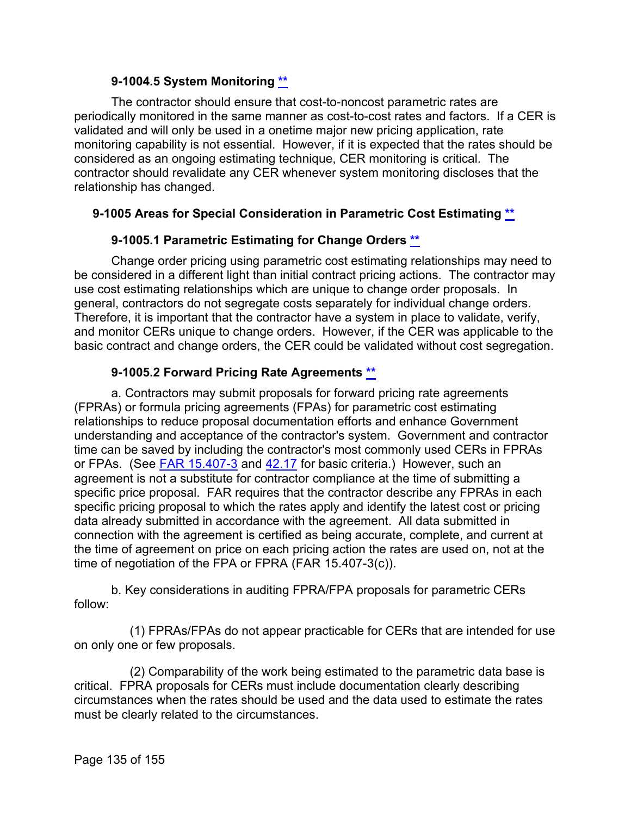### **9-1004.5 System Monitoring [\\*\\*](#page-8-11)**

The contractor should ensure that cost-to-noncost parametric rates are periodically monitored in the same manner as cost-to-cost rates and factors. If a CER is validated and will only be used in a onetime major new pricing application, rate monitoring capability is not essential. However, if it is expected that the rates should be considered as an ongoing estimating technique, CER monitoring is critical. The contractor should revalidate any CER whenever system monitoring discloses that the relationship has changed.

# **9-1005 Areas for Special Consideration in Parametric Cost Estimating [\\*\\*](#page-8-12)**

# **9-1005.1 Parametric Estimating for Change Orders [\\*\\*](#page-8-13)**

Change order pricing using parametric cost estimating relationships may need to be considered in a different light than initial contract pricing actions. The contractor may use cost estimating relationships which are unique to change order proposals. In general, contractors do not segregate costs separately for individual change orders. Therefore, it is important that the contractor have a system in place to validate, verify, and monitor CERs unique to change orders. However, if the CER was applicable to the basic contract and change orders, the CER could be validated without cost segregation.

# **9-1005.2 Forward Pricing Rate Agreements [\\*\\*](#page-8-14)**

a. Contractors may submit proposals for forward pricing rate agreements (FPRAs) or formula pricing agreements (FPAs) for parametric cost estimating relationships to reduce proposal documentation efforts and enhance Government understanding and acceptance of the contractor's system. Government and contractor time can be saved by including the contractor's most commonly used CERs in FPRAs or FPAs. (See [FAR 15.407-3](http://www.ecfr.gov/cgi-bin/text-idx?SID=f900a73fb9e03b1994bef25b165e8b78&mc=true&node=se48.1.15_1407_63&rgn=div8) and [42.17](http://www.ecfr.gov/cgi-bin/text-idx?SID=f3b31515c4a0e257e1dc63b94d71ac79&mc=true&node=sp48.1.42.42_117&rgn=div6) for basic criteria.) However, such an agreement is not a substitute for contractor compliance at the time of submitting a specific price proposal. FAR requires that the contractor describe any FPRAs in each specific pricing proposal to which the rates apply and identify the latest cost or pricing data already submitted in accordance with the agreement. All data submitted in connection with the agreement is certified as being accurate, complete, and current at the time of agreement on price on each pricing action the rates are used on, not at the time of negotiation of the FPA or FPRA (FAR 15.407-3(c)).

b. Key considerations in auditing FPRA/FPA proposals for parametric CERs follow:

(1) FPRAs/FPAs do not appear practicable for CERs that are intended for use on only one or few proposals.

(2) Comparability of the work being estimated to the parametric data base is critical. FPRA proposals for CERs must include documentation clearly describing circumstances when the rates should be used and the data used to estimate the rates must be clearly related to the circumstances.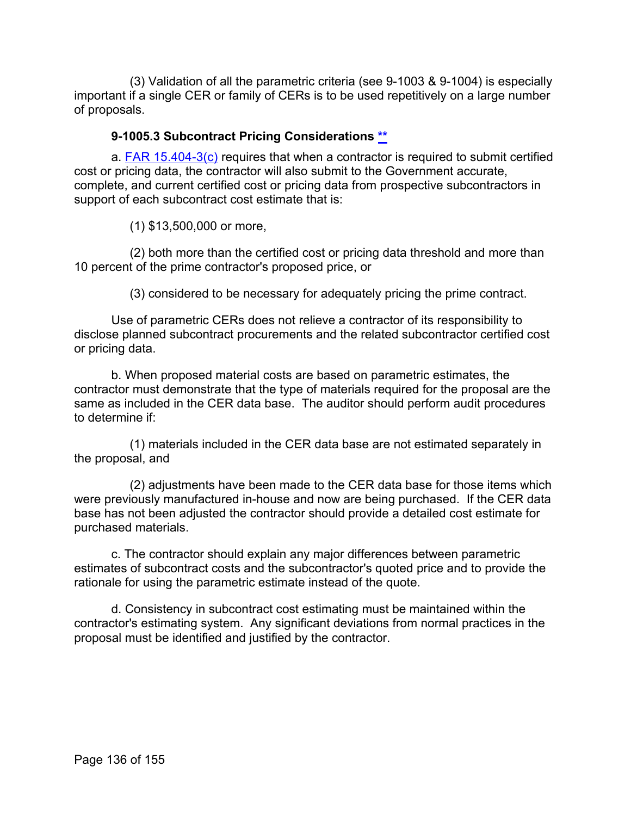(3) Validation of all the parametric criteria (see 9-1003 & 9-1004) is especially important if a single CER or family of CERs is to be used repetitively on a large number of proposals.

### **9-1005.3 Subcontract Pricing Considerations [\\*\\*](#page-8-15)**

a. [FAR 15.404-3\(c\)](http://www.ecfr.gov/cgi-bin/text-idx?SID=cac1bf4ae3bf3eb0ad450ad174724bc9&mc=true&node=se48.1.15_1403_63&rgn=div8) requires that when a contractor is required to submit certified cost or pricing data, the contractor will also submit to the Government accurate, complete, and current certified cost or pricing data from prospective subcontractors in support of each subcontract cost estimate that is:

(1) \$13,500,000 or more,

(2) both more than the certified cost or pricing data threshold and more than 10 percent of the prime contractor's proposed price, or

(3) considered to be necessary for adequately pricing the prime contract.

Use of parametric CERs does not relieve a contractor of its responsibility to disclose planned subcontract procurements and the related subcontractor certified cost or pricing data.

b. When proposed material costs are based on parametric estimates, the contractor must demonstrate that the type of materials required for the proposal are the same as included in the CER data base. The auditor should perform audit procedures to determine if:

(1) materials included in the CER data base are not estimated separately in the proposal, and

(2) adjustments have been made to the CER data base for those items which were previously manufactured in-house and now are being purchased. If the CER data base has not been adjusted the contractor should provide a detailed cost estimate for purchased materials.

c. The contractor should explain any major differences between parametric estimates of subcontract costs and the subcontractor's quoted price and to provide the rationale for using the parametric estimate instead of the quote.

d. Consistency in subcontract cost estimating must be maintained within the contractor's estimating system. Any significant deviations from normal practices in the proposal must be identified and justified by the contractor.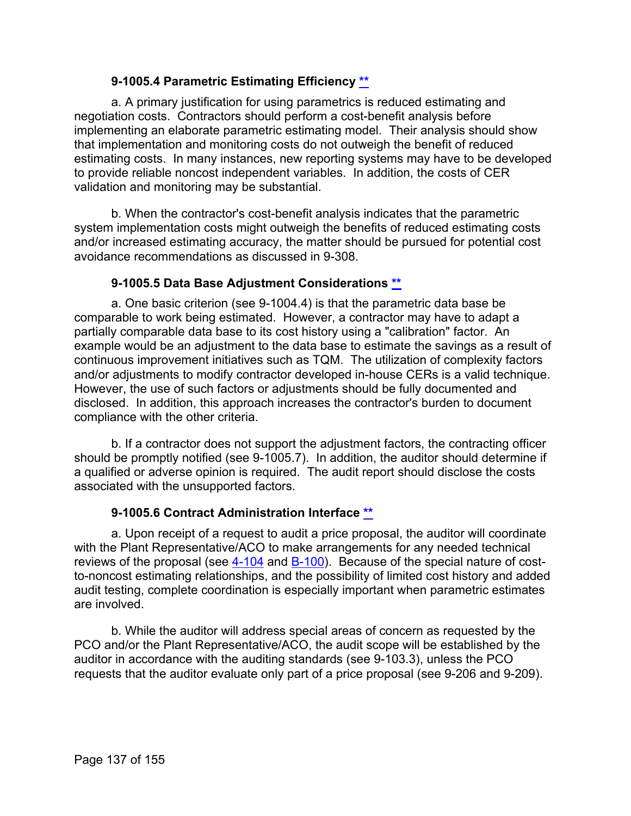# **9-1005.4 Parametric Estimating Efficiency [\\*\\*](#page-8-16)**

a. A primary justification for using parametrics is reduced estimating and negotiation costs. Contractors should perform a cost-benefit analysis before implementing an elaborate parametric estimating model. Their analysis should show that implementation and monitoring costs do not outweigh the benefit of reduced estimating costs. In many instances, new reporting systems may have to be developed to provide reliable noncost independent variables. In addition, the costs of CER validation and monitoring may be substantial.

b. When the contractor's cost-benefit analysis indicates that the parametric system implementation costs might outweigh the benefits of reduced estimating costs and/or increased estimating accuracy, the matter should be pursued for potential cost avoidance recommendations as discussed in 9-308.

# **9-1005.5 Data Base Adjustment Considerations [\\*\\*](#page-8-17)**

a. One basic criterion (see 9-1004.4) is that the parametric data base be comparable to work being estimated. However, a contractor may have to adapt a partially comparable data base to its cost history using a "calibration" factor. An example would be an adjustment to the data base to estimate the savings as a result of continuous improvement initiatives such as TQM. The utilization of complexity factors and/or adjustments to modify contractor developed in-house CERs is a valid technique. However, the use of such factors or adjustments should be fully documented and disclosed. In addition, this approach increases the contractor's burden to document compliance with the other criteria.

b. If a contractor does not support the adjustment factors, the contracting officer should be promptly notified (see 9-1005.7). In addition, the auditor should determine if a qualified or adverse opinion is required. The audit report should disclose the costs associated with the unsupported factors.

# **9-1005.6 Contract Administration Interface [\\*\\*](#page-8-18)**

a. Upon receipt of a request to audit a price proposal, the auditor will coordinate with the Plant Representative/ACO to make arrangements for any needed technical reviews of the proposal (see [4-104](https://viper.dcaa.mil/guidance/cam/3130/general-audit-requirements#Sec4104) and [B-100\)](https://viper.dcaa.mil/guidance/cam/3163/appendix-b-specialist-assistance#SecB100). Because of the special nature of costto-noncost estimating relationships, and the possibility of limited cost history and added audit testing, complete coordination is especially important when parametric estimates are involved.

b. While the auditor will address special areas of concern as requested by the PCO and/or the Plant Representative/ACO, the audit scope will be established by the auditor in accordance with the auditing standards (see 9-103.3), unless the PCO requests that the auditor evaluate only part of a price proposal (see 9-206 and 9-209).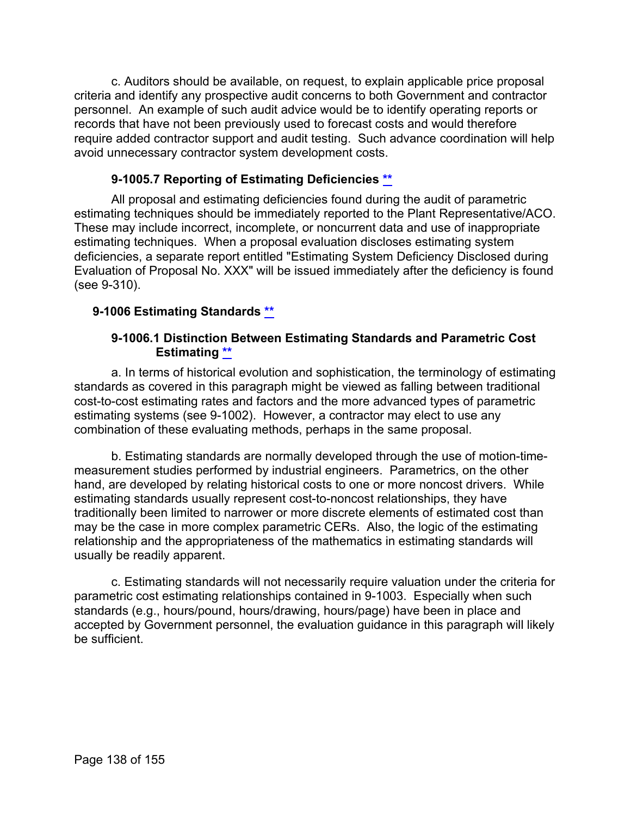c. Auditors should be available, on request, to explain applicable price proposal criteria and identify any prospective audit concerns to both Government and contractor personnel. An example of such audit advice would be to identify operating reports or records that have not been previously used to forecast costs and would therefore require added contractor support and audit testing. Such advance coordination will help avoid unnecessary contractor system development costs.

## **9-1005.7 Reporting of Estimating Deficiencies [\\*\\*](#page-8-19)**

All proposal and estimating deficiencies found during the audit of parametric estimating techniques should be immediately reported to the Plant Representative/ACO. These may include incorrect, incomplete, or noncurrent data and use of inappropriate estimating techniques. When a proposal evaluation discloses estimating system deficiencies, a separate report entitled "Estimating System Deficiency Disclosed during Evaluation of Proposal No. XXX" will be issued immediately after the deficiency is found (see 9-310).

### **9-1006 Estimating Standards [\\*\\*](#page-8-20)**

#### **9-1006.1 Distinction Between Estimating Standards and Parametric Cost Estimating [\\*\\*](#page-8-21)**

a. In terms of historical evolution and sophistication, the terminology of estimating standards as covered in this paragraph might be viewed as falling between traditional cost-to-cost estimating rates and factors and the more advanced types of parametric estimating systems (see 9-1002). However, a contractor may elect to use any combination of these evaluating methods, perhaps in the same proposal.

b. Estimating standards are normally developed through the use of motion-timemeasurement studies performed by industrial engineers. Parametrics, on the other hand, are developed by relating historical costs to one or more noncost drivers. While estimating standards usually represent cost-to-noncost relationships, they have traditionally been limited to narrower or more discrete elements of estimated cost than may be the case in more complex parametric CERs. Also, the logic of the estimating relationship and the appropriateness of the mathematics in estimating standards will usually be readily apparent.

c. Estimating standards will not necessarily require valuation under the criteria for parametric cost estimating relationships contained in 9-1003. Especially when such standards (e.g., hours/pound, hours/drawing, hours/page) have been in place and accepted by Government personnel, the evaluation guidance in this paragraph will likely be sufficient.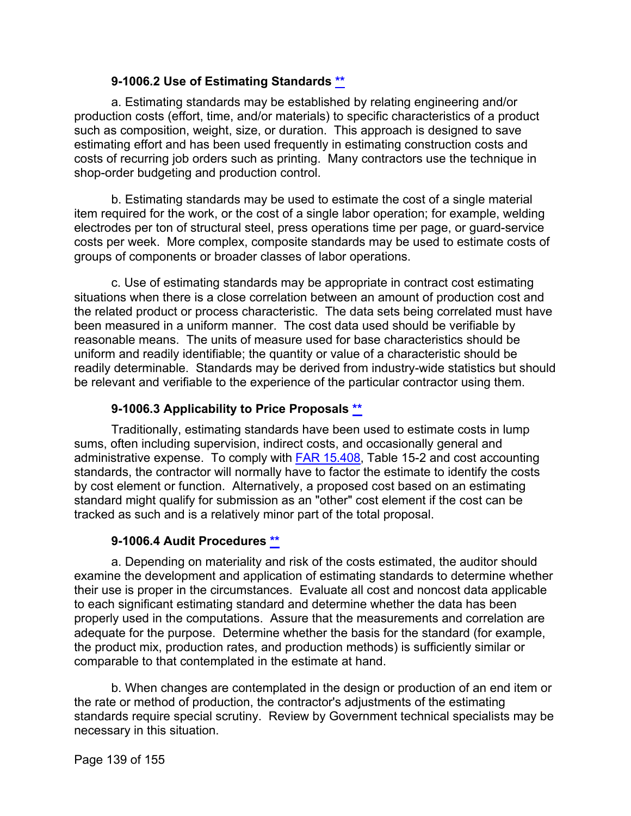### **9-1006.2 Use of Estimating Standards [\\*\\*](#page-8-22)**

a. Estimating standards may be established by relating engineering and/or production costs (effort, time, and/or materials) to specific characteristics of a product such as composition, weight, size, or duration. This approach is designed to save estimating effort and has been used frequently in estimating construction costs and costs of recurring job orders such as printing. Many contractors use the technique in shop-order budgeting and production control.

b. Estimating standards may be used to estimate the cost of a single material item required for the work, or the cost of a single labor operation; for example, welding electrodes per ton of structural steel, press operations time per page, or guard-service costs per week. More complex, composite standards may be used to estimate costs of groups of components or broader classes of labor operations.

c. Use of estimating standards may be appropriate in contract cost estimating situations when there is a close correlation between an amount of production cost and the related product or process characteristic. The data sets being correlated must have been measured in a uniform manner. The cost data used should be verifiable by reasonable means. The units of measure used for base characteristics should be uniform and readily identifiable; the quantity or value of a characteristic should be readily determinable. Standards may be derived from industry-wide statistics but should be relevant and verifiable to the experience of the particular contractor using them.

## **9-1006.3 Applicability to Price Proposals [\\*\\*](#page-8-23)**

Traditionally, estimating standards have been used to estimate costs in lump sums, often including supervision, indirect costs, and occasionally general and administrative expense. To comply with **FAR 15.408**, Table 15-2 and cost accounting standards, the contractor will normally have to factor the estimate to identify the costs by cost element or function. Alternatively, a proposed cost based on an estimating standard might qualify for submission as an "other" cost element if the cost can be tracked as such and is a relatively minor part of the total proposal.

#### **9-1006.4 Audit Procedures [\\*\\*](#page-8-24)**

a. Depending on materiality and risk of the costs estimated, the auditor should examine the development and application of estimating standards to determine whether their use is proper in the circumstances. Evaluate all cost and noncost data applicable to each significant estimating standard and determine whether the data has been properly used in the computations. Assure that the measurements and correlation are adequate for the purpose. Determine whether the basis for the standard (for example, the product mix, production rates, and production methods) is sufficiently similar or comparable to that contemplated in the estimate at hand.

b. When changes are contemplated in the design or production of an end item or the rate or method of production, the contractor's adjustments of the estimating standards require special scrutiny. Review by Government technical specialists may be necessary in this situation.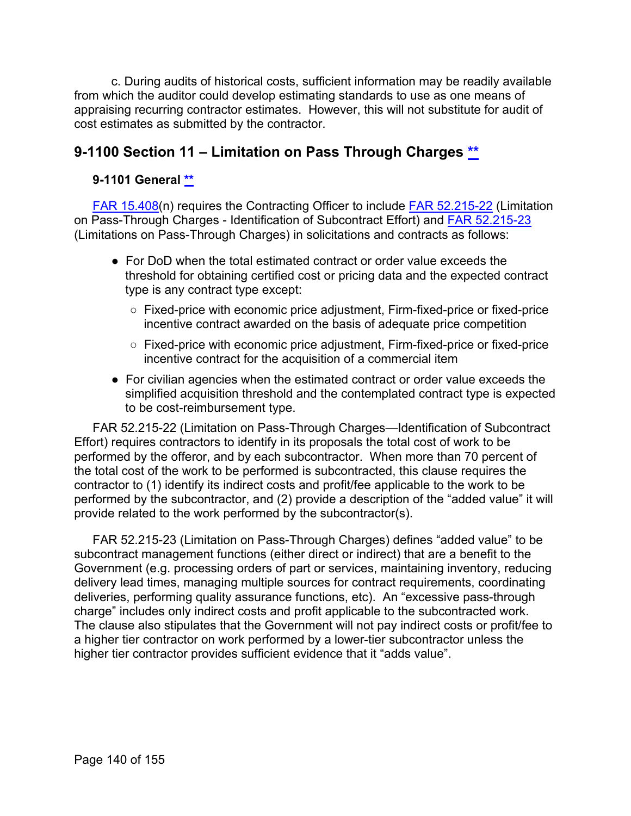c. During audits of historical costs, sufficient information may be readily available from which the auditor could develop estimating standards to use as one means of appraising recurring contractor estimates. However, this will not substitute for audit of cost estimates as submitted by the contractor.

# **9-1100 Section 11 – Limitation on Pass Through Charges [\\*\\*](#page-8-25)**

### **9-1101 General [\\*\\*](#page-8-26)**

[FAR 15.408\(](https://www.ecfr.gov/cgi-bin/text-idx?SID=e16ca4473b4396d963aedf707c4bbd5a&mc=true&node=se48.1.15_1408&rgn=div8)n) requires the Contracting Officer to include [FAR 52.215-22](https://www.ecfr.gov/cgi-bin/text-idx?SID=d3e01e3e8f9cfeb416a346dbb8ba13e9&mc=true&node=se48.2.52_1215_622&rgn=div8) (Limitation on Pass-Through Charges - Identification of Subcontract Effort) and [FAR 52.215-23](https://www.ecfr.gov/cgi-bin/text-idx?SID=d3e01e3e8f9cfeb416a346dbb8ba13e9&mc=true&node=se48.2.52_1215_623&rgn=div8) (Limitations on Pass-Through Charges) in solicitations and contracts as follows:

- For DoD when the total estimated contract or order value exceeds the threshold for obtaining certified cost or pricing data and the expected contract type is any contract type except:
	- Fixed-price with economic price adjustment, Firm-fixed-price or fixed-price incentive contract awarded on the basis of adequate price competition
	- Fixed-price with economic price adjustment, Firm-fixed-price or fixed-price incentive contract for the acquisition of a commercial item
- For civilian agencies when the estimated contract or order value exceeds the simplified acquisition threshold and the contemplated contract type is expected to be cost-reimbursement type.

FAR 52.215-22 (Limitation on Pass-Through Charges—Identification of Subcontract Effort) requires contractors to identify in its proposals the total cost of work to be performed by the offeror, and by each subcontractor. When more than 70 percent of the total cost of the work to be performed is subcontracted, this clause requires the contractor to (1) identify its indirect costs and profit/fee applicable to the work to be performed by the subcontractor, and (2) provide a description of the "added value" it will provide related to the work performed by the subcontractor(s).

FAR 52.215-23 (Limitation on Pass-Through Charges) defines "added value" to be subcontract management functions (either direct or indirect) that are a benefit to the Government (e.g. processing orders of part or services, maintaining inventory, reducing delivery lead times, managing multiple sources for contract requirements, coordinating deliveries, performing quality assurance functions, etc). An "excessive pass-through charge" includes only indirect costs and profit applicable to the subcontracted work. The clause also stipulates that the Government will not pay indirect costs or profit/fee to a higher tier contractor on work performed by a lower-tier subcontractor unless the higher tier contractor provides sufficient evidence that it "adds value".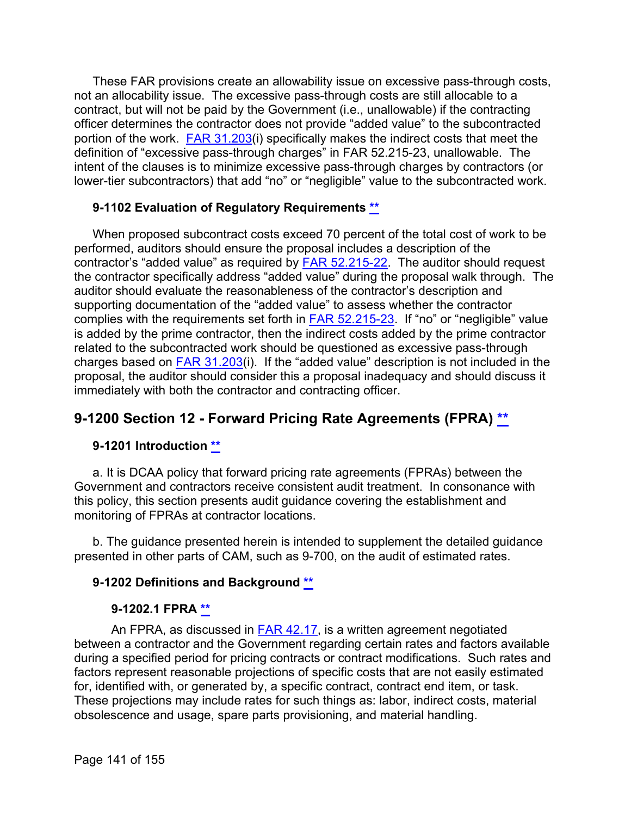These FAR provisions create an allowability issue on excessive pass-through costs, not an allocability issue. The excessive pass-through costs are still allocable to a contract, but will not be paid by the Government (i.e., unallowable) if the contracting officer determines the contractor does not provide "added value" to the subcontracted portion of the work. [FAR 31.203\(](https://www.ecfr.gov/cgi-bin/text-idx?SID=d3e01e3e8f9cfeb416a346dbb8ba13e9&mc=true&node=se48.1.31_1203&rgn=div8)i) specifically makes the indirect costs that meet the definition of "excessive pass-through charges" in FAR 52.215-23, unallowable. The intent of the clauses is to minimize excessive pass-through charges by contractors (or lower-tier subcontractors) that add "no" or "negligible" value to the subcontracted work.

#### **9-1102 Evaluation of Regulatory Requirements [\\*\\*](#page-8-27)**

When proposed subcontract costs exceed 70 percent of the total cost of work to be performed, auditors should ensure the proposal includes a description of the contractor's "added value" as required by [FAR 52.215-22.](https://www.ecfr.gov/cgi-bin/text-idx?SID=d3e01e3e8f9cfeb416a346dbb8ba13e9&mc=true&node=se48.2.52_1215_622&rgn=div8) The auditor should request the contractor specifically address "added value" during the proposal walk through. The auditor should evaluate the reasonableness of the contractor's description and supporting documentation of the "added value" to assess whether the contractor complies with the requirements set forth in [FAR 52.215-23.](https://www.ecfr.gov/cgi-bin/text-idx?SID=d3e01e3e8f9cfeb416a346dbb8ba13e9&mc=true&node=se48.2.52_1215_623&rgn=div8) If "no" or "negligible" value is added by the prime contractor, then the indirect costs added by the prime contractor related to the subcontracted work should be questioned as excessive pass-through charges based on  $FAR$  31.203(i). If the "added value" description is not included in the proposal, the auditor should consider this a proposal inadequacy and should discuss it immediately with both the contractor and contracting officer.

# **9-1200 Section 12 - Forward Pricing Rate Agreements (FPRA) [\\*\\*](#page-9-0)**

# **9-1201 Introduction [\\*\\*](#page-9-1)**

a. It is DCAA policy that forward pricing rate agreements (FPRAs) between the Government and contractors receive consistent audit treatment. In consonance with this policy, this section presents audit guidance covering the establishment and monitoring of FPRAs at contractor locations.

b. The guidance presented herein is intended to supplement the detailed guidance presented in other parts of CAM, such as 9-700, on the audit of estimated rates.

#### **9-1202 Definitions and Background [\\*\\*](#page-9-2)**

#### **9-1202.1 FPRA [\\*\\*](#page-9-3)**

An FPRA, as discussed in [FAR 42.17,](http://www.ecfr.gov/cgi-bin/text-idx?SID=cac1bf4ae3bf3eb0ad450ad174724bc9&mc=true&node=sp48.1.42.42_117&rgn=div6) is a written agreement negotiated between a contractor and the Government regarding certain rates and factors available during a specified period for pricing contracts or contract modifications. Such rates and factors represent reasonable projections of specific costs that are not easily estimated for, identified with, or generated by, a specific contract, contract end item, or task. These projections may include rates for such things as: labor, indirect costs, material obsolescence and usage, spare parts provisioning, and material handling.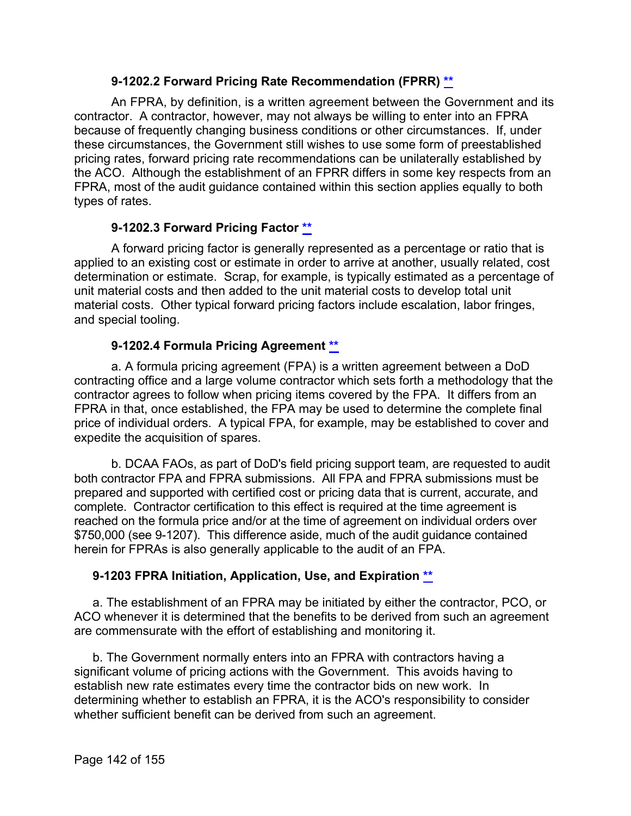### **9-1202.2 Forward Pricing Rate Recommendation (FPRR) [\\*\\*](#page-9-4)**

An FPRA, by definition, is a written agreement between the Government and its contractor. A contractor, however, may not always be willing to enter into an FPRA because of frequently changing business conditions or other circumstances. If, under these circumstances, the Government still wishes to use some form of preestablished pricing rates, forward pricing rate recommendations can be unilaterally established by the ACO. Although the establishment of an FPRR differs in some key respects from an FPRA, most of the audit guidance contained within this section applies equally to both types of rates.

# **9-1202.3 Forward Pricing Factor [\\*\\*](#page-9-5)**

A forward pricing factor is generally represented as a percentage or ratio that is applied to an existing cost or estimate in order to arrive at another, usually related, cost determination or estimate. Scrap, for example, is typically estimated as a percentage of unit material costs and then added to the unit material costs to develop total unit material costs. Other typical forward pricing factors include escalation, labor fringes, and special tooling.

# **9-1202.4 Formula Pricing Agreement [\\*\\*](#page-9-6)**

a. A formula pricing agreement (FPA) is a written agreement between a DoD contracting office and a large volume contractor which sets forth a methodology that the contractor agrees to follow when pricing items covered by the FPA. It differs from an FPRA in that, once established, the FPA may be used to determine the complete final price of individual orders. A typical FPA, for example, may be established to cover and expedite the acquisition of spares.

b. DCAA FAOs, as part of DoD's field pricing support team, are requested to audit both contractor FPA and FPRA submissions. All FPA and FPRA submissions must be prepared and supported with certified cost or pricing data that is current, accurate, and complete. Contractor certification to this effect is required at the time agreement is reached on the formula price and/or at the time of agreement on individual orders over \$750,000 (see 9-1207). This difference aside, much of the audit guidance contained herein for FPRAs is also generally applicable to the audit of an FPA.

# **9-1203 FPRA Initiation, Application, Use, and Expiration [\\*\\*](#page-9-7)**

a. The establishment of an FPRA may be initiated by either the contractor, PCO, or ACO whenever it is determined that the benefits to be derived from such an agreement are commensurate with the effort of establishing and monitoring it.

b. The Government normally enters into an FPRA with contractors having a significant volume of pricing actions with the Government. This avoids having to establish new rate estimates every time the contractor bids on new work. In determining whether to establish an FPRA, it is the ACO's responsibility to consider whether sufficient benefit can be derived from such an agreement.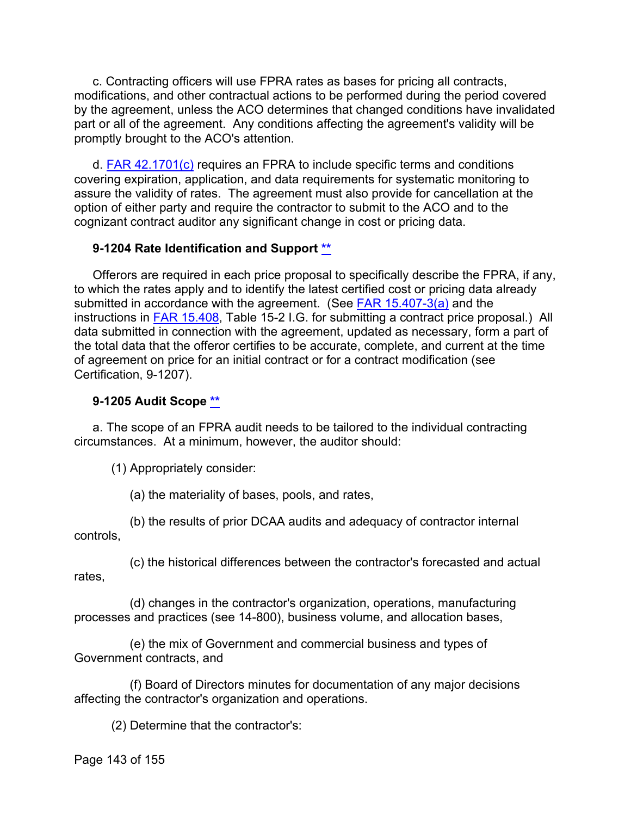c. Contracting officers will use FPRA rates as bases for pricing all contracts, modifications, and other contractual actions to be performed during the period covered by the agreement, unless the ACO determines that changed conditions have invalidated part or all of the agreement. Any conditions affecting the agreement's validity will be promptly brought to the ACO's attention.

d. [FAR 42.1701\(c\)](http://www.ecfr.gov/cgi-bin/text-idx?SID=cac1bf4ae3bf3eb0ad450ad174724bc9&mc=true&node=se48.1.42_11701&rgn=div8) requires an FPRA to include specific terms and conditions covering expiration, application, and data requirements for systematic monitoring to assure the validity of rates. The agreement must also provide for cancellation at the option of either party and require the contractor to submit to the ACO and to the cognizant contract auditor any significant change in cost or pricing data.

### **9-1204 Rate Identification and Support [\\*\\*](#page-9-8)**

Offerors are required in each price proposal to specifically describe the FPRA, if any, to which the rates apply and to identify the latest certified cost or pricing data already submitted in accordance with the agreement. (See [FAR 15.407-3\(a\)](http://www.ecfr.gov/cgi-bin/text-idx?SID=cac1bf4ae3bf3eb0ad450ad174724bc9&mc=true&node=se48.1.15_1407_63&rgn=div8) and the instructions in [FAR 15.408,](http://www.ecfr.gov/cgi-bin/text-idx?SID=cac1bf4ae3bf3eb0ad450ad174724bc9&mc=true&node=se48.1.15_1408&rgn=div8) Table 15-2 I.G. for submitting a contract price proposal.) All data submitted in connection with the agreement, updated as necessary, form a part of the total data that the offeror certifies to be accurate, complete, and current at the time of agreement on price for an initial contract or for a contract modification (see Certification, 9-1207).

### **9-1205 Audit Scope [\\*\\*](#page-9-9)**

a. The scope of an FPRA audit needs to be tailored to the individual contracting circumstances. At a minimum, however, the auditor should:

(1) Appropriately consider:

(a) the materiality of bases, pools, and rates,

(b) the results of prior DCAA audits and adequacy of contractor internal controls,

(c) the historical differences between the contractor's forecasted and actual rates,

(d) changes in the contractor's organization, operations, manufacturing processes and practices (see 14-800), business volume, and allocation bases,

(e) the mix of Government and commercial business and types of Government contracts, and

(f) Board of Directors minutes for documentation of any major decisions affecting the contractor's organization and operations.

(2) Determine that the contractor's: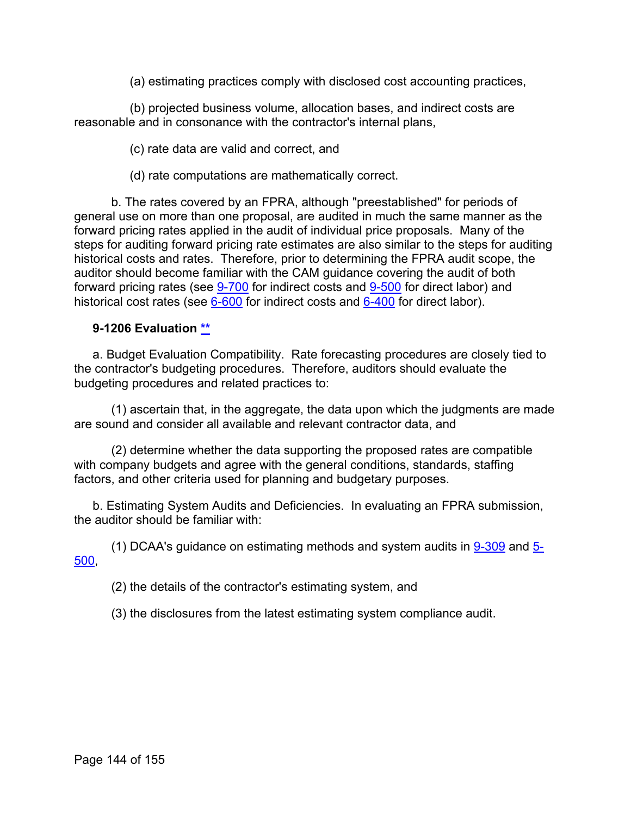(a) estimating practices comply with disclosed cost accounting practices,

(b) projected business volume, allocation bases, and indirect costs are reasonable and in consonance with the contractor's internal plans,

(c) rate data are valid and correct, and

(d) rate computations are mathematically correct.

b. The rates covered by an FPRA, although "preestablished" for periods of general use on more than one proposal, are audited in much the same manner as the forward pricing rates applied in the audit of individual price proposals. Many of the steps for auditing forward pricing rate estimates are also similar to the steps for auditing historical costs and rates. Therefore, prior to determining the FPRA audit scope, the auditor should become familiar with the CAM guidance covering the audit of both forward pricing rates (see [9-700](https://viper.dcaa.mil/guidance/cam/3144/audits-of-cost-estimating-and-pricing-proposals#Sec9700) for indirect costs and [9-500](https://viper.dcaa.mil/guidance/cam/3144/audits-of-cost-estimating-and-pricing-proposals#Sec9500) for direct labor) and historical cost rates (see [6-600](https://viper.dcaa.mil/guidance/cam/3136/incurred-cost-audit-procedures#Sec6600) for indirect costs and [6-400](https://viper.dcaa.mil/guidance/cam/3136/incurred-cost-audit-procedures#Sec6400) for direct labor).

### **9-1206 Evaluation [\\*\\*](#page-9-10)**

a. Budget Evaluation Compatibility. Rate forecasting procedures are closely tied to the contractor's budgeting procedures. Therefore, auditors should evaluate the budgeting procedures and related practices to:

(1) ascertain that, in the aggregate, the data upon which the judgments are made are sound and consider all available and relevant contractor data, and

(2) determine whether the data supporting the proposed rates are compatible with company budgets and agree with the general conditions, standards, staffing factors, and other criteria used for planning and budgetary purposes.

b. Estimating System Audits and Deficiencies. In evaluating an FPRA submission, the auditor should be familiar with:

(1) DCAA's guidance on estimating methods and system audits in [9-309](https://viper.dcaa.mil/guidance/cam/3144/audits-of-cost-estimating-and-pricing-proposals#Sec9309) and [5-](https://viper.dcaa.mil/guidance/cam/3135/audit-of-contractor-compliance-with-defense-federal-acquisition-regulation-supplement-for-contractor-business-systems-and-subsystems#Sec5500) [500,](https://viper.dcaa.mil/guidance/cam/3135/audit-of-contractor-compliance-with-defense-federal-acquisition-regulation-supplement-for-contractor-business-systems-and-subsystems#Sec5500)

(2) the details of the contractor's estimating system, and

(3) the disclosures from the latest estimating system compliance audit.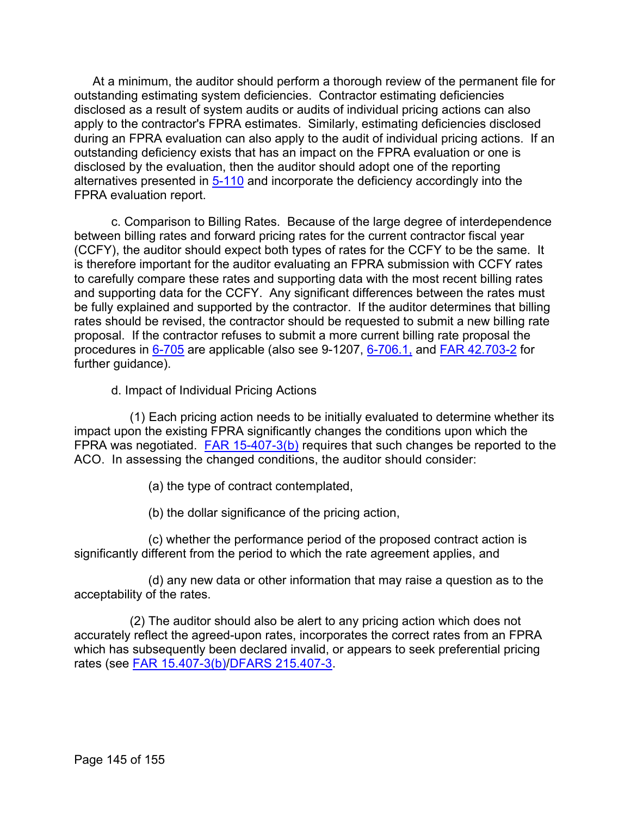At a minimum, the auditor should perform a thorough review of the permanent file for outstanding estimating system deficiencies. Contractor estimating deficiencies disclosed as a result of system audits or audits of individual pricing actions can also apply to the contractor's FPRA estimates. Similarly, estimating deficiencies disclosed during an FPRA evaluation can also apply to the audit of individual pricing actions. If an outstanding deficiency exists that has an impact on the FPRA evaluation or one is disclosed by the evaluation, then the auditor should adopt one of the reporting alternatives presented in [5-110](https://viper.dcaa.mil/guidance/cam/3135/audit-of-contractor-compliance-with-defense-federal-acquisition-regulation-supplement-for-contractor-business-systems-and-subsystems#Sec5110) and incorporate the deficiency accordingly into the FPRA evaluation report.

c. Comparison to Billing Rates. Because of the large degree of interdependence between billing rates and forward pricing rates for the current contractor fiscal year (CCFY), the auditor should expect both types of rates for the CCFY to be the same. It is therefore important for the auditor evaluating an FPRA submission with CCFY rates to carefully compare these rates and supporting data with the most recent billing rates and supporting data for the CCFY. Any significant differences between the rates must be fully explained and supported by the contractor. If the auditor determines that billing rates should be revised, the contractor should be requested to submit a new billing rate proposal. If the contractor refuses to submit a more current billing rate proposal the procedures in [6-705](https://viper.dcaa.mil/guidance/cam/3136/incurred-cost-audit-procedures#Sec6705) are applicable (also see 9-1207, [6-706.1,](https://viper.dcaa.mil/guidance/cam/3136/incurred-cost-audit-procedures#Sec67061) and [FAR 42.703-2](http://www.ecfr.gov/cgi-bin/text-idx?SID=cac1bf4ae3bf3eb0ad450ad174724bc9&mc=true&node=se48.1.42_1703_62&rgn=div8) for further guidance).

d. Impact of Individual Pricing Actions

(1) Each pricing action needs to be initially evaluated to determine whether its impact upon the existing FPRA significantly changes the conditions upon which the FPRA was negotiated. [FAR 15-407-3\(b\)](http://www.ecfr.gov/cgi-bin/text-idx?SID=cac1bf4ae3bf3eb0ad450ad174724bc9&mc=true&node=se48.1.15_1407_63&rgn=div8) requires that such changes be reported to the ACO. In assessing the changed conditions, the auditor should consider:

(a) the type of contract contemplated,

(b) the dollar significance of the pricing action,

(c) whether the performance period of the proposed contract action is significantly different from the period to which the rate agreement applies, and

(d) any new data or other information that may raise a question as to the acceptability of the rates.

(2) The auditor should also be alert to any pricing action which does not accurately reflect the agreed-upon rates, incorporates the correct rates from an FPRA which has subsequently been declared invalid, or appears to seek preferential pricing rates (see [FAR 15.407-3\(b\)/](http://www.ecfr.gov/cgi-bin/text-idx?SID=cac1bf4ae3bf3eb0ad450ad174724bc9&mc=true&node=se48.1.15_1407_63&rgn=div8)[DFARS 215.407-3.](http://www.ecfr.gov/cgi-bin/text-idx?SID=cac1bf4ae3bf3eb0ad450ad174724bc9&mc=true&node=se48.3.215_1407_63&rgn=div8)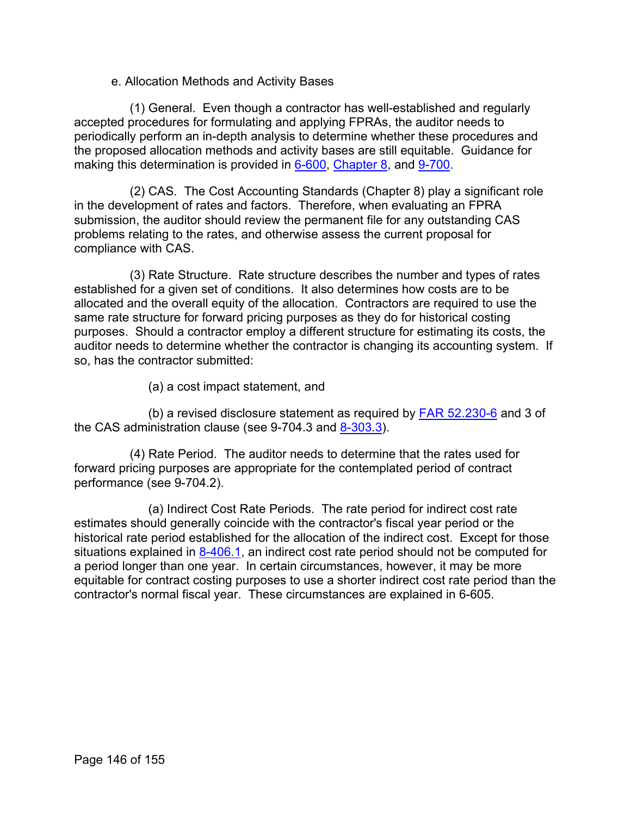## e. Allocation Methods and Activity Bases

(1) General. Even though a contractor has well-established and regularly accepted procedures for formulating and applying FPRAs, the auditor needs to periodically perform an in-depth analysis to determine whether these procedures and the proposed allocation methods and activity bases are still equitable. Guidance for making this determination is provided in [6-600,](https://viper.dcaa.mil/guidance/cam/3136/incurred-cost-audit-procedures#Sec6600) [Chapter 8,](https://viper.dcaa.mil/guidance/cam/3141/cost-accounting-standards#Section) and [9-700.](https://viper.dcaa.mil/guidance/cam/3144/audits-of-cost-estimating-and-pricing-proposals#Sec9700)

(2) CAS. The Cost Accounting Standards (Chapter 8) play a significant role in the development of rates and factors. Therefore, when evaluating an FPRA submission, the auditor should review the permanent file for any outstanding CAS problems relating to the rates, and otherwise assess the current proposal for compliance with CAS.

(3) Rate Structure. Rate structure describes the number and types of rates established for a given set of conditions. It also determines how costs are to be allocated and the overall equity of the allocation. Contractors are required to use the same rate structure for forward pricing purposes as they do for historical costing purposes. Should a contractor employ a different structure for estimating its costs, the auditor needs to determine whether the contractor is changing its accounting system. If so, has the contractor submitted:

(a) a cost impact statement, and

(b) a revised disclosure statement as required by [FAR 52.230-6](http://www.ecfr.gov/cgi-bin/text-idx?SID=4cd6daa6aa818989bf67e38a5ef6be3d&mc=true&node=se48.2.52_1230_66&rgn=div8) and 3 of the CAS administration clause (see 9-704.3 and [8-303.3\)](https://viper.dcaa.mil/guidance/cam/3141/cost-accounting-standards#Section83033).

(4) Rate Period. The auditor needs to determine that the rates used for forward pricing purposes are appropriate for the contemplated period of contract performance (see 9-704.2).

(a) Indirect Cost Rate Periods. The rate period for indirect cost rate estimates should generally coincide with the contractor's fiscal year period or the historical rate period established for the allocation of the indirect cost. Except for those situations explained in [8-406.1,](https://viper.dcaa.mil/guidance/cam/3141/cost-accounting-standards#Section84061) an indirect cost rate period should not be computed for a period longer than one year. In certain circumstances, however, it may be more equitable for contract costing purposes to use a shorter indirect cost rate period than the contractor's normal fiscal year. These circumstances are explained in 6-605.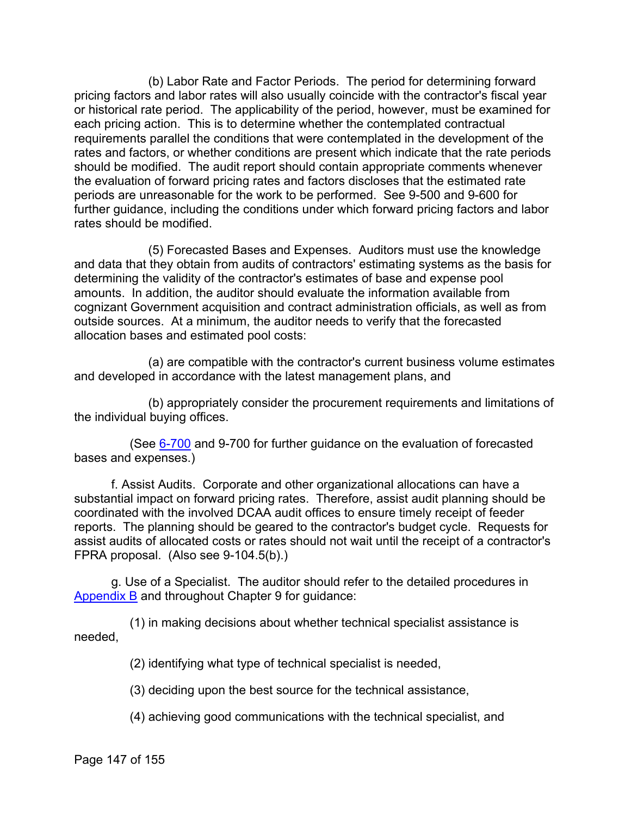(b) Labor Rate and Factor Periods. The period for determining forward pricing factors and labor rates will also usually coincide with the contractor's fiscal year or historical rate period. The applicability of the period, however, must be examined for each pricing action. This is to determine whether the contemplated contractual requirements parallel the conditions that were contemplated in the development of the rates and factors, or whether conditions are present which indicate that the rate periods should be modified. The audit report should contain appropriate comments whenever the evaluation of forward pricing rates and factors discloses that the estimated rate periods are unreasonable for the work to be performed. See 9-500 and 9-600 for further guidance, including the conditions under which forward pricing factors and labor rates should be modified.

(5) Forecasted Bases and Expenses. Auditors must use the knowledge and data that they obtain from audits of contractors' estimating systems as the basis for determining the validity of the contractor's estimates of base and expense pool amounts. In addition, the auditor should evaluate the information available from cognizant Government acquisition and contract administration officials, as well as from outside sources. At a minimum, the auditor needs to verify that the forecasted allocation bases and estimated pool costs:

(a) are compatible with the contractor's current business volume estimates and developed in accordance with the latest management plans, and

(b) appropriately consider the procurement requirements and limitations of the individual buying offices.

(See [6-700](https://viper.dcaa.mil/guidance/cam/3136/incurred-cost-audit-procedures#Sec6700) and 9-700 for further guidance on the evaluation of forecasted bases and expenses.)

f. Assist Audits. Corporate and other organizational allocations can have a substantial impact on forward pricing rates. Therefore, assist audit planning should be coordinated with the involved DCAA audit offices to ensure timely receipt of feeder reports. The planning should be geared to the contractor's budget cycle. Requests for assist audits of allocated costs or rates should not wait until the receipt of a contractor's FPRA proposal. (Also see 9-104.5(b).)

g. Use of a Specialist. The auditor should refer to the detailed procedures in [Appendix B](https://viper.dcaa.mil/guidance/cam/3163/appendix-b-specialist-assistance#Sec) and throughout Chapter 9 for guidance:

(1) in making decisions about whether technical specialist assistance is needed,

(2) identifying what type of technical specialist is needed,

(3) deciding upon the best source for the technical assistance,

(4) achieving good communications with the technical specialist, and

Page 147 of 155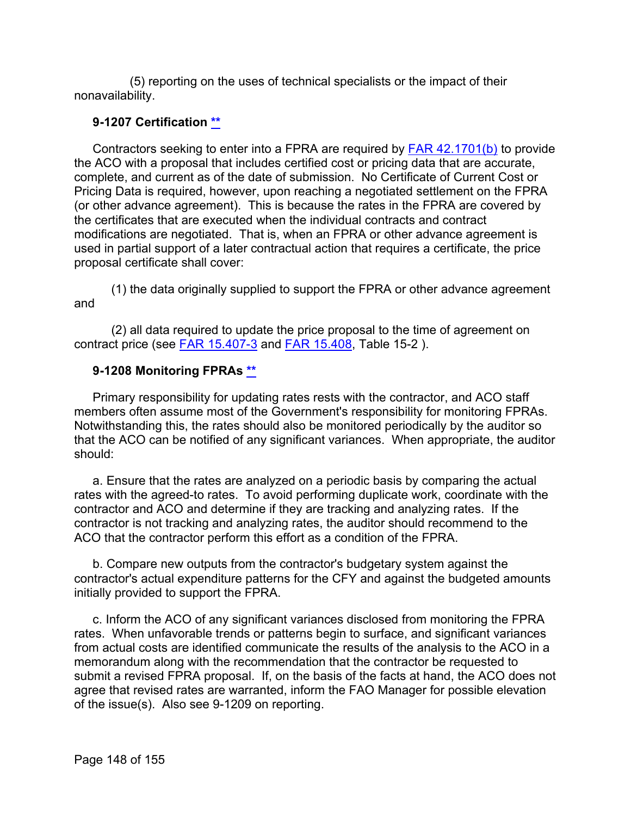(5) reporting on the uses of technical specialists or the impact of their nonavailability.

## **9-1207 Certification [\\*\\*](#page-9-0)**

Contractors seeking to enter into a FPRA are required by [FAR 42.1701\(b\)](http://www.ecfr.gov/cgi-bin/text-idx?SID=5dba3e1d4f25959194c88d4e2e03edce&mc=true&node=se48.1.42_11701&rgn=div8) to provide the ACO with a proposal that includes certified cost or pricing data that are accurate, complete, and current as of the date of submission. No Certificate of Current Cost or Pricing Data is required, however, upon reaching a negotiated settlement on the FPRA (or other advance agreement). This is because the rates in the FPRA are covered by the certificates that are executed when the individual contracts and contract modifications are negotiated. That is, when an FPRA or other advance agreement is used in partial support of a later contractual action that requires a certificate, the price proposal certificate shall cover:

(1) the data originally supplied to support the FPRA or other advance agreement and

(2) all data required to update the price proposal to the time of agreement on contract price (see [FAR 15.407-3](http://www.ecfr.gov/cgi-bin/text-idx?SID=5dba3e1d4f25959194c88d4e2e03edce&mc=true&node=se48.1.15_1407_63&rgn=div8) and [FAR 15.408,](http://www.ecfr.gov/cgi-bin/retrieveECFR?gp=&SID=5dba3e1d4f25959194c88d4e2e03edce&mc=true&r=SECTION&n=se48.1.15_1408) Table 15-2 ).

# **9-1208 Monitoring FPRAs [\\*\\*](#page-9-1)**

Primary responsibility for updating rates rests with the contractor, and ACO staff members often assume most of the Government's responsibility for monitoring FPRAs. Notwithstanding this, the rates should also be monitored periodically by the auditor so that the ACO can be notified of any significant variances. When appropriate, the auditor should:

a. Ensure that the rates are analyzed on a periodic basis by comparing the actual rates with the agreed-to rates. To avoid performing duplicate work, coordinate with the contractor and ACO and determine if they are tracking and analyzing rates. If the contractor is not tracking and analyzing rates, the auditor should recommend to the ACO that the contractor perform this effort as a condition of the FPRA.

b. Compare new outputs from the contractor's budgetary system against the contractor's actual expenditure patterns for the CFY and against the budgeted amounts initially provided to support the FPRA.

c. Inform the ACO of any significant variances disclosed from monitoring the FPRA rates. When unfavorable trends or patterns begin to surface, and significant variances from actual costs are identified communicate the results of the analysis to the ACO in a memorandum along with the recommendation that the contractor be requested to submit a revised FPRA proposal. If, on the basis of the facts at hand, the ACO does not agree that revised rates are warranted, inform the FAO Manager for possible elevation of the issue(s). Also see 9-1209 on reporting.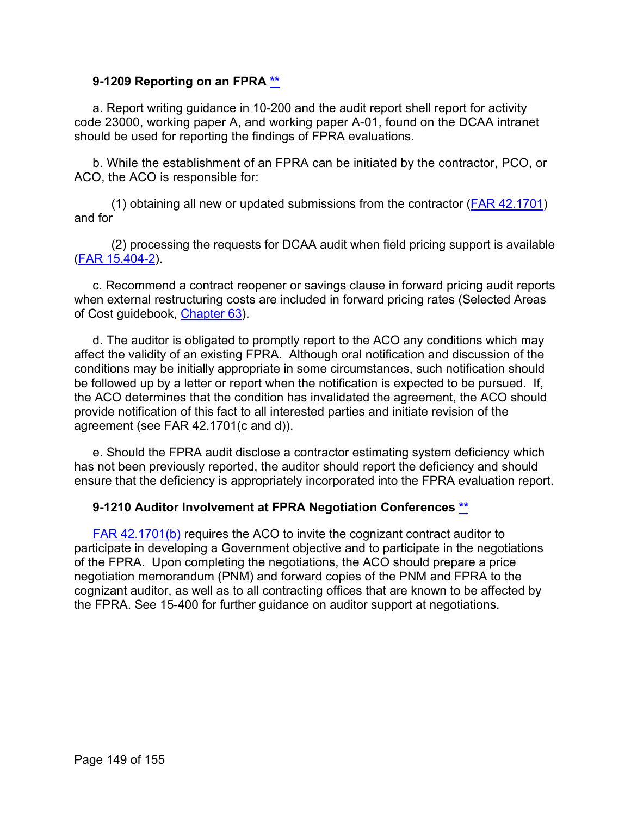## **9-1209 Reporting on an FPRA [\\*\\*](#page-9-2)**

a. Report writing guidance in 10-200 and the audit report shell report for activity code 23000, working paper A, and working paper A-01, found on the DCAA intranet should be used for reporting the findings of FPRA evaluations.

b. While the establishment of an FPRA can be initiated by the contractor, PCO, or ACO, the ACO is responsible for:

(1) obtaining all new or updated submissions from the contractor [\(FAR 42.1701\)](http://www.ecfr.gov/cgi-bin/text-idx?SID=5dba3e1d4f25959194c88d4e2e03edce&mc=true&node=se48.1.42_11701&rgn=div8) and for

(2) processing the requests for DCAA audit when field pricing support is available [\(FAR 15.404-2\)](http://www.ecfr.gov/cgi-bin/retrieveECFR?gp=&SID=5dba3e1d4f25959194c88d4e2e03edce&mc=true&r=SECTION&n=se48.1.15_1404_62).

c. Recommend a contract reopener or savings clause in forward pricing audit reports when external restructuring costs are included in forward pricing rates (Selected Areas of Cost guidebook, [Chapter 63\)](https://viper.dcaa.mil/guidance/guidebooks/selected-areas-of-cost/3099/restructuring-costs).

d. The auditor is obligated to promptly report to the ACO any conditions which may affect the validity of an existing FPRA. Although oral notification and discussion of the conditions may be initially appropriate in some circumstances, such notification should be followed up by a letter or report when the notification is expected to be pursued. If, the ACO determines that the condition has invalidated the agreement, the ACO should provide notification of this fact to all interested parties and initiate revision of the agreement (see FAR 42.1701(c and d)).

e. Should the FPRA audit disclose a contractor estimating system deficiency which has not been previously reported, the auditor should report the deficiency and should ensure that the deficiency is appropriately incorporated into the FPRA evaluation report.

## **9-1210 Auditor Involvement at FPRA Negotiation Conferences [\\*\\*](#page-9-3)**

[FAR 42.1701\(b\)](http://www.ecfr.gov/cgi-bin/text-idx?SID=5dba3e1d4f25959194c88d4e2e03edce&mc=true&node=se48.1.42_11701&rgn=div8) requires the ACO to invite the cognizant contract auditor to participate in developing a Government objective and to participate in the negotiations of the FPRA. Upon completing the negotiations, the ACO should prepare a price negotiation memorandum (PNM) and forward copies of the PNM and FPRA to the cognizant auditor, as well as to all contracting offices that are known to be affected by the FPRA. See 15-400 for further guidance on auditor support at negotiations.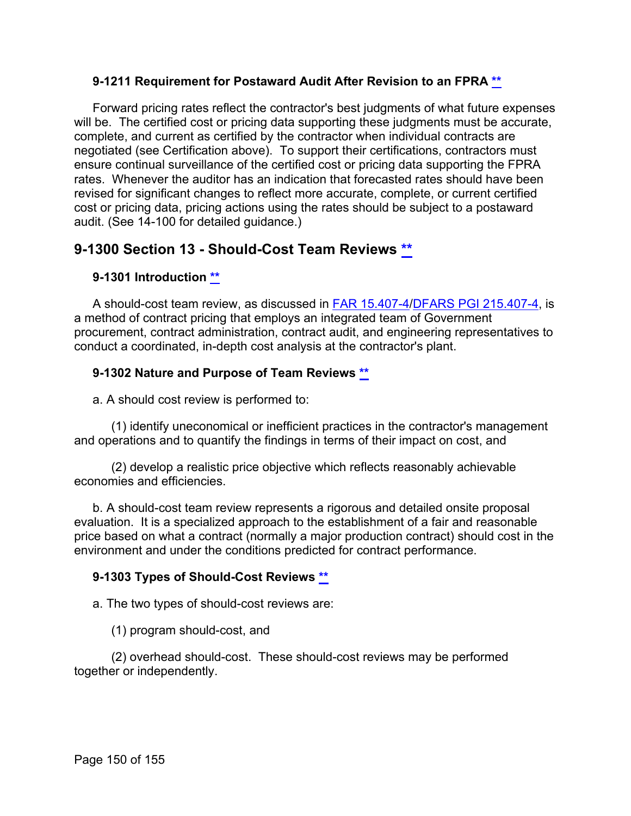## **9-1211 Requirement for Postaward Audit After Revision to an FPRA [\\*\\*](#page-9-4)**

Forward pricing rates reflect the contractor's best judgments of what future expenses will be. The certified cost or pricing data supporting these judgments must be accurate, complete, and current as certified by the contractor when individual contracts are negotiated (see Certification above). To support their certifications, contractors must ensure continual surveillance of the certified cost or pricing data supporting the FPRA rates. Whenever the auditor has an indication that forecasted rates should have been revised for significant changes to reflect more accurate, complete, or current certified cost or pricing data, pricing actions using the rates should be subject to a postaward audit. (See 14-100 for detailed guidance.)

# **9-1300 Section 13 - Should-Cost Team Reviews [\\*\\*](#page-9-5)**

# **9-1301 Introduction [\\*\\*](#page-9-6)**

A should-cost team review, as discussed in [FAR 15.407-4/](http://www.ecfr.gov/cgi-bin/text-idx?SID=5dba3e1d4f25959194c88d4e2e03edce&mc=true&node=se48.1.15_1407_64&rgn=div8)[DFARS PGI 215.407-4,](http://www.acq.osd.mil/dpap/dars/pgi/frameset.htm?dfarsno=215_4&pgino=PGI215_4&pgianchor=215.407-4&dfarsanchor=215.407-4) is a method of contract pricing that employs an integrated team of Government procurement, contract administration, contract audit, and engineering representatives to conduct a coordinated, in-depth cost analysis at the contractor's plant.

## **9-1302 Nature and Purpose of Team Reviews [\\*\\*](#page-9-7)**

a. A should cost review is performed to:

(1) identify uneconomical or inefficient practices in the contractor's management and operations and to quantify the findings in terms of their impact on cost, and

(2) develop a realistic price objective which reflects reasonably achievable economies and efficiencies.

b. A should-cost team review represents a rigorous and detailed onsite proposal evaluation. It is a specialized approach to the establishment of a fair and reasonable price based on what a contract (normally a major production contract) should cost in the environment and under the conditions predicted for contract performance.

## **9-1303 Types of Should-Cost Reviews [\\*\\*](#page-9-8)**

a. The two types of should-cost reviews are:

(1) program should-cost, and

(2) overhead should-cost. These should-cost reviews may be performed together or independently.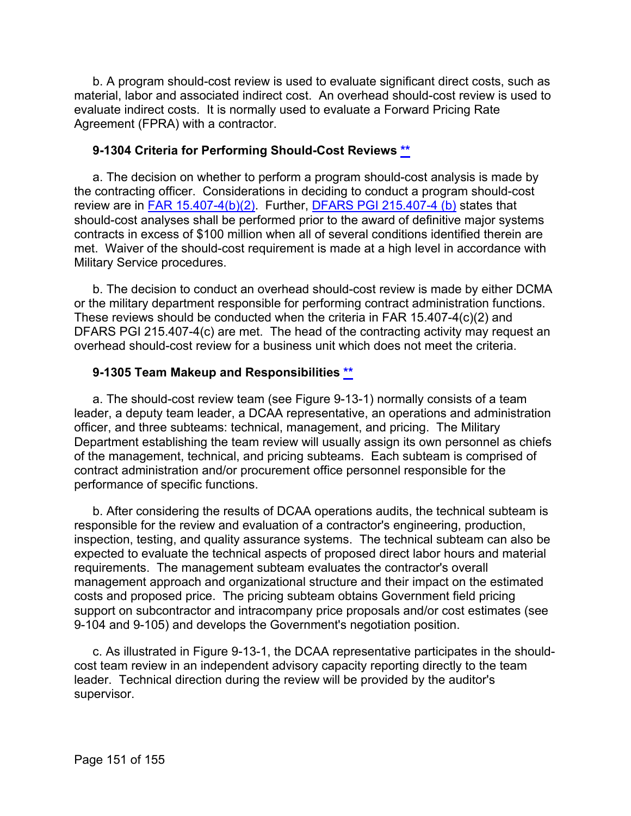b. A program should-cost review is used to evaluate significant direct costs, such as material, labor and associated indirect cost. An overhead should-cost review is used to evaluate indirect costs. It is normally used to evaluate a Forward Pricing Rate Agreement (FPRA) with a contractor.

## **9-1304 Criteria for Performing Should-Cost Reviews [\\*\\*](#page-9-9)**

a. The decision on whether to perform a program should-cost analysis is made by the contracting officer. Considerations in deciding to conduct a program should-cost review are in [FAR 15.407-4\(b\)\(2\).](http://www.ecfr.gov/cgi-bin/text-idx?SID=5dba3e1d4f25959194c88d4e2e03edce&mc=true&node=se48.1.15_1407_64&rgn=div8) Further, [DFARS PGI 215.407-4 \(b\)](http://www.acq.osd.mil/dpap/dars/pgi/frameset.htm?dfarsno=215_4&pgino=PGI215_4&pgianchor=215.407-4&dfarsanchor=215.407-4) states that should-cost analyses shall be performed prior to the award of definitive major systems contracts in excess of \$100 million when all of several conditions identified therein are met. Waiver of the should-cost requirement is made at a high level in accordance with Military Service procedures.

b. The decision to conduct an overhead should-cost review is made by either DCMA or the military department responsible for performing contract administration functions. These reviews should be conducted when the criteria in FAR 15.407-4(c)(2) and DFARS PGI 215.407-4(c) are met. The head of the contracting activity may request an overhead should-cost review for a business unit which does not meet the criteria.

## **9-1305 Team Makeup and Responsibilities [\\*\\*](#page-9-10)**

a. The should-cost review team (see Figure 9-13-1) normally consists of a team leader, a deputy team leader, a DCAA representative, an operations and administration officer, and three subteams: technical, management, and pricing. The Military Department establishing the team review will usually assign its own personnel as chiefs of the management, technical, and pricing subteams. Each subteam is comprised of contract administration and/or procurement office personnel responsible for the performance of specific functions.

b. After considering the results of DCAA operations audits, the technical subteam is responsible for the review and evaluation of a contractor's engineering, production, inspection, testing, and quality assurance systems. The technical subteam can also be expected to evaluate the technical aspects of proposed direct labor hours and material requirements. The management subteam evaluates the contractor's overall management approach and organizational structure and their impact on the estimated costs and proposed price. The pricing subteam obtains Government field pricing support on subcontractor and intracompany price proposals and/or cost estimates (see 9-104 and 9-105) and develops the Government's negotiation position.

c. As illustrated in Figure 9-13-1, the DCAA representative participates in the shouldcost team review in an independent advisory capacity reporting directly to the team leader. Technical direction during the review will be provided by the auditor's supervisor.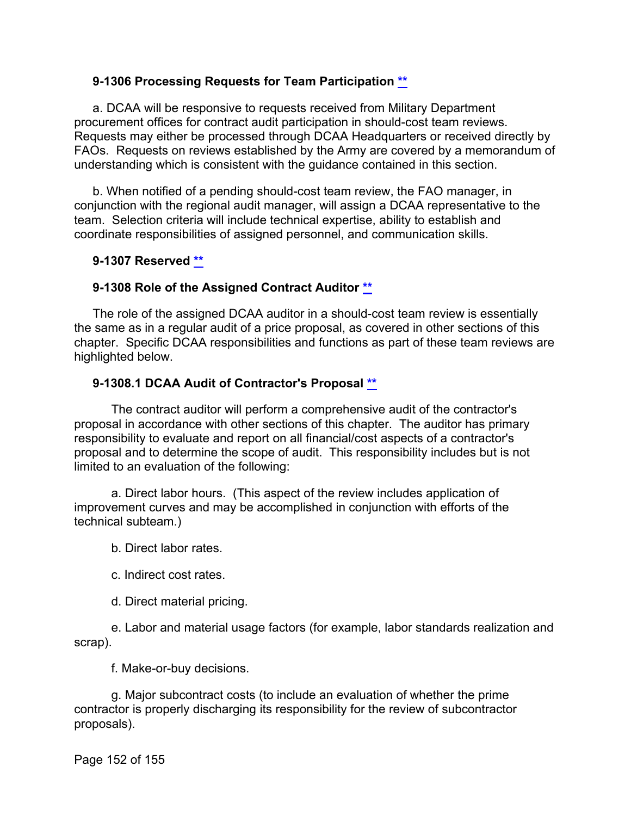## **9-1306 Processing Requests for Team Participation [\\*\\*](#page-9-11)**

a. DCAA will be responsive to requests received from Military Department procurement offices for contract audit participation in should-cost team reviews. Requests may either be processed through DCAA Headquarters or received directly by FAOs. Requests on reviews established by the Army are covered by a memorandum of understanding which is consistent with the guidance contained in this section.

b. When notified of a pending should-cost team review, the FAO manager, in conjunction with the regional audit manager, will assign a DCAA representative to the team. Selection criteria will include technical expertise, ability to establish and coordinate responsibilities of assigned personnel, and communication skills.

## **9-1307 Reserved [\\*\\*](#page-9-12)**

## **9-1308 Role of the Assigned Contract Auditor [\\*\\*](#page-9-13)**

The role of the assigned DCAA auditor in a should-cost team review is essentially the same as in a regular audit of a price proposal, as covered in other sections of this chapter. Specific DCAA responsibilities and functions as part of these team reviews are highlighted below.

## **9-1308.1 DCAA Audit of Contractor's Proposal [\\*\\*](#page-9-14)**

The contract auditor will perform a comprehensive audit of the contractor's proposal in accordance with other sections of this chapter. The auditor has primary responsibility to evaluate and report on all financial/cost aspects of a contractor's proposal and to determine the scope of audit. This responsibility includes but is not limited to an evaluation of the following:

a. Direct labor hours. (This aspect of the review includes application of improvement curves and may be accomplished in conjunction with efforts of the technical subteam.)

b. Direct labor rates.

c. Indirect cost rates.

d. Direct material pricing.

e. Labor and material usage factors (for example, labor standards realization and scrap).

f. Make-or-buy decisions.

g. Major subcontract costs (to include an evaluation of whether the prime contractor is properly discharging its responsibility for the review of subcontractor proposals).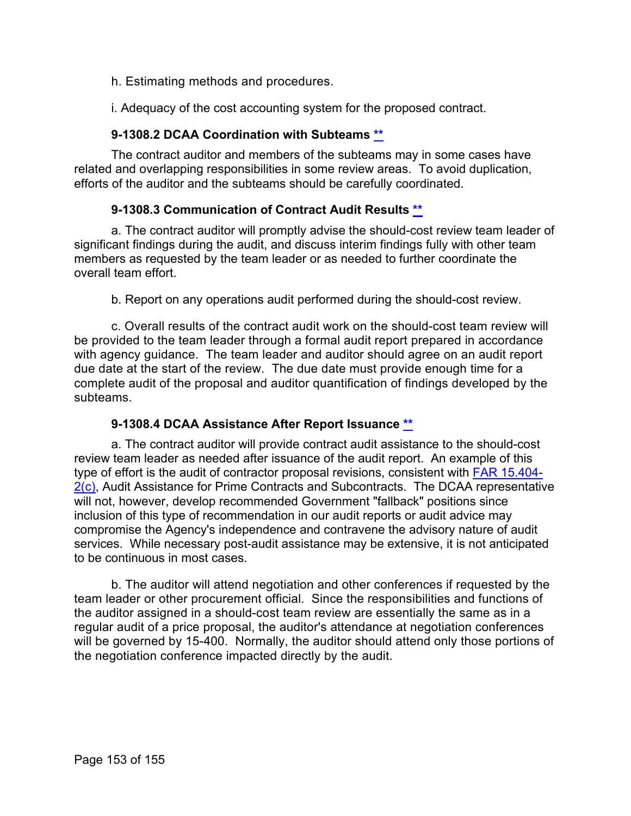h. Estimating methods and procedures.

i. Adequacy of the cost accounting system for the proposed contract.

## **9-1308.2 DCAA Coordination with Subteams [\\*\\*](#page-10-0)**

The contract auditor and members of the subteams may in some cases have related and overlapping responsibilities in some review areas. To avoid duplication, efforts of the auditor and the subteams should be carefully coordinated.

## **9-1308.3 Communication of Contract Audit Results [\\*\\*](#page-10-1)**

a. The contract auditor will promptly advise the should-cost review team leader of significant findings during the audit, and discuss interim findings fully with other team members as requested by the team leader or as needed to further coordinate the overall team effort.

b. Report on any operations audit performed during the should-cost review.

c. Overall results of the contract audit work on the should-cost team review will be provided to the team leader through a formal audit report prepared in accordance with agency guidance. The team leader and auditor should agree on an audit report due date at the start of the review. The due date must provide enough time for a complete audit of the proposal and auditor quantification of findings developed by the subteams.

## **9-1308.4 DCAA Assistance After Report Issuance [\\*\\*](#page-10-2)**

a. The contract auditor will provide contract audit assistance to the should-cost review team leader as needed after issuance of the audit report. An example of this type of effort is the audit of contractor proposal revisions, consistent with [FAR 15.404-](http://www.ecfr.gov/cgi-bin/text-idx?SID=5dba3e1d4f25959194c88d4e2e03edce&mc=true&node=se48.1.15_1404_62&rgn=div8) [2\(c\),](http://www.ecfr.gov/cgi-bin/text-idx?SID=5dba3e1d4f25959194c88d4e2e03edce&mc=true&node=se48.1.15_1404_62&rgn=div8) Audit Assistance for Prime Contracts and Subcontracts. The DCAA representative will not, however, develop recommended Government "fallback" positions since inclusion of this type of recommendation in our audit reports or audit advice may compromise the Agency's independence and contravene the advisory nature of audit services. While necessary post-audit assistance may be extensive, it is not anticipated to be continuous in most cases.

b. The auditor will attend negotiation and other conferences if requested by the team leader or other procurement official. Since the responsibilities and functions of the auditor assigned in a should-cost team review are essentially the same as in a regular audit of a price proposal, the auditor's attendance at negotiation conferences will be governed by 15-400. Normally, the auditor should attend only those portions of the negotiation conference impacted directly by the audit.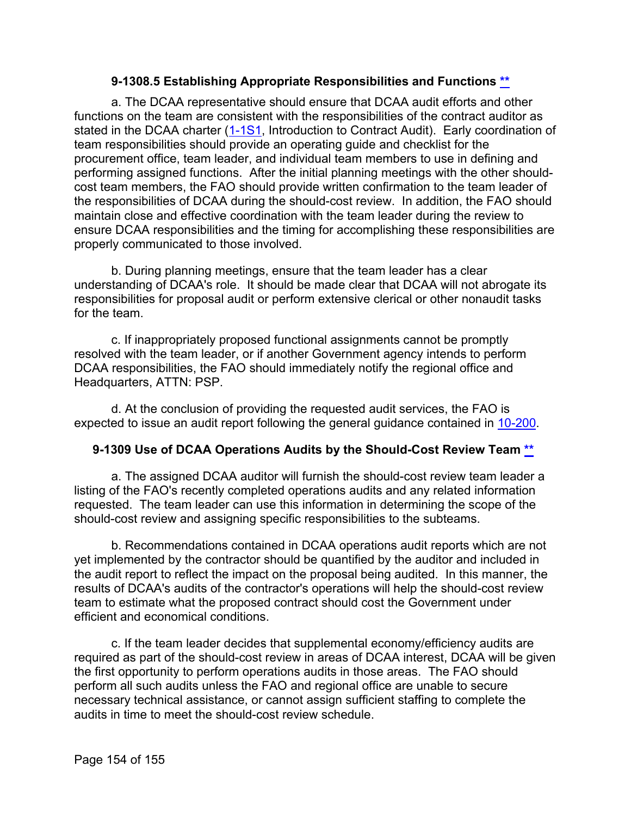#### **9-1308.5 Establishing Appropriate Responsibilities and Functions [\\*\\*](#page-10-3)**

a. The DCAA representative should ensure that DCAA audit efforts and other functions on the team are consistent with the responsibilities of the contract auditor as stated in the DCAA charter  $(1-1)$  Introduction to Contract Audit). Early coordination of team responsibilities should provide an operating guide and checklist for the procurement office, team leader, and individual team members to use in defining and performing assigned functions. After the initial planning meetings with the other shouldcost team members, the FAO should provide written confirmation to the team leader of the responsibilities of DCAA during the should-cost review. In addition, the FAO should maintain close and effective coordination with the team leader during the review to ensure DCAA responsibilities and the timing for accomplishing these responsibilities are properly communicated to those involved.

b. During planning meetings, ensure that the team leader has a clear understanding of DCAA's role. It should be made clear that DCAA will not abrogate its responsibilities for proposal audit or perform extensive clerical or other nonaudit tasks for the team.

c. If inappropriately proposed functional assignments cannot be promptly resolved with the team leader, or if another Government agency intends to perform DCAA responsibilities, the FAO should immediately notify the regional office and Headquarters, ATTN: PSP.

d. At the conclusion of providing the requested audit services, the FAO is expected to issue an audit report following the general guidance contained in [10-200.](https://viper.dcaa.mil/guidance/cam/3147/preparation-and-distribution-of-audit-reports#Sec10200)

## **9-1309 Use of DCAA Operations Audits by the Should-Cost Review Team [\\*\\*](#page-10-4)**

a. The assigned DCAA auditor will furnish the should-cost review team leader a listing of the FAO's recently completed operations audits and any related information requested. The team leader can use this information in determining the scope of the should-cost review and assigning specific responsibilities to the subteams.

b. Recommendations contained in DCAA operations audit reports which are not yet implemented by the contractor should be quantified by the auditor and included in the audit report to reflect the impact on the proposal being audited. In this manner, the results of DCAA's audits of the contractor's operations will help the should-cost review team to estimate what the proposed contract should cost the Government under efficient and economical conditions.

c. If the team leader decides that supplemental economy/efficiency audits are required as part of the should-cost review in areas of DCAA interest, DCAA will be given the first opportunity to perform operations audits in those areas. The FAO should perform all such audits unless the FAO and regional office are unable to secure necessary technical assistance, or cannot assign sufficient staffing to complete the audits in time to meet the should-cost review schedule.